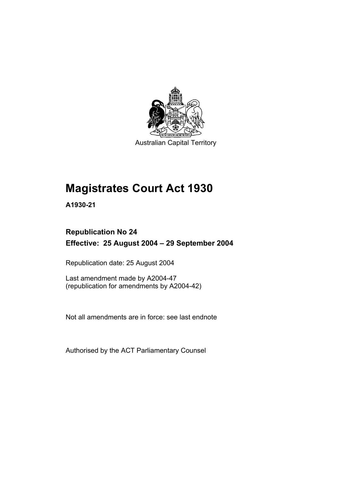

Australian Capital Territory

# **Magistrates Court Act 1930**

**A1930-21** 

## **Republication No 24 Effective: 25 August 2004 – 29 September 2004**

Republication date: 25 August 2004

Last amendment made by A2004-47 (republication for amendments by A2004-42)

Not all amendments are in force: see last endnote

Authorised by the ACT Parliamentary Counsel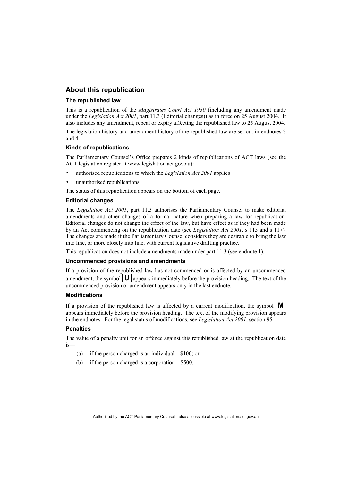#### **About this republication**

#### **The republished law**

This is a republication of the *Magistrates Court Act 1930* (including any amendment made under the *Legislation Act 2001*, part 11.3 (Editorial changes)) as in force on 25 August 2004*.* It also includes any amendment, repeal or expiry affecting the republished law to 25 August 2004.

The legislation history and amendment history of the republished law are set out in endnotes 3 and 4.

#### **Kinds of republications**

The Parliamentary Counsel's Office prepares 2 kinds of republications of ACT laws (see the ACT legislation register at www.legislation.act.gov.au):

- authorised republications to which the *Legislation Act 2001* applies
- unauthorised republications.

The status of this republication appears on the bottom of each page.

#### **Editorial changes**

The *Legislation Act 2001*, part 11.3 authorises the Parliamentary Counsel to make editorial amendments and other changes of a formal nature when preparing a law for republication. Editorial changes do not change the effect of the law, but have effect as if they had been made by an Act commencing on the republication date (see *Legislation Act 2001*, s 115 and s 117). The changes are made if the Parliamentary Counsel considers they are desirable to bring the law into line, or more closely into line, with current legislative drafting practice.

This republication does not include amendments made under part 11.3 (see endnote 1).

#### **Uncommenced provisions and amendments**

If a provision of the republished law has not commenced or is affected by an uncommenced amendment, the symbol  $\mathbf{U}$  appears immediately before the provision heading. The text of the uncommenced provision or amendment appears only in the last endnote.

#### **Modifications**

If a provision of the republished law is affected by a current modification, the symbol  $\mathbf{M}$ appears immediately before the provision heading. The text of the modifying provision appears in the endnotes. For the legal status of modifications, see *Legislation Act 2001*, section 95.

#### **Penalties**

The value of a penalty unit for an offence against this republished law at the republication date is—

- (a) if the person charged is an individual—\$100; or
- (b) if the person charged is a corporation—\$500.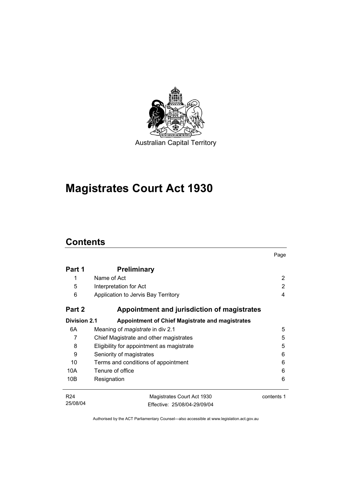

**Magistrates Court Act 1930** 

## **Contents**

|                     |                                                        | Page       |
|---------------------|--------------------------------------------------------|------------|
| Part 1              | <b>Preliminary</b>                                     |            |
| 1                   | Name of Act                                            | 2          |
| 5                   | Interpretation for Act                                 | 2          |
| 6                   | Application to Jervis Bay Territory                    | 4          |
| Part 2              | Appointment and jurisdiction of magistrates            |            |
| <b>Division 2.1</b> | <b>Appointment of Chief Magistrate and magistrates</b> |            |
| 6A                  | Meaning of <i>magistrate</i> in div 2.1                | 5          |
| 7                   | Chief Magistrate and other magistrates                 | 5          |
| 8                   | Eligibility for appointment as magistrate              | 5          |
| 9                   | Seniority of magistrates                               | 6          |
| 10                  | Terms and conditions of appointment                    | 6          |
| 10A                 | Tenure of office                                       | 6          |
| 10B                 | Resignation                                            | 6          |
| R <sub>24</sub>     | Magistrates Court Act 1930                             | contents 1 |
| 25/08/04            | Effective: 25/08/04-29/09/04                           |            |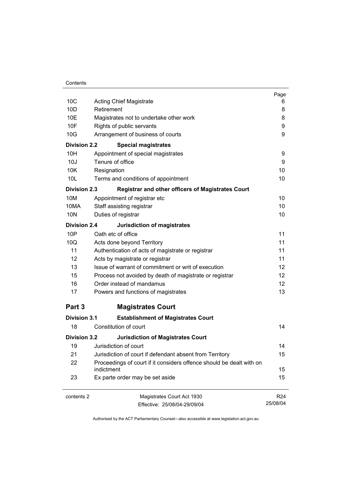| Contents |
|----------|
|----------|

|                     |                                                                                    | Page            |
|---------------------|------------------------------------------------------------------------------------|-----------------|
| 10 <sub>C</sub>     | <b>Acting Chief Magistrate</b>                                                     | 6               |
| 10 <sub>D</sub>     | Retirement                                                                         | 8               |
| 10E                 | Magistrates not to undertake other work                                            | 8               |
| 10F                 | Rights of public servants                                                          | 9               |
| 10G                 | Arrangement of business of courts                                                  | 9               |
| <b>Division 2.2</b> | <b>Special magistrates</b>                                                         |                 |
| 10H                 | Appointment of special magistrates                                                 | 9               |
| 10J                 | Tenure of office                                                                   | 9               |
| 10K                 | Resignation                                                                        | 10              |
| 10L                 | Terms and conditions of appointment                                                | 10              |
| <b>Division 2.3</b> | <b>Registrar and other officers of Magistrates Court</b>                           |                 |
| 10M                 | Appointment of registrar etc                                                       | 10              |
| 10MA                | Staff assisting registrar                                                          | 10              |
| <b>10N</b>          | Duties of registrar                                                                | 10              |
| Division 2.4        | <b>Jurisdiction of magistrates</b>                                                 |                 |
| 10P                 | Oath etc of office                                                                 | 11              |
| 10Q                 | Acts done beyond Territory                                                         | 11              |
| 11                  | Authentication of acts of magistrate or registrar                                  | 11              |
| 12                  | Acts by magistrate or registrar                                                    | 11              |
| 13                  | Issue of warrant of commitment or writ of execution                                | 12              |
| 15                  | Process not avoided by death of magistrate or registrar                            | 12 <sup>2</sup> |
| 16                  | Order instead of mandamus                                                          | 12 <sup>2</sup> |
| 17                  | Powers and functions of magistrates                                                | 13              |
| Part 3              | <b>Magistrates Court</b>                                                           |                 |
| <b>Division 3.1</b> | <b>Establishment of Magistrates Court</b>                                          |                 |
| 18                  | Constitution of court                                                              | 14              |
| <b>Division 3.2</b> | <b>Jurisdiction of Magistrates Court</b>                                           |                 |
| 19                  | Jurisdiction of court                                                              | 14              |
| 21                  | Jurisdiction of court if defendant absent from Territory                           | 15              |
| 22                  | Proceedings of court if it considers offence should be dealt with on<br>indictment | 15              |
| 23                  | Ex parte order may be set aside                                                    | 15              |
| contents 2          | Magistrates Court Act 1930                                                         | R <sub>24</sub> |
|                     | Effective: 25/08/04-29/09/04                                                       | 25/08/04        |
|                     |                                                                                    |                 |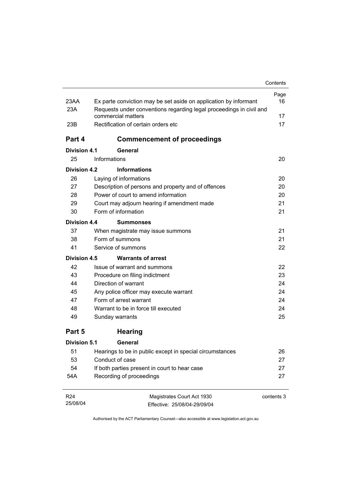|                     |                                                                                           | Contents   |
|---------------------|-------------------------------------------------------------------------------------------|------------|
|                     |                                                                                           | Page       |
| 23AA                | Ex parte conviction may be set aside on application by informant                          | 16         |
| 23A                 | Requests under conventions regarding legal proceedings in civil and<br>commercial matters | 17         |
| 23B                 | Rectification of certain orders etc                                                       | 17         |
|                     |                                                                                           |            |
| Part 4              | <b>Commencement of proceedings</b>                                                        |            |
| Division 4.1        | General                                                                                   |            |
| 25                  | Informations                                                                              | 20         |
| Division 4.2        | <b>Informations</b>                                                                       |            |
| 26                  | Laying of informations                                                                    | 20         |
| 27                  | Description of persons and property and of offences                                       | 20         |
| 28                  | Power of court to amend information                                                       | 20         |
| 29                  | Court may adjourn hearing if amendment made                                               | 21         |
| 30                  | Form of information                                                                       | 21         |
| Division 4.4        | <b>Summonses</b>                                                                          |            |
| 37                  | When magistrate may issue summons                                                         | 21         |
| 38                  | Form of summons                                                                           | 21         |
| 41                  | Service of summons                                                                        | 22         |
| <b>Division 4.5</b> | <b>Warrants of arrest</b>                                                                 |            |
| 42                  | Issue of warrant and summons                                                              | 22         |
| 43                  | Procedure on filing indictment                                                            | 23         |
| 44                  | Direction of warrant                                                                      | 24         |
| 45                  | Any police officer may execute warrant                                                    | 24         |
| 47                  | Form of arrest warrant                                                                    | 24         |
| 48                  | Warrant to be in force till executed                                                      | 24         |
| 49                  | Sunday warrants                                                                           | 25         |
| Part 5              | <b>Hearing</b>                                                                            |            |
| <b>Division 5.1</b> | General                                                                                   |            |
| 51                  | Hearings to be in public except in special circumstances                                  | 26         |
| 53                  | Conduct of case                                                                           | 27         |
| 54                  | If both parties present in court to hear case                                             | 27         |
| 54A                 | Recording of proceedings                                                                  | 27         |
| R <sub>24</sub>     | Magistrates Court Act 1930                                                                | contents 3 |

Effective: 25/08/04-29/09/04

25/08/04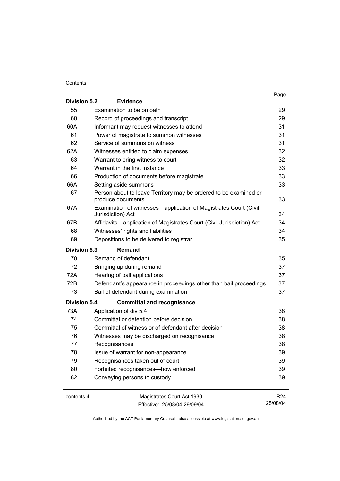#### **Contents**

| <b>Division 5.2</b> | <b>Evidence</b>                                                                       | Page            |
|---------------------|---------------------------------------------------------------------------------------|-----------------|
| 55                  | Examination to be on oath                                                             | 29              |
| 60                  | Record of proceedings and transcript                                                  | 29              |
| 60A                 | Informant may request witnesses to attend                                             | 31              |
| 61                  | Power of magistrate to summon witnesses                                               | 31              |
| 62                  | Service of summons on witness                                                         | 31              |
| 62A                 | Witnesses entitled to claim expenses                                                  | 32              |
| 63                  | Warrant to bring witness to court                                                     | 32              |
| 64                  | Warrant in the first instance                                                         | 33              |
| 66                  | Production of documents before magistrate                                             | 33              |
| 66A                 | Setting aside summons                                                                 | 33              |
| 67                  | Person about to leave Territory may be ordered to be examined or<br>produce documents | 33              |
| 67A                 | Examination of witnesses—application of Magistrates Court (Civil<br>Jurisdiction) Act | 34              |
| 67B                 | Affidavits-application of Magistrates Court (Civil Jurisdiction) Act                  | 34              |
| 68                  | Witnesses' rights and liabilities                                                     | 34              |
| 69                  | Depositions to be delivered to registrar                                              | 35              |
| <b>Division 5.3</b> | Remand                                                                                |                 |
| 70                  | Remand of defendant                                                                   | 35              |
| 72                  | Bringing up during remand                                                             | 37              |
| 72A                 | Hearing of bail applications                                                          | 37              |
| 72B                 | Defendant's appearance in proceedings other than bail proceedings                     | 37              |
| 73                  | Bail of defendant during examination                                                  | 37              |
| <b>Division 5.4</b> | <b>Committal and recognisance</b>                                                     |                 |
| 73A                 | Application of div 5.4                                                                | 38              |
| 74                  | Committal or detention before decision                                                | 38              |
| 75                  | Committal of witness or of defendant after decision                                   | 38              |
| 76                  | Witnesses may be discharged on recognisance                                           | 38              |
| 77                  | Recognisances                                                                         | 38              |
| 78                  | Issue of warrant for non-appearance                                                   | 39              |
| 79                  | Recognisances taken out of court                                                      | 39              |
| 80                  | Forfeited recognisances-how enforced                                                  | 39              |
| 82                  | Conveying persons to custody                                                          | 39              |
| contents 4          | Magistrates Court Act 1930                                                            | R <sub>24</sub> |

Effective: 25/08/04-29/09/04

25/08/04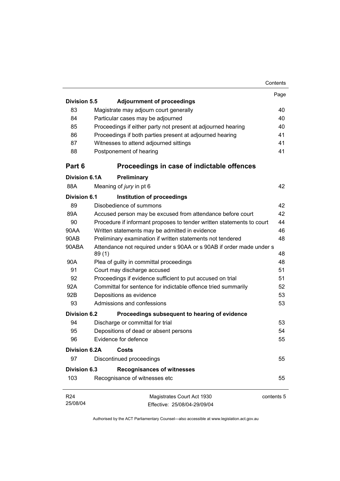|                      |                                                                               | Contents   |
|----------------------|-------------------------------------------------------------------------------|------------|
|                      |                                                                               | Page       |
| <b>Division 5.5</b>  | <b>Adjournment of proceedings</b>                                             |            |
| 83                   | Magistrate may adjourn court generally                                        | 40         |
| 84                   | Particular cases may be adjourned                                             | 40         |
| 85                   | Proceedings if either party not present at adjourned hearing                  | 40         |
| 86                   | Proceedings if both parties present at adjourned hearing                      | 41         |
| 87                   | Witnesses to attend adjourned sittings                                        | 41         |
| 88                   | Postponement of hearing                                                       | 41         |
| Part 6               | Proceedings in case of indictable offences                                    |            |
| Division 6.1A        | Preliminary                                                                   |            |
| 88A                  | Meaning of jury in pt 6                                                       | 42         |
| Division 6.1         | Institution of proceedings                                                    |            |
| 89                   | Disobedience of summons                                                       | 42         |
| 89A                  | Accused person may be excused from attendance before court                    | 42         |
| 90                   | Procedure if informant proposes to tender written statements to court         | 44         |
| 90AA                 | Written statements may be admitted in evidence                                | 46         |
| 90AB                 | Preliminary examination if written statements not tendered                    | 48         |
| 90ABA                | Attendance not required under s 90AA or s 90AB if order made under s<br>89(1) | 48         |
| 90A                  | Plea of guilty in committal proceedings                                       | 48         |
| 91                   | Court may discharge accused                                                   | 51         |
| 92                   | Proceedings if evidence sufficient to put accused on trial                    | 51         |
| 92A                  | Committal for sentence for indictable offence tried summarily                 | 52         |
| 92B                  | Depositions as evidence                                                       | 53         |
| 93                   | Admissions and confessions                                                    | 53         |
| Division 6.2         | Proceedings subsequent to hearing of evidence                                 |            |
| 94                   | Discharge or committal for trial                                              | 53         |
| 95                   | Depositions of dead or absent persons                                         | 54         |
| 96                   | Evidence for defence                                                          | 55         |
| <b>Division 6.2A</b> | Costs                                                                         |            |
| 97                   | Discontinued proceedings                                                      | 55         |
| <b>Division 6.3</b>  | <b>Recognisances of witnesses</b>                                             |            |
| 103                  | Recognisance of witnesses etc                                                 | 55         |
| R <sub>24</sub>      | Magistrates Court Act 1930                                                    | contents 5 |
| 25/08/04             | Effective: 25/08/04-29/09/04                                                  |            |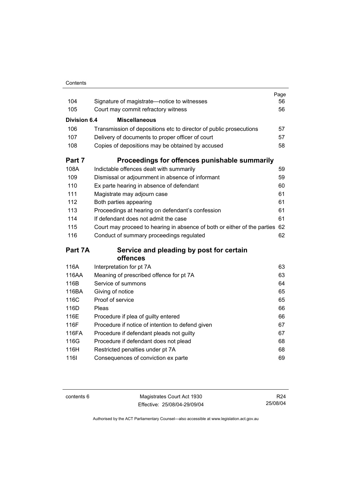| Contents |
|----------|

| 104                 | Signature of magistrate-notice to witnesses                              | Page<br>56 |
|---------------------|--------------------------------------------------------------------------|------------|
| 105                 | Court may commit refractory witness                                      | 56         |
|                     |                                                                          |            |
| <b>Division 6.4</b> | <b>Miscellaneous</b>                                                     |            |
| 106                 | Transmission of depositions etc to director of public prosecutions       | 57         |
| 107                 | Delivery of documents to proper officer of court                         | 57         |
| 108                 | Copies of depositions may be obtained by accused                         | 58         |
| Part 7              | Proceedings for offences punishable summarily                            |            |
| 108A                | Indictable offences dealt with summarily                                 | 59         |
| 109                 | Dismissal or adjournment in absence of informant                         | 59         |
| 110                 | Ex parte hearing in absence of defendant                                 | 60         |
| 111                 | Magistrate may adjourn case                                              | 61         |
| 112                 | Both parties appearing                                                   | 61         |
| 113                 | Proceedings at hearing on defendant's confession                         | 61         |
| 114                 | If defendant does not admit the case                                     | 61         |
| 115                 | Court may proceed to hearing in absence of both or either of the parties | 62         |
| 116                 | Conduct of summary proceedings regulated                                 | 62         |
| Part 7A             | Service and pleading by post for certain                                 |            |
|                     | offences                                                                 |            |
| 116A                | Interpretation for pt 7A                                                 | 63         |
| 116AA               | Meaning of prescribed offence for pt 7A                                  | 63         |
| 116B                | Service of summons                                                       | 64         |
| 116BA               | Giving of notice                                                         | 65         |
| 116C                | Proof of service                                                         | 65         |
| 116D                | Pleas                                                                    | 66         |
| 116E                | Procedure if plea of guilty entered                                      | 66         |
| 116F                | Procedure if notice of intention to defend given                         | 67         |
| 116FA               | Procedure if defendant pleads not guilty                                 | 67         |
| 116G                | Procedure if defendant does not plead                                    | 68         |
| 116H                | Restricted penalties under pt 7A                                         | 68         |
| 1161                | Consequences of conviction ex parte                                      | 69         |

contents 6 Magistrates Court Act 1930 Effective: 25/08/04-29/09/04

R24 25/08/04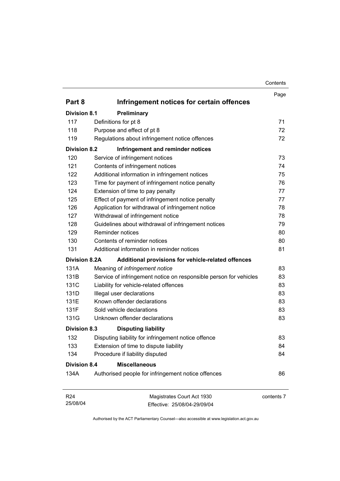| Contents |
|----------|
|----------|

|                             |                                                                   | Page       |
|-----------------------------|-------------------------------------------------------------------|------------|
| Part 8                      | Infringement notices for certain offences                         |            |
| <b>Division 8.1</b>         | Preliminary                                                       |            |
| 117                         | Definitions for pt 8                                              | 71         |
| 118                         | Purpose and effect of pt 8                                        | 72         |
| 119                         | Regulations about infringement notice offences                    | 72         |
| <b>Division 8.2</b>         | Infringement and reminder notices                                 |            |
| 120                         | Service of infringement notices                                   | 73         |
| 121                         | Contents of infringement notices                                  | 74         |
| 122                         | Additional information in infringement notices                    | 75         |
| 123                         | Time for payment of infringement notice penalty                   | 76         |
| 124                         | Extension of time to pay penalty                                  | 77         |
| 125                         | Effect of payment of infringement notice penalty                  | 77         |
| 126                         | Application for withdrawal of infringement notice                 | 78         |
| 127                         | Withdrawal of infringement notice                                 | 78         |
| 128                         | Guidelines about withdrawal of infringement notices               | 79         |
| 129                         | Reminder notices                                                  | 80         |
| 130                         | Contents of reminder notices                                      | 80         |
| 131                         | Additional information in reminder notices                        | 81         |
| <b>Division 8.2A</b>        | Additional provisions for vehicle-related offences                |            |
| 131A                        | Meaning of infringement notice                                    | 83         |
| 131B                        | Service of infringement notice on responsible person for vehicles | 83         |
| 131C                        | Liability for vehicle-related offences                            | 83         |
| 131D                        | Illegal user declarations                                         | 83         |
| 131E                        | Known offender declarations                                       | 83         |
| 131F                        | Sold vehicle declarations                                         | 83         |
| 131G                        | Unknown offender declarations                                     | 83         |
| <b>Division 8.3</b>         | <b>Disputing liability</b>                                        |            |
| 132                         | Disputing liability for infringement notice offence               | 83         |
| 133                         | Extension of time to dispute liability                            | 84         |
| 134                         | Procedure if liability disputed                                   | 84         |
| <b>Division 8.4</b>         | <b>Miscellaneous</b>                                              |            |
| 134A                        | Authorised people for infringement notice offences                | 86         |
| R <sub>24</sub><br>25/08/04 | Magistrates Court Act 1930<br>Effective: 25/08/04-29/09/04        | contents 7 |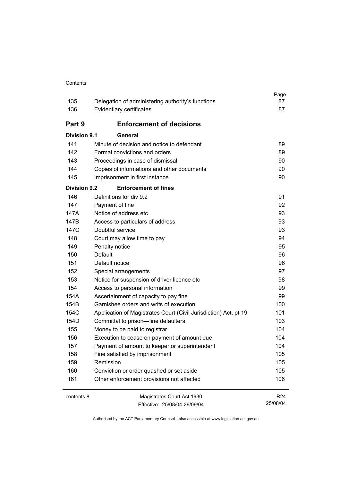| 135                 | Delegation of administering authority's functions                | Page<br>87                  |
|---------------------|------------------------------------------------------------------|-----------------------------|
| 136                 | Evidentiary certificates                                         | 87                          |
| Part 9              | <b>Enforcement of decisions</b>                                  |                             |
| Division 9.1        | General                                                          |                             |
| 141                 | Minute of decision and notice to defendant                       | 89                          |
| 142                 | Formal convictions and orders                                    | 89                          |
| 143                 | Proceedings in case of dismissal                                 | 90                          |
| 144                 | Copies of informations and other documents                       | 90                          |
| 145                 | Imprisonment in first instance                                   | 90                          |
| <b>Division 9.2</b> | <b>Enforcement of fines</b>                                      |                             |
| 146                 | Definitions for div 9.2                                          | 91                          |
| 147                 | Payment of fine                                                  | 92                          |
| 147A                | Notice of address etc                                            | 93                          |
| 147B                | Access to particulars of address                                 | 93                          |
| 147C                | Doubtful service                                                 | 93                          |
| 148                 | Court may allow time to pay                                      | 94                          |
| 149                 | Penalty notice                                                   | 95                          |
| 150                 | Default                                                          | 96                          |
| 151                 | Default notice                                                   | 96                          |
| 152                 | Special arrangements                                             | 97                          |
| 153                 | Notice for suspension of driver licence etc                      | 98                          |
| 154                 | Access to personal information                                   | 99                          |
| 154A                | Ascertainment of capacity to pay fine                            | 99                          |
| 154B                | Garnishee orders and writs of execution                          | 100                         |
| 154C                | Application of Magistrates Court (Civil Jurisdiction) Act, pt 19 | 101                         |
| 154D                | Committal to prison-fine defaulters                              | 103                         |
| 155                 | Money to be paid to registrar                                    | 104                         |
| 156                 | Execution to cease on payment of amount due                      | 104                         |
| 157                 | Payment of amount to keeper or superintendent                    | 104                         |
| 158                 | Fine satisfied by imprisonment                                   | 105                         |
| 159                 | Remission                                                        | 105                         |
| 160                 | Conviction or order quashed or set aside                         | 105                         |
| 161                 | Other enforcement provisions not affected                        | 106                         |
| contents 8          | Magistrates Court Act 1930                                       | R <sub>24</sub><br>25/08/04 |
|                     | Effective: 25/08/04-29/09/04                                     |                             |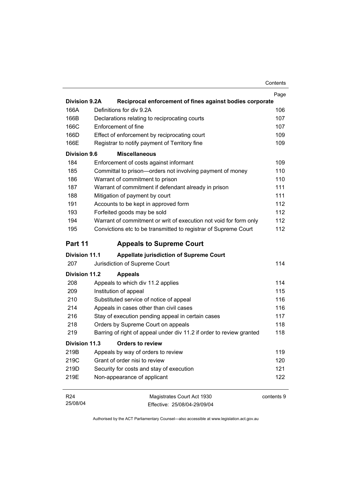|                      |                                                                      | Contents |
|----------------------|----------------------------------------------------------------------|----------|
|                      |                                                                      | Page     |
| <b>Division 9.2A</b> | Reciprocal enforcement of fines against bodies corporate             |          |
| 166A                 | Definitions for div 9.2A                                             | 106      |
| 166B                 | Declarations relating to reciprocating courts                        | 107      |
| 166C                 | Enforcement of fine                                                  | 107      |
| 166D                 | Effect of enforcement by reciprocating court                         | 109      |
| 166E                 | Registrar to notify payment of Territory fine                        | 109      |
| <b>Division 9.6</b>  | <b>Miscellaneous</b>                                                 |          |
| 184                  | Enforcement of costs against informant                               | 109      |
| 185                  | Committal to prison-orders not involving payment of money            | 110      |
| 186                  | Warrant of commitment to prison                                      | 110      |
| 187                  | Warrant of commitment if defendant already in prison                 | 111      |
| 188                  | Mitigation of payment by court                                       | 111      |
| 191                  | Accounts to be kept in approved form                                 | 112      |
| 193                  | Forfeited goods may be sold                                          | 112      |
| 194                  | Warrant of commitment or writ of execution not void for form only    | 112      |
| 195                  | Convictions etc to be transmitted to registrar of Supreme Court      | 112      |
| Part 11              | <b>Appeals to Supreme Court</b>                                      |          |
| <b>Division 11.1</b> | <b>Appellate jurisdiction of Supreme Court</b>                       |          |
| 207                  | Jurisdiction of Supreme Court                                        | 114      |
| <b>Division 11.2</b> | <b>Appeals</b>                                                       |          |
| 208                  | Appeals to which div 11.2 applies                                    | 114      |
| 209                  | Institution of appeal                                                | 115      |
| 210                  | Substituted service of notice of appeal                              | 116      |
| 214                  | Appeals in cases other than civil cases                              | 116      |
| 216                  | Stay of execution pending appeal in certain cases                    | 117      |
| 218                  | Orders by Supreme Court on appeals                                   | 118      |
| 219                  | Barring of right of appeal under div 11.2 if order to review granted | 118      |
| <b>Division 11.3</b> | <b>Orders to review</b>                                              |          |
| 219B                 | Appeals by way of orders to review                                   | 119      |
| 219C                 | Grant of order nisi to review                                        | 120      |
| 219D                 | Security for costs and stay of execution                             | 121      |
| 219E                 | Non-appearance of applicant                                          | 122      |
|                      |                                                                      |          |

Magistrates Court Act 1930 Effective: 25/08/04-29/09/04 contents 9

R24 25/08/04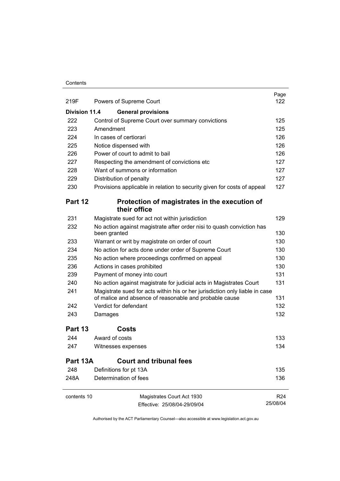#### **Contents**

| 219F                 | Powers of Supreme Court                                                                                                               | Page<br>122                 |
|----------------------|---------------------------------------------------------------------------------------------------------------------------------------|-----------------------------|
| <b>Division 11.4</b> | <b>General provisions</b>                                                                                                             |                             |
| 222                  | Control of Supreme Court over summary convictions                                                                                     | 125                         |
| 223                  | Amendment                                                                                                                             | 125                         |
| 224                  | In cases of certiorari                                                                                                                | 126                         |
| 225                  | Notice dispensed with                                                                                                                 | 126                         |
| 226                  | Power of court to admit to bail                                                                                                       | 126                         |
| 227                  | Respecting the amendment of convictions etc                                                                                           | 127                         |
| 228                  | Want of summons or information                                                                                                        | 127                         |
| 229                  | Distribution of penalty                                                                                                               | 127                         |
| 230                  | Provisions applicable in relation to security given for costs of appeal                                                               | 127                         |
| Part 12              | Protection of magistrates in the execution of<br>their office                                                                         |                             |
| 231                  | Magistrate sued for act not within jurisdiction                                                                                       | 129                         |
| 232                  | No action against magistrate after order nisi to quash conviction has<br>been granted                                                 | 130                         |
| 233                  | Warrant or writ by magistrate on order of court                                                                                       | 130                         |
| 234                  | No action for acts done under order of Supreme Court                                                                                  | 130                         |
| 235                  | No action where proceedings confirmed on appeal                                                                                       | 130                         |
| 236                  | Actions in cases prohibited                                                                                                           | 130                         |
| 239                  | Payment of money into court                                                                                                           | 131                         |
| 240                  | No action against magistrate for judicial acts in Magistrates Court                                                                   | 131                         |
| 241                  | Magistrate sued for acts within his or her jurisdiction only liable in case<br>of malice and absence of reasonable and probable cause | 131                         |
| 242                  | Verdict for defendant                                                                                                                 | 132                         |
| 243                  | Damages                                                                                                                               | 132                         |
| Part 13              | Costs                                                                                                                                 |                             |
|                      |                                                                                                                                       |                             |
| 244                  | Award of costs                                                                                                                        | 133                         |
| 247                  | Witnesses expenses                                                                                                                    | 134                         |
| Part 13A             | <b>Court and tribunal fees</b>                                                                                                        |                             |
| 248                  | Definitions for pt 13A                                                                                                                | 135                         |
| 248A                 | Determination of fees                                                                                                                 | 136                         |
| contents 10          | Magistrates Court Act 1930<br>Effective: 25/08/04-29/09/04                                                                            | R <sub>24</sub><br>25/08/04 |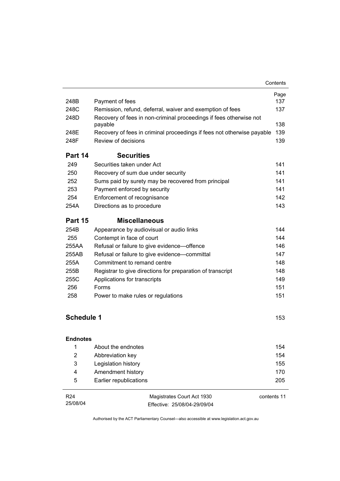| Page<br>248B<br>137<br>Payment of fees<br>248C<br>137<br>Remission, refund, deferral, waiver and exemption of fees<br>248D<br>Recovery of fees in non-criminal proceedings if fees otherwise not<br>138<br>payable<br>139<br>248E<br>Recovery of fees in criminal proceedings if fees not otherwise payable<br>Review of decisions<br>248F<br>139<br><b>Securities</b><br>Part 14<br>Securities taken under Act<br>249<br>141<br>250<br>141<br>Recovery of sum due under security<br>252<br>Sums paid by surety may be recovered from principal<br>141<br>141<br>253<br>Payment enforced by security<br>142<br>254<br>Enforcement of recognisance<br>143<br>254A<br>Directions as to procedure<br><b>Miscellaneous</b><br>Part 15 |
|-----------------------------------------------------------------------------------------------------------------------------------------------------------------------------------------------------------------------------------------------------------------------------------------------------------------------------------------------------------------------------------------------------------------------------------------------------------------------------------------------------------------------------------------------------------------------------------------------------------------------------------------------------------------------------------------------------------------------------------|
|                                                                                                                                                                                                                                                                                                                                                                                                                                                                                                                                                                                                                                                                                                                                   |
|                                                                                                                                                                                                                                                                                                                                                                                                                                                                                                                                                                                                                                                                                                                                   |
|                                                                                                                                                                                                                                                                                                                                                                                                                                                                                                                                                                                                                                                                                                                                   |
|                                                                                                                                                                                                                                                                                                                                                                                                                                                                                                                                                                                                                                                                                                                                   |
|                                                                                                                                                                                                                                                                                                                                                                                                                                                                                                                                                                                                                                                                                                                                   |
|                                                                                                                                                                                                                                                                                                                                                                                                                                                                                                                                                                                                                                                                                                                                   |
|                                                                                                                                                                                                                                                                                                                                                                                                                                                                                                                                                                                                                                                                                                                                   |
|                                                                                                                                                                                                                                                                                                                                                                                                                                                                                                                                                                                                                                                                                                                                   |
|                                                                                                                                                                                                                                                                                                                                                                                                                                                                                                                                                                                                                                                                                                                                   |
|                                                                                                                                                                                                                                                                                                                                                                                                                                                                                                                                                                                                                                                                                                                                   |
|                                                                                                                                                                                                                                                                                                                                                                                                                                                                                                                                                                                                                                                                                                                                   |
|                                                                                                                                                                                                                                                                                                                                                                                                                                                                                                                                                                                                                                                                                                                                   |
|                                                                                                                                                                                                                                                                                                                                                                                                                                                                                                                                                                                                                                                                                                                                   |
|                                                                                                                                                                                                                                                                                                                                                                                                                                                                                                                                                                                                                                                                                                                                   |
| 254B<br>Appearance by audiovisual or audio links<br>144                                                                                                                                                                                                                                                                                                                                                                                                                                                                                                                                                                                                                                                                           |
| 144<br>255<br>Contempt in face of court                                                                                                                                                                                                                                                                                                                                                                                                                                                                                                                                                                                                                                                                                           |
| 255AA<br>146<br>Refusal or failure to give evidence-offence                                                                                                                                                                                                                                                                                                                                                                                                                                                                                                                                                                                                                                                                       |
| 255AB<br>Refusal or failure to give evidence-committal<br>147                                                                                                                                                                                                                                                                                                                                                                                                                                                                                                                                                                                                                                                                     |
| Commitment to remand centre<br>148<br>255A                                                                                                                                                                                                                                                                                                                                                                                                                                                                                                                                                                                                                                                                                        |
| 255B<br>Registrar to give directions for preparation of transcript<br>148                                                                                                                                                                                                                                                                                                                                                                                                                                                                                                                                                                                                                                                         |
| 255C<br>Applications for transcripts<br>149                                                                                                                                                                                                                                                                                                                                                                                                                                                                                                                                                                                                                                                                                       |
| 256<br>Forms<br>151                                                                                                                                                                                                                                                                                                                                                                                                                                                                                                                                                                                                                                                                                                               |
| 258<br>151<br>Power to make rules or regulations                                                                                                                                                                                                                                                                                                                                                                                                                                                                                                                                                                                                                                                                                  |
| <b>Schedule 1</b><br>153                                                                                                                                                                                                                                                                                                                                                                                                                                                                                                                                                                                                                                                                                                          |
|                                                                                                                                                                                                                                                                                                                                                                                                                                                                                                                                                                                                                                                                                                                                   |
| <b>Endnotes</b>                                                                                                                                                                                                                                                                                                                                                                                                                                                                                                                                                                                                                                                                                                                   |
| 1<br>About the endnotes<br>154                                                                                                                                                                                                                                                                                                                                                                                                                                                                                                                                                                                                                                                                                                    |
| $\overline{2}$<br>154<br>Abbreviation key                                                                                                                                                                                                                                                                                                                                                                                                                                                                                                                                                                                                                                                                                         |
| 3<br>Legislation history<br>155                                                                                                                                                                                                                                                                                                                                                                                                                                                                                                                                                                                                                                                                                                   |
| Amendment history<br>170<br>4                                                                                                                                                                                                                                                                                                                                                                                                                                                                                                                                                                                                                                                                                                     |
| 5<br>Earlier republications<br>205                                                                                                                                                                                                                                                                                                                                                                                                                                                                                                                                                                                                                                                                                                |

| R24      | Magistrates Court Act 1930   | contents 11 |
|----------|------------------------------|-------------|
| 25/08/04 | Effective: 25/08/04-29/09/04 |             |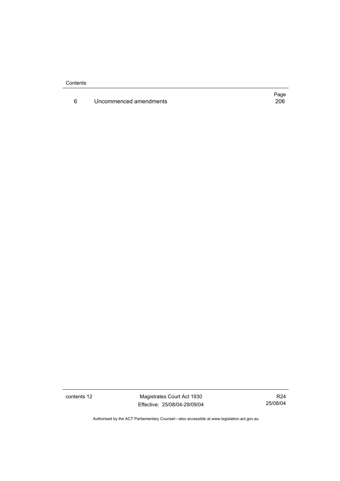**Contents** 

6 Uncommenced amendments

Page<br>206

contents 12 Magistrates Court Act 1930 Effective: 25/08/04-29/09/04

R24 25/08/04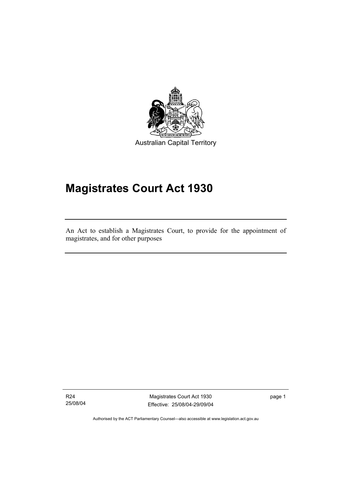

Australian Capital Territory

# **Magistrates Court Act 1930**

An Act to establish a Magistrates Court, to provide for the appointment of magistrates, and for other purposes

R24 25/08/04

I

Magistrates Court Act 1930 Effective: 25/08/04-29/09/04 page 1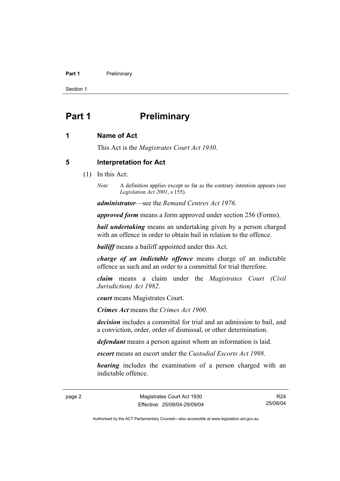#### **Part 1** Preliminary

Section 1

## **Part 1** Preliminary

#### **1 Name of Act**

This Act is the *Magistrates Court Act 1930*.

#### **5 Interpretation for Act**

- (1) In this Act:
	- *Note* A definition applies except so far as the contrary intention appears (see *Legislation Act 2001*, s 155).

*administrator*—see the *Remand Centres Act 1976*.

*approved form* means a form approved under section 256 (Forms).

*bail undertaking* means an undertaking given by a person charged with an offence in order to obtain bail in relation to the offence.

*bailiff* means a bailiff appointed under this Act.

*charge of an indictable offence* means charge of an indictable offence as such and an order to a committal for trial therefore.

*claim* means a claim under the *Magistrates Court (Civil Jurisdiction) Act 1982*.

*court* means Magistrates Court.

*Crimes Act* means the *Crimes Act 1900*.

*decision* includes a committal for trial and an admission to bail, and a conviction, order, order of dismissal, or other determination.

*defendant* means a person against whom an information is laid.

*escort* means an escort under the *Custodial Escorts Act 1998*.

*hearing* includes the examination of a person charged with an indictable offence.

page 2 Magistrates Court Act 1930 Effective: 25/08/04-29/09/04

R24 25/08/04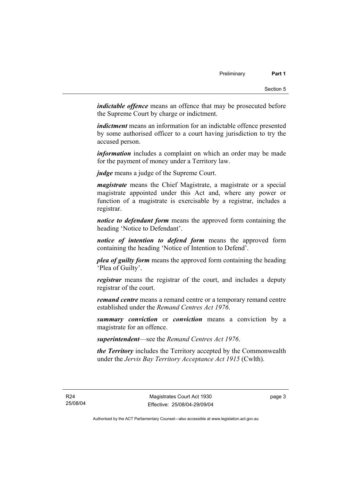*indictable offence* means an offence that may be prosecuted before the Supreme Court by charge or indictment.

*indictment* means an information for an indictable offence presented by some authorised officer to a court having jurisdiction to try the accused person.

*information* includes a complaint on which an order may be made for the payment of money under a Territory law.

*judge* means a judge of the Supreme Court.

*magistrate* means the Chief Magistrate, a magistrate or a special magistrate appointed under this Act and, where any power or function of a magistrate is exercisable by a registrar, includes a registrar.

*notice to defendant form* means the approved form containing the heading 'Notice to Defendant'.

*notice of intention to defend form* means the approved form containing the heading 'Notice of Intention to Defend'.

*plea of guilty form* means the approved form containing the heading 'Plea of Guilty'.

*registrar* means the registrar of the court, and includes a deputy registrar of the court.

*remand centre* means a remand centre or a temporary remand centre established under the *Remand Centres Act 1976*.

*summary conviction* or *conviction* means a conviction by a magistrate for an offence.

*superintendent*—see the *Remand Centres Act 1976*.

*the Territory* includes the Territory accepted by the Commonwealth under the *Jervis Bay Territory Acceptance Act 1915* (Cwlth).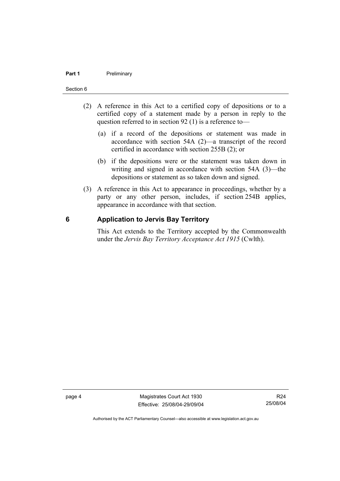#### **Part 1** Preliminary

#### Section 6

- (2) A reference in this Act to a certified copy of depositions or to a certified copy of a statement made by a person in reply to the question referred to in section 92 (1) is a reference to—
	- (a) if a record of the depositions or statement was made in accordance with section 54A (2)—a transcript of the record certified in accordance with section 255B (2); or
	- (b) if the depositions were or the statement was taken down in writing and signed in accordance with section 54A (3)—the depositions or statement as so taken down and signed.
- (3) A reference in this Act to appearance in proceedings, whether by a party or any other person, includes, if section 254B applies, appearance in accordance with that section.

#### **6 Application to Jervis Bay Territory**

This Act extends to the Territory accepted by the Commonwealth under the *Jervis Bay Territory Acceptance Act 1915* (Cwlth).

page 4 Magistrates Court Act 1930 Effective: 25/08/04-29/09/04

R24 25/08/04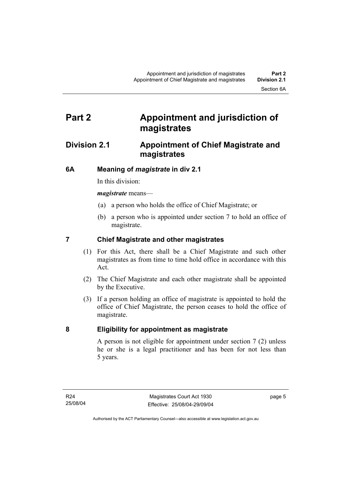## **Part 2 Appointment and jurisdiction of magistrates**

### **Division 2.1 Appointment of Chief Magistrate and magistrates**

### **6A Meaning of** *magistrate* **in div 2.1**

In this division:

*magistrate* means—

- (a) a person who holds the office of Chief Magistrate; or
- (b) a person who is appointed under section 7 to hold an office of magistrate.

### **7 Chief Magistrate and other magistrates**

- (1) For this Act, there shall be a Chief Magistrate and such other magistrates as from time to time hold office in accordance with this Act.
- (2) The Chief Magistrate and each other magistrate shall be appointed by the Executive.
- (3) If a person holding an office of magistrate is appointed to hold the office of Chief Magistrate, the person ceases to hold the office of magistrate.

#### **8 Eligibility for appointment as magistrate**

A person is not eligible for appointment under section 7 (2) unless he or she is a legal practitioner and has been for not less than 5 years.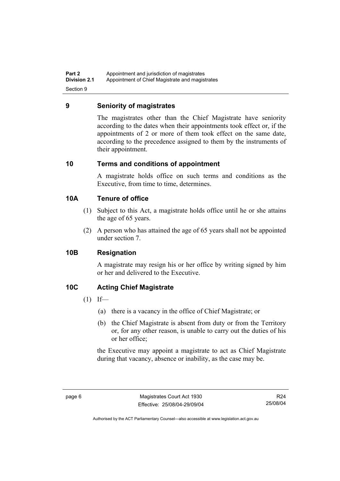**Part 2 Appointment and jurisdiction of magistrates**<br>**Division 2.1** Appointment of Chief Magistrate and magis Appointment of Chief Magistrate and magistrates Section 9

#### **9 Seniority of magistrates**

The magistrates other than the Chief Magistrate have seniority according to the dates when their appointments took effect or, if the appointments of 2 or more of them took effect on the same date, according to the precedence assigned to them by the instruments of their appointment.

#### **10 Terms and conditions of appointment**

A magistrate holds office on such terms and conditions as the Executive, from time to time, determines.

#### **10A Tenure of office**

- (1) Subject to this Act, a magistrate holds office until he or she attains the age of 65 years.
- (2) A person who has attained the age of 65 years shall not be appointed under section 7.

#### **10B Resignation**

A magistrate may resign his or her office by writing signed by him or her and delivered to the Executive.

#### **10C Acting Chief Magistrate**

- $(1)$  If—
	- (a) there is a vacancy in the office of Chief Magistrate; or
	- (b) the Chief Magistrate is absent from duty or from the Territory or, for any other reason, is unable to carry out the duties of his or her office;

the Executive may appoint a magistrate to act as Chief Magistrate during that vacancy, absence or inability, as the case may be.

R24 25/08/04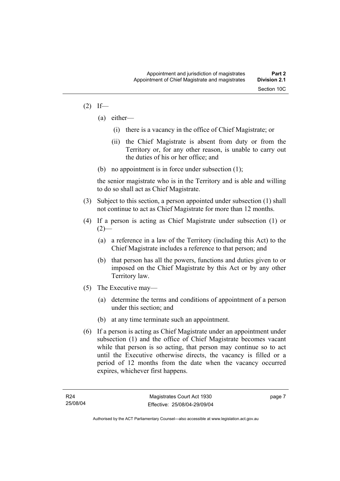#### $(2)$  If—

- (a) either—
	- (i) there is a vacancy in the office of Chief Magistrate; or
	- (ii) the Chief Magistrate is absent from duty or from the Territory or, for any other reason, is unable to carry out the duties of his or her office; and
- (b) no appointment is in force under subsection (1);

the senior magistrate who is in the Territory and is able and willing to do so shall act as Chief Magistrate.

- (3) Subject to this section, a person appointed under subsection (1) shall not continue to act as Chief Magistrate for more than 12 months.
- (4) If a person is acting as Chief Magistrate under subsection (1) or  $(2)$ —
	- (a) a reference in a law of the Territory (including this Act) to the Chief Magistrate includes a reference to that person; and
	- (b) that person has all the powers, functions and duties given to or imposed on the Chief Magistrate by this Act or by any other Territory law.
- (5) The Executive may—
	- (a) determine the terms and conditions of appointment of a person under this section; and
	- (b) at any time terminate such an appointment.
- (6) If a person is acting as Chief Magistrate under an appointment under subsection (1) and the office of Chief Magistrate becomes vacant while that person is so acting, that person may continue so to act until the Executive otherwise directs, the vacancy is filled or a period of 12 months from the date when the vacancy occurred expires, whichever first happens.

page 7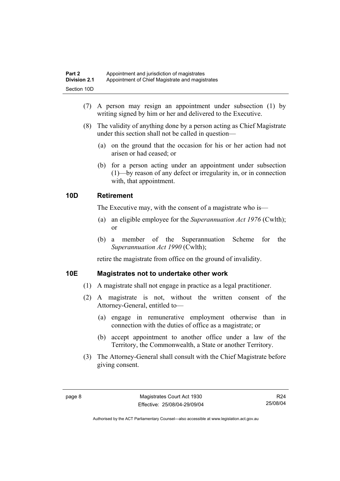| Part 2       | Appointment and jurisdiction of magistrates     |
|--------------|-------------------------------------------------|
| Division 2.1 | Appointment of Chief Magistrate and magistrates |
| Section 10D  |                                                 |

- (7) A person may resign an appointment under subsection (1) by writing signed by him or her and delivered to the Executive.
- (8) The validity of anything done by a person acting as Chief Magistrate under this section shall not be called in question—
	- (a) on the ground that the occasion for his or her action had not arisen or had ceased; or
	- (b) for a person acting under an appointment under subsection (1)—by reason of any defect or irregularity in, or in connection with, that appointment.

#### **10D Retirement**

The Executive may, with the consent of a magistrate who is—

- (a) an eligible employee for the *Superannuation Act 1976* (Cwlth); or
- (b) a member of the Superannuation Scheme for the *Superannuation Act 1990* (Cwlth);

retire the magistrate from office on the ground of invalidity.

#### **10E Magistrates not to undertake other work**

- (1) A magistrate shall not engage in practice as a legal practitioner.
- (2) A magistrate is not, without the written consent of the Attorney-General, entitled to—
	- (a) engage in remunerative employment otherwise than in connection with the duties of office as a magistrate; or
	- (b) accept appointment to another office under a law of the Territory, the Commonwealth, a State or another Territory.
- (3) The Attorney-General shall consult with the Chief Magistrate before giving consent.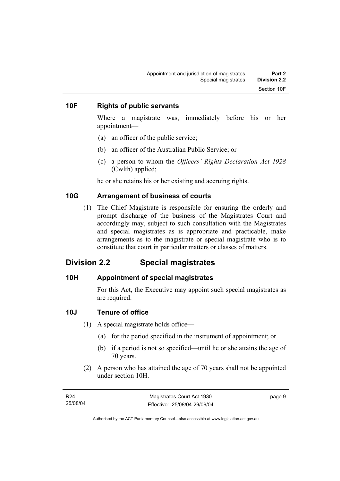#### **10F Rights of public servants**

Where a magistrate was, immediately before his or her appointment—

- (a) an officer of the public service;
- (b) an officer of the Australian Public Service; or
- (c) a person to whom the *Officers' Rights Declaration Act 1928* (Cwlth) applied;

he or she retains his or her existing and accruing rights.

#### **10G Arrangement of business of courts**

 (1) The Chief Magistrate is responsible for ensuring the orderly and prompt discharge of the business of the Magistrates Court and accordingly may, subject to such consultation with the Magistrates and special magistrates as is appropriate and practicable, make arrangements as to the magistrate or special magistrate who is to constitute that court in particular matters or classes of matters.

### **Division 2.2 Special magistrates**

#### **10H Appointment of special magistrates**

For this Act, the Executive may appoint such special magistrates as are required.

#### **10J Tenure of office**

- (1) A special magistrate holds office—
	- (a) for the period specified in the instrument of appointment; or
	- (b) if a period is not so specified—until he or she attains the age of 70 years.
- (2) A person who has attained the age of 70 years shall not be appointed under section 10H.

| R24      | Magistrates Court Act 1930   | page 9 |
|----------|------------------------------|--------|
| 25/08/04 | Effective: 25/08/04-29/09/04 |        |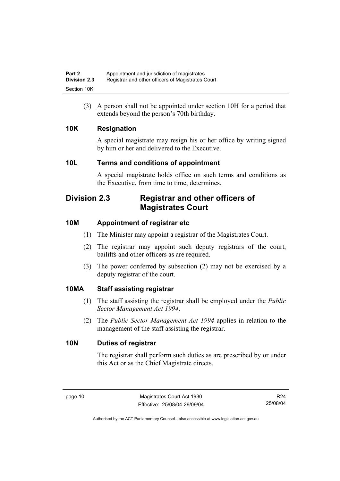(3) A person shall not be appointed under section 10H for a period that extends beyond the person's 70th birthday.

### **10K Resignation**

A special magistrate may resign his or her office by writing signed by him or her and delivered to the Executive.

### **10L Terms and conditions of appointment**

A special magistrate holds office on such terms and conditions as the Executive, from time to time, determines.

## **Division 2.3 Registrar and other officers of Magistrates Court**

### **10M Appointment of registrar etc**

- (1) The Minister may appoint a registrar of the Magistrates Court.
- (2) The registrar may appoint such deputy registrars of the court, bailiffs and other officers as are required.
- (3) The power conferred by subsection (2) may not be exercised by a deputy registrar of the court.

#### **10MA Staff assisting registrar**

- (1) The staff assisting the registrar shall be employed under the *Public Sector Management Act 1994*.
- (2) The *Public Sector Management Act 1994* applies in relation to the management of the staff assisting the registrar.

#### **10N Duties of registrar**

The registrar shall perform such duties as are prescribed by or under this Act or as the Chief Magistrate directs.

R24 25/08/04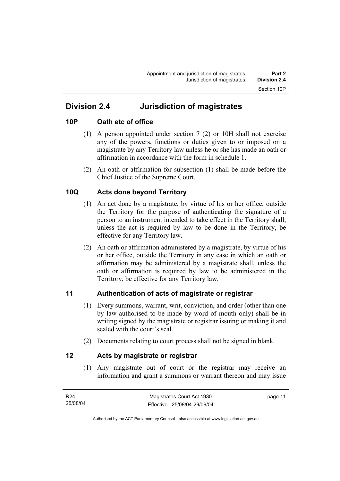## **Division 2.4 Jurisdiction of magistrates**

#### **10P Oath etc of office**

- (1) A person appointed under section 7 (2) or 10H shall not exercise any of the powers, functions or duties given to or imposed on a magistrate by any Territory law unless he or she has made an oath or affirmation in accordance with the form in schedule 1.
- (2) An oath or affirmation for subsection (1) shall be made before the Chief Justice of the Supreme Court.

### **10Q Acts done beyond Territory**

- (1) An act done by a magistrate, by virtue of his or her office, outside the Territory for the purpose of authenticating the signature of a person to an instrument intended to take effect in the Territory shall, unless the act is required by law to be done in the Territory, be effective for any Territory law.
- (2) An oath or affirmation administered by a magistrate, by virtue of his or her office, outside the Territory in any case in which an oath or affirmation may be administered by a magistrate shall, unless the oath or affirmation is required by law to be administered in the Territory, be effective for any Territory law.

#### **11 Authentication of acts of magistrate or registrar**

- (1) Every summons, warrant, writ, conviction, and order (other than one by law authorised to be made by word of mouth only) shall be in writing signed by the magistrate or registrar issuing or making it and sealed with the court's seal.
- (2) Documents relating to court process shall not be signed in blank.

#### **12 Acts by magistrate or registrar**

 (1) Any magistrate out of court or the registrar may receive an information and grant a summons or warrant thereon and may issue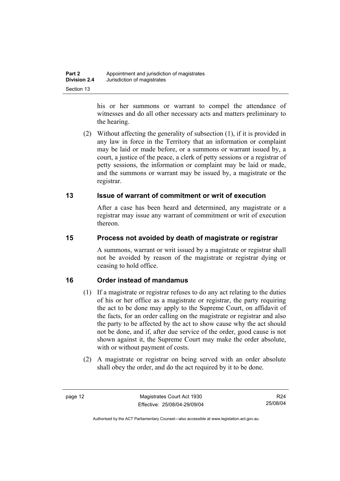his or her summons or warrant to compel the attendance of witnesses and do all other necessary acts and matters preliminary to the hearing.

 (2) Without affecting the generality of subsection (1), if it is provided in any law in force in the Territory that an information or complaint may be laid or made before, or a summons or warrant issued by, a court, a justice of the peace, a clerk of petty sessions or a registrar of petty sessions, the information or complaint may be laid or made, and the summons or warrant may be issued by, a magistrate or the registrar.

### **13 Issue of warrant of commitment or writ of execution**

After a case has been heard and determined, any magistrate or a registrar may issue any warrant of commitment or writ of execution thereon.

### **15 Process not avoided by death of magistrate or registrar**

A summons, warrant or writ issued by a magistrate or registrar shall not be avoided by reason of the magistrate or registrar dying or ceasing to hold office.

### **16 Order instead of mandamus**

- (1) If a magistrate or registrar refuses to do any act relating to the duties of his or her office as a magistrate or registrar, the party requiring the act to be done may apply to the Supreme Court, on affidavit of the facts, for an order calling on the magistrate or registrar and also the party to be affected by the act to show cause why the act should not be done, and if, after due service of the order, good cause is not shown against it, the Supreme Court may make the order absolute, with or without payment of costs.
- (2) A magistrate or registrar on being served with an order absolute shall obey the order, and do the act required by it to be done.

R24 25/08/04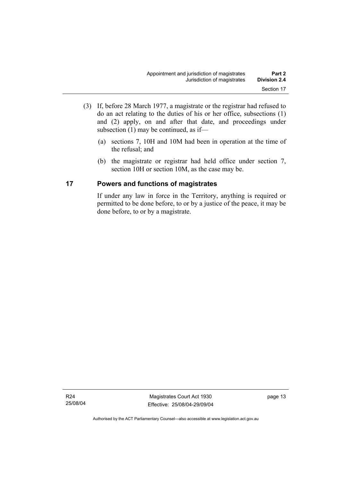- (3) If, before 28 March 1977, a magistrate or the registrar had refused to do an act relating to the duties of his or her office, subsections (1) and (2) apply, on and after that date, and proceedings under subsection (1) may be continued, as if—
	- (a) sections 7, 10H and 10M had been in operation at the time of the refusal; and
	- (b) the magistrate or registrar had held office under section 7, section 10H or section 10M, as the case may be.

#### **17 Powers and functions of magistrates**

If under any law in force in the Territory, anything is required or permitted to be done before, to or by a justice of the peace, it may be done before, to or by a magistrate.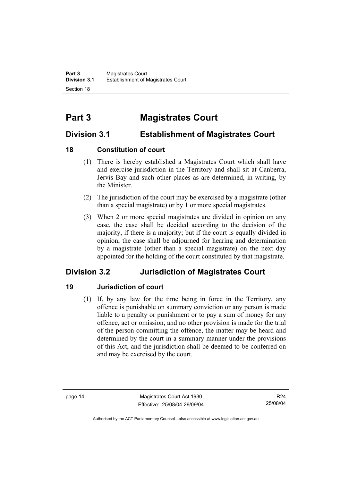## **Part 3 Magistrates Court**

## **Division 3.1 Establishment of Magistrates Court**

### **18 Constitution of court**

- (1) There is hereby established a Magistrates Court which shall have and exercise jurisdiction in the Territory and shall sit at Canberra, Jervis Bay and such other places as are determined, in writing, by the Minister.
- (2) The jurisdiction of the court may be exercised by a magistrate (other than a special magistrate) or by 1 or more special magistrates.
- (3) When 2 or more special magistrates are divided in opinion on any case, the case shall be decided according to the decision of the majority, if there is a majority; but if the court is equally divided in opinion, the case shall be adjourned for hearing and determination by a magistrate (other than a special magistrate) on the next day appointed for the holding of the court constituted by that magistrate.

## **Division 3.2 Jurisdiction of Magistrates Court**

### **19 Jurisdiction of court**

 (1) If, by any law for the time being in force in the Territory, any offence is punishable on summary conviction or any person is made liable to a penalty or punishment or to pay a sum of money for any offence, act or omission, and no other provision is made for the trial of the person committing the offence, the matter may be heard and determined by the court in a summary manner under the provisions of this Act, and the jurisdiction shall be deemed to be conferred on and may be exercised by the court.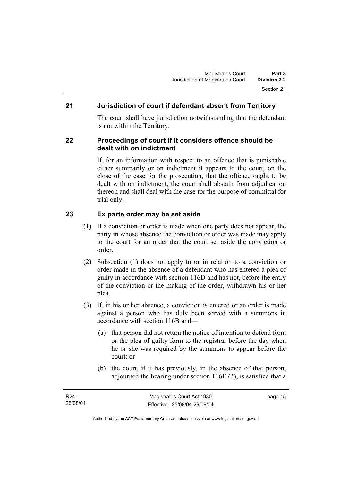### **21 Jurisdiction of court if defendant absent from Territory**

The court shall have jurisdiction notwithstanding that the defendant is not within the Territory.

#### **22 Proceedings of court if it considers offence should be dealt with on indictment**

If, for an information with respect to an offence that is punishable either summarily or on indictment it appears to the court, on the close of the case for the prosecution, that the offence ought to be dealt with on indictment, the court shall abstain from adjudication thereon and shall deal with the case for the purpose of committal for trial only.

### **23 Ex parte order may be set aside**

- (1) If a conviction or order is made when one party does not appear, the party in whose absence the conviction or order was made may apply to the court for an order that the court set aside the conviction or order.
- (2) Subsection (1) does not apply to or in relation to a conviction or order made in the absence of a defendant who has entered a plea of guilty in accordance with section 116D and has not, before the entry of the conviction or the making of the order, withdrawn his or her plea.
- (3) If, in his or her absence, a conviction is entered or an order is made against a person who has duly been served with a summons in accordance with section 116B and—
	- (a) that person did not return the notice of intention to defend form or the plea of guilty form to the registrar before the day when he or she was required by the summons to appear before the court; or
	- (b) the court, if it has previously, in the absence of that person, adjourned the hearing under section 116E (3), is satisfied that a

page 15

Authorised by the ACT Parliamentary Counsel—also accessible at www.legislation.act.gov.au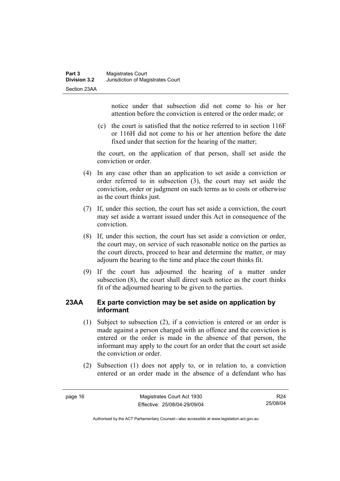notice under that subsection did not come to his or her attention before the conviction is entered or the order made; or

 (c) the court is satisfied that the notice referred to in section 116F or 116H did not come to his or her attention before the date fixed under that section for the hearing of the matter;

the court, on the application of that person, shall set aside the conviction or order.

- (4) In any case other than an application to set aside a conviction or order referred to in subsection (3), the court may set aside the conviction, order or judgment on such terms as to costs or otherwise as the court thinks just.
- (7) If, under this section, the court has set aside a conviction, the court may set aside a warrant issued under this Act in consequence of the conviction.
- (8) If, under this section, the court has set aside a conviction or order, the court may, on service of such reasonable notice on the parties as the court directs, proceed to hear and determine the matter, or may adjourn the hearing to the time and place the court thinks fit.
- (9) If the court has adjourned the hearing of a matter under subsection (8), the court shall direct such notice as the court thinks fit of the adjourned hearing to be given to the parties.

#### **23AA Ex parte conviction may be set aside on application by informant**

- (1) Subject to subsection (2), if a conviction is entered or an order is made against a person charged with an offence and the conviction is entered or the order is made in the absence of that person, the informant may apply to the court for an order that the court set aside the conviction or order.
- (2) Subsection (1) does not apply to, or in relation to, a conviction entered or an order made in the absence of a defendant who has

R24 25/08/04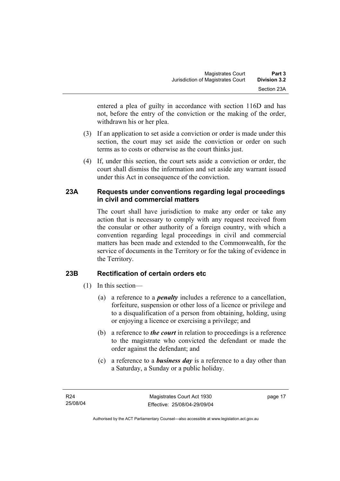entered a plea of guilty in accordance with section 116D and has not, before the entry of the conviction or the making of the order, withdrawn his or her plea.

- (3) If an application to set aside a conviction or order is made under this section, the court may set aside the conviction or order on such terms as to costs or otherwise as the court thinks just.
- (4) If, under this section, the court sets aside a conviction or order, the court shall dismiss the information and set aside any warrant issued under this Act in consequence of the conviction.

#### **23A Requests under conventions regarding legal proceedings in civil and commercial matters**

The court shall have jurisdiction to make any order or take any action that is necessary to comply with any request received from the consular or other authority of a foreign country, with which a convention regarding legal proceedings in civil and commercial matters has been made and extended to the Commonwealth, for the service of documents in the Territory or for the taking of evidence in the Territory.

### **23B Rectification of certain orders etc**

- (1) In this section—
	- (a) a reference to a *penalty* includes a reference to a cancellation, forfeiture, suspension or other loss of a licence or privilege and to a disqualification of a person from obtaining, holding, using or enjoying a licence or exercising a privilege; and
	- (b) a reference to *the court* in relation to proceedings is a reference to the magistrate who convicted the defendant or made the order against the defendant; and
	- (c) a reference to a *business day* is a reference to a day other than a Saturday, a Sunday or a public holiday.

page 17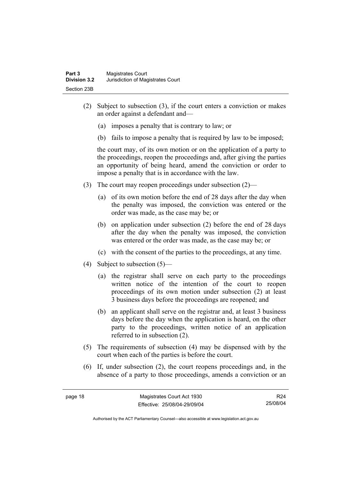- (2) Subject to subsection (3), if the court enters a conviction or makes an order against a defendant and—
	- (a) imposes a penalty that is contrary to law; or
	- (b) fails to impose a penalty that is required by law to be imposed;

the court may, of its own motion or on the application of a party to the proceedings, reopen the proceedings and, after giving the parties an opportunity of being heard, amend the conviction or order to impose a penalty that is in accordance with the law.

- (3) The court may reopen proceedings under subsection (2)—
	- (a) of its own motion before the end of 28 days after the day when the penalty was imposed, the conviction was entered or the order was made, as the case may be; or
	- (b) on application under subsection (2) before the end of 28 days after the day when the penalty was imposed, the conviction was entered or the order was made, as the case may be; or
	- (c) with the consent of the parties to the proceedings, at any time.
- (4) Subject to subsection (5)—
	- (a) the registrar shall serve on each party to the proceedings written notice of the intention of the court to reopen proceedings of its own motion under subsection (2) at least 3 business days before the proceedings are reopened; and
	- (b) an applicant shall serve on the registrar and, at least 3 business days before the day when the application is heard, on the other party to the proceedings, written notice of an application referred to in subsection (2).
- (5) The requirements of subsection (4) may be dispensed with by the court when each of the parties is before the court.
- (6) If, under subsection (2), the court reopens proceedings and, in the absence of a party to those proceedings, amends a conviction or an

R24 25/08/04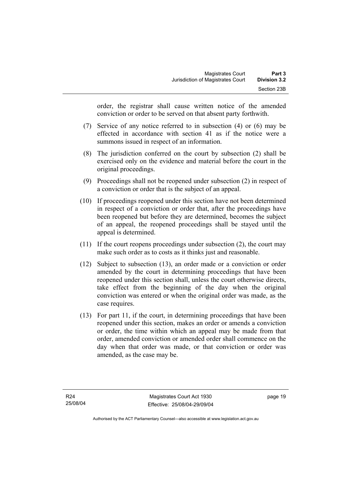order, the registrar shall cause written notice of the amended conviction or order to be served on that absent party forthwith.

- (7) Service of any notice referred to in subsection (4) or (6) may be effected in accordance with section 41 as if the notice were a summons issued in respect of an information.
- (8) The jurisdiction conferred on the court by subsection (2) shall be exercised only on the evidence and material before the court in the original proceedings.
- (9) Proceedings shall not be reopened under subsection (2) in respect of a conviction or order that is the subject of an appeal.
- (10) If proceedings reopened under this section have not been determined in respect of a conviction or order that, after the proceedings have been reopened but before they are determined, becomes the subject of an appeal, the reopened proceedings shall be stayed until the appeal is determined.
- (11) If the court reopens proceedings under subsection (2), the court may make such order as to costs as it thinks just and reasonable.
- (12) Subject to subsection (13), an order made or a conviction or order amended by the court in determining proceedings that have been reopened under this section shall, unless the court otherwise directs, take effect from the beginning of the day when the original conviction was entered or when the original order was made, as the case requires.
- (13) For part 11, if the court, in determining proceedings that have been reopened under this section, makes an order or amends a conviction or order, the time within which an appeal may be made from that order, amended conviction or amended order shall commence on the day when that order was made, or that conviction or order was amended, as the case may be.

page 19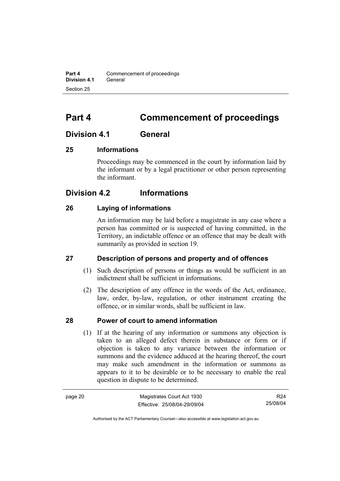**Part 4 Commencement of proceedings Division 4.1** General Section 25

## **Part 4 Commencement of proceedings**

### **Division 4.1 General**

#### **25 Informations**

Proceedings may be commenced in the court by information laid by the informant or by a legal practitioner or other person representing the informant.

### **Division 4.2 Informations**

#### **26 Laying of informations**

An information may be laid before a magistrate in any case where a person has committed or is suspected of having committed, in the Territory, an indictable offence or an offence that may be dealt with summarily as provided in section 19.

#### **27 Description of persons and property and of offences**

- (1) Such description of persons or things as would be sufficient in an indictment shall be sufficient in informations.
- (2) The description of any offence in the words of the Act, ordinance, law, order, by-law, regulation, or other instrument creating the offence, or in similar words, shall be sufficient in law.

#### **28 Power of court to amend information**

 (1) If at the hearing of any information or summons any objection is taken to an alleged defect therein in substance or form or if objection is taken to any variance between the information or summons and the evidence adduced at the hearing thereof, the court may make such amendment in the information or summons as appears to it to be desirable or to be necessary to enable the real question in dispute to be determined.

| page 20 | Magistrates Court Act 1930   | R24      |
|---------|------------------------------|----------|
|         | Effective: 25/08/04-29/09/04 | 25/08/04 |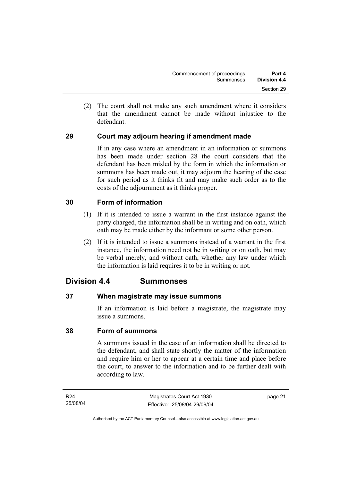(2) The court shall not make any such amendment where it considers that the amendment cannot be made without injustice to the defendant.

### **29 Court may adjourn hearing if amendment made**

If in any case where an amendment in an information or summons has been made under section 28 the court considers that the defendant has been misled by the form in which the information or summons has been made out, it may adjourn the hearing of the case for such period as it thinks fit and may make such order as to the costs of the adjournment as it thinks proper.

#### **30 Form of information**

- (1) If it is intended to issue a warrant in the first instance against the party charged, the information shall be in writing and on oath, which oath may be made either by the informant or some other person.
- (2) If it is intended to issue a summons instead of a warrant in the first instance, the information need not be in writing or on oath, but may be verbal merely, and without oath, whether any law under which the information is laid requires it to be in writing or not.

### **Division 4.4 Summonses**

#### **37 When magistrate may issue summons**

If an information is laid before a magistrate, the magistrate may issue a summons.

#### **38 Form of summons**

A summons issued in the case of an information shall be directed to the defendant, and shall state shortly the matter of the information and require him or her to appear at a certain time and place before the court, to answer to the information and to be further dealt with according to law.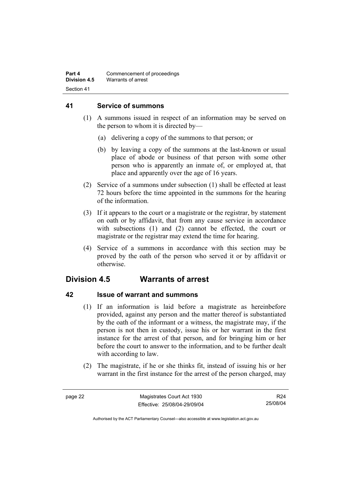#### **41 Service of summons**

- (1) A summons issued in respect of an information may be served on the person to whom it is directed by—
	- (a) delivering a copy of the summons to that person; or
	- (b) by leaving a copy of the summons at the last-known or usual place of abode or business of that person with some other person who is apparently an inmate of, or employed at, that place and apparently over the age of 16 years.
- (2) Service of a summons under subsection (1) shall be effected at least 72 hours before the time appointed in the summons for the hearing of the information.
- (3) If it appears to the court or a magistrate or the registrar, by statement on oath or by affidavit, that from any cause service in accordance with subsections (1) and (2) cannot be effected, the court or magistrate or the registrar may extend the time for hearing.
- (4) Service of a summons in accordance with this section may be proved by the oath of the person who served it or by affidavit or otherwise.

## **Division 4.5 Warrants of arrest**

### **42 Issue of warrant and summons**

- (1) If an information is laid before a magistrate as hereinbefore provided, against any person and the matter thereof is substantiated by the oath of the informant or a witness, the magistrate may, if the person is not then in custody, issue his or her warrant in the first instance for the arrest of that person, and for bringing him or her before the court to answer to the information, and to be further dealt with according to law.
- (2) The magistrate, if he or she thinks fit, instead of issuing his or her warrant in the first instance for the arrest of the person charged, may

R24 25/08/04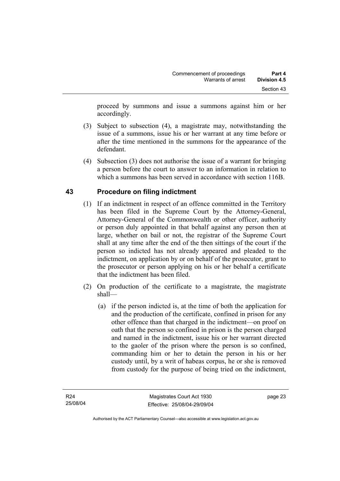proceed by summons and issue a summons against him or her accordingly.

- (3) Subject to subsection (4), a magistrate may, notwithstanding the issue of a summons, issue his or her warrant at any time before or after the time mentioned in the summons for the appearance of the defendant.
- (4) Subsection (3) does not authorise the issue of a warrant for bringing a person before the court to answer to an information in relation to which a summons has been served in accordance with section 116B.

# **43 Procedure on filing indictment**

- (1) If an indictment in respect of an offence committed in the Territory has been filed in the Supreme Court by the Attorney-General, Attorney-General of the Commonwealth or other officer, authority or person duly appointed in that behalf against any person then at large, whether on bail or not, the registrar of the Supreme Court shall at any time after the end of the then sittings of the court if the person so indicted has not already appeared and pleaded to the indictment, on application by or on behalf of the prosecutor, grant to the prosecutor or person applying on his or her behalf a certificate that the indictment has been filed.
- (2) On production of the certificate to a magistrate, the magistrate shall—
	- (a) if the person indicted is, at the time of both the application for and the production of the certificate, confined in prison for any other offence than that charged in the indictment—on proof on oath that the person so confined in prison is the person charged and named in the indictment, issue his or her warrant directed to the gaoler of the prison where the person is so confined, commanding him or her to detain the person in his or her custody until, by a writ of habeas corpus, he or she is removed from custody for the purpose of being tried on the indictment,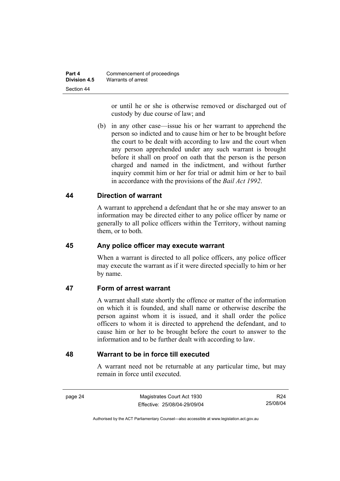or until he or she is otherwise removed or discharged out of custody by due course of law; and

 (b) in any other case—issue his or her warrant to apprehend the person so indicted and to cause him or her to be brought before the court to be dealt with according to law and the court when any person apprehended under any such warrant is brought before it shall on proof on oath that the person is the person charged and named in the indictment, and without further inquiry commit him or her for trial or admit him or her to bail in accordance with the provisions of the *Bail Act 1992*.

### **44 Direction of warrant**

A warrant to apprehend a defendant that he or she may answer to an information may be directed either to any police officer by name or generally to all police officers within the Territory, without naming them, or to both.

### **45 Any police officer may execute warrant**

When a warrant is directed to all police officers, any police officer may execute the warrant as if it were directed specially to him or her by name.

### **47 Form of arrest warrant**

A warrant shall state shortly the offence or matter of the information on which it is founded, and shall name or otherwise describe the person against whom it is issued, and it shall order the police officers to whom it is directed to apprehend the defendant, and to cause him or her to be brought before the court to answer to the information and to be further dealt with according to law.

### **48 Warrant to be in force till executed**

A warrant need not be returnable at any particular time, but may remain in force until executed.

page 24 Magistrates Court Act 1930 Effective: 25/08/04-29/09/04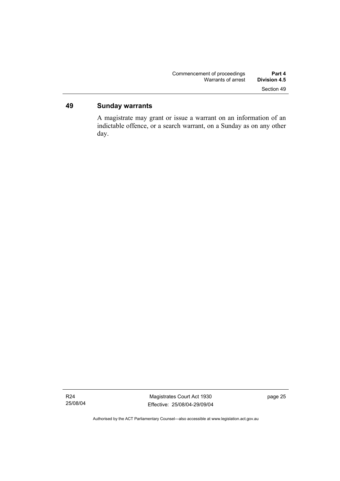# **49 Sunday warrants**

A magistrate may grant or issue a warrant on an information of an indictable offence, or a search warrant, on a Sunday as on any other day.

Authorised by the ACT Parliamentary Counsel—also accessible at www.legislation.act.gov.au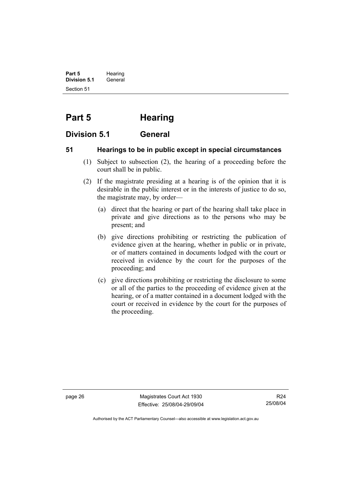**Part 5** Hearing **Division 5.1** General Section 51

# **Part 5 Hearing**

# **Division 5.1 General**

# **51 Hearings to be in public except in special circumstances**

- (1) Subject to subsection (2), the hearing of a proceeding before the court shall be in public.
- (2) If the magistrate presiding at a hearing is of the opinion that it is desirable in the public interest or in the interests of justice to do so, the magistrate may, by order—
	- (a) direct that the hearing or part of the hearing shall take place in private and give directions as to the persons who may be present; and
	- (b) give directions prohibiting or restricting the publication of evidence given at the hearing, whether in public or in private, or of matters contained in documents lodged with the court or received in evidence by the court for the purposes of the proceeding; and
	- (c) give directions prohibiting or restricting the disclosure to some or all of the parties to the proceeding of evidence given at the hearing, or of a matter contained in a document lodged with the court or received in evidence by the court for the purposes of the proceeding.

page 26 Magistrates Court Act 1930 Effective: 25/08/04-29/09/04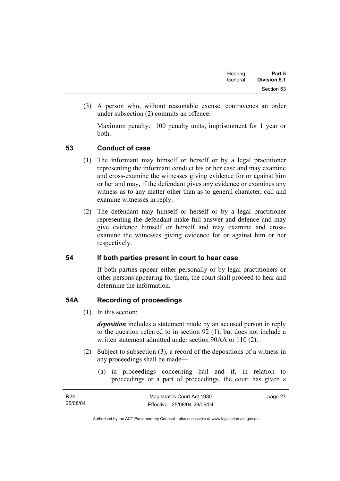| Hearing | Part 5              |
|---------|---------------------|
| General | <b>Division 5.1</b> |
|         | Section 53          |

 (3) A person who, without reasonable excuse, contravenes an order under subsection (2) commits an offence.

Maximum penalty: 100 penalty units, imprisonment for 1 year or both.

### **53 Conduct of case**

- (1) The informant may himself or herself or by a legal practitioner representing the informant conduct his or her case and may examine and cross-examine the witnesses giving evidence for or against him or her and may, if the defendant gives any evidence or examines any witness as to any matter other than as to general character, call and examine witnesses in reply.
- (2) The defendant may himself or herself or by a legal practitioner representing the defendant make full answer and defence and may give evidence himself or herself and may examine and crossexamine the witnesses giving evidence for or against him or her respectively.

### **54 If both parties present in court to hear case**

If both parties appear either personally or by legal practitioners or other persons appearing for them, the court shall proceed to hear and determine the information.

# **54A Recording of proceedings**

(1) In this section:

*deposition* includes a statement made by an accused person in reply to the question referred to in section 92 (1), but does not include a written statement admitted under section 90AA or 110 (2).

- (2) Subject to subsection (3), a record of the depositions of a witness in any proceedings shall be made—
	- (a) in proceedings concerning bail and if, in relation to proceedings or a part of proceedings, the court has given a

| R <sub>24</sub> | Magistrates Court Act 1930   | page 27 |
|-----------------|------------------------------|---------|
| 25/08/04        | Effective: 25/08/04-29/09/04 |         |

Authorised by the ACT Parliamentary Counsel—also accessible at www.legislation.act.gov.au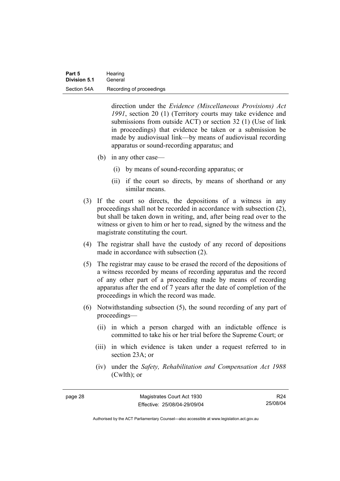direction under the *Evidence (Miscellaneous Provisions) Act 1991*, section 20 (1) (Territory courts may take evidence and submissions from outside ACT) or section 32 (1) (Use of link in proceedings) that evidence be taken or a submission be made by audiovisual link—by means of audiovisual recording apparatus or sound-recording apparatus; and

- (b) in any other case—
	- (i) by means of sound-recording apparatus; or
	- (ii) if the court so directs, by means of shorthand or any similar means.
- (3) If the court so directs, the depositions of a witness in any proceedings shall not be recorded in accordance with subsection (2), but shall be taken down in writing, and, after being read over to the witness or given to him or her to read, signed by the witness and the magistrate constituting the court.
- (4) The registrar shall have the custody of any record of depositions made in accordance with subsection (2).
- (5) The registrar may cause to be erased the record of the depositions of a witness recorded by means of recording apparatus and the record of any other part of a proceeding made by means of recording apparatus after the end of 7 years after the date of completion of the proceedings in which the record was made.
- (6) Notwithstanding subsection (5), the sound recording of any part of proceedings—
	- (ii) in which a person charged with an indictable offence is committed to take his or her trial before the Supreme Court; or
	- (iii) in which evidence is taken under a request referred to in section 23A; or
	- (iv) under the *Safety, Rehabilitation and Compensation Act 1988* (Cwlth); or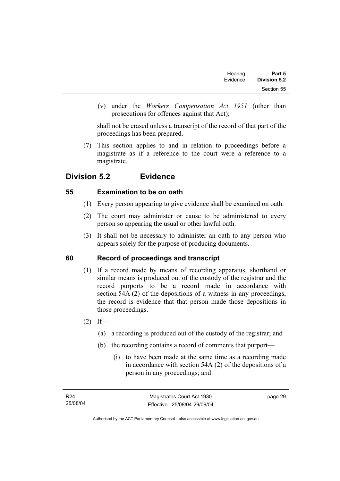| Part 5       | Hearing  |  |
|--------------|----------|--|
| Division 5.2 | Evidence |  |
| Section 55   |          |  |

 (v) under the *Workers Compensation Act 1951* (other than prosecutions for offences against that Act);

shall not be erased unless a transcript of the record of that part of the proceedings has been prepared.

 (7) This section applies to and in relation to proceedings before a magistrate as if a reference to the court were a reference to a magistrate.

# **Division 5.2 Evidence**

# **55 Examination to be on oath**

- (1) Every person appearing to give evidence shall be examined on oath.
- (2) The court may administer or cause to be administered to every person so appearing the usual or other lawful oath.
- (3) It shall not be necessary to administer an oath to any person who appears solely for the purpose of producing documents.

# **60 Record of proceedings and transcript**

- (1) If a record made by means of recording apparatus, shorthand or similar means is produced out of the custody of the registrar and the record purports to be a record made in accordance with section 54A (2) of the depositions of a witness in any proceedings, the record is evidence that that person made those depositions in those proceedings.
- $(2)$  If—
	- (a) a recording is produced out of the custody of the registrar; and
	- (b) the recording contains a record of comments that purport—
		- (i) to have been made at the same time as a recording made in accordance with section 54A (2) of the depositions of a person in any proceedings; and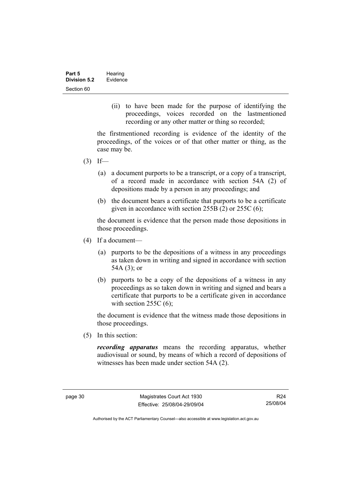(ii) to have been made for the purpose of identifying the proceedings, voices recorded on the lastmentioned recording or any other matter or thing so recorded;

the firstmentioned recording is evidence of the identity of the proceedings, of the voices or of that other matter or thing, as the case may be.

- $(3)$  If—
	- (a) a document purports to be a transcript, or a copy of a transcript, of a record made in accordance with section 54A (2) of depositions made by a person in any proceedings; and
	- (b) the document bears a certificate that purports to be a certificate given in accordance with section 255B (2) or 255C (6);

the document is evidence that the person made those depositions in those proceedings.

- (4) If a document—
	- (a) purports to be the depositions of a witness in any proceedings as taken down in writing and signed in accordance with section 54A (3); or
	- (b) purports to be a copy of the depositions of a witness in any proceedings as so taken down in writing and signed and bears a certificate that purports to be a certificate given in accordance with section  $255C(6)$ ;

the document is evidence that the witness made those depositions in those proceedings.

(5) In this section:

*recording apparatus* means the recording apparatus, whether audiovisual or sound, by means of which a record of depositions of witnesses has been made under section 54A (2).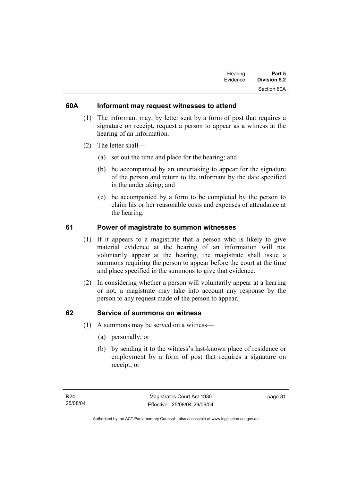| Hearing  | Part 5       |
|----------|--------------|
| Evidence | Division 5.2 |
|          | Section 60A  |

### **60A Informant may request witnesses to attend**

- (1) The informant may, by letter sent by a form of post that requires a signature on receipt, request a person to appear as a witness at the hearing of an information.
- (2) The letter shall—
	- (a) set out the time and place for the hearing; and
	- (b) be accompanied by an undertaking to appear for the signature of the person and return to the informant by the date specified in the undertaking; and
	- (c) be accompanied by a form to be completed by the person to claim his or her reasonable costs and expenses of attendance at the hearing.

### **61 Power of magistrate to summon witnesses**

- (1) If it appears to a magistrate that a person who is likely to give material evidence at the hearing of an information will not voluntarily appear at the hearing, the magistrate shall issue a summons requiring the person to appear before the court at the time and place specified in the summons to give that evidence.
- (2) In considering whether a person will voluntarily appear at a hearing or not, a magistrate may take into account any response by the person to any request made of the person to appear.

### **62 Service of summons on witness**

- (1) A summons may be served on a witness—
	- (a) personally; or
	- (b) by sending it to the witness's last-known place of residence or employment by a form of post that requires a signature on receipt; or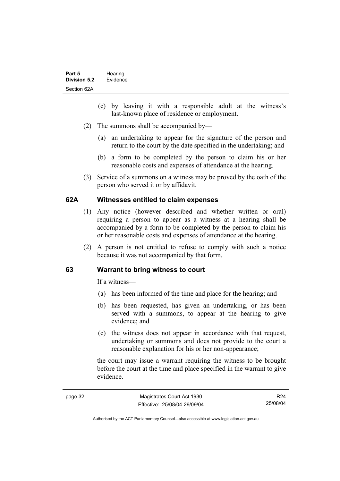- (c) by leaving it with a responsible adult at the witness's last-known place of residence or employment.
- (2) The summons shall be accompanied by—
	- (a) an undertaking to appear for the signature of the person and return to the court by the date specified in the undertaking; and
	- (b) a form to be completed by the person to claim his or her reasonable costs and expenses of attendance at the hearing.
- (3) Service of a summons on a witness may be proved by the oath of the person who served it or by affidavit.

### **62A Witnesses entitled to claim expenses**

- (1) Any notice (however described and whether written or oral) requiring a person to appear as a witness at a hearing shall be accompanied by a form to be completed by the person to claim his or her reasonable costs and expenses of attendance at the hearing.
- (2) A person is not entitled to refuse to comply with such a notice because it was not accompanied by that form.

#### **63 Warrant to bring witness to court**

If a witness—

- (a) has been informed of the time and place for the hearing; and
- (b) has been requested, has given an undertaking, or has been served with a summons, to appear at the hearing to give evidence; and
- (c) the witness does not appear in accordance with that request, undertaking or summons and does not provide to the court a reasonable explanation for his or her non-appearance;

the court may issue a warrant requiring the witness to be brought before the court at the time and place specified in the warrant to give evidence.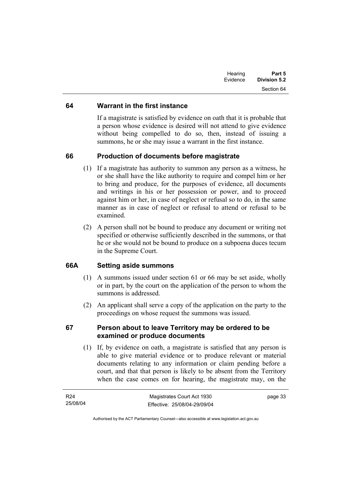| Hearing<br>Evidence | Part 5<br><b>Division 5.2</b> |
|---------------------|-------------------------------|
|                     | Section 64                    |

### **64 Warrant in the first instance**

If a magistrate is satisfied by evidence on oath that it is probable that a person whose evidence is desired will not attend to give evidence without being compelled to do so, then, instead of issuing a summons, he or she may issue a warrant in the first instance.

### **66 Production of documents before magistrate**

- (1) If a magistrate has authority to summon any person as a witness, he or she shall have the like authority to require and compel him or her to bring and produce, for the purposes of evidence, all documents and writings in his or her possession or power, and to proceed against him or her, in case of neglect or refusal so to do, in the same manner as in case of neglect or refusal to attend or refusal to be examined.
- (2) A person shall not be bound to produce any document or writing not specified or otherwise sufficiently described in the summons, or that he or she would not be bound to produce on a subpoena duces tecum in the Supreme Court.

# **66A Setting aside summons**

- (1) A summons issued under section 61 or 66 may be set aside, wholly or in part, by the court on the application of the person to whom the summons is addressed.
- (2) An applicant shall serve a copy of the application on the party to the proceedings on whose request the summons was issued.

### **67 Person about to leave Territory may be ordered to be examined or produce documents**

 (1) If, by evidence on oath, a magistrate is satisfied that any person is able to give material evidence or to produce relevant or material documents relating to any information or claim pending before a court, and that that person is likely to be absent from the Territory when the case comes on for hearing, the magistrate may, on the

| R24      | Magistrates Court Act 1930   | page 33 |
|----------|------------------------------|---------|
| 25/08/04 | Effective: 25/08/04-29/09/04 |         |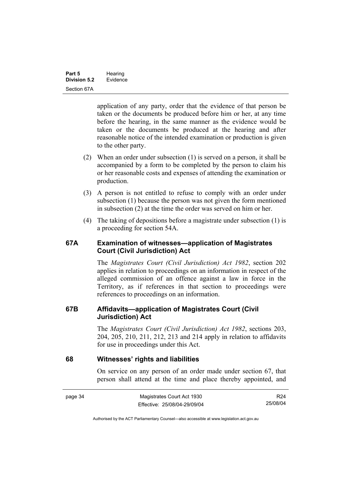application of any party, order that the evidence of that person be taken or the documents be produced before him or her, at any time before the hearing, in the same manner as the evidence would be taken or the documents be produced at the hearing and after reasonable notice of the intended examination or production is given to the other party.

- (2) When an order under subsection (1) is served on a person, it shall be accompanied by a form to be completed by the person to claim his or her reasonable costs and expenses of attending the examination or production.
- (3) A person is not entitled to refuse to comply with an order under subsection (1) because the person was not given the form mentioned in subsection (2) at the time the order was served on him or her.
- (4) The taking of depositions before a magistrate under subsection (1) is a proceeding for section 54A.

### **67A Examination of witnesses—application of Magistrates Court (Civil Jurisdiction) Act**

The *Magistrates Court (Civil Jurisdiction) Act 1982*, section 202 applies in relation to proceedings on an information in respect of the alleged commission of an offence against a law in force in the Territory, as if references in that section to proceedings were references to proceedings on an information.

### **67B Affidavits—application of Magistrates Court (Civil Jurisdiction) Act**

The *Magistrates Court (Civil Jurisdiction) Act 1982*, sections 203, 204, 205, 210, 211, 212, 213 and 214 apply in relation to affidavits for use in proceedings under this Act.

### **68 Witnesses' rights and liabilities**

On service on any person of an order made under section 67, that person shall attend at the time and place thereby appointed, and

| page 34 | Magistrates Court Act 1930   | R24      |
|---------|------------------------------|----------|
|         | Effective: 25/08/04-29/09/04 | 25/08/04 |

Authorised by the ACT Parliamentary Counsel—also accessible at www.legislation.act.gov.au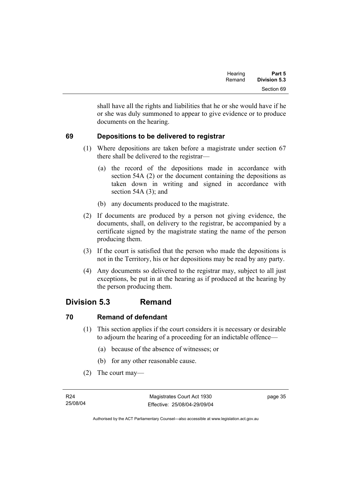| Hearing | Part 5              |
|---------|---------------------|
| Remand  | <b>Division 5.3</b> |
|         | Section 69          |

shall have all the rights and liabilities that he or she would have if he or she was duly summoned to appear to give evidence or to produce documents on the hearing.

# **69 Depositions to be delivered to registrar**

- (1) Where depositions are taken before a magistrate under section 67 there shall be delivered to the registrar—
	- (a) the record of the depositions made in accordance with section 54A (2) or the document containing the depositions as taken down in writing and signed in accordance with section 54A (3); and
	- (b) any documents produced to the magistrate.
- (2) If documents are produced by a person not giving evidence, the documents, shall, on delivery to the registrar, be accompanied by a certificate signed by the magistrate stating the name of the person producing them.
- (3) If the court is satisfied that the person who made the depositions is not in the Territory, his or her depositions may be read by any party.
- (4) Any documents so delivered to the registrar may, subject to all just exceptions, be put in at the hearing as if produced at the hearing by the person producing them.

# **Division 5.3 Remand**

# **70 Remand of defendant**

- (1) This section applies if the court considers it is necessary or desirable to adjourn the hearing of a proceeding for an indictable offence—
	- (a) because of the absence of witnesses; or
	- (b) for any other reasonable cause.
- (2) The court may—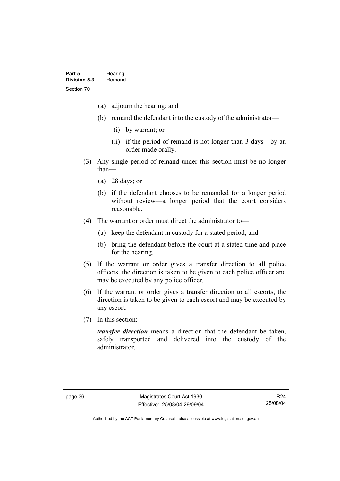- (a) adjourn the hearing; and
- (b) remand the defendant into the custody of the administrator—
	- (i) by warrant; or
	- (ii) if the period of remand is not longer than 3 days—by an order made orally.
- (3) Any single period of remand under this section must be no longer than—
	- (a) 28 days; or
	- (b) if the defendant chooses to be remanded for a longer period without review—a longer period that the court considers reasonable.
- (4) The warrant or order must direct the administrator to—
	- (a) keep the defendant in custody for a stated period; and
	- (b) bring the defendant before the court at a stated time and place for the hearing.
- (5) If the warrant or order gives a transfer direction to all police officers, the direction is taken to be given to each police officer and may be executed by any police officer.
- (6) If the warrant or order gives a transfer direction to all escorts, the direction is taken to be given to each escort and may be executed by any escort.
- (7) In this section:

*transfer direction* means a direction that the defendant be taken, safely transported and delivered into the custody of the administrator.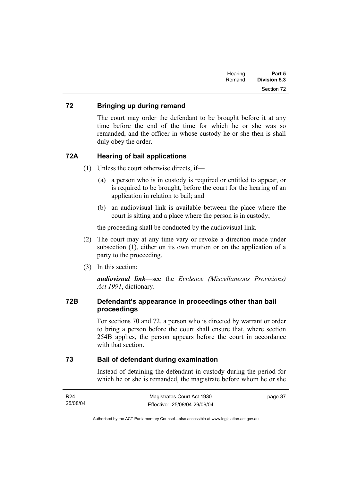| Part 5       | Hearing |
|--------------|---------|
| Division 5.3 | Remand  |
| Section 72   |         |

### **72 Bringing up during remand**

The court may order the defendant to be brought before it at any time before the end of the time for which he or she was so remanded, and the officer in whose custody he or she then is shall duly obey the order.

### **72A Hearing of bail applications**

- (1) Unless the court otherwise directs, if—
	- (a) a person who is in custody is required or entitled to appear, or is required to be brought, before the court for the hearing of an application in relation to bail; and
	- (b) an audiovisual link is available between the place where the court is sitting and a place where the person is in custody;

the proceeding shall be conducted by the audiovisual link.

- (2) The court may at any time vary or revoke a direction made under subsection (1), either on its own motion or on the application of a party to the proceeding.
- (3) In this section:

*audiovisual link*—see the *Evidence (Miscellaneous Provisions) Act 1991*, dictionary.

### **72B Defendant's appearance in proceedings other than bail proceedings**

For sections 70 and 72, a person who is directed by warrant or order to bring a person before the court shall ensure that, where section 254B applies, the person appears before the court in accordance with that section

### **73 Bail of defendant during examination**

Instead of detaining the defendant in custody during the period for which he or she is remanded, the magistrate before whom he or she

| R24      | Magistrates Court Act 1930   | page 37 |
|----------|------------------------------|---------|
| 25/08/04 | Effective: 25/08/04-29/09/04 |         |

Authorised by the ACT Parliamentary Counsel—also accessible at www.legislation.act.gov.au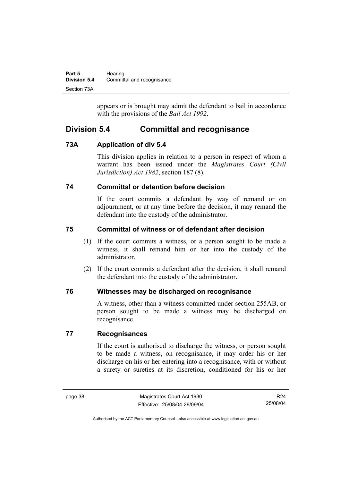| Part 5              | Hearing                    |
|---------------------|----------------------------|
| <b>Division 5.4</b> | Committal and recognisance |
| Section 73A         |                            |

appears or is brought may admit the defendant to bail in accordance with the provisions of the *Bail Act 1992*.

# **Division 5.4 Committal and recognisance**

# **73A Application of div 5.4**

This division applies in relation to a person in respect of whom a warrant has been issued under the *Magistrates Court (Civil Jurisdiction) Act 1982*, section 187 (8).

# **74 Committal or detention before decision**

If the court commits a defendant by way of remand or on adjournment, or at any time before the decision, it may remand the defendant into the custody of the administrator.

# **75 Committal of witness or of defendant after decision**

- (1) If the court commits a witness, or a person sought to be made a witness, it shall remand him or her into the custody of the administrator.
- (2) If the court commits a defendant after the decision, it shall remand the defendant into the custody of the administrator.

# **76 Witnesses may be discharged on recognisance**

A witness, other than a witness committed under section 255AB, or person sought to be made a witness may be discharged on recognisance.

# **77 Recognisances**

If the court is authorised to discharge the witness, or person sought to be made a witness, on recognisance, it may order his or her discharge on his or her entering into a recognisance, with or without a surety or sureties at its discretion, conditioned for his or her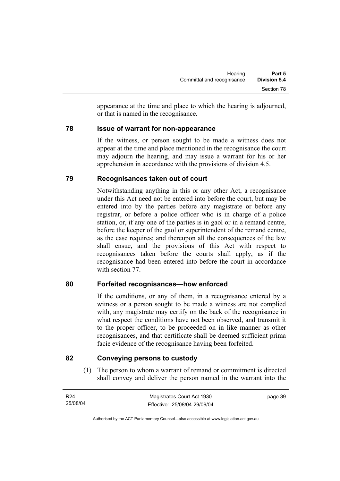appearance at the time and place to which the hearing is adjourned, or that is named in the recognisance.

# **78 Issue of warrant for non-appearance**

If the witness, or person sought to be made a witness does not appear at the time and place mentioned in the recognisance the court may adjourn the hearing, and may issue a warrant for his or her apprehension in accordance with the provisions of division 4.5.

# **79 Recognisances taken out of court**

Notwithstanding anything in this or any other Act, a recognisance under this Act need not be entered into before the court, but may be entered into by the parties before any magistrate or before any registrar, or before a police officer who is in charge of a police station, or, if any one of the parties is in gaol or in a remand centre, before the keeper of the gaol or superintendent of the remand centre, as the case requires; and thereupon all the consequences of the law shall ensue, and the provisions of this Act with respect to recognisances taken before the courts shall apply, as if the recognisance had been entered into before the court in accordance with section 77.

# **80 Forfeited recognisances—how enforced**

If the conditions, or any of them, in a recognisance entered by a witness or a person sought to be made a witness are not complied with, any magistrate may certify on the back of the recognisance in what respect the conditions have not been observed, and transmit it to the proper officer, to be proceeded on in like manner as other recognisances, and that certificate shall be deemed sufficient prima facie evidence of the recognisance having been forfeited.

# **82 Conveying persons to custody**

 (1) The person to whom a warrant of remand or commitment is directed shall convey and deliver the person named in the warrant into the

| R24      | Magistrates Court Act 1930   | page 39 |
|----------|------------------------------|---------|
| 25/08/04 | Effective: 25/08/04-29/09/04 |         |

Authorised by the ACT Parliamentary Counsel—also accessible at www.legislation.act.gov.au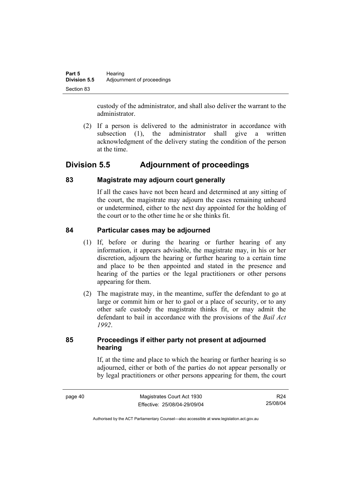custody of the administrator, and shall also deliver the warrant to the administrator.

 (2) If a person is delivered to the administrator in accordance with subsection (1), the administrator shall give a written acknowledgment of the delivery stating the condition of the person at the time.

# **Division 5.5 Adjournment of proceedings**

# **83 Magistrate may adjourn court generally**

If all the cases have not been heard and determined at any sitting of the court, the magistrate may adjourn the cases remaining unheard or undetermined, either to the next day appointed for the holding of the court or to the other time he or she thinks fit.

# **84 Particular cases may be adjourned**

- (1) If, before or during the hearing or further hearing of any information, it appears advisable, the magistrate may, in his or her discretion, adjourn the hearing or further hearing to a certain time and place to be then appointed and stated in the presence and hearing of the parties or the legal practitioners or other persons appearing for them.
- (2) The magistrate may, in the meantime, suffer the defendant to go at large or commit him or her to gaol or a place of security, or to any other safe custody the magistrate thinks fit, or may admit the defendant to bail in accordance with the provisions of the *Bail Act 1992*.

# **85 Proceedings if either party not present at adjourned hearing**

If, at the time and place to which the hearing or further hearing is so adjourned, either or both of the parties do not appear personally or by legal practitioners or other persons appearing for them, the court

R24 25/08/04

Authorised by the ACT Parliamentary Counsel—also accessible at www.legislation.act.gov.au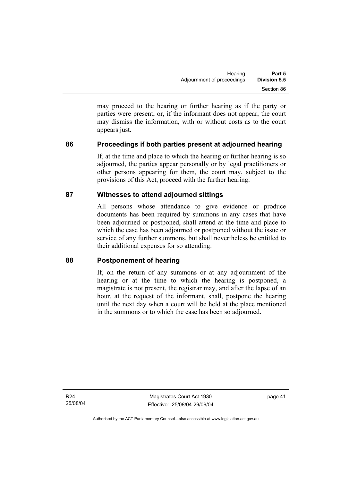may proceed to the hearing or further hearing as if the party or parties were present, or, if the informant does not appear, the court may dismiss the information, with or without costs as to the court appears just.

# **86 Proceedings if both parties present at adjourned hearing**

If, at the time and place to which the hearing or further hearing is so adjourned, the parties appear personally or by legal practitioners or other persons appearing for them, the court may, subject to the provisions of this Act, proceed with the further hearing.

### **87 Witnesses to attend adjourned sittings**

All persons whose attendance to give evidence or produce documents has been required by summons in any cases that have been adjourned or postponed, shall attend at the time and place to which the case has been adjourned or postponed without the issue or service of any further summons, but shall nevertheless be entitled to their additional expenses for so attending.

### **88 Postponement of hearing**

If, on the return of any summons or at any adjournment of the hearing or at the time to which the hearing is postponed, a magistrate is not present, the registrar may, and after the lapse of an hour, at the request of the informant, shall, postpone the hearing until the next day when a court will be held at the place mentioned in the summons or to which the case has been so adjourned.

R24 25/08/04

Magistrates Court Act 1930 Effective: 25/08/04-29/09/04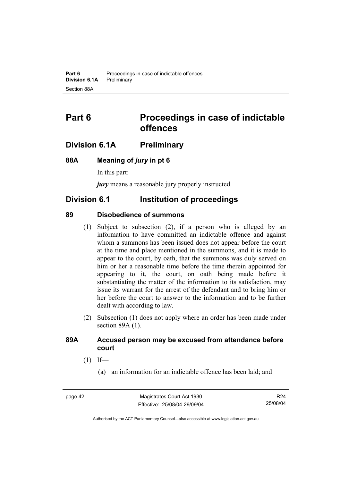# **Part 6 Proceedings in case of indictable offences**

# **Division 6.1A Preliminary**

### **88A Meaning of** *jury* **in pt 6**

In this part:

*jury* means a reasonable jury properly instructed.

# **Division 6.1 Institution of proceedings**

### **89 Disobedience of summons**

- (1) Subject to subsection (2), if a person who is alleged by an information to have committed an indictable offence and against whom a summons has been issued does not appear before the court at the time and place mentioned in the summons, and it is made to appear to the court, by oath, that the summons was duly served on him or her a reasonable time before the time therein appointed for appearing to it, the court, on oath being made before it substantiating the matter of the information to its satisfaction, may issue its warrant for the arrest of the defendant and to bring him or her before the court to answer to the information and to be further dealt with according to law.
- (2) Subsection (1) does not apply where an order has been made under section 89A (1).

### **89A Accused person may be excused from attendance before court**

- $(1)$  If—
	- (a) an information for an indictable offence has been laid; and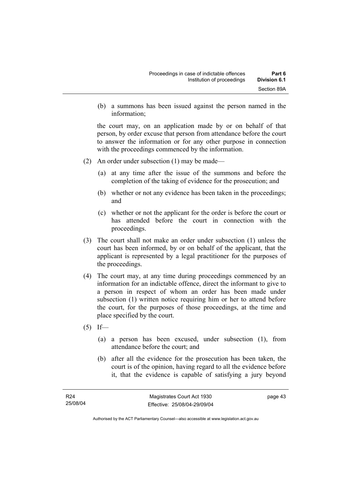(b) a summons has been issued against the person named in the information;

the court may, on an application made by or on behalf of that person, by order excuse that person from attendance before the court to answer the information or for any other purpose in connection with the proceedings commenced by the information.

- (2) An order under subsection (1) may be made—
	- (a) at any time after the issue of the summons and before the completion of the taking of evidence for the prosecution; and
	- (b) whether or not any evidence has been taken in the proceedings; and
	- (c) whether or not the applicant for the order is before the court or has attended before the court in connection with the proceedings.
- (3) The court shall not make an order under subsection (1) unless the court has been informed, by or on behalf of the applicant, that the applicant is represented by a legal practitioner for the purposes of the proceedings.
- (4) The court may, at any time during proceedings commenced by an information for an indictable offence, direct the informant to give to a person in respect of whom an order has been made under subsection (1) written notice requiring him or her to attend before the court, for the purposes of those proceedings, at the time and place specified by the court.
- $(5)$  If—
	- (a) a person has been excused, under subsection (1), from attendance before the court; and
	- (b) after all the evidence for the prosecution has been taken, the court is of the opinion, having regard to all the evidence before it, that the evidence is capable of satisfying a jury beyond

Authorised by the ACT Parliamentary Counsel—also accessible at www.legislation.act.gov.au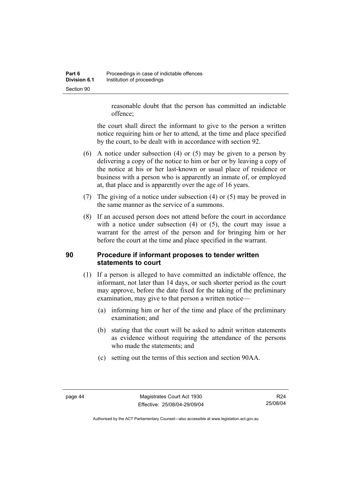reasonable doubt that the person has committed an indictable offence;

the court shall direct the informant to give to the person a written notice requiring him or her to attend, at the time and place specified by the court, to be dealt with in accordance with section 92.

- (6) A notice under subsection (4) or (5) may be given to a person by delivering a copy of the notice to him or her or by leaving a copy of the notice at his or her last-known or usual place of residence or business with a person who is apparently an inmate of, or employed at, that place and is apparently over the age of 16 years.
- (7) The giving of a notice under subsection (4) or (5) may be proved in the same manner as the service of a summons.
- (8) If an accused person does not attend before the court in accordance with a notice under subsection (4) or (5), the court may issue a warrant for the arrest of the person and for bringing him or her before the court at the time and place specified in the warrant.

# **90 Procedure if informant proposes to tender written statements to court**

- (1) If a person is alleged to have committed an indictable offence, the informant, not later than 14 days, or such shorter period as the court may approve, before the date fixed for the taking of the preliminary examination, may give to that person a written notice—
	- (a) informing him or her of the time and place of the preliminary examination; and
	- (b) stating that the court will be asked to admit written statements as evidence without requiring the attendance of the persons who made the statements; and
	- (c) setting out the terms of this section and section 90AA.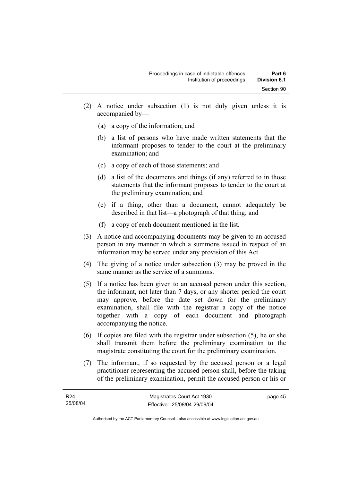- (2) A notice under subsection (1) is not duly given unless it is accompanied by—
	- (a) a copy of the information; and
	- (b) a list of persons who have made written statements that the informant proposes to tender to the court at the preliminary examination; and
	- (c) a copy of each of those statements; and
	- (d) a list of the documents and things (if any) referred to in those statements that the informant proposes to tender to the court at the preliminary examination; and
	- (e) if a thing, other than a document, cannot adequately be described in that list—a photograph of that thing; and
	- (f) a copy of each document mentioned in the list.
- (3) A notice and accompanying documents may be given to an accused person in any manner in which a summons issued in respect of an information may be served under any provision of this Act.
- (4) The giving of a notice under subsection (3) may be proved in the same manner as the service of a summons.
- (5) If a notice has been given to an accused person under this section, the informant, not later than 7 days, or any shorter period the court may approve, before the date set down for the preliminary examination, shall file with the registrar a copy of the notice together with a copy of each document and photograph accompanying the notice.
- (6) If copies are filed with the registrar under subsection (5), he or she shall transmit them before the preliminary examination to the magistrate constituting the court for the preliminary examination.
- (7) The informant, if so requested by the accused person or a legal practitioner representing the accused person shall, before the taking of the preliminary examination, permit the accused person or his or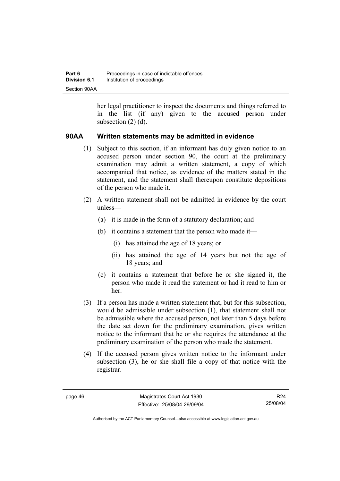her legal practitioner to inspect the documents and things referred to in the list (if any) given to the accused person under subsection (2) (d).

### **90AA Written statements may be admitted in evidence**

- (1) Subject to this section, if an informant has duly given notice to an accused person under section 90, the court at the preliminary examination may admit a written statement, a copy of which accompanied that notice, as evidence of the matters stated in the statement, and the statement shall thereupon constitute depositions of the person who made it.
- (2) A written statement shall not be admitted in evidence by the court unless—
	- (a) it is made in the form of a statutory declaration; and
	- (b) it contains a statement that the person who made it—
		- (i) has attained the age of 18 years; or
		- (ii) has attained the age of 14 years but not the age of 18 years; and
	- (c) it contains a statement that before he or she signed it, the person who made it read the statement or had it read to him or her.
- (3) If a person has made a written statement that, but for this subsection, would be admissible under subsection (1), that statement shall not be admissible where the accused person, not later than 5 days before the date set down for the preliminary examination, gives written notice to the informant that he or she requires the attendance at the preliminary examination of the person who made the statement.
- (4) If the accused person gives written notice to the informant under subsection (3), he or she shall file a copy of that notice with the registrar.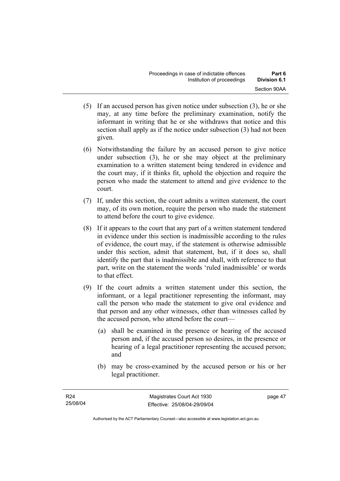- (5) If an accused person has given notice under subsection (3), he or she may, at any time before the preliminary examination, notify the informant in writing that he or she withdraws that notice and this section shall apply as if the notice under subsection (3) had not been given.
- (6) Notwithstanding the failure by an accused person to give notice under subsection (3), he or she may object at the preliminary examination to a written statement being tendered in evidence and the court may, if it thinks fit, uphold the objection and require the person who made the statement to attend and give evidence to the court.
- (7) If, under this section, the court admits a written statement, the court may, of its own motion, require the person who made the statement to attend before the court to give evidence.
- (8) If it appears to the court that any part of a written statement tendered in evidence under this section is inadmissible according to the rules of evidence, the court may, if the statement is otherwise admissible under this section, admit that statement, but, if it does so, shall identify the part that is inadmissible and shall, with reference to that part, write on the statement the words 'ruled inadmissible' or words to that effect.
- (9) If the court admits a written statement under this section, the informant, or a legal practitioner representing the informant, may call the person who made the statement to give oral evidence and that person and any other witnesses, other than witnesses called by the accused person, who attend before the court—
	- (a) shall be examined in the presence or hearing of the accused person and, if the accused person so desires, in the presence or hearing of a legal practitioner representing the accused person; and
	- (b) may be cross-examined by the accused person or his or her legal practitioner.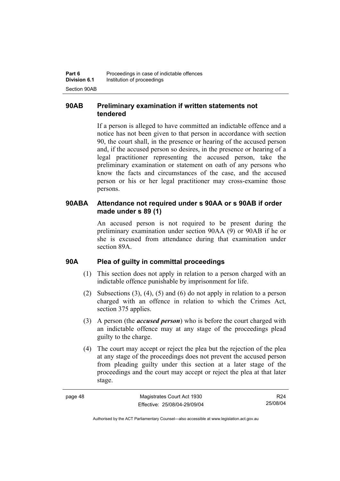# **90AB Preliminary examination if written statements not tendered**

If a person is alleged to have committed an indictable offence and a notice has not been given to that person in accordance with section 90, the court shall, in the presence or hearing of the accused person and, if the accused person so desires, in the presence or hearing of a legal practitioner representing the accused person, take the preliminary examination or statement on oath of any persons who know the facts and circumstances of the case, and the accused person or his or her legal practitioner may cross-examine those persons.

### **90ABA Attendance not required under s 90AA or s 90AB if order made under s 89 (1)**

An accused person is not required to be present during the preliminary examination under section 90AA (9) or 90AB if he or she is excused from attendance during that examination under section 89A.

### **90A Plea of guilty in committal proceedings**

- (1) This section does not apply in relation to a person charged with an indictable offence punishable by imprisonment for life.
- (2) Subsections (3), (4), (5) and (6) do not apply in relation to a person charged with an offence in relation to which the Crimes Act, section 375 applies.
- (3) A person (the *accused person*) who is before the court charged with an indictable offence may at any stage of the proceedings plead guilty to the charge.
- (4) The court may accept or reject the plea but the rejection of the plea at any stage of the proceedings does not prevent the accused person from pleading guilty under this section at a later stage of the proceedings and the court may accept or reject the plea at that later stage.

| r<br>œ<br>ï<br>∼ |  |
|------------------|--|
|------------------|--|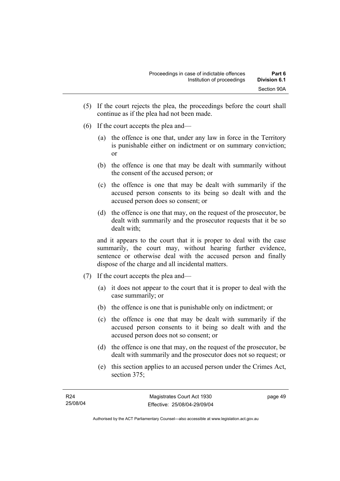- (5) If the court rejects the plea, the proceedings before the court shall continue as if the plea had not been made.
- (6) If the court accepts the plea and—
	- (a) the offence is one that, under any law in force in the Territory is punishable either on indictment or on summary conviction; or
	- (b) the offence is one that may be dealt with summarily without the consent of the accused person; or
	- (c) the offence is one that may be dealt with summarily if the accused person consents to its being so dealt with and the accused person does so consent; or
	- (d) the offence is one that may, on the request of the prosecutor, be dealt with summarily and the prosecutor requests that it be so dealt with;

and it appears to the court that it is proper to deal with the case summarily, the court may, without hearing further evidence, sentence or otherwise deal with the accused person and finally dispose of the charge and all incidental matters.

- (7) If the court accepts the plea and—
	- (a) it does not appear to the court that it is proper to deal with the case summarily; or
	- (b) the offence is one that is punishable only on indictment; or
	- (c) the offence is one that may be dealt with summarily if the accused person consents to it being so dealt with and the accused person does not so consent; or
	- (d) the offence is one that may, on the request of the prosecutor, be dealt with summarily and the prosecutor does not so request; or
	- (e) this section applies to an accused person under the Crimes Act, section 375;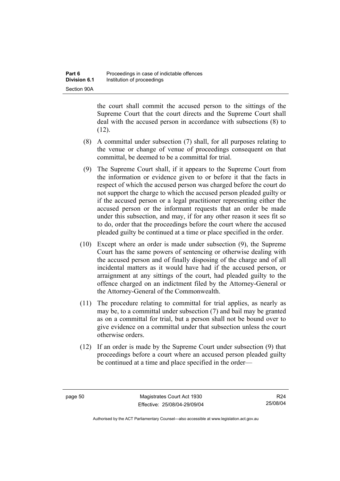the court shall commit the accused person to the sittings of the Supreme Court that the court directs and the Supreme Court shall deal with the accused person in accordance with subsections (8) to  $(12)$ .

- (8) A committal under subsection (7) shall, for all purposes relating to the venue or change of venue of proceedings consequent on that committal, be deemed to be a committal for trial.
- (9) The Supreme Court shall, if it appears to the Supreme Court from the information or evidence given to or before it that the facts in respect of which the accused person was charged before the court do not support the charge to which the accused person pleaded guilty or if the accused person or a legal practitioner representing either the accused person or the informant requests that an order be made under this subsection, and may, if for any other reason it sees fit so to do, order that the proceedings before the court where the accused pleaded guilty be continued at a time or place specified in the order.
- (10) Except where an order is made under subsection (9), the Supreme Court has the same powers of sentencing or otherwise dealing with the accused person and of finally disposing of the charge and of all incidental matters as it would have had if the accused person, or arraignment at any sittings of the court, had pleaded guilty to the offence charged on an indictment filed by the Attorney-General or the Attorney-General of the Commonwealth.
- (11) The procedure relating to committal for trial applies, as nearly as may be, to a committal under subsection (7) and bail may be granted as on a committal for trial, but a person shall not be bound over to give evidence on a committal under that subsection unless the court otherwise orders.
- (12) If an order is made by the Supreme Court under subsection (9) that proceedings before a court where an accused person pleaded guilty be continued at a time and place specified in the order—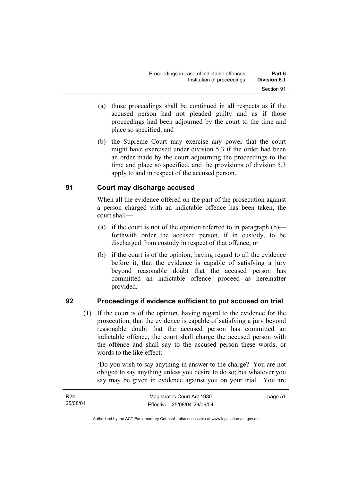- (a) those proceedings shall be continued in all respects as if the accused person had not pleaded guilty and as if those proceedings had been adjourned by the court to the time and place so specified; and
- (b) the Supreme Court may exercise any power that the court might have exercised under division 5.3 if the order had been an order made by the court adjourning the proceedings to the time and place so specified, and the provisions of division 5.3 apply to and in respect of the accused person.

# **91 Court may discharge accused**

When all the evidence offered on the part of the prosecution against a person charged with an indictable offence has been taken, the court shall—

- (a) if the court is not of the opinion referred to in paragraph  $(b)$  forthwith order the accused person, if in custody, to be discharged from custody in respect of that offence; or
- (b) if the court is of the opinion, having regard to all the evidence before it, that the evidence is capable of satisfying a jury beyond reasonable doubt that the accused person has committed an indictable offence—proceed as hereinafter provided.

### **92 Proceedings if evidence sufficient to put accused on trial**

 (1) If the court is of the opinion, having regard to the evidence for the prosecution, that the evidence is capable of satisfying a jury beyond reasonable doubt that the accused person has committed an indictable offence, the court shall charge the accused person with the offence and shall say to the accused person these words, or words to the like effect:

'Do you wish to say anything in answer to the charge? You are not obliged to say anything unless you desire to do so; but whatever you say may be given in evidence against you on your trial. You are

| R <sub>24</sub> | Magistrates Court Act 1930   | page 51 |
|-----------------|------------------------------|---------|
| 25/08/04        | Effective: 25/08/04-29/09/04 |         |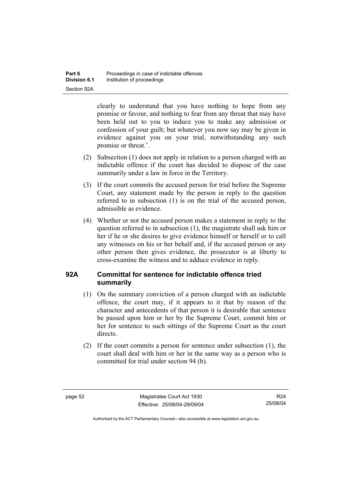clearly to understand that you have nothing to hope from any promise or favour, and nothing to fear from any threat that may have been held out to you to induce you to make any admission or confession of your guilt; but whatever you now say may be given in evidence against you on your trial, notwithstanding any such promise or threat.'.

- (2) Subsection (1) does not apply in relation to a person charged with an indictable offence if the court has decided to dispose of the case summarily under a law in force in the Territory.
- (3) If the court commits the accused person for trial before the Supreme Court, any statement made by the person in reply to the question referred to in subsection (1) is on the trial of the accused person, admissible as evidence.
- (4) Whether or not the accused person makes a statement in reply to the question referred to in subsection (1), the magistrate shall ask him or her if he or she desires to give evidence himself or herself or to call any witnesses on his or her behalf and, if the accused person or any other person then gives evidence, the prosecutor is at liberty to cross-examine the witness and to adduce evidence in reply.

# **92A Committal for sentence for indictable offence tried summarily**

- (1) On the summary conviction of a person charged with an indictable offence, the court may, if it appears to it that by reason of the character and antecedents of that person it is desirable that sentence be passed upon him or her by the Supreme Court, commit him or her for sentence to such sittings of the Supreme Court as the court directs.
- (2) If the court commits a person for sentence under subsection (1), the court shall deal with him or her in the same way as a person who is committed for trial under section 94 (b).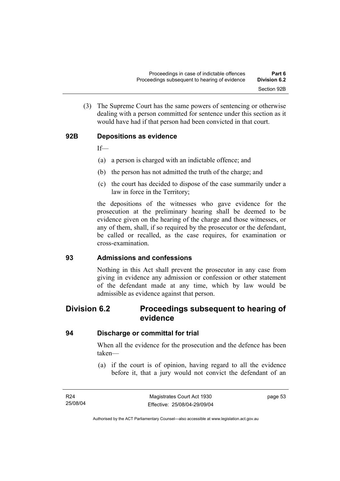(3) The Supreme Court has the same powers of sentencing or otherwise dealing with a person committed for sentence under this section as it would have had if that person had been convicted in that court.

# **92B Depositions as evidence**

If—

- (a) a person is charged with an indictable offence; and
- (b) the person has not admitted the truth of the charge; and
- (c) the court has decided to dispose of the case summarily under a law in force in the Territory;

the depositions of the witnesses who gave evidence for the prosecution at the preliminary hearing shall be deemed to be evidence given on the hearing of the charge and those witnesses, or any of them, shall, if so required by the prosecutor or the defendant, be called or recalled, as the case requires, for examination or cross-examination.

#### **93 Admissions and confessions**

Nothing in this Act shall prevent the prosecutor in any case from giving in evidence any admission or confession or other statement of the defendant made at any time, which by law would be admissible as evidence against that person.

# **Division 6.2 Proceedings subsequent to hearing of evidence**

#### **94 Discharge or committal for trial**

When all the evidence for the prosecution and the defence has been taken—

 (a) if the court is of opinion, having regard to all the evidence before it, that a jury would not convict the defendant of an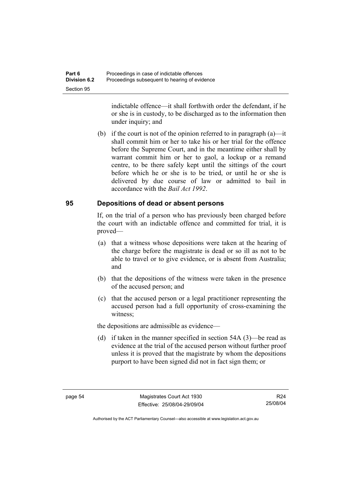indictable offence—it shall forthwith order the defendant, if he or she is in custody, to be discharged as to the information then under inquiry; and

 (b) if the court is not of the opinion referred to in paragraph (a)—it shall commit him or her to take his or her trial for the offence before the Supreme Court, and in the meantime either shall by warrant commit him or her to gaol, a lockup or a remand centre, to be there safely kept until the sittings of the court before which he or she is to be tried, or until he or she is delivered by due course of law or admitted to bail in accordance with the *Bail Act 1992*.

### **95 Depositions of dead or absent persons**

If, on the trial of a person who has previously been charged before the court with an indictable offence and committed for trial, it is proved—

- (a) that a witness whose depositions were taken at the hearing of the charge before the magistrate is dead or so ill as not to be able to travel or to give evidence, or is absent from Australia; and
- (b) that the depositions of the witness were taken in the presence of the accused person; and
- (c) that the accused person or a legal practitioner representing the accused person had a full opportunity of cross-examining the witness;

the depositions are admissible as evidence—

 (d) if taken in the manner specified in section 54A (3)—be read as evidence at the trial of the accused person without further proof unless it is proved that the magistrate by whom the depositions purport to have been signed did not in fact sign them; or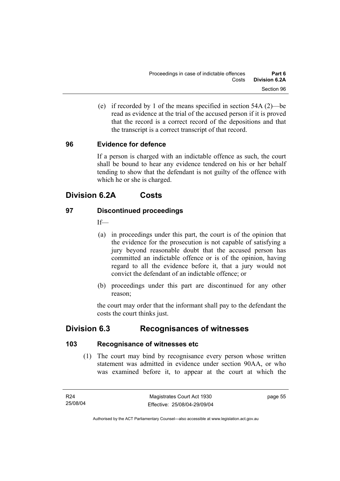(e) if recorded by 1 of the means specified in section 54A (2)—be read as evidence at the trial of the accused person if it is proved that the record is a correct record of the depositions and that the transcript is a correct transcript of that record.

# **96 Evidence for defence**

If a person is charged with an indictable offence as such, the court shall be bound to hear any evidence tendered on his or her behalf tending to show that the defendant is not guilty of the offence with which he or she is charged.

# **Division 6.2A Costs**

# **97 Discontinued proceedings**

 $If$ 

- (a) in proceedings under this part, the court is of the opinion that the evidence for the prosecution is not capable of satisfying a jury beyond reasonable doubt that the accused person has committed an indictable offence or is of the opinion, having regard to all the evidence before it, that a jury would not convict the defendant of an indictable offence; or
- (b) proceedings under this part are discontinued for any other reason;

the court may order that the informant shall pay to the defendant the costs the court thinks just.

# **Division 6.3 Recognisances of witnesses**

# **103 Recognisance of witnesses etc**

 (1) The court may bind by recognisance every person whose written statement was admitted in evidence under section 90AA, or who was examined before it, to appear at the court at which the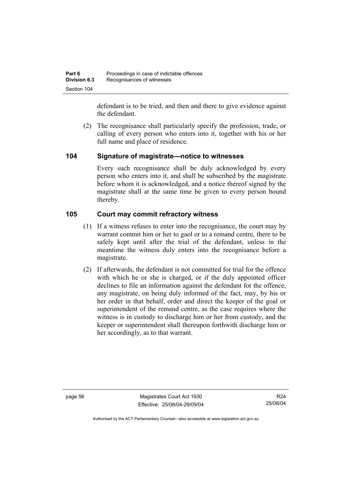defendant is to be tried, and then and there to give evidence against the defendant.

 (2) The recognisance shall particularly specify the profession, trade, or calling of every person who enters into it, together with his or her full name and place of residence.

# **104 Signature of magistrate—notice to witnesses**

Every such recognisance shall be duly acknowledged by every person who enters into it, and shall be subscribed by the magistrate before whom it is acknowledged, and a notice thereof signed by the magistrate shall at the same time be given to every person bound thereby.

# **105 Court may commit refractory witness**

- (1) If a witness refuses to enter into the recognisance, the court may by warrant commit him or her to gaol or to a remand centre, there to be safely kept until after the trial of the defendant, unless in the meantime the witness duly enters into the recognisance before a magistrate.
- (2) If afterwards, the defendant is not committed for trial for the offence with which he or she is charged, or if the duly appointed officer declines to file an information against the defendant for the offence, any magistrate, on being duly informed of the fact, may, by his or her order in that behalf, order and direct the keeper of the goal or superintendent of the remand centre, as the case requires where the witness is in custody to discharge him or her from custody, and the keeper or superintendent shall thereupon forthwith discharge him or her accordingly, as to that warrant.

page 56 Magistrates Court Act 1930 Effective: 25/08/04-29/09/04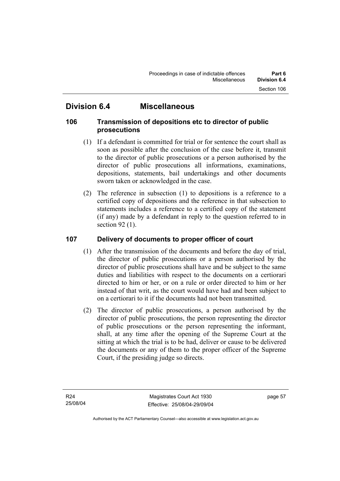# **Division 6.4 Miscellaneous**

# **106 Transmission of depositions etc to director of public prosecutions**

- (1) If a defendant is committed for trial or for sentence the court shall as soon as possible after the conclusion of the case before it, transmit to the director of public prosecutions or a person authorised by the director of public prosecutions all informations, examinations, depositions, statements, bail undertakings and other documents sworn taken or acknowledged in the case.
- (2) The reference in subsection (1) to depositions is a reference to a certified copy of depositions and the reference in that subsection to statements includes a reference to a certified copy of the statement (if any) made by a defendant in reply to the question referred to in section 92 (1).

# **107 Delivery of documents to proper officer of court**

- (1) After the transmission of the documents and before the day of trial, the director of public prosecutions or a person authorised by the director of public prosecutions shall have and be subject to the same duties and liabilities with respect to the documents on a certiorari directed to him or her, or on a rule or order directed to him or her instead of that writ, as the court would have had and been subject to on a certiorari to it if the documents had not been transmitted.
- (2) The director of public prosecutions, a person authorised by the director of public prosecutions, the person representing the director of public prosecutions or the person representing the informant, shall, at any time after the opening of the Supreme Court at the sitting at which the trial is to be had, deliver or cause to be delivered the documents or any of them to the proper officer of the Supreme Court, if the presiding judge so directs.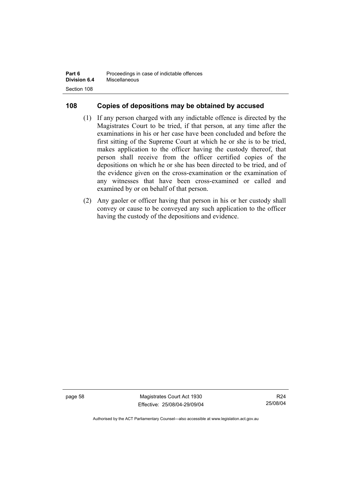| Part 6              | Proceedings in case of indictable offences |
|---------------------|--------------------------------------------|
| <b>Division 6.4</b> | Miscellaneous                              |
| Section 108         |                                            |

# **108 Copies of depositions may be obtained by accused**

- (1) If any person charged with any indictable offence is directed by the Magistrates Court to be tried, if that person, at any time after the examinations in his or her case have been concluded and before the first sitting of the Supreme Court at which he or she is to be tried, makes application to the officer having the custody thereof, that person shall receive from the officer certified copies of the depositions on which he or she has been directed to be tried, and of the evidence given on the cross-examination or the examination of any witnesses that have been cross-examined or called and examined by or on behalf of that person.
- (2) Any gaoler or officer having that person in his or her custody shall convey or cause to be conveyed any such application to the officer having the custody of the depositions and evidence.

page 58 Magistrates Court Act 1930 Effective: 25/08/04-29/09/04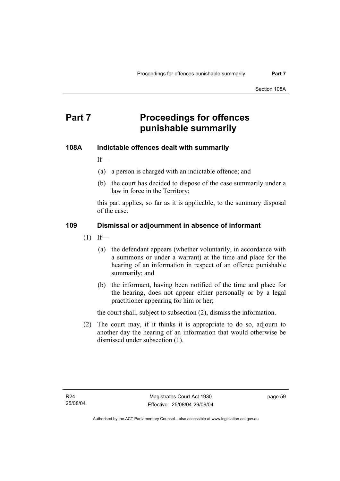# **Part 7** Proceedings for offences **punishable summarily**

## **108A Indictable offences dealt with summarily**

If—

- (a) a person is charged with an indictable offence; and
- (b) the court has decided to dispose of the case summarily under a law in force in the Territory;

this part applies, so far as it is applicable, to the summary disposal of the case.

#### **109 Dismissal or adjournment in absence of informant**

- $(1)$  If—
	- (a) the defendant appears (whether voluntarily, in accordance with a summons or under a warrant) at the time and place for the hearing of an information in respect of an offence punishable summarily; and
	- (b) the informant, having been notified of the time and place for the hearing, does not appear either personally or by a legal practitioner appearing for him or her;

the court shall, subject to subsection (2), dismiss the information.

 (2) The court may, if it thinks it is appropriate to do so, adjourn to another day the hearing of an information that would otherwise be dismissed under subsection (1).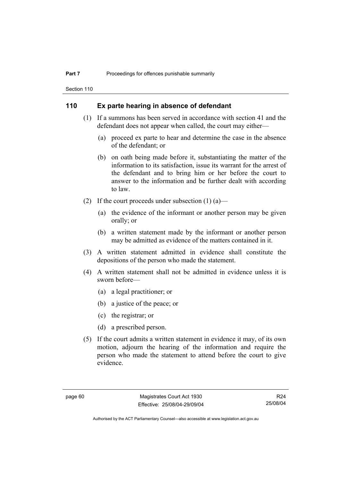Section 110

#### **110 Ex parte hearing in absence of defendant**

- (1) If a summons has been served in accordance with section 41 and the defendant does not appear when called, the court may either—
	- (a) proceed ex parte to hear and determine the case in the absence of the defendant; or
	- (b) on oath being made before it, substantiating the matter of the information to its satisfaction, issue its warrant for the arrest of the defendant and to bring him or her before the court to answer to the information and be further dealt with according to law.
- (2) If the court proceeds under subsection  $(1)$  (a)—
	- (a) the evidence of the informant or another person may be given orally; or
	- (b) a written statement made by the informant or another person may be admitted as evidence of the matters contained in it.
- (3) A written statement admitted in evidence shall constitute the depositions of the person who made the statement.
- (4) A written statement shall not be admitted in evidence unless it is sworn before—
	- (a) a legal practitioner; or
	- (b) a justice of the peace; or
	- (c) the registrar; or
	- (d) a prescribed person.
- (5) If the court admits a written statement in evidence it may, of its own motion, adjourn the hearing of the information and require the person who made the statement to attend before the court to give evidence.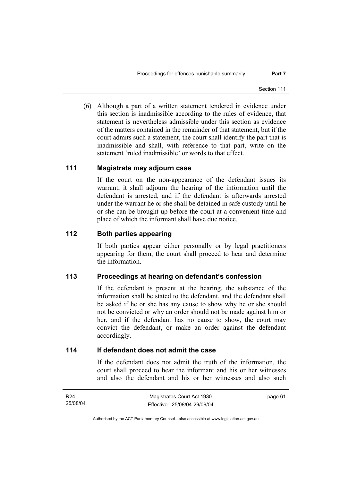(6) Although a part of a written statement tendered in evidence under this section is inadmissible according to the rules of evidence, that statement is nevertheless admissible under this section as evidence of the matters contained in the remainder of that statement, but if the court admits such a statement, the court shall identify the part that is inadmissible and shall, with reference to that part, write on the statement 'ruled inadmissible' or words to that effect.

#### **111 Magistrate may adjourn case**

If the court on the non-appearance of the defendant issues its warrant, it shall adjourn the hearing of the information until the defendant is arrested, and if the defendant is afterwards arrested under the warrant he or she shall be detained in safe custody until he or she can be brought up before the court at a convenient time and place of which the informant shall have due notice.

#### **112 Both parties appearing**

If both parties appear either personally or by legal practitioners appearing for them, the court shall proceed to hear and determine the information.

## **113 Proceedings at hearing on defendant's confession**

If the defendant is present at the hearing, the substance of the information shall be stated to the defendant, and the defendant shall be asked if he or she has any cause to show why he or she should not be convicted or why an order should not be made against him or her, and if the defendant has no cause to show, the court may convict the defendant, or make an order against the defendant accordingly.

#### **114 If defendant does not admit the case**

If the defendant does not admit the truth of the information, the court shall proceed to hear the informant and his or her witnesses and also the defendant and his or her witnesses and also such

| R24      | Magistrates Court Act 1930   | page 61 |
|----------|------------------------------|---------|
| 25/08/04 | Effective: 25/08/04-29/09/04 |         |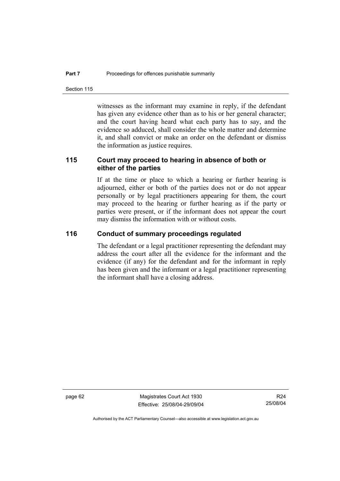Section 115

witnesses as the informant may examine in reply, if the defendant has given any evidence other than as to his or her general character; and the court having heard what each party has to say, and the evidence so adduced, shall consider the whole matter and determine it, and shall convict or make an order on the defendant or dismiss the information as justice requires.

## **115 Court may proceed to hearing in absence of both or either of the parties**

If at the time or place to which a hearing or further hearing is adjourned, either or both of the parties does not or do not appear personally or by legal practitioners appearing for them, the court may proceed to the hearing or further hearing as if the party or parties were present, or if the informant does not appear the court may dismiss the information with or without costs.

#### **116 Conduct of summary proceedings regulated**

The defendant or a legal practitioner representing the defendant may address the court after all the evidence for the informant and the evidence (if any) for the defendant and for the informant in reply has been given and the informant or a legal practitioner representing the informant shall have a closing address.

page 62 Magistrates Court Act 1930 Effective: 25/08/04-29/09/04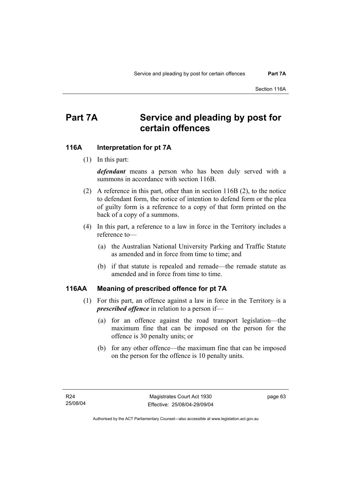# **Part 7A Service and pleading by post for certain offences**

#### **116A Interpretation for pt 7A**

(1) In this part:

*defendant* means a person who has been duly served with a summons in accordance with section 116B.

- (2) A reference in this part, other than in section 116B (2), to the notice to defendant form, the notice of intention to defend form or the plea of guilty form is a reference to a copy of that form printed on the back of a copy of a summons.
- (4) In this part, a reference to a law in force in the Territory includes a reference to—
	- (a) the Australian National University Parking and Traffic Statute as amended and in force from time to time; and
	- (b) if that statute is repealed and remade—the remade statute as amended and in force from time to time.

#### **116AA Meaning of prescribed offence for pt 7A**

- (1) For this part, an offence against a law in force in the Territory is a *prescribed offence* in relation to a person if—
	- (a) for an offence against the road transport legislation—the maximum fine that can be imposed on the person for the offence is 30 penalty units; or
	- (b) for any other offence—the maximum fine that can be imposed on the person for the offence is 10 penalty units.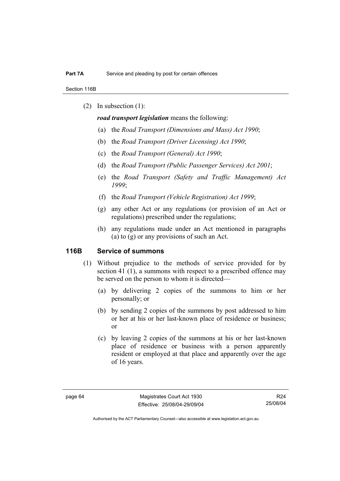Section 116B

(2) In subsection (1):

*road transport legislation* means the following:

- (a) the *Road Transport (Dimensions and Mass) Act 1990*;
- (b) the *Road Transport (Driver Licensing) Act 1990*;
- (c) the *Road Transport (General) Act 1990*;
- (d) the *Road Transport (Public Passenger Services) Act 2001*;
- (e) the *Road Transport (Safety and Traffic Management) Act 1999*;
- (f) the *Road Transport (Vehicle Registration) Act 1999*;
- (g) any other Act or any regulations (or provision of an Act or regulations) prescribed under the regulations;
- (h) any regulations made under an Act mentioned in paragraphs (a) to (g) or any provisions of such an Act.

#### **116B Service of summons**

- (1) Without prejudice to the methods of service provided for by section 41 (1), a summons with respect to a prescribed offence may be served on the person to whom it is directed—
	- (a) by delivering 2 copies of the summons to him or her personally; or
	- (b) by sending 2 copies of the summons by post addressed to him or her at his or her last-known place of residence or business; or
	- (c) by leaving 2 copies of the summons at his or her last-known place of residence or business with a person apparently resident or employed at that place and apparently over the age of 16 years.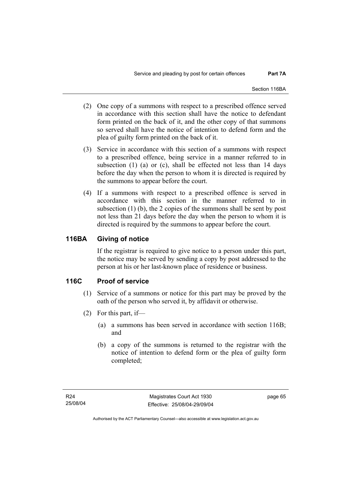- (2) One copy of a summons with respect to a prescribed offence served in accordance with this section shall have the notice to defendant form printed on the back of it, and the other copy of that summons so served shall have the notice of intention to defend form and the plea of guilty form printed on the back of it.
- (3) Service in accordance with this section of a summons with respect to a prescribed offence, being service in a manner referred to in subsection (1) (a) or (c), shall be effected not less than 14 days before the day when the person to whom it is directed is required by the summons to appear before the court.
- (4) If a summons with respect to a prescribed offence is served in accordance with this section in the manner referred to in subsection (1) (b), the 2 copies of the summons shall be sent by post not less than 21 days before the day when the person to whom it is directed is required by the summons to appear before the court.

## **116BA Giving of notice**

If the registrar is required to give notice to a person under this part, the notice may be served by sending a copy by post addressed to the person at his or her last-known place of residence or business.

## **116C Proof of service**

- (1) Service of a summons or notice for this part may be proved by the oath of the person who served it, by affidavit or otherwise.
- (2) For this part, if—
	- (a) a summons has been served in accordance with section 116B; and
	- (b) a copy of the summons is returned to the registrar with the notice of intention to defend form or the plea of guilty form completed;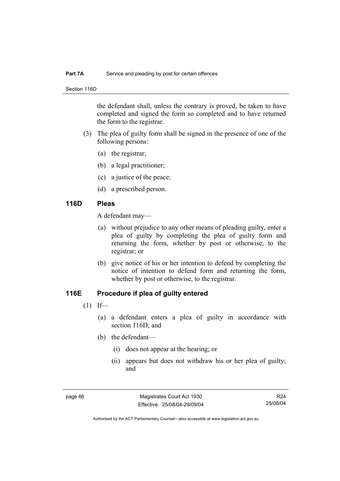#### **Part 7A** Service and pleading by post for certain offences

Section 116D

the defendant shall, unless the contrary is proved, be taken to have completed and signed the form so completed and to have returned the form to the registrar.

- (3) The plea of guilty form shall be signed in the presence of one of the following persons:
	- (a) the registrar;
	- (b) a legal practitioner;
	- (c) a justice of the peace;
	- (d) a prescribed person.

#### **116D Pleas**

A defendant may—

- (a) without prejudice to any other means of pleading guilty, enter a plea of guilty by completing the plea of guilty form and returning the form, whether by post or otherwise, to the registrar; or
- (b) give notice of his or her intention to defend by completing the notice of intention to defend form and returning the form, whether by post or otherwise, to the registrar.

## **116E Procedure if plea of guilty entered**

- $(1)$  If—
	- (a) a defendant enters a plea of guilty in accordance with section 116D; and
	- (b) the defendant—
		- (i) does not appear at the hearing; or
		- (ii) appears but does not withdraw his or her plea of guilty; and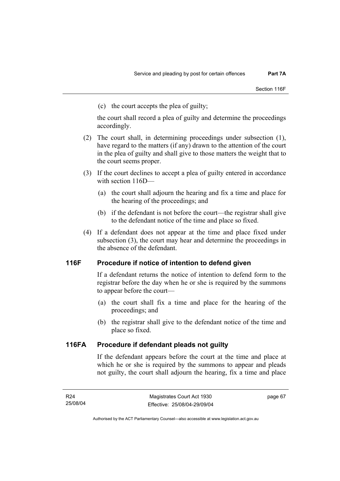(c) the court accepts the plea of guilty;

the court shall record a plea of guilty and determine the proceedings accordingly.

- (2) The court shall, in determining proceedings under subsection (1), have regard to the matters (if any) drawn to the attention of the court in the plea of guilty and shall give to those matters the weight that to the court seems proper.
- (3) If the court declines to accept a plea of guilty entered in accordance with section 116D—
	- (a) the court shall adjourn the hearing and fix a time and place for the hearing of the proceedings; and
	- (b) if the defendant is not before the court—the registrar shall give to the defendant notice of the time and place so fixed.
- (4) If a defendant does not appear at the time and place fixed under subsection (3), the court may hear and determine the proceedings in the absence of the defendant.

## **116F Procedure if notice of intention to defend given**

If a defendant returns the notice of intention to defend form to the registrar before the day when he or she is required by the summons to appear before the court—

- (a) the court shall fix a time and place for the hearing of the proceedings; and
- (b) the registrar shall give to the defendant notice of the time and place so fixed.

## **116FA Procedure if defendant pleads not guilty**

If the defendant appears before the court at the time and place at which he or she is required by the summons to appear and pleads not guilty, the court shall adjourn the hearing, fix a time and place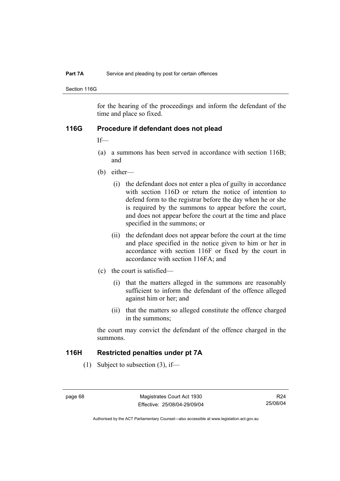#### **Part 7A** Service and pleading by post for certain offences

Section 116G

for the hearing of the proceedings and inform the defendant of the time and place so fixed.

#### **116G Procedure if defendant does not plead**

If—

- (a) a summons has been served in accordance with section 116B; and
- (b) either—
	- (i) the defendant does not enter a plea of guilty in accordance with section 116D or return the notice of intention to defend form to the registrar before the day when he or she is required by the summons to appear before the court, and does not appear before the court at the time and place specified in the summons; or
	- (ii) the defendant does not appear before the court at the time and place specified in the notice given to him or her in accordance with section 116F or fixed by the court in accordance with section 116FA; and
- (c) the court is satisfied—
	- (i) that the matters alleged in the summons are reasonably sufficient to inform the defendant of the offence alleged against him or her; and
	- (ii) that the matters so alleged constitute the offence charged in the summons;

the court may convict the defendant of the offence charged in the summons.

#### **116H Restricted penalties under pt 7A**

(1) Subject to subsection (3), if—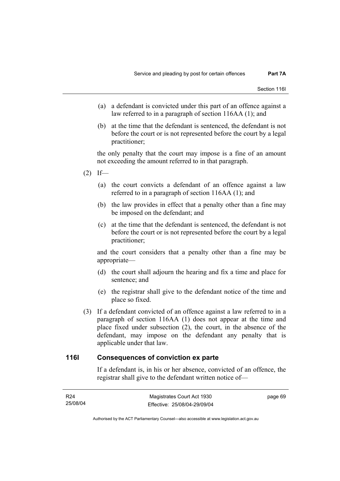- (a) a defendant is convicted under this part of an offence against a law referred to in a paragraph of section 116AA (1); and
- (b) at the time that the defendant is sentenced, the defendant is not before the court or is not represented before the court by a legal practitioner;

the only penalty that the court may impose is a fine of an amount not exceeding the amount referred to in that paragraph.

- $(2)$  If—
	- (a) the court convicts a defendant of an offence against a law referred to in a paragraph of section 116AA (1); and
	- (b) the law provides in effect that a penalty other than a fine may be imposed on the defendant; and
	- (c) at the time that the defendant is sentenced, the defendant is not before the court or is not represented before the court by a legal practitioner;

and the court considers that a penalty other than a fine may be appropriate—

- (d) the court shall adjourn the hearing and fix a time and place for sentence; and
- (e) the registrar shall give to the defendant notice of the time and place so fixed.
- (3) If a defendant convicted of an offence against a law referred to in a paragraph of section 116AA (1) does not appear at the time and place fixed under subsection (2), the court, in the absence of the defendant, may impose on the defendant any penalty that is applicable under that law.

#### **116I Consequences of conviction ex parte**

If a defendant is, in his or her absence, convicted of an offence, the registrar shall give to the defendant written notice of—

| R24      | Magistrates Court Act 1930   | page 69 |
|----------|------------------------------|---------|
| 25/08/04 | Effective: 25/08/04-29/09/04 |         |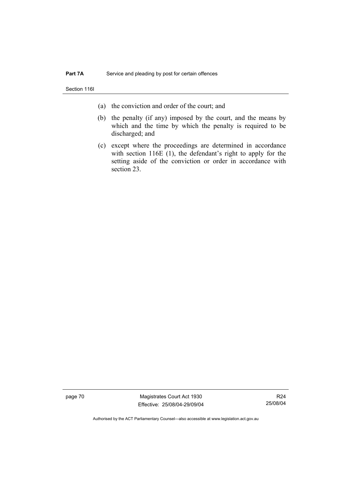Section 116I

- (a) the conviction and order of the court; and
- (b) the penalty (if any) imposed by the court, and the means by which and the time by which the penalty is required to be discharged; and
- (c) except where the proceedings are determined in accordance with section 116E (1), the defendant's right to apply for the setting aside of the conviction or order in accordance with section 23.

page 70 Magistrates Court Act 1930 Effective: 25/08/04-29/09/04

R24 25/08/04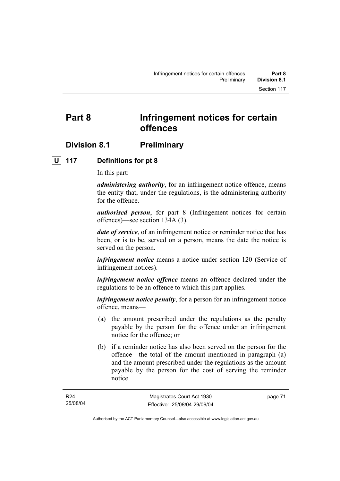## **Division 8.1 Preliminary**

#### **U 117 Definitions for pt 8**

In this part:

*administering authority*, for an infringement notice offence, means the entity that, under the regulations, is the administering authority for the offence.

*authorised person*, for part 8 (Infringement notices for certain offences)—see section 134A (3).

*date of service*, of an infringement notice or reminder notice that has been, or is to be, served on a person, means the date the notice is served on the person.

*infringement notice* means a notice under section 120 (Service of infringement notices).

*infringement notice offence* means an offence declared under the regulations to be an offence to which this part applies.

*infringement notice penalty*, for a person for an infringement notice offence, means—

- (a) the amount prescribed under the regulations as the penalty payable by the person for the offence under an infringement notice for the offence; or
- (b) if a reminder notice has also been served on the person for the offence—the total of the amount mentioned in paragraph (a) and the amount prescribed under the regulations as the amount payable by the person for the cost of serving the reminder notice.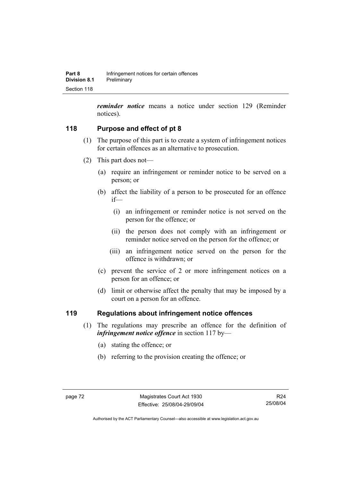*reminder notice* means a notice under section 129 (Reminder notices).

## **118 Purpose and effect of pt 8**

- (1) The purpose of this part is to create a system of infringement notices for certain offences as an alternative to prosecution.
- (2) This part does not—
	- (a) require an infringement or reminder notice to be served on a person; or
	- (b) affect the liability of a person to be prosecuted for an offence if—
		- (i) an infringement or reminder notice is not served on the person for the offence; or
		- (ii) the person does not comply with an infringement or reminder notice served on the person for the offence; or
		- (iii) an infringement notice served on the person for the offence is withdrawn; or
	- (c) prevent the service of 2 or more infringement notices on a person for an offence; or
	- (d) limit or otherwise affect the penalty that may be imposed by a court on a person for an offence.

## **119 Regulations about infringement notice offences**

- (1) The regulations may prescribe an offence for the definition of *infringement notice offence* in section 117 by—
	- (a) stating the offence; or
	- (b) referring to the provision creating the offence; or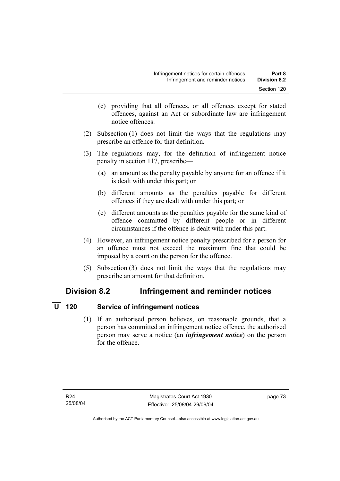- (c) providing that all offences, or all offences except for stated offences, against an Act or subordinate law are infringement notice offences.
- (2) Subsection (1) does not limit the ways that the regulations may prescribe an offence for that definition.
- (3) The regulations may, for the definition of infringement notice penalty in section 117, prescribe—
	- (a) an amount as the penalty payable by anyone for an offence if it is dealt with under this part; or
	- (b) different amounts as the penalties payable for different offences if they are dealt with under this part; or
	- (c) different amounts as the penalties payable for the same kind of offence committed by different people or in different circumstances if the offence is dealt with under this part.
- (4) However, an infringement notice penalty prescribed for a person for an offence must not exceed the maximum fine that could be imposed by a court on the person for the offence.
- (5) Subsection (3) does not limit the ways that the regulations may prescribe an amount for that definition.

## **Division 8.2 Infringement and reminder notices**

## *<u>U</u>* 120 Service of infringement notices

 (1) If an authorised person believes, on reasonable grounds, that a person has committed an infringement notice offence, the authorised person may serve a notice (an *infringement notice*) on the person for the offence.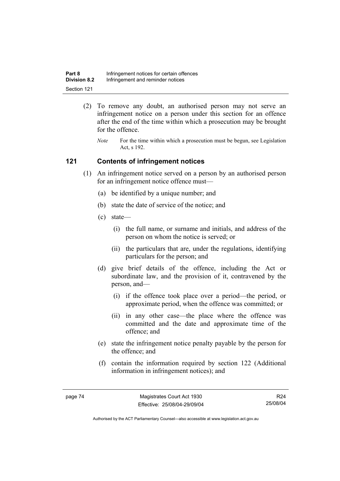| Part 8              | Infringement notices for certain offences |
|---------------------|-------------------------------------------|
| <b>Division 8.2</b> | Infringement and reminder notices         |
| Section 121         |                                           |

- (2) To remove any doubt, an authorised person may not serve an infringement notice on a person under this section for an offence after the end of the time within which a prosecution may be brought for the offence.
	- *Note* For the time within which a prosecution must be begun, see Legislation Act, s 192.

#### **121 Contents of infringement notices**

- (1) An infringement notice served on a person by an authorised person for an infringement notice offence must—
	- (a) be identified by a unique number; and
	- (b) state the date of service of the notice; and
	- (c) state—
		- (i) the full name, or surname and initials, and address of the person on whom the notice is served; or
		- (ii) the particulars that are, under the regulations, identifying particulars for the person; and
	- (d) give brief details of the offence, including the Act or subordinate law, and the provision of it, contravened by the person, and—
		- (i) if the offence took place over a period—the period, or approximate period, when the offence was committed; or
		- (ii) in any other case—the place where the offence was committed and the date and approximate time of the offence; and
	- (e) state the infringement notice penalty payable by the person for the offence; and
	- (f) contain the information required by section 122 (Additional information in infringement notices); and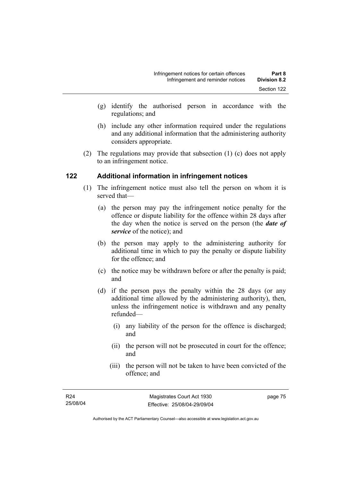- (g) identify the authorised person in accordance with the regulations; and
- (h) include any other information required under the regulations and any additional information that the administering authority considers appropriate.
- (2) The regulations may provide that subsection (1) (c) does not apply to an infringement notice.

## **122 Additional information in infringement notices**

- (1) The infringement notice must also tell the person on whom it is served that—
	- (a) the person may pay the infringement notice penalty for the offence or dispute liability for the offence within 28 days after the day when the notice is served on the person (the *date of service* of the notice); and
	- (b) the person may apply to the administering authority for additional time in which to pay the penalty or dispute liability for the offence; and
	- (c) the notice may be withdrawn before or after the penalty is paid; and
	- (d) if the person pays the penalty within the 28 days (or any additional time allowed by the administering authority), then, unless the infringement notice is withdrawn and any penalty refunded—
		- (i) any liability of the person for the offence is discharged; and
		- (ii) the person will not be prosecuted in court for the offence; and
		- (iii) the person will not be taken to have been convicted of the offence; and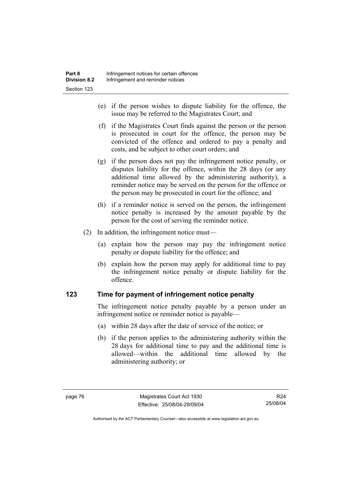- (e) if the person wishes to dispute liability for the offence, the issue may be referred to the Magistrates Court; and
- (f) if the Magistrates Court finds against the person or the person is prosecuted in court for the offence, the person may be convicted of the offence and ordered to pay a penalty and costs, and be subject to other court orders; and
- (g) if the person does not pay the infringement notice penalty, or disputes liability for the offence, within the 28 days (or any additional time allowed by the administering authority), a reminder notice may be served on the person for the offence or the person may be prosecuted in court for the offence; and
- (h) if a reminder notice is served on the person, the infringement notice penalty is increased by the amount payable by the person for the cost of serving the reminder notice.
- (2) In addition, the infringement notice must—
	- (a) explain how the person may pay the infringement notice penalty or dispute liability for the offence; and
	- (b) explain how the person may apply for additional time to pay the infringement notice penalty or dispute liability for the offence.

## **123 Time for payment of infringement notice penalty**

The infringement notice penalty payable by a person under an infringement notice or reminder notice is payable—

- (a) within 28 days after the date of service of the notice; or
- (b) if the person applies to the administering authority within the 28 days for additional time to pay and the additional time is allowed—within the additional time allowed by the administering authority; or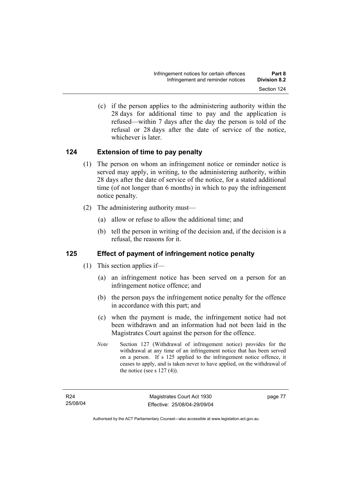(c) if the person applies to the administering authority within the 28 days for additional time to pay and the application is refused—within 7 days after the day the person is told of the refusal or 28 days after the date of service of the notice, whichever is later.

## **124 Extension of time to pay penalty**

- (1) The person on whom an infringement notice or reminder notice is served may apply, in writing, to the administering authority, within 28 days after the date of service of the notice, for a stated additional time (of not longer than 6 months) in which to pay the infringement notice penalty.
- (2) The administering authority must—
	- (a) allow or refuse to allow the additional time; and
	- (b) tell the person in writing of the decision and, if the decision is a refusal, the reasons for it.

## **125 Effect of payment of infringement notice penalty**

- (1) This section applies if—
	- (a) an infringement notice has been served on a person for an infringement notice offence; and
	- (b) the person pays the infringement notice penalty for the offence in accordance with this part; and
	- (c) when the payment is made, the infringement notice had not been withdrawn and an information had not been laid in the Magistrates Court against the person for the offence.
	- *Note* Section 127 (Withdrawal of infringement notice) provides for the withdrawal at any time of an infringement notice that has been served on a person. If s 125 applied to the infringement notice offence, it ceases to apply, and is taken never to have applied, on the withdrawal of the notice (see s  $127(4)$ ).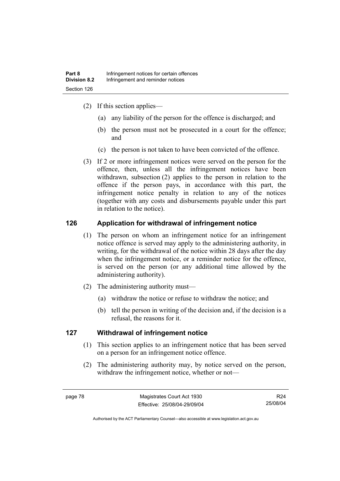- (2) If this section applies—
	- (a) any liability of the person for the offence is discharged; and
	- (b) the person must not be prosecuted in a court for the offence; and
	- (c) the person is not taken to have been convicted of the offence.
- (3) If 2 or more infringement notices were served on the person for the offence, then, unless all the infringement notices have been withdrawn, subsection (2) applies to the person in relation to the offence if the person pays, in accordance with this part, the infringement notice penalty in relation to any of the notices (together with any costs and disbursements payable under this part in relation to the notice).

## **126 Application for withdrawal of infringement notice**

- (1) The person on whom an infringement notice for an infringement notice offence is served may apply to the administering authority, in writing, for the withdrawal of the notice within 28 days after the day when the infringement notice, or a reminder notice for the offence, is served on the person (or any additional time allowed by the administering authority).
- (2) The administering authority must—
	- (a) withdraw the notice or refuse to withdraw the notice; and
	- (b) tell the person in writing of the decision and, if the decision is a refusal, the reasons for it.

## **127 Withdrawal of infringement notice**

- (1) This section applies to an infringement notice that has been served on a person for an infringement notice offence.
- (2) The administering authority may, by notice served on the person, withdraw the infringement notice, whether or not—

R24 25/08/04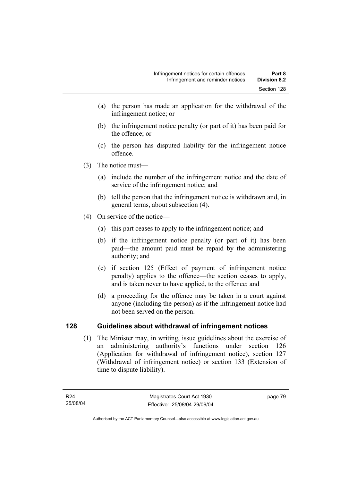- (a) the person has made an application for the withdrawal of the infringement notice; or
- (b) the infringement notice penalty (or part of it) has been paid for the offence; or
- (c) the person has disputed liability for the infringement notice offence.
- (3) The notice must—
	- (a) include the number of the infringement notice and the date of service of the infringement notice; and
	- (b) tell the person that the infringement notice is withdrawn and, in general terms, about subsection (4).
- (4) On service of the notice—
	- (a) this part ceases to apply to the infringement notice; and
	- (b) if the infringement notice penalty (or part of it) has been paid—the amount paid must be repaid by the administering authority; and
	- (c) if section 125 (Effect of payment of infringement notice penalty) applies to the offence—the section ceases to apply, and is taken never to have applied, to the offence; and
	- (d) a proceeding for the offence may be taken in a court against anyone (including the person) as if the infringement notice had not been served on the person.

## **128 Guidelines about withdrawal of infringement notices**

 (1) The Minister may, in writing, issue guidelines about the exercise of an administering authority's functions under section 126 (Application for withdrawal of infringement notice), section 127 (Withdrawal of infringement notice) or section 133 (Extension of time to dispute liability).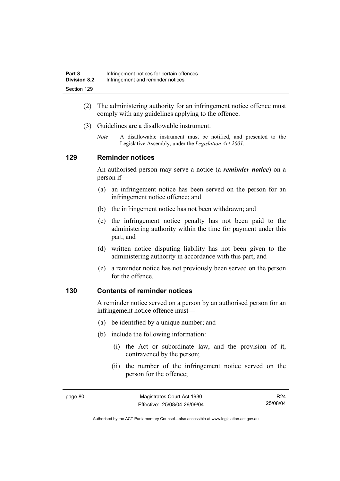- (2) The administering authority for an infringement notice offence must comply with any guidelines applying to the offence.
- (3) Guidelines are a disallowable instrument.
	- *Note* A disallowable instrument must be notified, and presented to the Legislative Assembly, under the *Legislation Act 2001*.

#### **129 Reminder notices**

An authorised person may serve a notice (a *reminder notice*) on a person if—

- (a) an infringement notice has been served on the person for an infringement notice offence; and
- (b) the infringement notice has not been withdrawn; and
- (c) the infringement notice penalty has not been paid to the administering authority within the time for payment under this part; and
- (d) written notice disputing liability has not been given to the administering authority in accordance with this part; and
- (e) a reminder notice has not previously been served on the person for the offence.

#### **130 Contents of reminder notices**

A reminder notice served on a person by an authorised person for an infringement notice offence must—

- (a) be identified by a unique number; and
- (b) include the following information:
	- (i) the Act or subordinate law, and the provision of it, contravened by the person;
	- (ii) the number of the infringement notice served on the person for the offence;

page 80 Magistrates Court Act 1930 Effective: 25/08/04-29/09/04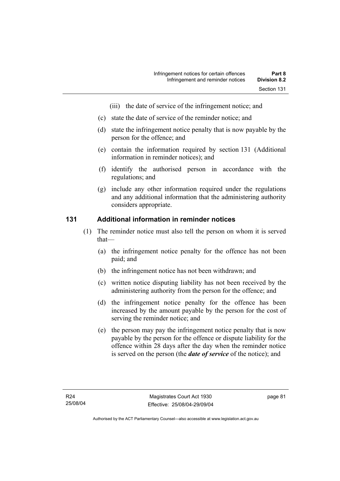- (iii) the date of service of the infringement notice; and
- (c) state the date of service of the reminder notice; and
- (d) state the infringement notice penalty that is now payable by the person for the offence; and
- (e) contain the information required by section 131 (Additional information in reminder notices); and
- (f) identify the authorised person in accordance with the regulations; and
- (g) include any other information required under the regulations and any additional information that the administering authority considers appropriate.

#### **131 Additional information in reminder notices**

- (1) The reminder notice must also tell the person on whom it is served that—
	- (a) the infringement notice penalty for the offence has not been paid; and
	- (b) the infringement notice has not been withdrawn; and
	- (c) written notice disputing liability has not been received by the administering authority from the person for the offence; and
	- (d) the infringement notice penalty for the offence has been increased by the amount payable by the person for the cost of serving the reminder notice; and
	- (e) the person may pay the infringement notice penalty that is now payable by the person for the offence or dispute liability for the offence within 28 days after the day when the reminder notice is served on the person (the *date of service* of the notice); and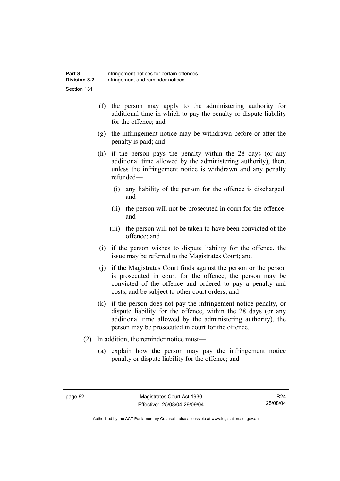- (f) the person may apply to the administering authority for additional time in which to pay the penalty or dispute liability for the offence; and
- (g) the infringement notice may be withdrawn before or after the penalty is paid; and
- (h) if the person pays the penalty within the 28 days (or any additional time allowed by the administering authority), then, unless the infringement notice is withdrawn and any penalty refunded—
	- (i) any liability of the person for the offence is discharged; and
	- (ii) the person will not be prosecuted in court for the offence; and
	- (iii) the person will not be taken to have been convicted of the offence; and
- (i) if the person wishes to dispute liability for the offence, the issue may be referred to the Magistrates Court; and
- (j) if the Magistrates Court finds against the person or the person is prosecuted in court for the offence, the person may be convicted of the offence and ordered to pay a penalty and costs, and be subject to other court orders; and
- (k) if the person does not pay the infringement notice penalty, or dispute liability for the offence, within the 28 days (or any additional time allowed by the administering authority), the person may be prosecuted in court for the offence.
- (2) In addition, the reminder notice must—
	- (a) explain how the person may pay the infringement notice penalty or dispute liability for the offence; and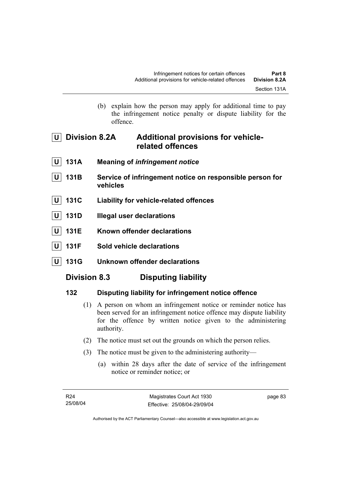(b) explain how the person may apply for additional time to pay the infringement notice penalty or dispute liability for the offence.

## **U Division 8.2A Additional provisions for vehiclerelated offences**

- **U 131A Meaning of** *infringement notice*
- 131B Service of infringement notice on responsible person for **vehicles**
- **U 131C Liability for vehicle-related offences**
- **U 131D Illegal user declarations**
- **U 131E Known offender declarations**
- **U 131F Sold vehicle declarations**
- **U 131G Unknown offender declarations**

## **Division 8.3 Disputing liability**

## **132 Disputing liability for infringement notice offence**

- (1) A person on whom an infringement notice or reminder notice has been served for an infringement notice offence may dispute liability for the offence by written notice given to the administering authority.
- (2) The notice must set out the grounds on which the person relies.
- (3) The notice must be given to the administering authority—
	- (a) within 28 days after the date of service of the infringement notice or reminder notice; or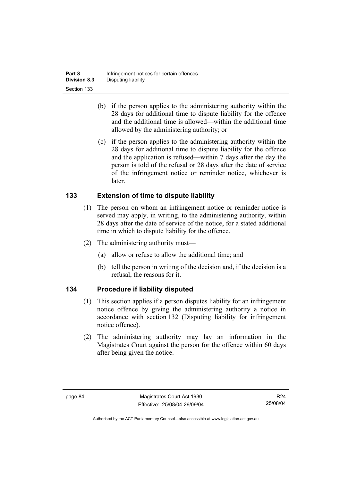| Part 8              | Infringement notices for certain offences |
|---------------------|-------------------------------------------|
| <b>Division 8.3</b> | Disputing liability                       |
| Section 133         |                                           |

- (b) if the person applies to the administering authority within the 28 days for additional time to dispute liability for the offence and the additional time is allowed—within the additional time allowed by the administering authority; or
- (c) if the person applies to the administering authority within the 28 days for additional time to dispute liability for the offence and the application is refused—within 7 days after the day the person is told of the refusal or 28 days after the date of service of the infringement notice or reminder notice, whichever is later.

## **133 Extension of time to dispute liability**

- (1) The person on whom an infringement notice or reminder notice is served may apply, in writing, to the administering authority, within 28 days after the date of service of the notice, for a stated additional time in which to dispute liability for the offence.
- (2) The administering authority must—
	- (a) allow or refuse to allow the additional time; and
	- (b) tell the person in writing of the decision and, if the decision is a refusal, the reasons for it.

## **134 Procedure if liability disputed**

- (1) This section applies if a person disputes liability for an infringement notice offence by giving the administering authority a notice in accordance with section 132 (Disputing liability for infringement notice offence).
- (2) The administering authority may lay an information in the Magistrates Court against the person for the offence within 60 days after being given the notice.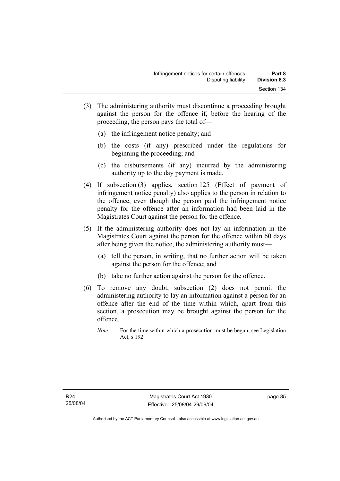- (3) The administering authority must discontinue a proceeding brought against the person for the offence if, before the hearing of the proceeding, the person pays the total of—
	- (a) the infringement notice penalty; and
	- (b) the costs (if any) prescribed under the regulations for beginning the proceeding; and
	- (c) the disbursements (if any) incurred by the administering authority up to the day payment is made.
- (4) If subsection (3) applies, section 125 (Effect of payment of infringement notice penalty) also applies to the person in relation to the offence, even though the person paid the infringement notice penalty for the offence after an information had been laid in the Magistrates Court against the person for the offence.
- (5) If the administering authority does not lay an information in the Magistrates Court against the person for the offence within 60 days after being given the notice, the administering authority must—
	- (a) tell the person, in writing, that no further action will be taken against the person for the offence; and
	- (b) take no further action against the person for the offence.
- (6) To remove any doubt, subsection (2) does not permit the administering authority to lay an information against a person for an offence after the end of the time within which, apart from this section, a prosecution may be brought against the person for the offence.
	- *Note* For the time within which a prosecution must be begun, see Legislation Act, s 192.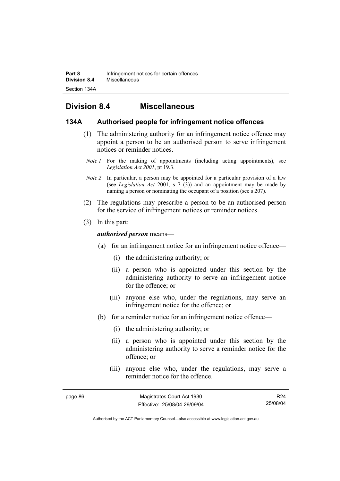## **Division 8.4 Miscellaneous**

#### **134A Authorised people for infringement notice offences**

- (1) The administering authority for an infringement notice offence may appoint a person to be an authorised person to serve infringement notices or reminder notices.
- *Note 1* For the making of appointments (including acting appointments), see *Legislation Act 2001*, pt 19.3.
- *Note 2* In particular, a person may be appointed for a particular provision of a law (see *Legislation Act* 2001, s 7 (3)) and an appointment may be made by naming a person or nominating the occupant of a position (see s 207).
- (2) The regulations may prescribe a person to be an authorised person for the service of infringement notices or reminder notices.
- (3) In this part:

#### *authorised person* means—

- (a) for an infringement notice for an infringement notice offence—
	- (i) the administering authority; or
	- (ii) a person who is appointed under this section by the administering authority to serve an infringement notice for the offence; or
	- (iii) anyone else who, under the regulations, may serve an infringement notice for the offence; or
- (b) for a reminder notice for an infringement notice offence—
	- (i) the administering authority; or
	- (ii) a person who is appointed under this section by the administering authority to serve a reminder notice for the offence; or
	- (iii) anyone else who, under the regulations, may serve a reminder notice for the offence.

page 86 Magistrates Court Act 1930 Effective: 25/08/04-29/09/04

R24 25/08/04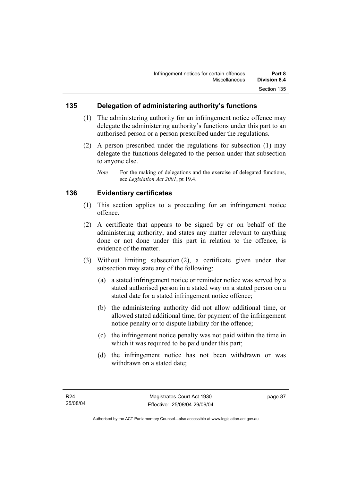#### **135 Delegation of administering authority's functions**

- (1) The administering authority for an infringement notice offence may delegate the administering authority's functions under this part to an authorised person or a person prescribed under the regulations.
- (2) A person prescribed under the regulations for subsection (1) may delegate the functions delegated to the person under that subsection to anyone else.

#### **136 Evidentiary certificates**

- (1) This section applies to a proceeding for an infringement notice offence.
- (2) A certificate that appears to be signed by or on behalf of the administering authority, and states any matter relevant to anything done or not done under this part in relation to the offence, is evidence of the matter.
- (3) Without limiting subsection (2), a certificate given under that subsection may state any of the following:
	- (a) a stated infringement notice or reminder notice was served by a stated authorised person in a stated way on a stated person on a stated date for a stated infringement notice offence;
	- (b) the administering authority did not allow additional time, or allowed stated additional time, for payment of the infringement notice penalty or to dispute liability for the offence;
	- (c) the infringement notice penalty was not paid within the time in which it was required to be paid under this part;
	- (d) the infringement notice has not been withdrawn or was withdrawn on a stated date;

*Note* For the making of delegations and the exercise of delegated functions, see *Legislation Act 2001*, pt 19.4.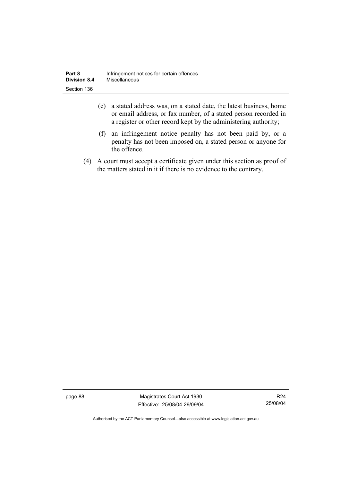| Part 8              | Infringement notices for certain offences |
|---------------------|-------------------------------------------|
| <b>Division 8.4</b> | Miscellaneous                             |
| Section 136         |                                           |

- (e) a stated address was, on a stated date, the latest business, home or email address, or fax number, of a stated person recorded in a register or other record kept by the administering authority;
- (f) an infringement notice penalty has not been paid by, or a penalty has not been imposed on, a stated person or anyone for the offence.
- (4) A court must accept a certificate given under this section as proof of the matters stated in it if there is no evidence to the contrary.

page 88 Magistrates Court Act 1930 Effective: 25/08/04-29/09/04

R24 25/08/04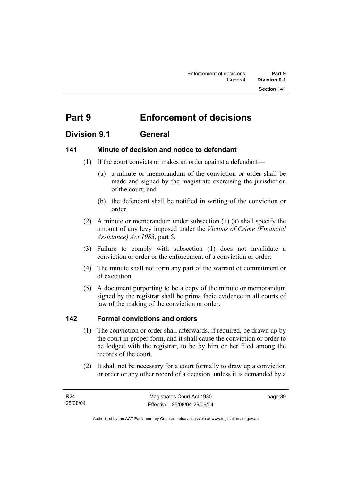# **Part 9 Enforcement of decisions**

## **Division 9.1 General**

## **141 Minute of decision and notice to defendant**

- (1) If the court convicts or makes an order against a defendant—
	- (a) a minute or memorandum of the conviction or order shall be made and signed by the magistrate exercising the jurisdiction of the court; and
	- (b) the defendant shall be notified in writing of the conviction or order.
- (2) A minute or memorandum under subsection (1) (a) shall specify the amount of any levy imposed under the *Victims of Crime (Financial Assistance) Act 1983*, part 5.
- (3) Failure to comply with subsection (1) does not invalidate a conviction or order or the enforcement of a conviction or order.
- (4) The minute shall not form any part of the warrant of commitment or of execution.
- (5) A document purporting to be a copy of the minute or memorandum signed by the registrar shall be prima facie evidence in all courts of law of the making of the conviction or order.

## **142 Formal convictions and orders**

- (1) The conviction or order shall afterwards, if required, be drawn up by the court in proper form, and it shall cause the conviction or order to be lodged with the registrar, to be by him or her filed among the records of the court.
- (2) It shall not be necessary for a court formally to draw up a conviction or order or any other record of a decision, unless it is demanded by a

page 89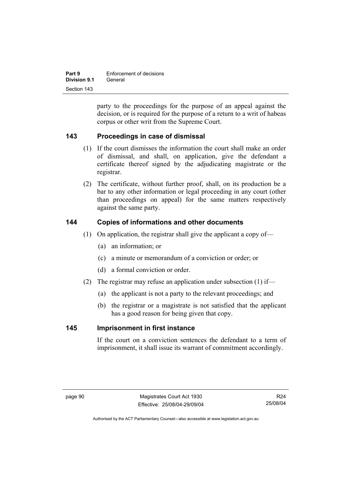| Part 9       | Enforcement of decisions |
|--------------|--------------------------|
| Division 9.1 | General                  |
| Section 143  |                          |

party to the proceedings for the purpose of an appeal against the decision, or is required for the purpose of a return to a writ of habeas corpus or other writ from the Supreme Court.

## **143 Proceedings in case of dismissal**

- (1) If the court dismisses the information the court shall make an order of dismissal, and shall, on application, give the defendant a certificate thereof signed by the adjudicating magistrate or the registrar.
- (2) The certificate, without further proof, shall, on its production be a bar to any other information or legal proceeding in any court (other than proceedings on appeal) for the same matters respectively against the same party.

#### **144 Copies of informations and other documents**

- (1) On application, the registrar shall give the applicant a copy of—
	- (a) an information; or
	- (c) a minute or memorandum of a conviction or order; or
	- (d) a formal conviction or order.
- (2) The registrar may refuse an application under subsection (1) if—
	- (a) the applicant is not a party to the relevant proceedings; and
	- (b) the registrar or a magistrate is not satisfied that the applicant has a good reason for being given that copy.

#### **145 Imprisonment in first instance**

If the court on a conviction sentences the defendant to a term of imprisonment, it shall issue its warrant of commitment accordingly.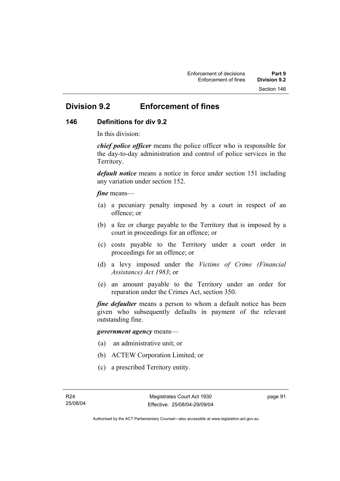## **Division 9.2 Enforcement of fines**

## **146 Definitions for div 9.2**

In this division:

*chief police officer* means the police officer who is responsible for the day-to-day administration and control of police services in the Territory.

*default notice* means a notice in force under section 151 including any variation under section 152.

#### *fine* means—

- (a) a pecuniary penalty imposed by a court in respect of an offence; or
- (b) a fee or charge payable to the Territory that is imposed by a court in proceedings for an offence; or
- (c) costs payable to the Territory under a court order in proceedings for an offence; or
- (d) a levy imposed under the *Victims of Crime (Financial Assistance) Act 1983*; or
- (e) an amount payable to the Territory under an order for reparation under the Crimes Act, section 350.

*fine defaulter* means a person to whom a default notice has been given who subsequently defaults in payment of the relevant outstanding fine.

#### *government agency* means—

- (a) an administrative unit; or
- (b) ACTEW Corporation Limited; or
- (c) a prescribed Territory entity.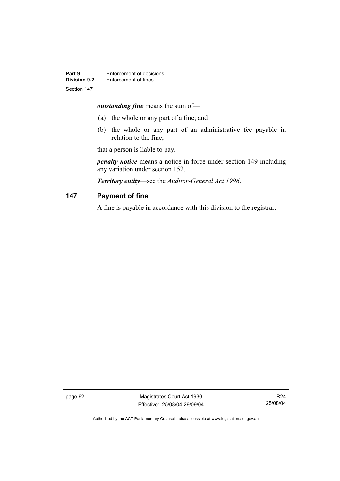*outstanding fine* means the sum of—

- (a) the whole or any part of a fine; and
- (b) the whole or any part of an administrative fee payable in relation to the fine;

that a person is liable to pay.

*penalty notice* means a notice in force under section 149 including any variation under section 152.

*Territory entity*—see the *Auditor-General Act 1996*.

#### **147 Payment of fine**

A fine is payable in accordance with this division to the registrar.

page 92 Magistrates Court Act 1930 Effective: 25/08/04-29/09/04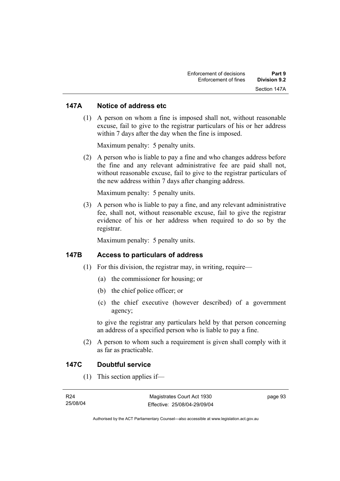#### **147A Notice of address etc**

 (1) A person on whom a fine is imposed shall not, without reasonable excuse, fail to give to the registrar particulars of his or her address within 7 days after the day when the fine is imposed.

Maximum penalty: 5 penalty units.

 (2) A person who is liable to pay a fine and who changes address before the fine and any relevant administrative fee are paid shall not, without reasonable excuse, fail to give to the registrar particulars of the new address within 7 days after changing address.

Maximum penalty: 5 penalty units.

 (3) A person who is liable to pay a fine, and any relevant administrative fee, shall not, without reasonable excuse, fail to give the registrar evidence of his or her address when required to do so by the registrar.

Maximum penalty: 5 penalty units.

#### **147B Access to particulars of address**

- $(1)$  For this division, the registrar may, in writing, require—
	- (a) the commissioner for housing; or
	- (b) the chief police officer; or
	- (c) the chief executive (however described) of a government agency;

to give the registrar any particulars held by that person concerning an address of a specified person who is liable to pay a fine.

 (2) A person to whom such a requirement is given shall comply with it as far as practicable.

#### **147C Doubtful service**

(1) This section applies if—

| R24      | Magistrates Court Act 1930   | page 93 |
|----------|------------------------------|---------|
| 25/08/04 | Effective: 25/08/04-29/09/04 |         |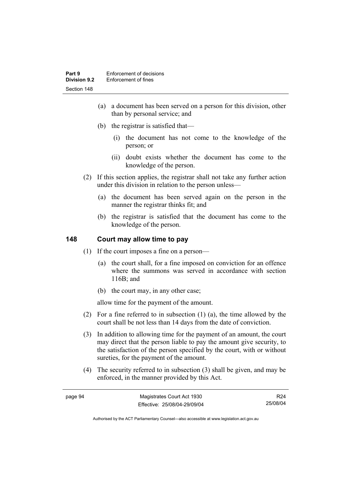- (a) a document has been served on a person for this division, other than by personal service; and
- (b) the registrar is satisfied that—
	- (i) the document has not come to the knowledge of the person; or
	- (ii) doubt exists whether the document has come to the knowledge of the person.
- (2) If this section applies, the registrar shall not take any further action under this division in relation to the person unless—
	- (a) the document has been served again on the person in the manner the registrar thinks fit; and
	- (b) the registrar is satisfied that the document has come to the knowledge of the person.

## **148 Court may allow time to pay**

- (1) If the court imposes a fine on a person—
	- (a) the court shall, for a fine imposed on conviction for an offence where the summons was served in accordance with section 116B; and
	- (b) the court may, in any other case;

allow time for the payment of the amount.

- (2) For a fine referred to in subsection (1) (a), the time allowed by the court shall be not less than 14 days from the date of conviction.
- (3) In addition to allowing time for the payment of an amount, the court may direct that the person liable to pay the amount give security, to the satisfaction of the person specified by the court, with or without sureties, for the payment of the amount.
- (4) The security referred to in subsection (3) shall be given, and may be enforced, in the manner provided by this Act.

page 94 Magistrates Court Act 1930 Effective: 25/08/04-29/09/04 R24 25/08/04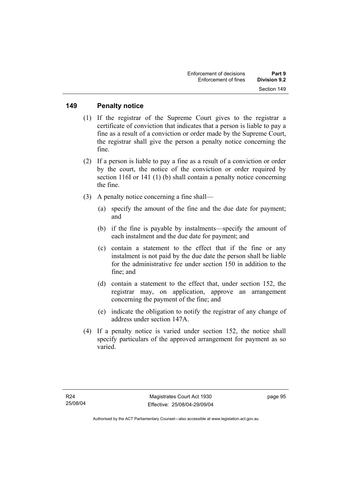#### **149 Penalty notice**

- (1) If the registrar of the Supreme Court gives to the registrar a certificate of conviction that indicates that a person is liable to pay a fine as a result of a conviction or order made by the Supreme Court, the registrar shall give the person a penalty notice concerning the fine.
- (2) If a person is liable to pay a fine as a result of a conviction or order by the court, the notice of the conviction or order required by section 116I or 141 (1) (b) shall contain a penalty notice concerning the fine.
- (3) A penalty notice concerning a fine shall—
	- (a) specify the amount of the fine and the due date for payment; and
	- (b) if the fine is payable by instalments—specify the amount of each instalment and the due date for payment; and
	- (c) contain a statement to the effect that if the fine or any instalment is not paid by the due date the person shall be liable for the administrative fee under section 150 in addition to the fine; and
	- (d) contain a statement to the effect that, under section 152, the registrar may, on application, approve an arrangement concerning the payment of the fine; and
	- (e) indicate the obligation to notify the registrar of any change of address under section 147A.
- (4) If a penalty notice is varied under section 152, the notice shall specify particulars of the approved arrangement for payment as so varied.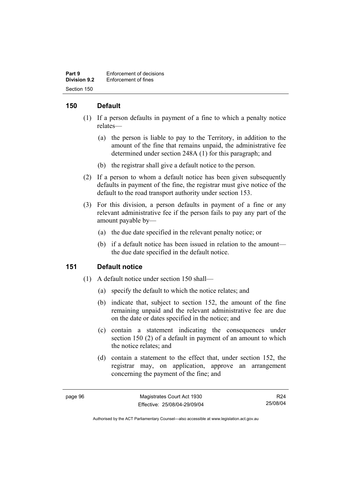| Part 9              | Enforcement of decisions |
|---------------------|--------------------------|
| <b>Division 9.2</b> | Enforcement of fines     |
| Section 150         |                          |

# **150 Default**

- (1) If a person defaults in payment of a fine to which a penalty notice relates—
	- (a) the person is liable to pay to the Territory, in addition to the amount of the fine that remains unpaid, the administrative fee determined under section 248A (1) for this paragraph; and
	- (b) the registrar shall give a default notice to the person.
- (2) If a person to whom a default notice has been given subsequently defaults in payment of the fine, the registrar must give notice of the default to the road transport authority under section 153.
- (3) For this division, a person defaults in payment of a fine or any relevant administrative fee if the person fails to pay any part of the amount payable by—
	- (a) the due date specified in the relevant penalty notice; or
	- (b) if a default notice has been issued in relation to the amount the due date specified in the default notice.

#### **151 Default notice**

- (1) A default notice under section 150 shall—
	- (a) specify the default to which the notice relates; and
	- (b) indicate that, subject to section 152, the amount of the fine remaining unpaid and the relevant administrative fee are due on the date or dates specified in the notice; and
	- (c) contain a statement indicating the consequences under section 150 (2) of a default in payment of an amount to which the notice relates; and
	- (d) contain a statement to the effect that, under section 152, the registrar may, on application, approve an arrangement concerning the payment of the fine; and

R24 25/08/04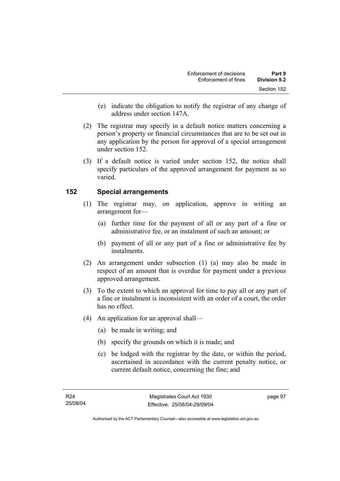- (e) indicate the obligation to notify the registrar of any change of address under section 147A.
- (2) The registrar may specify in a default notice matters concerning a person's property or financial circumstances that are to be set out in any application by the person for approval of a special arrangement under section 152.
- (3) If a default notice is varied under section 152, the notice shall specify particulars of the approved arrangement for payment as so varied.

# **152 Special arrangements**

- (1) The registrar may, on application, approve in writing an arrangement for—
	- (a) further time for the payment of all or any part of a fine or administrative fee, or an instalment of such an amount; or
	- (b) payment of all or any part of a fine or administrative fee by instalments.
- (2) An arrangement under subsection (1) (a) may also be made in respect of an amount that is overdue for payment under a previous approved arrangement.
- (3) To the extent to which an approval for time to pay all or any part of a fine or instalment is inconsistent with an order of a court, the order has no effect.
- (4) An application for an approval shall—
	- (a) be made in writing; and
	- (b) specify the grounds on which it is made; and
	- (c) be lodged with the registrar by the date, or within the period, ascertained in accordance with the current penalty notice, or current default notice, concerning the fine; and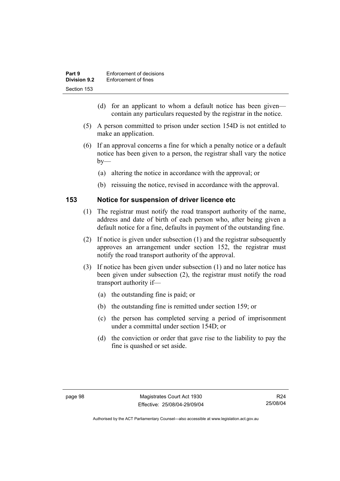| Part 9              | Enforcement of decisions |
|---------------------|--------------------------|
| <b>Division 9.2</b> | Enforcement of fines     |
| Section 153         |                          |

- (d) for an applicant to whom a default notice has been given contain any particulars requested by the registrar in the notice.
- (5) A person committed to prison under section 154D is not entitled to make an application.
- (6) If an approval concerns a fine for which a penalty notice or a default notice has been given to a person, the registrar shall vary the notice  $by-$ 
	- (a) altering the notice in accordance with the approval; or
	- (b) reissuing the notice, revised in accordance with the approval.

#### **153 Notice for suspension of driver licence etc**

- (1) The registrar must notify the road transport authority of the name, address and date of birth of each person who, after being given a default notice for a fine, defaults in payment of the outstanding fine.
- (2) If notice is given under subsection (1) and the registrar subsequently approves an arrangement under section 152, the registrar must notify the road transport authority of the approval.
- (3) If notice has been given under subsection (1) and no later notice has been given under subsection (2), the registrar must notify the road transport authority if—
	- (a) the outstanding fine is paid; or
	- (b) the outstanding fine is remitted under section 159; or
	- (c) the person has completed serving a period of imprisonment under a committal under section 154D; or
	- (d) the conviction or order that gave rise to the liability to pay the fine is quashed or set aside.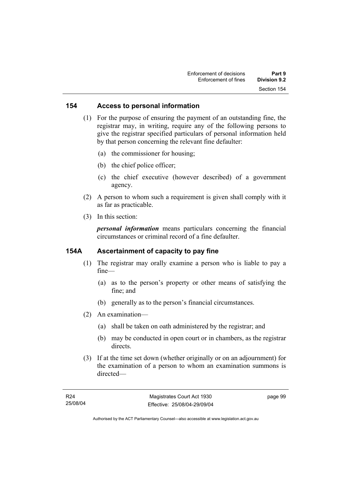#### **154 Access to personal information**

 (1) For the purpose of ensuring the payment of an outstanding fine, the registrar may, in writing, require any of the following persons to give the registrar specified particulars of personal information held by that person concerning the relevant fine defaulter:

- (a) the commissioner for housing;
- (b) the chief police officer;
- (c) the chief executive (however described) of a government agency.
- (2) A person to whom such a requirement is given shall comply with it as far as practicable.
- (3) In this section:

*personal information* means particulars concerning the financial circumstances or criminal record of a fine defaulter.

#### **154A Ascertainment of capacity to pay fine**

- (1) The registrar may orally examine a person who is liable to pay a fine—
	- (a) as to the person's property or other means of satisfying the fine; and
	- (b) generally as to the person's financial circumstances.
- (2) An examination—
	- (a) shall be taken on oath administered by the registrar; and
	- (b) may be conducted in open court or in chambers, as the registrar directs.
- (3) If at the time set down (whether originally or on an adjournment) for the examination of a person to whom an examination summons is directed—

page 99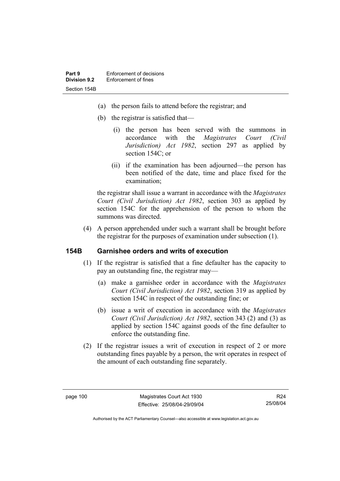- (a) the person fails to attend before the registrar; and
- (b) the registrar is satisfied that—
	- (i) the person has been served with the summons in accordance with the *Magistrates Court (Civil Jurisdiction) Act 1982*, section 297 as applied by section 154C; or
	- (ii) if the examination has been adjourned—the person has been notified of the date, time and place fixed for the examination;

the registrar shall issue a warrant in accordance with the *Magistrates Court (Civil Jurisdiction) Act 1982*, section 303 as applied by section 154C for the apprehension of the person to whom the summons was directed.

 (4) A person apprehended under such a warrant shall be brought before the registrar for the purposes of examination under subsection (1).

#### **154B Garnishee orders and writs of execution**

- (1) If the registrar is satisfied that a fine defaulter has the capacity to pay an outstanding fine, the registrar may—
	- (a) make a garnishee order in accordance with the *Magistrates Court (Civil Jurisdiction) Act 1982*, section 319 as applied by section 154C in respect of the outstanding fine; or
	- (b) issue a writ of execution in accordance with the *Magistrates Court (Civil Jurisdiction) Act 1982*, section 343 (2) and (3) as applied by section 154C against goods of the fine defaulter to enforce the outstanding fine.
- (2) If the registrar issues a writ of execution in respect of 2 or more outstanding fines payable by a person, the writ operates in respect of the amount of each outstanding fine separately.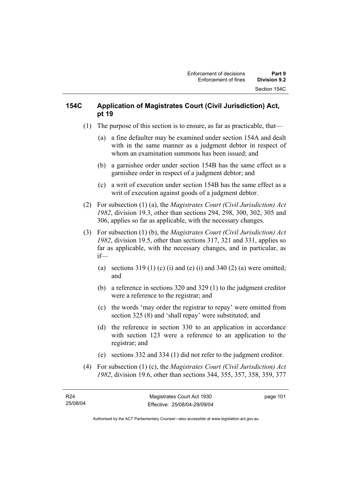# **154C Application of Magistrates Court (Civil Jurisdiction) Act, pt 19**

- (1) The purpose of this section is to ensure, as far as practicable, that—
	- (a) a fine defaulter may be examined under section 154A and dealt with in the same manner as a judgment debtor in respect of whom an examination summons has been issued; and
	- (b) a garnishee order under section 154B has the same effect as a garnishee order in respect of a judgment debtor; and
	- (c) a writ of execution under section 154B has the same effect as a writ of execution against goods of a judgment debtor.
- (2) For subsection (1) (a), the *Magistrates Court (Civil Jurisdiction) Act 1982*, division 19.3, other than sections 294, 298, 300, 302, 305 and 306, applies so far as applicable, with the necessary changes.
- (3) For subsection (1) (b), the *Magistrates Court (Civil Jurisdiction) Act 1982*, division 19.5, other than sections 317, 321 and 331, applies so far as applicable, with the necessary changes, and in particular, as if—
	- (a) sections  $319(1)$  (c) (i) and (e) (i) and  $340(2)$  (a) were omitted; and
	- (b) a reference in sections 320 and 329 (1) to the judgment creditor were a reference to the registrar; and
	- (c) the words 'may order the registrar to repay' were omitted from section 325 (8) and 'shall repay' were substituted; and
	- (d) the reference in section 330 to an application in accordance with section 123 were a reference to an application to the registrar; and
	- (e) sections 332 and 334 (1) did not refer to the judgment creditor.
- (4) For subsection (1) (c), the *Magistrates Court (Civil Jurisdiction) Act 1982*, division 19.6, other than sections 344, 355, 357, 358, 359, 377

page 101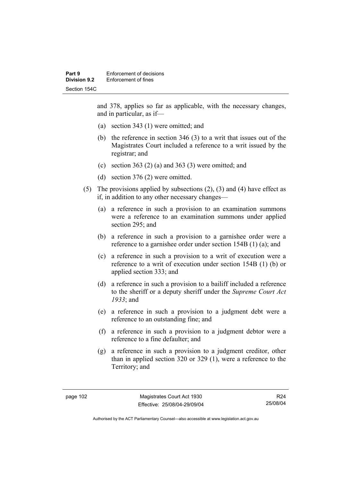and 378, applies so far as applicable, with the necessary changes, and in particular, as if—

- (a) section 343 (1) were omitted; and
- (b) the reference in section 346 (3) to a writ that issues out of the Magistrates Court included a reference to a writ issued by the registrar; and
- (c) section 363 (2) (a) and 363 (3) were omitted; and
- (d) section 376 (2) were omitted.
- (5) The provisions applied by subsections (2), (3) and (4) have effect as if, in addition to any other necessary changes—
	- (a) a reference in such a provision to an examination summons were a reference to an examination summons under applied section 295; and
	- (b) a reference in such a provision to a garnishee order were a reference to a garnishee order under section 154B (1) (a); and
	- (c) a reference in such a provision to a writ of execution were a reference to a writ of execution under section 154B (1) (b) or applied section 333; and
	- (d) a reference in such a provision to a bailiff included a reference to the sheriff or a deputy sheriff under the *Supreme Court Act 1933*; and
	- (e) a reference in such a provision to a judgment debt were a reference to an outstanding fine; and
	- (f) a reference in such a provision to a judgment debtor were a reference to a fine defaulter; and
	- (g) a reference in such a provision to a judgment creditor, other than in applied section 320 or 329 (1), were a reference to the Territory; and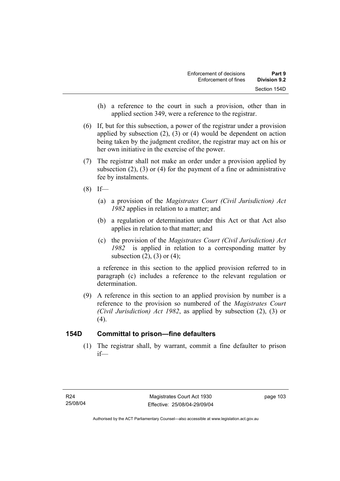- (h) a reference to the court in such a provision, other than in applied section 349, were a reference to the registrar.
- (6) If, but for this subsection, a power of the registrar under a provision applied by subsection (2), (3) or (4) would be dependent on action being taken by the judgment creditor, the registrar may act on his or her own initiative in the exercise of the power.
- (7) The registrar shall not make an order under a provision applied by subsection (2), (3) or (4) for the payment of a fine or administrative fee by instalments.
- $(8)$  If—
	- (a) a provision of the *Magistrates Court (Civil Jurisdiction) Act 1982* applies in relation to a matter; and
	- (b) a regulation or determination under this Act or that Act also applies in relation to that matter; and
	- (c) the provision of the *Magistrates Court (Civil Jurisdiction) Act 1982* is applied in relation to a corresponding matter by subsection  $(2)$ ,  $(3)$  or  $(4)$ ;

a reference in this section to the applied provision referred to in paragraph (c) includes a reference to the relevant regulation or determination.

 (9) A reference in this section to an applied provision by number is a reference to the provision so numbered of the *Magistrates Court (Civil Jurisdiction) Act 1982*, as applied by subsection (2), (3) or  $(4)$ .

# **154D Committal to prison—fine defaulters**

 (1) The registrar shall, by warrant, commit a fine defaulter to prison if—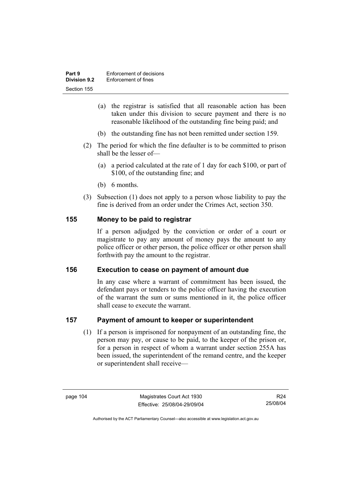| Part 9              | Enforcement of decisions |
|---------------------|--------------------------|
| <b>Division 9.2</b> | Enforcement of fines     |
| Section 155         |                          |

- (a) the registrar is satisfied that all reasonable action has been taken under this division to secure payment and there is no reasonable likelihood of the outstanding fine being paid; and
- (b) the outstanding fine has not been remitted under section 159.
- (2) The period for which the fine defaulter is to be committed to prison shall be the lesser of—
	- (a) a period calculated at the rate of 1 day for each \$100, or part of \$100, of the outstanding fine; and
	- (b) 6 months.
- (3) Subsection (1) does not apply to a person whose liability to pay the fine is derived from an order under the Crimes Act, section 350.

#### **155 Money to be paid to registrar**

If a person adjudged by the conviction or order of a court or magistrate to pay any amount of money pays the amount to any police officer or other person, the police officer or other person shall forthwith pay the amount to the registrar.

#### **156 Execution to cease on payment of amount due**

In any case where a warrant of commitment has been issued, the defendant pays or tenders to the police officer having the execution of the warrant the sum or sums mentioned in it, the police officer shall cease to execute the warrant.

#### **157 Payment of amount to keeper or superintendent**

 (1) If a person is imprisoned for nonpayment of an outstanding fine, the person may pay, or cause to be paid, to the keeper of the prison or, for a person in respect of whom a warrant under section 255A has been issued, the superintendent of the remand centre, and the keeper or superintendent shall receive—

R24 25/08/04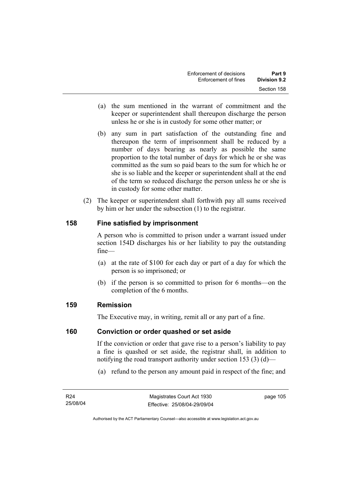- (a) the sum mentioned in the warrant of commitment and the keeper or superintendent shall thereupon discharge the person unless he or she is in custody for some other matter; or
- (b) any sum in part satisfaction of the outstanding fine and thereupon the term of imprisonment shall be reduced by a number of days bearing as nearly as possible the same proportion to the total number of days for which he or she was committed as the sum so paid bears to the sum for which he or she is so liable and the keeper or superintendent shall at the end of the term so reduced discharge the person unless he or she is in custody for some other matter.
- (2) The keeper or superintendent shall forthwith pay all sums received by him or her under the subsection (1) to the registrar.

# **158 Fine satisfied by imprisonment**

A person who is committed to prison under a warrant issued under section 154D discharges his or her liability to pay the outstanding fine—

- (a) at the rate of \$100 for each day or part of a day for which the person is so imprisoned; or
- (b) if the person is so committed to prison for 6 months—on the completion of the 6 months.

# **159 Remission**

The Executive may, in writing, remit all or any part of a fine.

#### **160 Conviction or order quashed or set aside**

If the conviction or order that gave rise to a person's liability to pay a fine is quashed or set aside, the registrar shall, in addition to notifying the road transport authority under section 153 (3) (d)—

(a) refund to the person any amount paid in respect of the fine; and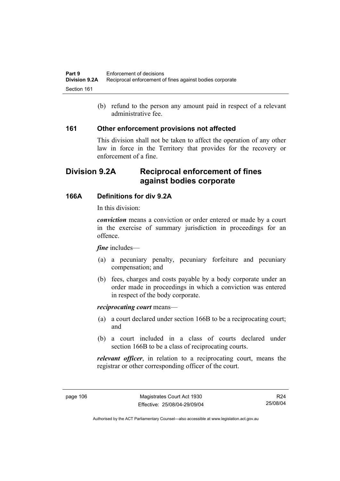(b) refund to the person any amount paid in respect of a relevant administrative fee.

#### **161 Other enforcement provisions not affected**

This division shall not be taken to affect the operation of any other law in force in the Territory that provides for the recovery or enforcement of a fine.

# **Division 9.2A Reciprocal enforcement of fines against bodies corporate**

# **166A Definitions for div 9.2A**

In this division:

*conviction* means a conviction or order entered or made by a court in the exercise of summary jurisdiction in proceedings for an offence.

#### *fine* includes—

- (a) a pecuniary penalty, pecuniary forfeiture and pecuniary compensation; and
- (b) fees, charges and costs payable by a body corporate under an order made in proceedings in which a conviction was entered in respect of the body corporate.

#### *reciprocating court* means—

- (a) a court declared under section 166B to be a reciprocating court; and
- (b) a court included in a class of courts declared under section 166B to be a class of reciprocating courts.

*relevant officer*, in relation to a reciprocating court, means the registrar or other corresponding officer of the court.

R24 25/08/04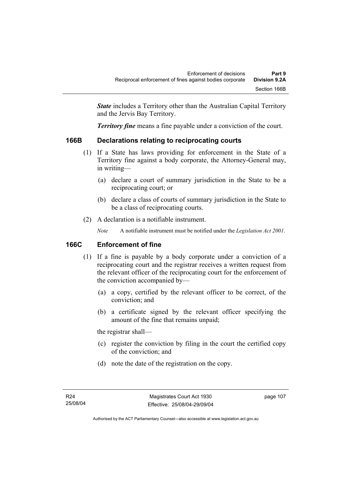*State* includes a Territory other than the Australian Capital Territory and the Jervis Bay Territory.

*Territory fine* means a fine payable under a conviction of the court.

# **166B Declarations relating to reciprocating courts**

- (1) If a State has laws providing for enforcement in the State of a Territory fine against a body corporate, the Attorney-General may, in writing—
	- (a) declare a court of summary jurisdiction in the State to be a reciprocating court; or
	- (b) declare a class of courts of summary jurisdiction in the State to be a class of reciprocating courts.
- (2) A declaration is a notifiable instrument.

*Note* A notifiable instrument must be notified under the *Legislation Act 2001*.

# **166C Enforcement of fine**

- (1) If a fine is payable by a body corporate under a conviction of a reciprocating court and the registrar receives a written request from the relevant officer of the reciprocating court for the enforcement of the conviction accompanied by—
	- (a) a copy, certified by the relevant officer to be correct, of the conviction; and
	- (b) a certificate signed by the relevant officer specifying the amount of the fine that remains unpaid;

the registrar shall—

- (c) register the conviction by filing in the court the certified copy of the conviction; and
- (d) note the date of the registration on the copy.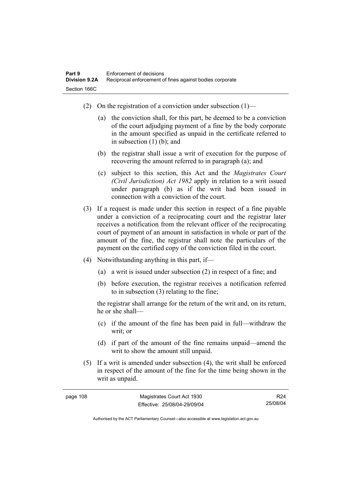- (2) On the registration of a conviction under subsection  $(1)$ 
	- (a) the conviction shall, for this part, be deemed to be a conviction of the court adjudging payment of a fine by the body corporate in the amount specified as unpaid in the certificate referred to in subsection (1) (b); and
	- (b) the registrar shall issue a writ of execution for the purpose of recovering the amount referred to in paragraph (a); and
	- (c) subject to this section, this Act and the *Magistrates Court (Civil Jurisdiction) Act 1982* apply in relation to a writ issued under paragraph (b) as if the writ had been issued in connection with a conviction of the court.
- (3) If a request is made under this section in respect of a fine payable under a conviction of a reciprocating court and the registrar later receives a notification from the relevant officer of the reciprocating court of payment of an amount in satisfaction in whole or part of the amount of the fine, the registrar shall note the particulars of the payment on the certified copy of the conviction filed in the court.
- (4) Notwithstanding anything in this part, if—
	- (a) a writ is issued under subsection (2) in respect of a fine; and
	- (b) before execution, the registrar receives a notification referred to in subsection (3) relating to the fine;

the registrar shall arrange for the return of the writ and, on its return, he or she shall—

- (c) if the amount of the fine has been paid in full—withdraw the writ; or
- (d) if part of the amount of the fine remains unpaid—amend the writ to show the amount still unpaid.
- (5) If a writ is amended under subsection (4), the writ shall be enforced in respect of the amount of the fine for the time being shown in the writ as unpaid.

| page 108 | Magistrates Court Act 1930   | R <sub>24</sub> |
|----------|------------------------------|-----------------|
|          | Effective: 25/08/04-29/09/04 | 25/08/04        |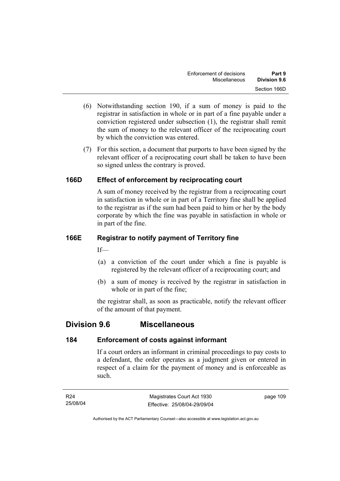- (6) Notwithstanding section 190, if a sum of money is paid to the registrar in satisfaction in whole or in part of a fine payable under a conviction registered under subsection (1), the registrar shall remit the sum of money to the relevant officer of the reciprocating court by which the conviction was entered.
- (7) For this section, a document that purports to have been signed by the relevant officer of a reciprocating court shall be taken to have been so signed unless the contrary is proved.

# **166D Effect of enforcement by reciprocating court**

A sum of money received by the registrar from a reciprocating court in satisfaction in whole or in part of a Territory fine shall be applied to the registrar as if the sum had been paid to him or her by the body corporate by which the fine was payable in satisfaction in whole or in part of the fine.

# **166E Registrar to notify payment of Territory fine**

 $If$ —

- (a) a conviction of the court under which a fine is payable is registered by the relevant officer of a reciprocating court; and
- (b) a sum of money is received by the registrar in satisfaction in whole or in part of the fine;

the registrar shall, as soon as practicable, notify the relevant officer of the amount of that payment.

# **Division 9.6 Miscellaneous**

# **184 Enforcement of costs against informant**

If a court orders an informant in criminal proceedings to pay costs to a defendant, the order operates as a judgment given or entered in respect of a claim for the payment of money and is enforceable as such.

| R24      | Magistrates Court Act 1930   | page 109 |
|----------|------------------------------|----------|
| 25/08/04 | Effective: 25/08/04-29/09/04 |          |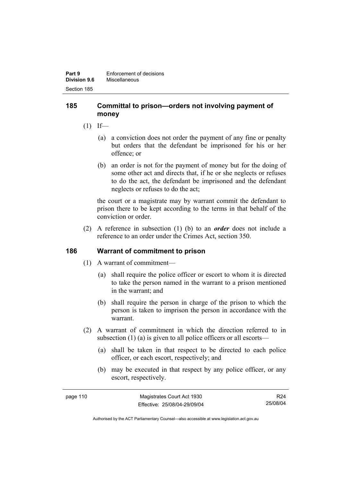#### **185 Committal to prison—orders not involving payment of money**

- $(1)$  If—
	- (a) a conviction does not order the payment of any fine or penalty but orders that the defendant be imprisoned for his or her offence; or
	- (b) an order is not for the payment of money but for the doing of some other act and directs that, if he or she neglects or refuses to do the act, the defendant be imprisoned and the defendant neglects or refuses to do the act;

the court or a magistrate may by warrant commit the defendant to prison there to be kept according to the terms in that behalf of the conviction or order.

 (2) A reference in subsection (1) (b) to an *order* does not include a reference to an order under the Crimes Act, section 350.

# **186 Warrant of commitment to prison**

- (1) A warrant of commitment—
	- (a) shall require the police officer or escort to whom it is directed to take the person named in the warrant to a prison mentioned in the warrant; and
	- (b) shall require the person in charge of the prison to which the person is taken to imprison the person in accordance with the warrant.
- (2) A warrant of commitment in which the direction referred to in subsection (1) (a) is given to all police officers or all escorts—
	- (a) shall be taken in that respect to be directed to each police officer, or each escort, respectively; and
	- (b) may be executed in that respect by any police officer, or any escort, respectively.

| page 110 | Magistrates Court Act 1930   | R24      |
|----------|------------------------------|----------|
|          | Effective: 25/08/04-29/09/04 | 25/08/04 |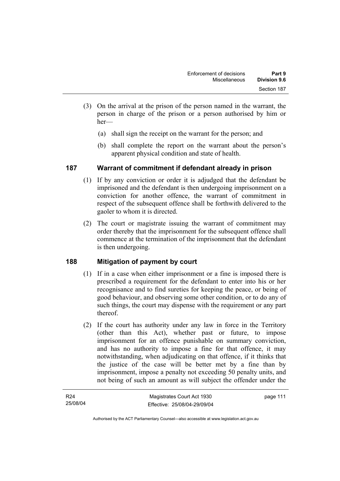- (3) On the arrival at the prison of the person named in the warrant, the person in charge of the prison or a person authorised by him or her—
	- (a) shall sign the receipt on the warrant for the person; and
	- (b) shall complete the report on the warrant about the person's apparent physical condition and state of health.

# **187 Warrant of commitment if defendant already in prison**

- (1) If by any conviction or order it is adjudged that the defendant be imprisoned and the defendant is then undergoing imprisonment on a conviction for another offence, the warrant of commitment in respect of the subsequent offence shall be forthwith delivered to the gaoler to whom it is directed.
- (2) The court or magistrate issuing the warrant of commitment may order thereby that the imprisonment for the subsequent offence shall commence at the termination of the imprisonment that the defendant is then undergoing.

# **188 Mitigation of payment by court**

- (1) If in a case when either imprisonment or a fine is imposed there is prescribed a requirement for the defendant to enter into his or her recognisance and to find sureties for keeping the peace, or being of good behaviour, and observing some other condition, or to do any of such things, the court may dispense with the requirement or any part thereof.
- (2) If the court has authority under any law in force in the Territory (other than this Act), whether past or future, to impose imprisonment for an offence punishable on summary conviction, and has no authority to impose a fine for that offence, it may notwithstanding, when adjudicating on that offence, if it thinks that the justice of the case will be better met by a fine than by imprisonment, impose a penalty not exceeding 50 penalty units, and not being of such an amount as will subject the offender under the

| R <sub>24</sub> | Magistrates Court Act 1930   | page 111 |
|-----------------|------------------------------|----------|
| 25/08/04        | Effective: 25/08/04-29/09/04 |          |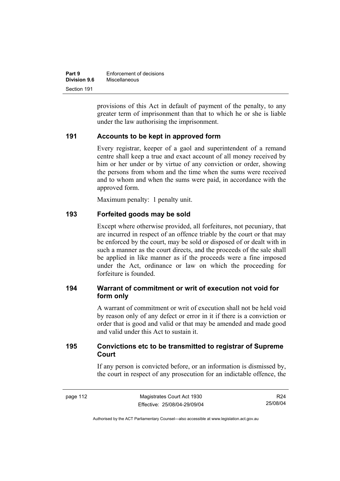| Part 9              | Enforcement of decisions |
|---------------------|--------------------------|
| <b>Division 9.6</b> | Miscellaneous            |
| Section 191         |                          |

provisions of this Act in default of payment of the penalty, to any greater term of imprisonment than that to which he or she is liable under the law authorising the imprisonment.

#### **191 Accounts to be kept in approved form**

Every registrar, keeper of a gaol and superintendent of a remand centre shall keep a true and exact account of all money received by him or her under or by virtue of any conviction or order, showing the persons from whom and the time when the sums were received and to whom and when the sums were paid, in accordance with the approved form.

Maximum penalty: 1 penalty unit.

#### **193 Forfeited goods may be sold**

Except where otherwise provided, all forfeitures, not pecuniary, that are incurred in respect of an offence triable by the court or that may be enforced by the court, may be sold or disposed of or dealt with in such a manner as the court directs, and the proceeds of the sale shall be applied in like manner as if the proceeds were a fine imposed under the Act, ordinance or law on which the proceeding for forfeiture is founded.

# **194 Warrant of commitment or writ of execution not void for form only**

A warrant of commitment or writ of execution shall not be held void by reason only of any defect or error in it if there is a conviction or order that is good and valid or that may be amended and made good and valid under this Act to sustain it.

# **195 Convictions etc to be transmitted to registrar of Supreme Court**

If any person is convicted before, or an information is dismissed by, the court in respect of any prosecution for an indictable offence, the

R24 25/08/04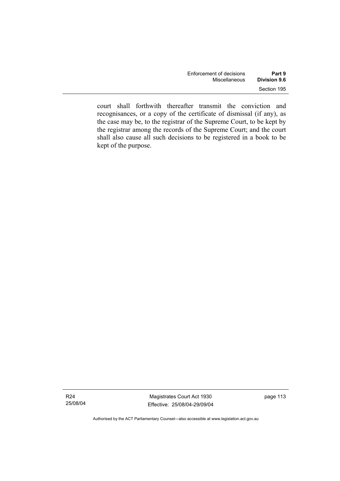| Enforcement of decisions | Part 9       |
|--------------------------|--------------|
| Miscellaneous            | Division 9.6 |
|                          | Section 195  |

court shall forthwith thereafter transmit the conviction and recognisances, or a copy of the certificate of dismissal (if any), as the case may be, to the registrar of the Supreme Court, to be kept by the registrar among the records of the Supreme Court; and the court shall also cause all such decisions to be registered in a book to be kept of the purpose.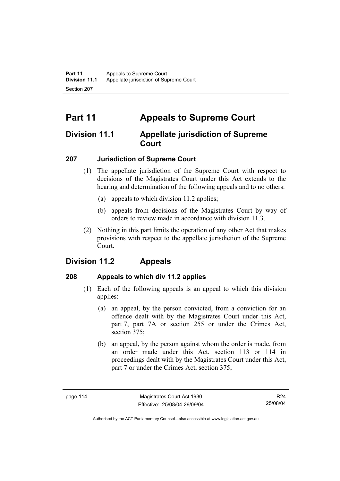# **Part 11 Appeals to Supreme Court**

# **Division 11.1 Appellate jurisdiction of Supreme Court**

# **207 Jurisdiction of Supreme Court**

- (1) The appellate jurisdiction of the Supreme Court with respect to decisions of the Magistrates Court under this Act extends to the hearing and determination of the following appeals and to no others:
	- (a) appeals to which division 11.2 applies;
	- (b) appeals from decisions of the Magistrates Court by way of orders to review made in accordance with division 11.3.
- (2) Nothing in this part limits the operation of any other Act that makes provisions with respect to the appellate jurisdiction of the Supreme Court.

# **Division 11.2 Appeals**

# **208 Appeals to which div 11.2 applies**

- (1) Each of the following appeals is an appeal to which this division applies:
	- (a) an appeal, by the person convicted, from a conviction for an offence dealt with by the Magistrates Court under this Act, part 7, part 7A or section 255 or under the Crimes Act, section 375:
	- (b) an appeal, by the person against whom the order is made, from an order made under this Act, section 113 or 114 in proceedings dealt with by the Magistrates Court under this Act, part 7 or under the Crimes Act, section 375;

R24 25/08/04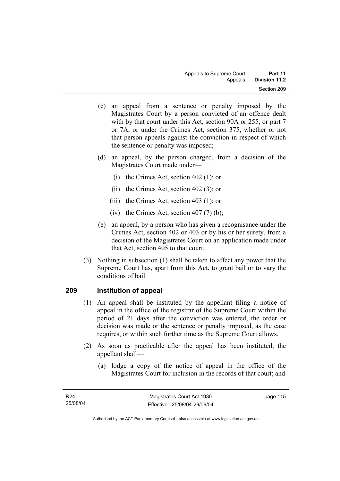- (c) an appeal from a sentence or penalty imposed by the Magistrates Court by a person convicted of an offence dealt with by that court under this Act, section 90A or 255, or part 7 or 7A, or under the Crimes Act, section 375, whether or not that person appeals against the conviction in respect of which the sentence or penalty was imposed;
- (d) an appeal, by the person charged, from a decision of the Magistrates Court made under—
	- (i) the Crimes Act, section 402 (1); or
	- (ii) the Crimes Act, section 402 (3); or
	- (iii) the Crimes Act, section 403 (1); or
	- (iv) the Crimes Act, section  $407(7)$  (b);
- (e) an appeal, by a person who has given a recognisance under the Crimes Act, section 402 or 403 or by his or her surety, from a decision of the Magistrates Court on an application made under that Act, section 405 to that court.
- (3) Nothing in subsection (1) shall be taken to affect any power that the Supreme Court has, apart from this Act, to grant bail or to vary the conditions of bail.

# **209 Institution of appeal**

- (1) An appeal shall be instituted by the appellant filing a notice of appeal in the office of the registrar of the Supreme Court within the period of 21 days after the conviction was entered, the order or decision was made or the sentence or penalty imposed, as the case requires, or within such further time as the Supreme Court allows.
- (2) As soon as practicable after the appeal has been instituted, the appellant shall—
	- (a) lodge a copy of the notice of appeal in the office of the Magistrates Court for inclusion in the records of that court; and

page 115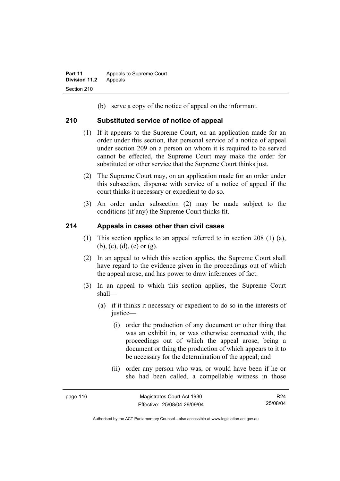(b) serve a copy of the notice of appeal on the informant.

#### **210 Substituted service of notice of appeal**

- (1) If it appears to the Supreme Court, on an application made for an order under this section, that personal service of a notice of appeal under section 209 on a person on whom it is required to be served cannot be effected, the Supreme Court may make the order for substituted or other service that the Supreme Court thinks just.
- (2) The Supreme Court may, on an application made for an order under this subsection, dispense with service of a notice of appeal if the court thinks it necessary or expedient to do so.
- (3) An order under subsection (2) may be made subject to the conditions (if any) the Supreme Court thinks fit.

#### **214 Appeals in cases other than civil cases**

- (1) This section applies to an appeal referred to in section 208 (1) (a), (b), (c), (d), (e) or (g).
- (2) In an appeal to which this section applies, the Supreme Court shall have regard to the evidence given in the proceedings out of which the appeal arose, and has power to draw inferences of fact.
- (3) In an appeal to which this section applies, the Supreme Court shall—
	- (a) if it thinks it necessary or expedient to do so in the interests of justice—
		- (i) order the production of any document or other thing that was an exhibit in, or was otherwise connected with, the proceedings out of which the appeal arose, being a document or thing the production of which appears to it to be necessary for the determination of the appeal; and
		- (ii) order any person who was, or would have been if he or she had been called, a compellable witness in those

R24 25/08/04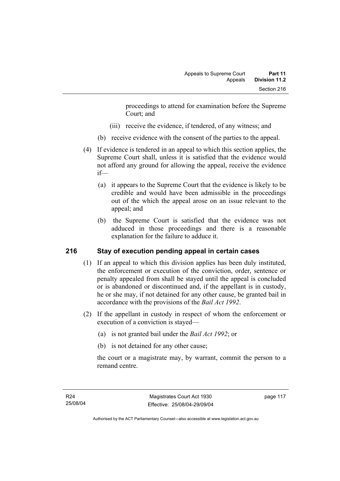proceedings to attend for examination before the Supreme Court; and

- (iii) receive the evidence, if tendered, of any witness; and
- (b) receive evidence with the consent of the parties to the appeal.
- (4) If evidence is tendered in an appeal to which this section applies, the Supreme Court shall, unless it is satisfied that the evidence would not afford any ground for allowing the appeal, receive the evidence if—
	- (a) it appears to the Supreme Court that the evidence is likely to be credible and would have been admissible in the proceedings out of the which the appeal arose on an issue relevant to the appeal; and
	- (b) the Supreme Court is satisfied that the evidence was not adduced in those proceedings and there is a reasonable explanation for the failure to adduce it.

# **216 Stay of execution pending appeal in certain cases**

- (1) If an appeal to which this division applies has been duly instituted, the enforcement or execution of the conviction, order, sentence or penalty appealed from shall be stayed until the appeal is concluded or is abandoned or discontinued and, if the appellant is in custody, he or she may, if not detained for any other cause, be granted bail in accordance with the provisions of the *Bail Act 1992*.
- (2) If the appellant in custody in respect of whom the enforcement or execution of a conviction is stayed—
	- (a) is not granted bail under the *Bail Act 1992*; or
	- (b) is not detained for any other cause;

the court or a magistrate may, by warrant, commit the person to a remand centre.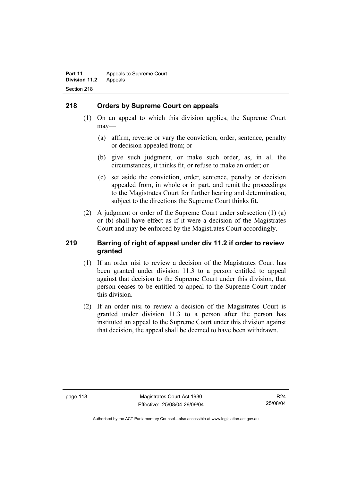# **218 Orders by Supreme Court on appeals**

- (1) On an appeal to which this division applies, the Supreme Court may—
	- (a) affirm, reverse or vary the conviction, order, sentence, penalty or decision appealed from; or
	- (b) give such judgment, or make such order, as, in all the circumstances, it thinks fit, or refuse to make an order; or
	- (c) set aside the conviction, order, sentence, penalty or decision appealed from, in whole or in part, and remit the proceedings to the Magistrates Court for further hearing and determination, subject to the directions the Supreme Court thinks fit.
- (2) A judgment or order of the Supreme Court under subsection (1) (a) or (b) shall have effect as if it were a decision of the Magistrates Court and may be enforced by the Magistrates Court accordingly.

#### **219 Barring of right of appeal under div 11.2 if order to review granted**

- (1) If an order nisi to review a decision of the Magistrates Court has been granted under division 11.3 to a person entitled to appeal against that decision to the Supreme Court under this division, that person ceases to be entitled to appeal to the Supreme Court under this division.
- (2) If an order nisi to review a decision of the Magistrates Court is granted under division 11.3 to a person after the person has instituted an appeal to the Supreme Court under this division against that decision, the appeal shall be deemed to have been withdrawn.

R24 25/08/04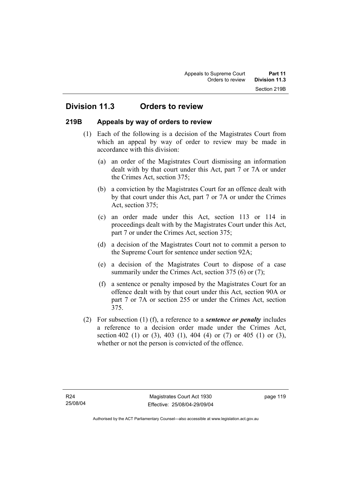# **Division 11.3 Orders to review**

#### **219B Appeals by way of orders to review**

- (1) Each of the following is a decision of the Magistrates Court from which an appeal by way of order to review may be made in accordance with this division:
	- (a) an order of the Magistrates Court dismissing an information dealt with by that court under this Act, part 7 or 7A or under the Crimes Act, section 375;
	- (b) a conviction by the Magistrates Court for an offence dealt with by that court under this Act, part 7 or 7A or under the Crimes Act, section 375;
	- (c) an order made under this Act, section 113 or 114 in proceedings dealt with by the Magistrates Court under this Act, part 7 or under the Crimes Act, section 375;
	- (d) a decision of the Magistrates Court not to commit a person to the Supreme Court for sentence under section 92A;
	- (e) a decision of the Magistrates Court to dispose of a case summarily under the Crimes Act, section 375 (6) or (7);
	- (f) a sentence or penalty imposed by the Magistrates Court for an offence dealt with by that court under this Act, section 90A or part 7 or 7A or section 255 or under the Crimes Act, section 375.
- (2) For subsection (1) (f), a reference to a *sentence or penalty* includes a reference to a decision order made under the Crimes Act, section 402 (1) or (3), 403 (1), 404 (4) or (7) or 405 (1) or (3), whether or not the person is convicted of the offence.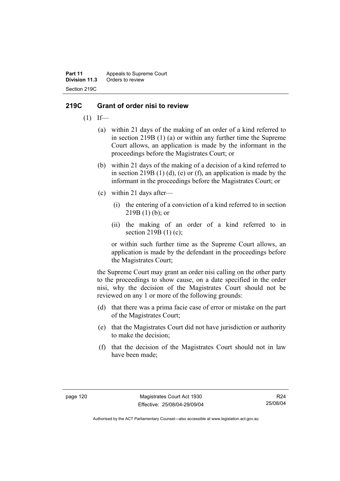**Part 11** Appeals to Supreme Court<br>**Division 11.3** Orders to review **Division 11.3** Orders to review Section 219C

#### **219C Grant of order nisi to review**

- $(1)$  If—
	- (a) within 21 days of the making of an order of a kind referred to in section 219B (1) (a) or within any further time the Supreme Court allows, an application is made by the informant in the proceedings before the Magistrates Court; or
	- (b) within 21 days of the making of a decision of a kind referred to in section 219B  $(1)$   $(d)$ ,  $(e)$  or  $(f)$ , an application is made by the informant in the proceedings before the Magistrates Court; or
	- (c) within 21 days after—
		- (i) the entering of a conviction of a kind referred to in section  $219B(1)$  (b); or
		- (ii) the making of an order of a kind referred to in section 219B (1) (c);

or within such further time as the Supreme Court allows, an application is made by the defendant in the proceedings before the Magistrates Court;

the Supreme Court may grant an order nisi calling on the other party to the proceedings to show cause, on a date specified in the order nisi, why the decision of the Magistrates Court should not be reviewed on any 1 or more of the following grounds:

- (d) that there was a prima facie case of error or mistake on the part of the Magistrates Court;
- (e) that the Magistrates Court did not have jurisdiction or authority to make the decision;
- (f) that the decision of the Magistrates Court should not in law have been made;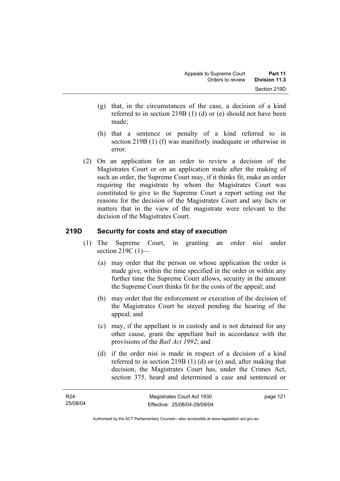- (g) that, in the circumstances of the case, a decision of a kind referred to in section 219B (1) (d) or (e) should not have been made;
- (h) that a sentence or penalty of a kind referred to in section 219B (1) (f) was manifestly inadequate or otherwise in error.
- (2) On an application for an order to review a decision of the Magistrates Court or on an application made after the making of such an order, the Supreme Court may, if it thinks fit, make an order requiring the magistrate by whom the Magistrates Court was constituted to give to the Supreme Court a report setting out the reasons for the decision of the Magistrates Court and any facts or matters that in the view of the magistrate were relevant to the decision of the Magistrates Court.

#### **219D Security for costs and stay of execution**

- (1) The Supreme Court, in granting an order nisi under section 219C (1)-
	- (a) may order that the person on whose application the order is made give, within the time specified in the order or within any further time the Supreme Court allows, security in the amount the Supreme Court thinks fit for the costs of the appeal; and
	- (b) may order that the enforcement or execution of the decision of the Magistrates Court be stayed pending the hearing of the appeal; and
	- (c) may, if the appellant is in custody and is not detained for any other cause, grant the appellant bail in accordance with the provisions of the *Bail Act 1992*; and
	- (d) if the order nisi is made in respect of a decision of a kind referred to in section 219B (1) (d) or (e) and, after making that decision, the Magistrates Court has, under the Crimes Act, section 375, heard and determined a case and sentenced or

page 121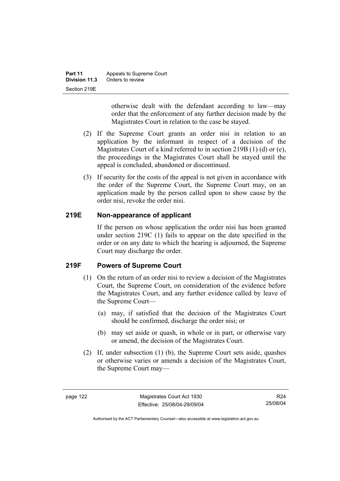| Part 11       | Appeals to Supreme Court |
|---------------|--------------------------|
| Division 11.3 | Orders to review         |
| Section 219E  |                          |

otherwise dealt with the defendant according to law—may order that the enforcement of any further decision made by the Magistrates Court in relation to the case be stayed.

- (2) If the Supreme Court grants an order nisi in relation to an application by the informant in respect of a decision of the Magistrates Court of a kind referred to in section 219B (1) (d) or (e), the proceedings in the Magistrates Court shall be stayed until the appeal is concluded, abandoned or discontinued.
- (3) If security for the costs of the appeal is not given in accordance with the order of the Supreme Court, the Supreme Court may, on an application made by the person called upon to show cause by the order nisi, revoke the order nisi.

# **219E Non-appearance of applicant**

If the person on whose application the order nisi has been granted under section 219C (1) fails to appear on the date specified in the order or on any date to which the hearing is adjourned, the Supreme Court may discharge the order.

# **219F Powers of Supreme Court**

- (1) On the return of an order nisi to review a decision of the Magistrates Court, the Supreme Court, on consideration of the evidence before the Magistrates Court, and any further evidence called by leave of the Supreme Court—
	- (a) may, if satisfied that the decision of the Magistrates Court should be confirmed, discharge the order nisi; or
	- (b) may set aside or quash, in whole or in part, or otherwise vary or amend, the decision of the Magistrates Court.
- (2) If, under subsection (1) (b), the Supreme Court sets aside, quashes or otherwise varies or amends a decision of the Magistrates Court, the Supreme Court may—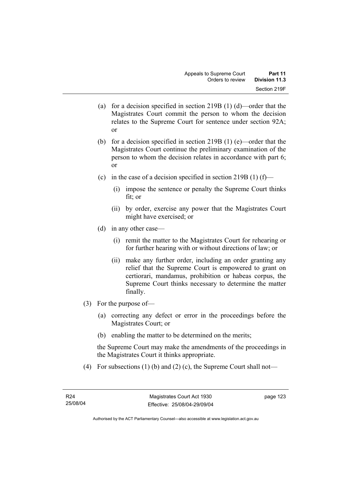- (a) for a decision specified in section 219B (1) (d)—order that the Magistrates Court commit the person to whom the decision relates to the Supreme Court for sentence under section 92A; or
- (b) for a decision specified in section 219B (1) (e)—order that the Magistrates Court continue the preliminary examination of the person to whom the decision relates in accordance with part 6; or
- (c) in the case of a decision specified in section 219B (1) (f)—
	- (i) impose the sentence or penalty the Supreme Court thinks fit; or
	- (ii) by order, exercise any power that the Magistrates Court might have exercised; or
- (d) in any other case—
	- (i) remit the matter to the Magistrates Court for rehearing or for further hearing with or without directions of law; or
	- (ii) make any further order, including an order granting any relief that the Supreme Court is empowered to grant on certiorari, mandamus, prohibition or habeas corpus, the Supreme Court thinks necessary to determine the matter finally.
- (3) For the purpose of—
	- (a) correcting any defect or error in the proceedings before the Magistrates Court; or
	- (b) enabling the matter to be determined on the merits;

the Supreme Court may make the amendments of the proceedings in the Magistrates Court it thinks appropriate.

(4) For subsections (1) (b) and (2) (c), the Supreme Court shall not—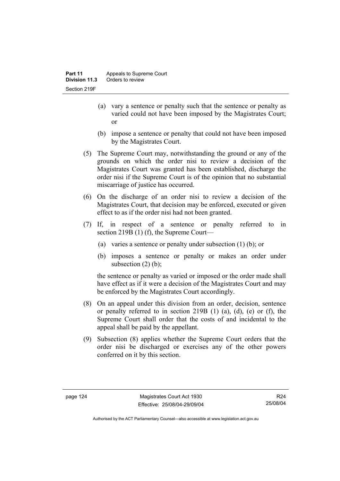- (a) vary a sentence or penalty such that the sentence or penalty as varied could not have been imposed by the Magistrates Court; or
- (b) impose a sentence or penalty that could not have been imposed by the Magistrates Court.
- (5) The Supreme Court may, notwithstanding the ground or any of the grounds on which the order nisi to review a decision of the Magistrates Court was granted has been established, discharge the order nisi if the Supreme Court is of the opinion that no substantial miscarriage of justice has occurred.
- (6) On the discharge of an order nisi to review a decision of the Magistrates Court, that decision may be enforced, executed or given effect to as if the order nisi had not been granted.
- (7) If, in respect of a sentence or penalty referred to in section 219B (1) (f), the Supreme Court—
	- (a) varies a sentence or penalty under subsection (1) (b); or
	- (b) imposes a sentence or penalty or makes an order under subsection  $(2)$  (b);

the sentence or penalty as varied or imposed or the order made shall have effect as if it were a decision of the Magistrates Court and may be enforced by the Magistrates Court accordingly.

- (8) On an appeal under this division from an order, decision, sentence or penalty referred to in section 219B  $(1)$   $(a)$ ,  $(d)$ ,  $(e)$  or  $(f)$ , the Supreme Court shall order that the costs of and incidental to the appeal shall be paid by the appellant.
- (9) Subsection (8) applies whether the Supreme Court orders that the order nisi be discharged or exercises any of the other powers conferred on it by this section.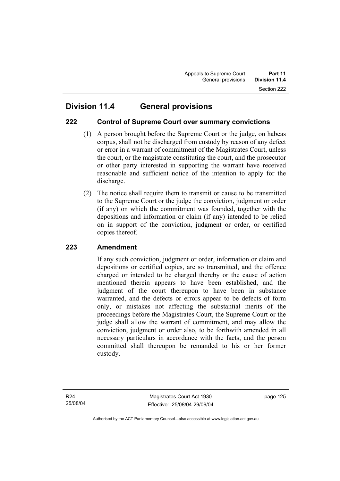# **222 Control of Supreme Court over summary convictions**

- (1) A person brought before the Supreme Court or the judge, on habeas corpus, shall not be discharged from custody by reason of any defect or error in a warrant of commitment of the Magistrates Court, unless the court, or the magistrate constituting the court, and the prosecutor or other party interested in supporting the warrant have received reasonable and sufficient notice of the intention to apply for the discharge.
- (2) The notice shall require them to transmit or cause to be transmitted to the Supreme Court or the judge the conviction, judgment or order (if any) on which the commitment was founded, together with the depositions and information or claim (if any) intended to be relied on in support of the conviction, judgment or order, or certified copies thereof.

# **223 Amendment**

If any such conviction, judgment or order, information or claim and depositions or certified copies, are so transmitted, and the offence charged or intended to be charged thereby or the cause of action mentioned therein appears to have been established, and the judgment of the court thereupon to have been in substance warranted, and the defects or errors appear to be defects of form only, or mistakes not affecting the substantial merits of the proceedings before the Magistrates Court, the Supreme Court or the judge shall allow the warrant of commitment, and may allow the conviction, judgment or order also, to be forthwith amended in all necessary particulars in accordance with the facts, and the person committed shall thereupon be remanded to his or her former custody.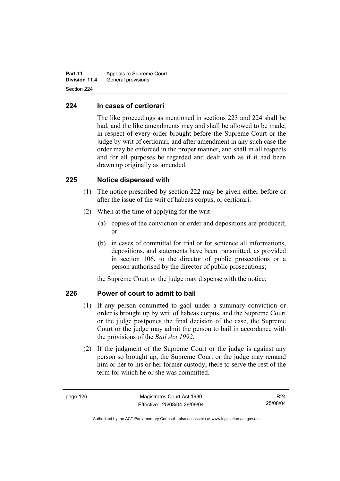**Part 11** Appeals to Supreme Court **Division 11.4** General provisions Section 224

#### **224 In cases of certiorari**

The like proceedings as mentioned in sections 223 and 224 shall be had, and the like amendments may and shall be allowed to be made, in respect of every order brought before the Supreme Court or the judge by writ of certiorari, and after amendment in any such case the order may be enforced in the proper manner, and shall in all respects and for all purposes be regarded and dealt with as if it had been drawn up originally as amended.

#### **225 Notice dispensed with**

- (1) The notice prescribed by section 222 may be given either before or after the issue of the writ of habeas corpus, or certiorari.
- (2) When at the time of applying for the writ—
	- (a) copies of the conviction or order and depositions are produced; or
	- (b) in cases of committal for trial or for sentence all informations, depositions, and statements have been transmitted, as provided in section 106, to the director of public prosecutions or a person authorised by the director of public prosecutions;

the Supreme Court or the judge may dispense with the notice.

# **226 Power of court to admit to bail**

- (1) If any person committed to gaol under a summary conviction or order is brought up by writ of habeas corpus, and the Supreme Court or the judge postpones the final decision of the case, the Supreme Court or the judge may admit the person to bail in accordance with the provisions of the *Bail Act 1992*.
- (2) If the judgment of the Supreme Court or the judge is against any person so brought up, the Supreme Court or the judge may remand him or her to his or her former custody, there to serve the rest of the term for which he or she was committed.

R24 25/08/04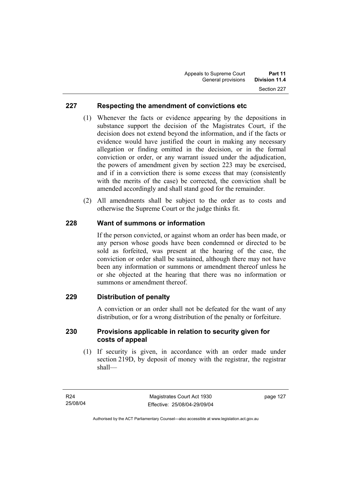# **227 Respecting the amendment of convictions etc**

- (1) Whenever the facts or evidence appearing by the depositions in substance support the decision of the Magistrates Court, if the decision does not extend beyond the information, and if the facts or evidence would have justified the court in making any necessary allegation or finding omitted in the decision, or in the formal conviction or order, or any warrant issued under the adjudication, the powers of amendment given by section 223 may be exercised, and if in a conviction there is some excess that may (consistently with the merits of the case) be corrected, the conviction shall be amended accordingly and shall stand good for the remainder.
- (2) All amendments shall be subject to the order as to costs and otherwise the Supreme Court or the judge thinks fit.

# **228 Want of summons or information**

If the person convicted, or against whom an order has been made, or any person whose goods have been condemned or directed to be sold as forfeited, was present at the hearing of the case, the conviction or order shall be sustained, although there may not have been any information or summons or amendment thereof unless he or she objected at the hearing that there was no information or summons or amendment thereof.

# **229 Distribution of penalty**

A conviction or an order shall not be defeated for the want of any distribution, or for a wrong distribution of the penalty or forfeiture.

#### **230 Provisions applicable in relation to security given for costs of appeal**

 (1) If security is given, in accordance with an order made under section 219D, by deposit of money with the registrar, the registrar shall—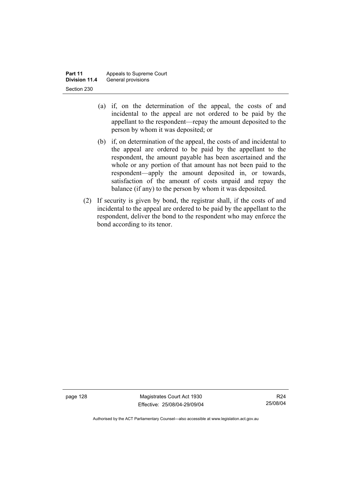- (a) if, on the determination of the appeal, the costs of and incidental to the appeal are not ordered to be paid by the appellant to the respondent—repay the amount deposited to the person by whom it was deposited; or
- (b) if, on determination of the appeal, the costs of and incidental to the appeal are ordered to be paid by the appellant to the respondent, the amount payable has been ascertained and the whole or any portion of that amount has not been paid to the respondent—apply the amount deposited in, or towards, satisfaction of the amount of costs unpaid and repay the balance (if any) to the person by whom it was deposited.
- (2) If security is given by bond, the registrar shall, if the costs of and incidental to the appeal are ordered to be paid by the appellant to the respondent, deliver the bond to the respondent who may enforce the bond according to its tenor.

page 128 Magistrates Court Act 1930 Effective: 25/08/04-29/09/04

R24 25/08/04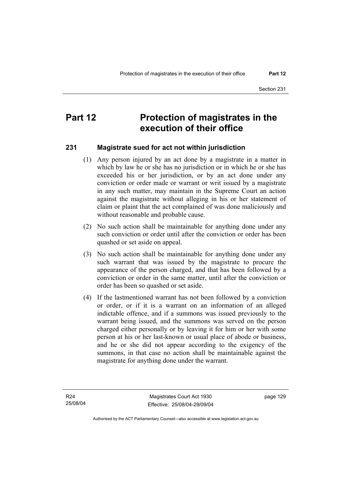# **Part 12** Protection of magistrates in the **execution of their office**

#### **231 Magistrate sued for act not within jurisdiction**

- (1) Any person injured by an act done by a magistrate in a matter in which by law he or she has no jurisdiction or in which he or she has exceeded his or her jurisdiction, or by an act done under any conviction or order made or warrant or writ issued by a magistrate in any such matter, may maintain in the Supreme Court an action against the magistrate without alleging in his or her statement of claim or plaint that the act complained of was done maliciously and without reasonable and probable cause.
- (2) No such action shall be maintainable for anything done under any such conviction or order until after the conviction or order has been quashed or set aside on appeal.
- (3) No such action shall be maintainable for anything done under any such warrant that was issued by the magistrate to procure the appearance of the person charged, and that has been followed by a conviction or order in the same matter, until after the conviction or order has been so quashed or set aside.
- (4) If the lastmentioned warrant has not been followed by a conviction or order, or if it is a warrant on an information of an alleged indictable offence, and if a summons was issued previously to the warrant being issued, and the summons was served on the person charged either personally or by leaving it for him or her with some person at his or her last-known or usual place of abode or business, and he or she did not appear according to the exigency of the summons, in that case no action shall be maintainable against the magistrate for anything done under the warrant.

page 129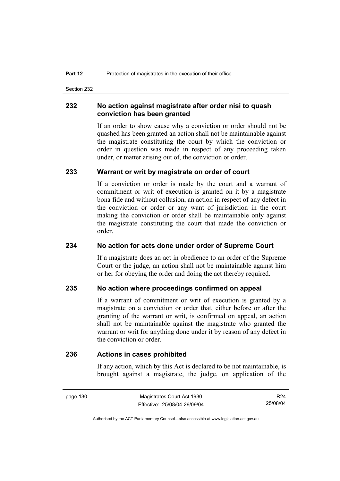Section 232

#### **232 No action against magistrate after order nisi to quash conviction has been granted**

If an order to show cause why a conviction or order should not be quashed has been granted an action shall not be maintainable against the magistrate constituting the court by which the conviction or order in question was made in respect of any proceeding taken under, or matter arising out of, the conviction or order.

#### **233 Warrant or writ by magistrate on order of court**

If a conviction or order is made by the court and a warrant of commitment or writ of execution is granted on it by a magistrate bona fide and without collusion, an action in respect of any defect in the conviction or order or any want of jurisdiction in the court making the conviction or order shall be maintainable only against the magistrate constituting the court that made the conviction or order.

#### **234 No action for acts done under order of Supreme Court**

If a magistrate does an act in obedience to an order of the Supreme Court or the judge, an action shall not be maintainable against him or her for obeying the order and doing the act thereby required.

#### **235 No action where proceedings confirmed on appeal**

If a warrant of commitment or writ of execution is granted by a magistrate on a conviction or order that, either before or after the granting of the warrant or writ, is confirmed on appeal, an action shall not be maintainable against the magistrate who granted the warrant or writ for anything done under it by reason of any defect in the conviction or order.

#### **236 Actions in cases prohibited**

If any action, which by this Act is declared to be not maintainable, is brought against a magistrate, the judge, on application of the

R24 25/08/04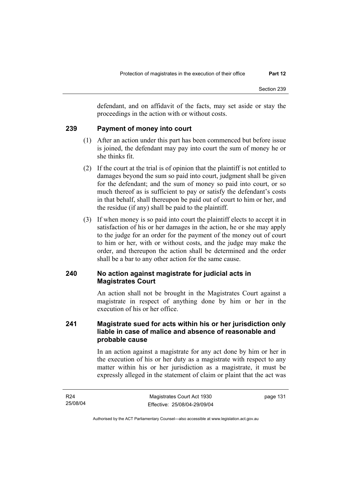defendant, and on affidavit of the facts, may set aside or stay the proceedings in the action with or without costs.

# **239 Payment of money into court**

- (1) After an action under this part has been commenced but before issue is joined, the defendant may pay into court the sum of money he or she thinks fit.
- (2) If the court at the trial is of opinion that the plaintiff is not entitled to damages beyond the sum so paid into court, judgment shall be given for the defendant; and the sum of money so paid into court, or so much thereof as is sufficient to pay or satisfy the defendant's costs in that behalf, shall thereupon be paid out of court to him or her, and the residue (if any) shall be paid to the plaintiff.
- (3) If when money is so paid into court the plaintiff elects to accept it in satisfaction of his or her damages in the action, he or she may apply to the judge for an order for the payment of the money out of court to him or her, with or without costs, and the judge may make the order, and thereupon the action shall be determined and the order shall be a bar to any other action for the same cause.

# **240 No action against magistrate for judicial acts in Magistrates Court**

An action shall not be brought in the Magistrates Court against a magistrate in respect of anything done by him or her in the execution of his or her office.

# **241 Magistrate sued for acts within his or her jurisdiction only liable in case of malice and absence of reasonable and probable cause**

In an action against a magistrate for any act done by him or her in the execution of his or her duty as a magistrate with respect to any matter within his or her jurisdiction as a magistrate, it must be expressly alleged in the statement of claim or plaint that the act was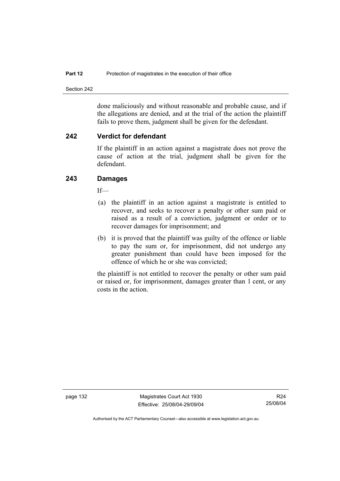Section 242

done maliciously and without reasonable and probable cause, and if the allegations are denied, and at the trial of the action the plaintiff fails to prove them, judgment shall be given for the defendant.

# **242 Verdict for defendant**

If the plaintiff in an action against a magistrate does not prove the cause of action at the trial, judgment shall be given for the defendant.

# **243 Damages**

If—

- (a) the plaintiff in an action against a magistrate is entitled to recover, and seeks to recover a penalty or other sum paid or raised as a result of a conviction, judgment or order or to recover damages for imprisonment; and
- (b) it is proved that the plaintiff was guilty of the offence or liable to pay the sum or, for imprisonment, did not undergo any greater punishment than could have been imposed for the offence of which he or she was convicted;

the plaintiff is not entitled to recover the penalty or other sum paid or raised or, for imprisonment, damages greater than 1 cent, or any costs in the action.

page 132 Magistrates Court Act 1930 Effective: 25/08/04-29/09/04

R24 25/08/04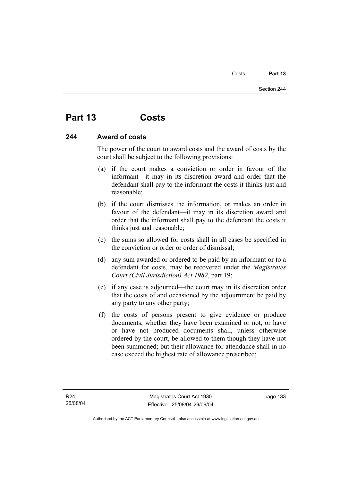# **Part 13 Costs**

# **244 Award of costs**

The power of the court to award costs and the award of costs by the court shall be subject to the following provisions:

- (a) if the court makes a conviction or order in favour of the informant—it may in its discretion award and order that the defendant shall pay to the informant the costs it thinks just and reasonable;
- (b) if the court dismisses the information, or makes an order in favour of the defendant—it may in its discretion award and order that the informant shall pay to the defendant the costs it thinks just and reasonable;
- (c) the sums so allowed for costs shall in all cases be specified in the conviction or order or order of dismissal;
- (d) any sum awarded or ordered to be paid by an informant or to a defendant for costs, may be recovered under the *Magistrates Court (Civil Jurisdiction) Act 1982*, part 19;
- (e) if any case is adjourned—the court may in its discretion order that the costs of and occasioned by the adjournment be paid by any party to any other party;
- (f) the costs of persons present to give evidence or produce documents, whether they have been examined or not, or have or have not produced documents shall, unless otherwise ordered by the court, be allowed to them though they have not been summoned; but their allowance for attendance shall in no case exceed the highest rate of allowance prescribed;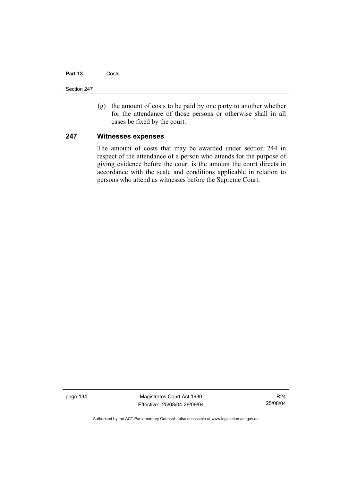### **Part 13** Costs

Section 247

 (g) the amount of costs to be paid by one party to another whether for the attendance of those persons or otherwise shall in all cases be fixed by the court.

## **247 Witnesses expenses**

The amount of costs that may be awarded under section 244 in respect of the attendance of a person who attends for the purpose of giving evidence before the court is the amount the court directs in accordance with the scale and conditions applicable in relation to persons who attend as witnesses before the Supreme Court.

page 134 Magistrates Court Act 1930 Effective: 25/08/04-29/09/04

R24 25/08/04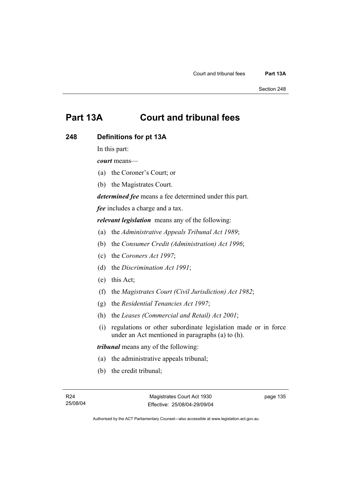# **Part 13A Court and tribunal fees**

# **248 Definitions for pt 13A**

In this part:

*court* means—

- (a) the Coroner's Court; or
- (b) the Magistrates Court.

*determined fee* means a fee determined under this part.

*fee* includes a charge and a tax.

*relevant legislation* means any of the following:

- (a) the *Administrative Appeals Tribunal Act 1989*;
- (b) the *Consumer Credit (Administration) Act 1996*;
- (c) the *Coroners Act 1997*;
- (d) the *Discrimination Act 1991*;
- (e) this Act;
- (f) the *Magistrates Court (Civil Jurisdiction) Act 1982*;
- (g) the *Residential Tenancies Act 1997*;
- (h) the *Leases (Commercial and Retail) Act 2001*;
- (i) regulations or other subordinate legislation made or in force under an Act mentioned in paragraphs (a) to (h).

*tribunal* means any of the following:

- (a) the administrative appeals tribunal;
- (b) the credit tribunal;

Authorised by the ACT Parliamentary Counsel—also accessible at www.legislation.act.gov.au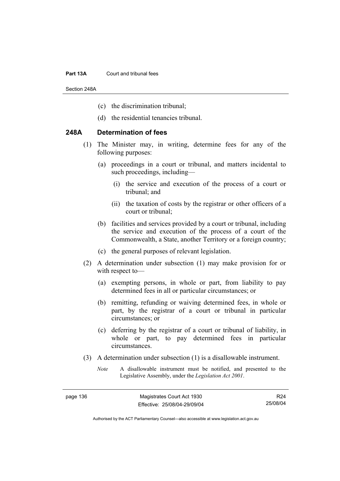#### **Part 13A** Court and tribunal fees

Section 248A

- (c) the discrimination tribunal;
- (d) the residential tenancies tribunal.

# **248A Determination of fees**

- (1) The Minister may, in writing, determine fees for any of the following purposes:
	- (a) proceedings in a court or tribunal, and matters incidental to such proceedings, including—
		- (i) the service and execution of the process of a court or tribunal; and
		- (ii) the taxation of costs by the registrar or other officers of a court or tribunal;
	- (b) facilities and services provided by a court or tribunal, including the service and execution of the process of a court of the Commonwealth, a State, another Territory or a foreign country;
	- (c) the general purposes of relevant legislation.
- (2) A determination under subsection (1) may make provision for or with respect to—
	- (a) exempting persons, in whole or part, from liability to pay determined fees in all or particular circumstances; or
	- (b) remitting, refunding or waiving determined fees, in whole or part, by the registrar of a court or tribunal in particular circumstances; or
	- (c) deferring by the registrar of a court or tribunal of liability, in whole or part, to pay determined fees in particular circumstances.
- (3) A determination under subsection (1) is a disallowable instrument.
	- *Note* A disallowable instrument must be notified, and presented to the Legislative Assembly, under the *Legislation Act 2001*.

R24 25/08/04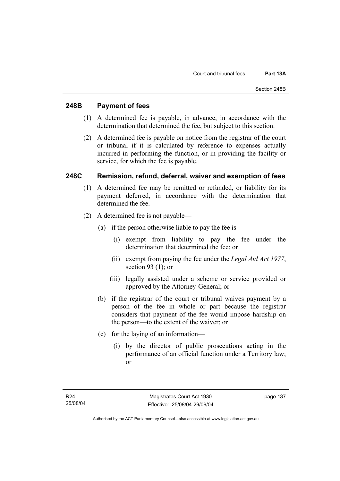# **248B Payment of fees**

- (1) A determined fee is payable, in advance, in accordance with the determination that determined the fee, but subject to this section.
- (2) A determined fee is payable on notice from the registrar of the court or tribunal if it is calculated by reference to expenses actually incurred in performing the function, or in providing the facility or service, for which the fee is payable.

# **248C Remission, refund, deferral, waiver and exemption of fees**

- (1) A determined fee may be remitted or refunded, or liability for its payment deferred, in accordance with the determination that determined the fee.
- (2) A determined fee is not payable—
	- (a) if the person otherwise liable to pay the fee is—
		- (i) exempt from liability to pay the fee under the determination that determined the fee; or
		- (ii) exempt from paying the fee under the *Legal Aid Act 1977*, section 93 (1); or
		- (iii) legally assisted under a scheme or service provided or approved by the Attorney-General; or
	- (b) if the registrar of the court or tribunal waives payment by a person of the fee in whole or part because the registrar considers that payment of the fee would impose hardship on the person—to the extent of the waiver; or
	- (c) for the laying of an information—
		- (i) by the director of public prosecutions acting in the performance of an official function under a Territory law; or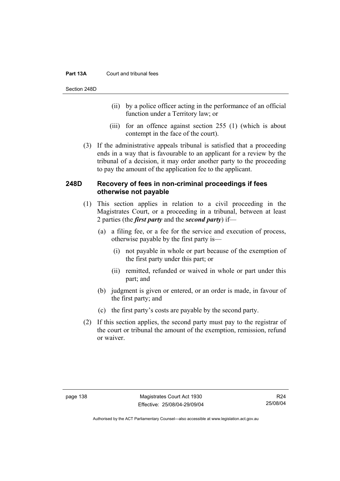### **Part 13A** Court and tribunal fees

Section 248D

- (ii) by a police officer acting in the performance of an official function under a Territory law; or
- (iii) for an offence against section 255 (1) (which is about contempt in the face of the court).
- (3) If the administrative appeals tribunal is satisfied that a proceeding ends in a way that is favourable to an applicant for a review by the tribunal of a decision, it may order another party to the proceeding to pay the amount of the application fee to the applicant.

# **248D Recovery of fees in non-criminal proceedings if fees otherwise not payable**

- (1) This section applies in relation to a civil proceeding in the Magistrates Court, or a proceeding in a tribunal, between at least 2 parties (the *first party* and the *second party*) if—
	- (a) a filing fee, or a fee for the service and execution of process, otherwise payable by the first party is—
		- (i) not payable in whole or part because of the exemption of the first party under this part; or
		- (ii) remitted, refunded or waived in whole or part under this part; and
	- (b) judgment is given or entered, or an order is made, in favour of the first party; and
	- (c) the first party's costs are payable by the second party.
- (2) If this section applies, the second party must pay to the registrar of the court or tribunal the amount of the exemption, remission, refund or waiver.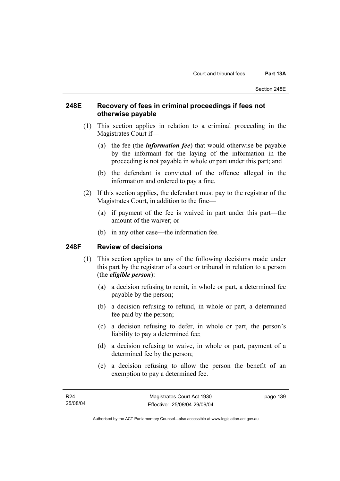# **248E Recovery of fees in criminal proceedings if fees not otherwise payable**

- (1) This section applies in relation to a criminal proceeding in the Magistrates Court if—
	- (a) the fee (the *information fee*) that would otherwise be payable by the informant for the laying of the information in the proceeding is not payable in whole or part under this part; and
	- (b) the defendant is convicted of the offence alleged in the information and ordered to pay a fine.
- (2) If this section applies, the defendant must pay to the registrar of the Magistrates Court, in addition to the fine—
	- (a) if payment of the fee is waived in part under this part—the amount of the waiver; or
	- (b) in any other case—the information fee.

# **248F Review of decisions**

- (1) This section applies to any of the following decisions made under this part by the registrar of a court or tribunal in relation to a person (the *eligible person*):
	- (a) a decision refusing to remit, in whole or part, a determined fee payable by the person;
	- (b) a decision refusing to refund, in whole or part, a determined fee paid by the person;
	- (c) a decision refusing to defer, in whole or part, the person's liability to pay a determined fee;
	- (d) a decision refusing to waive, in whole or part, payment of a determined fee by the person;
	- (e) a decision refusing to allow the person the benefit of an exemption to pay a determined fee.

Authorised by the ACT Parliamentary Counsel—also accessible at www.legislation.act.gov.au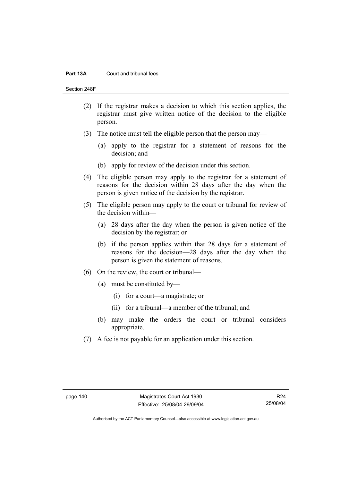### **Part 13A** Court and tribunal fees

Section 248F

- (2) If the registrar makes a decision to which this section applies, the registrar must give written notice of the decision to the eligible person.
- (3) The notice must tell the eligible person that the person may—
	- (a) apply to the registrar for a statement of reasons for the decision; and
	- (b) apply for review of the decision under this section.
- (4) The eligible person may apply to the registrar for a statement of reasons for the decision within 28 days after the day when the person is given notice of the decision by the registrar.
- (5) The eligible person may apply to the court or tribunal for review of the decision within—
	- (a) 28 days after the day when the person is given notice of the decision by the registrar; or
	- (b) if the person applies within that 28 days for a statement of reasons for the decision—28 days after the day when the person is given the statement of reasons.
- (6) On the review, the court or tribunal—
	- (a) must be constituted by—
		- (i) for a court—a magistrate; or
		- (ii) for a tribunal—a member of the tribunal; and
	- (b) may make the orders the court or tribunal considers appropriate.
- (7) A fee is not payable for an application under this section.

R24 25/08/04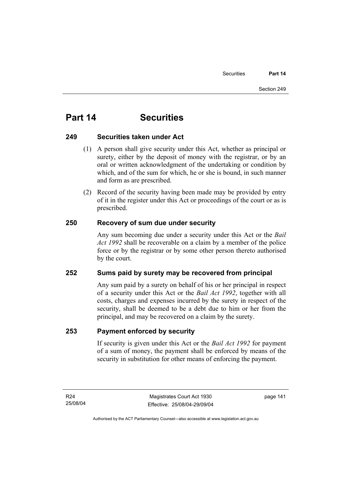# **Part 14 Securities**

# **249 Securities taken under Act**

- (1) A person shall give security under this Act, whether as principal or surety, either by the deposit of money with the registrar, or by an oral or written acknowledgment of the undertaking or condition by which, and of the sum for which, he or she is bound, in such manner and form as are prescribed.
- (2) Record of the security having been made may be provided by entry of it in the register under this Act or proceedings of the court or as is prescribed.

# **250 Recovery of sum due under security**

Any sum becoming due under a security under this Act or the *Bail Act 1992* shall be recoverable on a claim by a member of the police force or by the registrar or by some other person thereto authorised by the court.

# **252 Sums paid by surety may be recovered from principal**

Any sum paid by a surety on behalf of his or her principal in respect of a security under this Act or the *Bail Act 1992*, together with all costs, charges and expenses incurred by the surety in respect of the security, shall be deemed to be a debt due to him or her from the principal, and may be recovered on a claim by the surety.

# **253 Payment enforced by security**

If security is given under this Act or the *Bail Act 1992* for payment of a sum of money, the payment shall be enforced by means of the security in substitution for other means of enforcing the payment.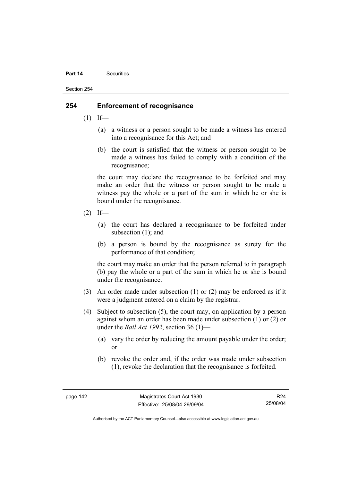#### **Part 14** Securities

Section 254

# **254 Enforcement of recognisance**

- $(1)$  If—
	- (a) a witness or a person sought to be made a witness has entered into a recognisance for this Act; and
	- (b) the court is satisfied that the witness or person sought to be made a witness has failed to comply with a condition of the recognisance;

the court may declare the recognisance to be forfeited and may make an order that the witness or person sought to be made a witness pay the whole or a part of the sum in which he or she is bound under the recognisance.

- $(2)$  If—
	- (a) the court has declared a recognisance to be forfeited under subsection (1); and
	- (b) a person is bound by the recognisance as surety for the performance of that condition;

the court may make an order that the person referred to in paragraph (b) pay the whole or a part of the sum in which he or she is bound under the recognisance.

- (3) An order made under subsection (1) or (2) may be enforced as if it were a judgment entered on a claim by the registrar.
- (4) Subject to subsection (5), the court may, on application by a person against whom an order has been made under subsection (1) or (2) or under the *Bail Act 1992*, section 36 (1)—
	- (a) vary the order by reducing the amount payable under the order; or
	- (b) revoke the order and, if the order was made under subsection (1), revoke the declaration that the recognisance is forfeited.

R24 25/08/04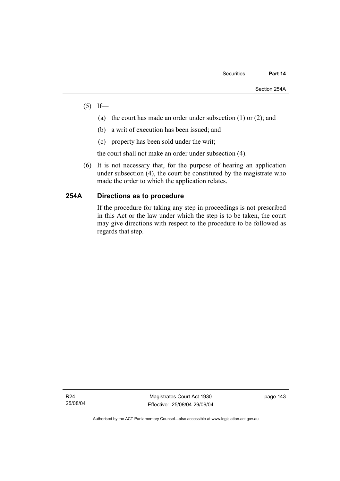- $(5)$  If—
	- (a) the court has made an order under subsection (1) or (2); and
	- (b) a writ of execution has been issued; and
	- (c) property has been sold under the writ;

the court shall not make an order under subsection (4).

 (6) It is not necessary that, for the purpose of hearing an application under subsection (4), the court be constituted by the magistrate who made the order to which the application relates.

# **254A Directions as to procedure**

If the procedure for taking any step in proceedings is not prescribed in this Act or the law under which the step is to be taken, the court may give directions with respect to the procedure to be followed as regards that step.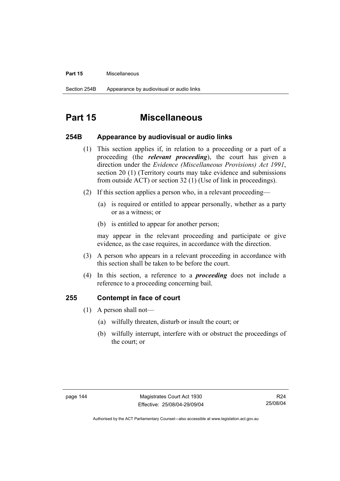#### **Part 15** Miscellaneous

# **Part 15 Miscellaneous**

## **254B Appearance by audiovisual or audio links**

- (1) This section applies if, in relation to a proceeding or a part of a proceeding (the *relevant proceeding*), the court has given a direction under the *Evidence (Miscellaneous Provisions) Act 1991*, section 20 (1) (Territory courts may take evidence and submissions from outside ACT) or section 32 (1) (Use of link in proceedings).
- (2) If this section applies a person who, in a relevant proceeding—
	- (a) is required or entitled to appear personally, whether as a party or as a witness; or
	- (b) is entitled to appear for another person;

may appear in the relevant proceeding and participate or give evidence, as the case requires, in accordance with the direction.

- (3) A person who appears in a relevant proceeding in accordance with this section shall be taken to be before the court.
- (4) In this section, a reference to a *proceeding* does not include a reference to a proceeding concerning bail.

## **255 Contempt in face of court**

- (1) A person shall not—
	- (a) wilfully threaten, disturb or insult the court; or
	- (b) wilfully interrupt, interfere with or obstruct the proceedings of the court; or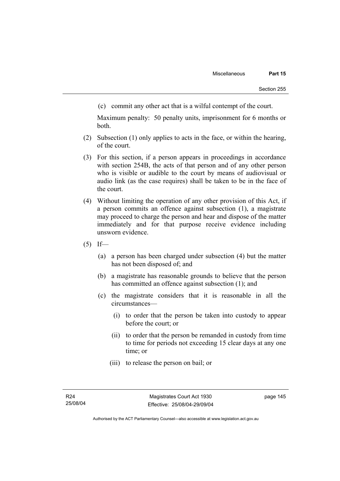(c) commit any other act that is a wilful contempt of the court.

Maximum penalty: 50 penalty units, imprisonment for 6 months or both.

- (2) Subsection (1) only applies to acts in the face, or within the hearing, of the court.
- (3) For this section, if a person appears in proceedings in accordance with section 254B, the acts of that person and of any other person who is visible or audible to the court by means of audiovisual or audio link (as the case requires) shall be taken to be in the face of the court.
- (4) Without limiting the operation of any other provision of this Act, if a person commits an offence against subsection (1), a magistrate may proceed to charge the person and hear and dispose of the matter immediately and for that purpose receive evidence including unsworn evidence.
- $(5)$  If—
	- (a) a person has been charged under subsection (4) but the matter has not been disposed of; and
	- (b) a magistrate has reasonable grounds to believe that the person has committed an offence against subsection (1); and
	- (c) the magistrate considers that it is reasonable in all the circumstances—
		- (i) to order that the person be taken into custody to appear before the court; or
		- (ii) to order that the person be remanded in custody from time to time for periods not exceeding 15 clear days at any one time; or
		- (iii) to release the person on bail; or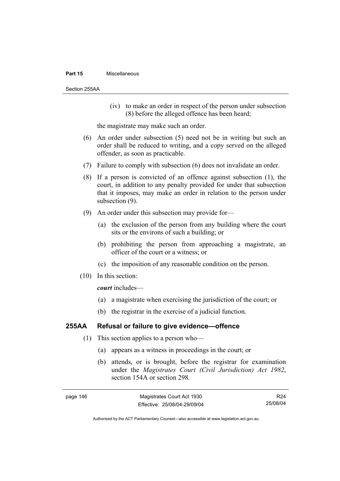#### **Part 15** Miscellaneous

Section 255AA

 (iv) to make an order in respect of the person under subsection (8) before the alleged offence has been heard;

the magistrate may make such an order.

- (6) An order under subsection (5) need not be in writing but such an order shall be reduced to writing, and a copy served on the alleged offender, as soon as practicable.
- (7) Failure to comply with subsection (6) does not invalidate an order.
- (8) If a person is convicted of an offence against subsection (1), the court, in addition to any penalty provided for under that subsection that it imposes, may make an order in relation to the person under subsection (9).
- (9) An order under this subsection may provide for—
	- (a) the exclusion of the person from any building where the court sits or the environs of such a building; or
	- (b) prohibiting the person from approaching a magistrate, an officer of the court or a witness; or
	- (c) the imposition of any reasonable condition on the person.
- (10) In this section:

*court* includes—

- (a) a magistrate when exercising the jurisdiction of the court; or
- (b) the registrar in the exercise of a judicial function.

# **255AA Refusal or failure to give evidence—offence**

- (1) This section applies to a person who—
	- (a) appears as a witness in proceedings in the court; or
	- (b) attends, or is brought, before the registrar for examination under the *Magistrates Court (Civil Jurisdiction) Act 1982*, section 154A or section 298*.*

R24 25/08/04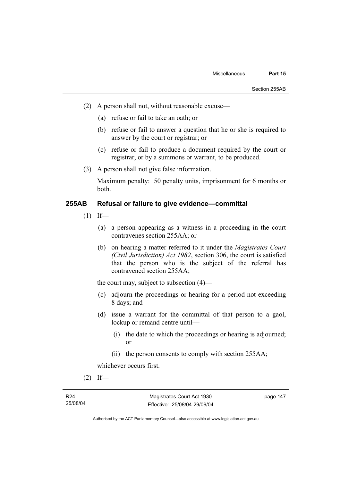- (2) A person shall not, without reasonable excuse—
	- (a) refuse or fail to take an oath; or
	- (b) refuse or fail to answer a question that he or she is required to answer by the court or registrar; or
	- (c) refuse or fail to produce a document required by the court or registrar, or by a summons or warrant, to be produced.
- (3) A person shall not give false information.

Maximum penalty: 50 penalty units, imprisonment for 6 months or both.

# **255AB Refusal or failure to give evidence—committal**

- $(1)$  If—
	- (a) a person appearing as a witness in a proceeding in the court contravenes section 255AA; or
	- (b) on hearing a matter referred to it under the *Magistrates Court (Civil Jurisdiction) Act 1982*, section 306, the court is satisfied that the person who is the subject of the referral has contravened section 255AA;

the court may, subject to subsection (4)—

- (c) adjourn the proceedings or hearing for a period not exceeding 8 days; and
- (d) issue a warrant for the committal of that person to a gaol, lockup or remand centre until—
	- (i) the date to which the proceedings or hearing is adjourned; or
	- (ii) the person consents to comply with section 255AA;

whichever occurs first.

 $(2)$  If—

Authorised by the ACT Parliamentary Counsel—also accessible at www.legislation.act.gov.au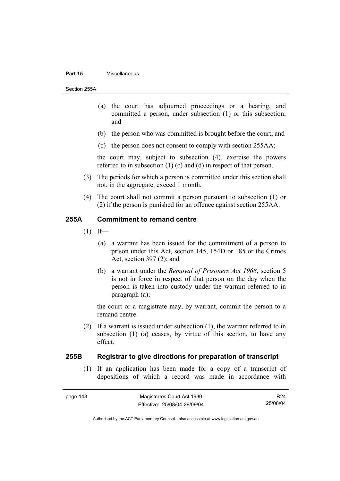#### **Part 15** Miscellaneous

Section 255A

- (a) the court has adjourned proceedings or a hearing, and committed a person, under subsection (1) or this subsection; and
- (b) the person who was committed is brought before the court; and
- (c) the person does not consent to comply with section 255AA;

the court may, subject to subsection (4), exercise the powers referred to in subsection (1) (c) and (d) in respect of that person.

- (3) The periods for which a person is committed under this section shall not, in the aggregate, exceed 1 month.
- (4) The court shall not commit a person pursuant to subsection (1) or (2) if the person is punished for an offence against section 255AA.

### **255A Commitment to remand centre**

- $(1)$  If—
	- (a) a warrant has been issued for the commitment of a person to prison under this Act, section 145, 154D or 185 or the Crimes Act, section 397 (2); and
	- (b) a warrant under the *Removal of Prisoners Act 1968*, section 5 is not in force in respect of that person on the day when the person is taken into custody under the warrant referred to in paragraph (a);

the court or a magistrate may, by warrant, commit the person to a remand centre.

 (2) If a warrant is issued under subsection (1), the warrant referred to in subsection (1) (a) ceases, by virtue of this section, to have any effect.

# **255B Registrar to give directions for preparation of transcript**

 (1) If an application has been made for a copy of a transcript of depositions of which a record was made in accordance with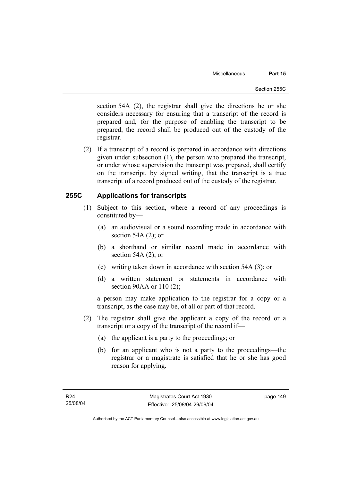section 54A (2), the registrar shall give the directions he or she considers necessary for ensuring that a transcript of the record is prepared and, for the purpose of enabling the transcript to be prepared, the record shall be produced out of the custody of the registrar.

 (2) If a transcript of a record is prepared in accordance with directions given under subsection (1), the person who prepared the transcript, or under whose supervision the transcript was prepared, shall certify on the transcript, by signed writing, that the transcript is a true transcript of a record produced out of the custody of the registrar.

# **255C Applications for transcripts**

- (1) Subject to this section, where a record of any proceedings is constituted by—
	- (a) an audiovisual or a sound recording made in accordance with section 54A (2); or
	- (b) a shorthand or similar record made in accordance with section 54A (2); or
	- (c) writing taken down in accordance with section 54A (3); or
	- (d) a written statement or statements in accordance with section 90AA or 110 (2);

a person may make application to the registrar for a copy or a transcript, as the case may be, of all or part of that record.

- (2) The registrar shall give the applicant a copy of the record or a transcript or a copy of the transcript of the record if—
	- (a) the applicant is a party to the proceedings; or
	- (b) for an applicant who is not a party to the proceedings—the registrar or a magistrate is satisfied that he or she has good reason for applying.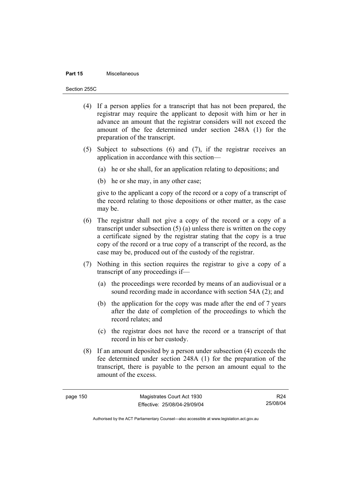### **Part 15** Miscellaneous

Section 255C

- (4) If a person applies for a transcript that has not been prepared, the registrar may require the applicant to deposit with him or her in advance an amount that the registrar considers will not exceed the amount of the fee determined under section 248A (1) for the preparation of the transcript.
- (5) Subject to subsections (6) and (7), if the registrar receives an application in accordance with this section—
	- (a) he or she shall, for an application relating to depositions; and
	- (b) he or she may, in any other case;

give to the applicant a copy of the record or a copy of a transcript of the record relating to those depositions or other matter, as the case may be.

- (6) The registrar shall not give a copy of the record or a copy of a transcript under subsection (5) (a) unless there is written on the copy a certificate signed by the registrar stating that the copy is a true copy of the record or a true copy of a transcript of the record, as the case may be, produced out of the custody of the registrar.
- (7) Nothing in this section requires the registrar to give a copy of a transcript of any proceedings if—
	- (a) the proceedings were recorded by means of an audiovisual or a sound recording made in accordance with section 54A (2); and
	- (b) the application for the copy was made after the end of 7 years after the date of completion of the proceedings to which the record relates; and
	- (c) the registrar does not have the record or a transcript of that record in his or her custody.
- (8) If an amount deposited by a person under subsection (4) exceeds the fee determined under section 248A (1) for the preparation of the transcript, there is payable to the person an amount equal to the amount of the excess.

R24 25/08/04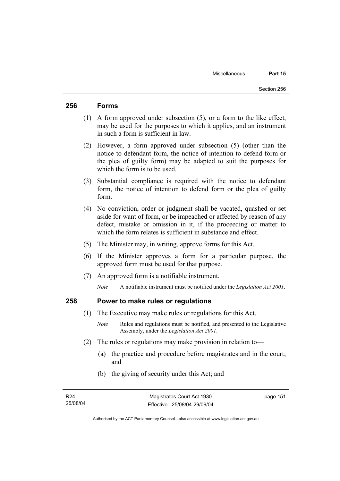# **256 Forms**

- (1) A form approved under subsection (5), or a form to the like effect, may be used for the purposes to which it applies, and an instrument in such a form is sufficient in law.
- (2) However, a form approved under subsection (5) (other than the notice to defendant form, the notice of intention to defend form or the plea of guilty form) may be adapted to suit the purposes for which the form is to be used.
- (3) Substantial compliance is required with the notice to defendant form, the notice of intention to defend form or the plea of guilty form.
- (4) No conviction, order or judgment shall be vacated, quashed or set aside for want of form, or be impeached or affected by reason of any defect, mistake or omission in it, if the proceeding or matter to which the form relates is sufficient in substance and effect.
- (5) The Minister may, in writing, approve forms for this Act.
- (6) If the Minister approves a form for a particular purpose, the approved form must be used for that purpose.
- (7) An approved form is a notifiable instrument.

*Note* A notifiable instrument must be notified under the *Legislation Act 2001*.

# **258 Power to make rules or regulations**

- (1) The Executive may make rules or regulations for this Act.
	- *Note* Rules and regulations must be notified, and presented to the Legislative Assembly, under the *Legislation Act 2001*.
- (2) The rules or regulations may make provision in relation to—
	- (a) the practice and procedure before magistrates and in the court; and
	- (b) the giving of security under this Act; and

Authorised by the ACT Parliamentary Counsel—also accessible at www.legislation.act.gov.au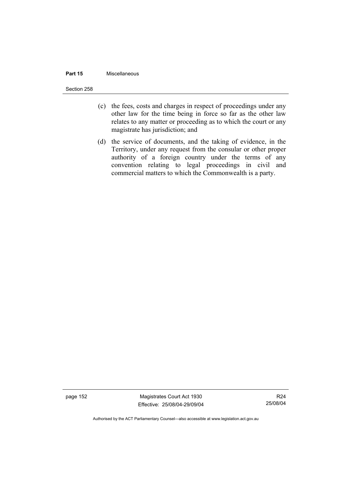### **Part 15** Miscellaneous

Section 258

- (c) the fees, costs and charges in respect of proceedings under any other law for the time being in force so far as the other law relates to any matter or proceeding as to which the court or any magistrate has jurisdiction; and
- (d) the service of documents, and the taking of evidence, in the Territory, under any request from the consular or other proper authority of a foreign country under the terms of any convention relating to legal proceedings in civil and commercial matters to which the Commonwealth is a party.

page 152 Magistrates Court Act 1930 Effective: 25/08/04-29/09/04

R24 25/08/04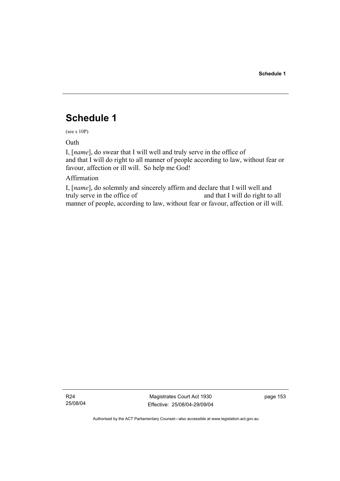# **Schedule 1**

(see s 10P)

Oath

I, [*name*], do swear that I will well and truly serve in the office of and that I will do right to all manner of people according to law, without fear or favour, affection or ill will. So help me God!

# Affirmation

I, [*name*], do solemnly and sincerely affirm and declare that I will well and truly serve in the office of and that I will do right to all manner of people, according to law, without fear or favour, affection or ill will.

R24 25/08/04

Magistrates Court Act 1930 Effective: 25/08/04-29/09/04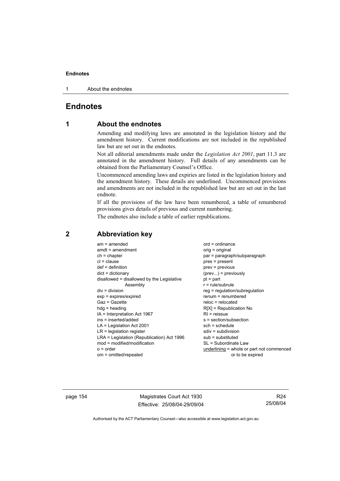1 About the endnotes

# **Endnotes**

# **1 About the endnotes**

Amending and modifying laws are annotated in the legislation history and the amendment history. Current modifications are not included in the republished law but are set out in the endnotes.

Not all editorial amendments made under the *Legislation Act 2001*, part 11.3 are annotated in the amendment history. Full details of any amendments can be obtained from the Parliamentary Counsel's Office.

Uncommenced amending laws and expiries are listed in the legislation history and the amendment history. These details are underlined. Uncommenced provisions and amendments are not included in the republished law but are set out in the last endnote.

If all the provisions of the law have been renumbered, a table of renumbered provisions gives details of previous and current numbering.

The endnotes also include a table of earlier republications.

| $am = amended$<br>$amdt = amendment$<br>$ch = chapter$<br>$cl = clause$<br>$def = definition$<br>$dict = dictionary$<br>disallowed = disallowed by the Legislative<br>Assembly<br>$div = division$<br>$exp = expires/expired$<br>$Gaz = Gazette$<br>$hda =$ heading<br>$IA = Interpretation Act 1967$<br>ins = inserted/added<br>$LA =$ Legislation Act 2001<br>$LR =$ legislation register<br>LRA = Legislation (Republication) Act 1996<br>$mod = modified/modification$ | $ord = ordinance$<br>orig = original<br>par = paragraph/subparagraph<br>pres = present<br>$prev = previous$<br>$(\text{prev})$ = previously<br>$pt = part$<br>$r = rule/subrule$<br>$reg = regulation/subregulation$<br>$renum = renumbered$<br>$reloc = relocated$<br>$R[X]$ = Republication No<br>$R1$ = reissue<br>s = section/subsection<br>$sch = schedule$<br>$sdiv = subdivision$<br>$sub =$ substituted<br>SL = Subordinate Law |
|----------------------------------------------------------------------------------------------------------------------------------------------------------------------------------------------------------------------------------------------------------------------------------------------------------------------------------------------------------------------------------------------------------------------------------------------------------------------------|-----------------------------------------------------------------------------------------------------------------------------------------------------------------------------------------------------------------------------------------------------------------------------------------------------------------------------------------------------------------------------------------------------------------------------------------|
| $o = order$                                                                                                                                                                                                                                                                                                                                                                                                                                                                | underlining = whole or part not commenced                                                                                                                                                                                                                                                                                                                                                                                               |
| om = omitted/repealed                                                                                                                                                                                                                                                                                                                                                                                                                                                      | or to be expired                                                                                                                                                                                                                                                                                                                                                                                                                        |
|                                                                                                                                                                                                                                                                                                                                                                                                                                                                            |                                                                                                                                                                                                                                                                                                                                                                                                                                         |

# **2 Abbreviation key**

page 154 Magistrates Court Act 1930 Effective: 25/08/04-29/09/04

R24 25/08/04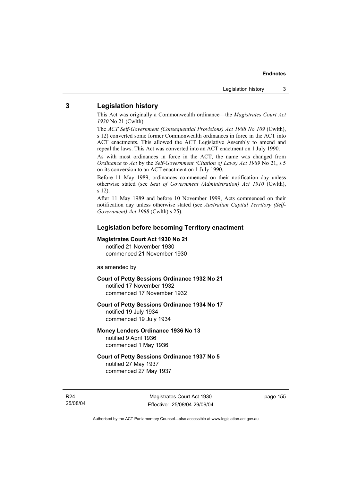### **3 Legislation history**

This Act was originally a Commonwealth ordinance—the *Magistrates Court Act 1930* No 21 (Cwlth).

The *ACT Self-Government (Consequential Provisions) Act 1988 No 109* (Cwlth), s 12) converted some former Commonwealth ordinances in force in the ACT into ACT enactments. This allowed the ACT Legislative Assembly to amend and repeal the laws. This Act was converted into an ACT enactment on 1 July 1990.

As with most ordinances in force in the ACT, the name was changed from *Ordinance* to *Act* by the *Self-Government (Citation of Laws) Act 1989* No 21, s 5 on its conversion to an ACT enactment on 1 July 1990.

Before 11 May 1989, ordinances commenced on their notification day unless otherwise stated (see *Seat of Government (Administration) Act 1910* (Cwlth), s 12).

After 11 May 1989 and before 10 November 1999, Acts commenced on their notification day unless otherwise stated (see *Australian Capital Territory (Self-Government) Act 1988* (Cwlth) s 25).

### **Legislation before becoming Territory enactment**

### **Magistrates Court Act 1930 No 21**

notified 21 November 1930 commenced 21 November 1930

as amended by

### **Court of Petty Sessions Ordinance 1932 No 21**

notified 17 November 1932 commenced 17 November 1932

### **Court of Petty Sessions Ordinance 1934 No 17**

notified 19 July 1934 commenced 19 July 1934

### **Money Lenders Ordinance 1936 No 13**  notified 9 April 1936 commenced 1 May 1936

### **Court of Petty Sessions Ordinance 1937 No 5**  notified 27 May 1937 commenced 27 May 1937

R24 25/08/04

Magistrates Court Act 1930 Effective: 25/08/04-29/09/04 page 155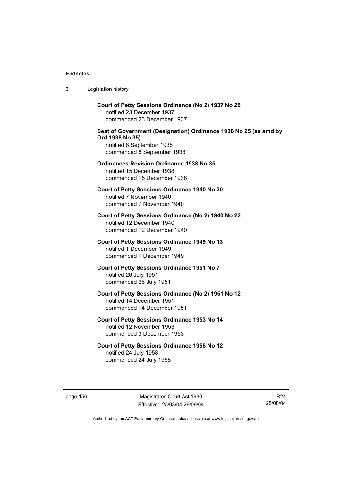3 Legislation history

**Court of Petty Sessions Ordinance (No 2) 1937 No 28**  notified 23 December 1937 commenced 23 December 1937 **Seat of Government (Designation) Ordinance 1938 No 25 (as amd by Ord 1938 No 35)**  notified 8 September 1938 commenced 8 September 1938 **Ordinances Revision Ordinance 1938 No 35**  notified 15 December 1938 commenced 15 December 1938 **Court of Petty Sessions Ordinance 1940 No 20**  notified 7 November 1940 commenced 7 November 1940 **Court of Petty Sessions Ordinance (No 2) 1940 No 22**  notified 12 December 1940 commenced 12 December 1940

> **Court of Petty Sessions Ordinance 1949 No 13**  notified 1 December 1949 commenced 1 December 1949

**Court of Petty Sessions Ordinance 1951 No 7**  notified 26 July 1951 commenced 26 July 1951

**Court of Petty Sessions Ordinance (No 2) 1951 No 12**  notified 14 December 1951 commenced 14 December 1951

**Court of Petty Sessions Ordinance 1953 No 14**  notified 12 November 1953 commenced 3 December 1953

**Court of Petty Sessions Ordinance 1958 No 12**  notified 24 July 1958 commenced 24 July 1958

page 156 Magistrates Court Act 1930 Effective: 25/08/04-29/09/04

R24 25/08/04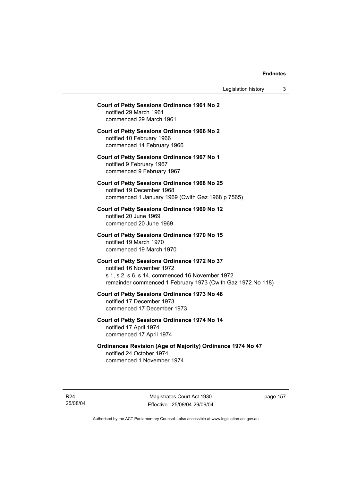Legislation history 3

# **Court of Petty Sessions Ordinance 1961 No 2**  notified 29 March 1961 commenced 29 March 1961 **Court of Petty Sessions Ordinance 1966 No 2**  notified 10 February 1966 commenced 14 February 1966 **Court of Petty Sessions Ordinance 1967 No 1**  notified 9 February 1967 commenced 9 February 1967 **Court of Petty Sessions Ordinance 1968 No 25**  notified 19 December 1968 commenced 1 January 1969 (Cwlth Gaz 1968 p 7565) **Court of Petty Sessions Ordinance 1969 No 12**  notified 20 June 1969 commenced 20 June 1969 **Court of Petty Sessions Ordinance 1970 No 15**  notified 19 March 1970 commenced 19 March 1970 **Court of Petty Sessions Ordinance 1972 No 37**  notified 16 November 1972 s 1, s 2, s 6, s 14, commenced 16 November 1972 remainder commenced 1 February 1973 (Cwlth Gaz 1972 No 118) **Court of Petty Sessions Ordinance 1973 No 48**  notified 17 December 1973 commenced 17 December 1973 **Court of Petty Sessions Ordinance 1974 No 14**  notified 17 April 1974 commenced 17 April 1974

**Ordinances Revision (Age of Majority) Ordinance 1974 No 47**  notified 24 October 1974 commenced 1 November 1974

R24 25/08/04

Magistrates Court Act 1930 Effective: 25/08/04-29/09/04 page 157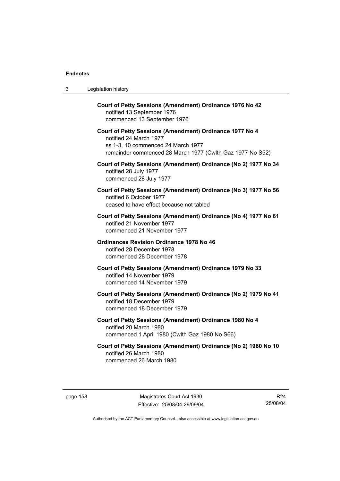| 3 | Legislation history                                                                                                                                                                  |
|---|--------------------------------------------------------------------------------------------------------------------------------------------------------------------------------------|
|   | Court of Petty Sessions (Amendment) Ordinance 1976 No 42<br>notified 13 September 1976<br>commenced 13 September 1976                                                                |
|   | Court of Petty Sessions (Amendment) Ordinance 1977 No 4<br>notified 24 March 1977<br>ss 1-3, 10 commenced 24 March 1977<br>remainder commenced 28 March 1977 (Cwlth Gaz 1977 No S52) |
|   | Court of Petty Sessions (Amendment) Ordinance (No 2) 1977 No 34<br>notified 28 July 1977<br>commenced 28 July 1977                                                                   |
|   | Court of Petty Sessions (Amendment) Ordinance (No 3) 1977 No 56<br>notified 6 October 1977<br>ceased to have effect because not tabled                                               |
|   | Court of Petty Sessions (Amendment) Ordinance (No 4) 1977 No 61<br>notified 21 November 1977<br>commenced 21 November 1977                                                           |
|   | <b>Ordinances Revision Ordinance 1978 No 46</b><br>notified 28 December 1978<br>commenced 28 December 1978                                                                           |
|   | Court of Petty Sessions (Amendment) Ordinance 1979 No 33<br>notified 14 November 1979<br>commenced 14 November 1979                                                                  |
|   | Court of Petty Sessions (Amendment) Ordinance (No 2) 1979 No 41<br>notified 18 December 1979<br>commenced 18 December 1979                                                           |
|   | Court of Petty Sessions (Amendment) Ordinance 1980 No 4<br>notified 20 March 1980<br>commenced 1 April 1980 (Cwlth Gaz 1980 No S66)                                                  |
|   | Court of Petty Sessions (Amendment) Ordinance (No 2) 1980 No 10<br>notified 26 March 1980<br>commenced 26 March 1980                                                                 |

R24 25/08/04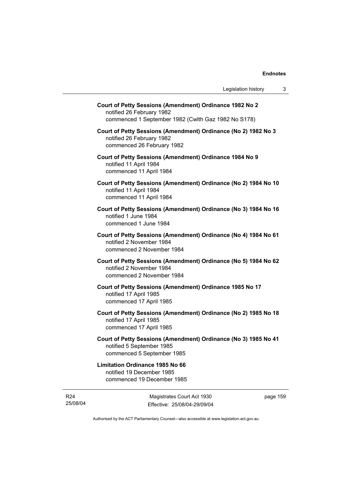| notified 26 February 1982                                                                         | Court of Petty Sessions (Amendment) Ordinance 1982 No 2<br>commenced 1 September 1982 (Cwlth Gaz 1982 No S178) |
|---------------------------------------------------------------------------------------------------|----------------------------------------------------------------------------------------------------------------|
| notified 26 February 1982<br>commenced 26 February 1982                                           | Court of Petty Sessions (Amendment) Ordinance (No 2) 1982 No 3                                                 |
| notified 11 April 1984<br>commenced 11 April 1984                                                 | Court of Petty Sessions (Amendment) Ordinance 1984 No 9                                                        |
| notified 11 April 1984<br>commenced 11 April 1984                                                 | Court of Petty Sessions (Amendment) Ordinance (No 2) 1984 No 10                                                |
| notified 1 June 1984<br>commenced 1 June 1984                                                     | Court of Petty Sessions (Amendment) Ordinance (No 3) 1984 No 16                                                |
| notified 2 November 1984<br>commenced 2 November 1984                                             | Court of Petty Sessions (Amendment) Ordinance (No 4) 1984 No 61                                                |
| notified 2 November 1984<br>commenced 2 November 1984                                             | Court of Petty Sessions (Amendment) Ordinance (No 5) 1984 No 62                                                |
| notified 17 April 1985<br>commenced 17 April 1985                                                 | Court of Petty Sessions (Amendment) Ordinance 1985 No 17                                                       |
| notified 17 April 1985<br>commenced 17 April 1985                                                 | Court of Petty Sessions (Amendment) Ordinance (No 2) 1985 No 18                                                |
| notified 5 September 1985<br>commenced 5 September 1985                                           | Court of Petty Sessions (Amendment) Ordinance (No 3) 1985 No 41                                                |
| <b>Limitation Ordinance 1985 No 66</b><br>notified 19 December 1985<br>commenced 19 December 1985 |                                                                                                                |
|                                                                                                   |                                                                                                                |

R24 25/08/04

Magistrates Court Act 1930 Effective: 25/08/04-29/09/04 page 159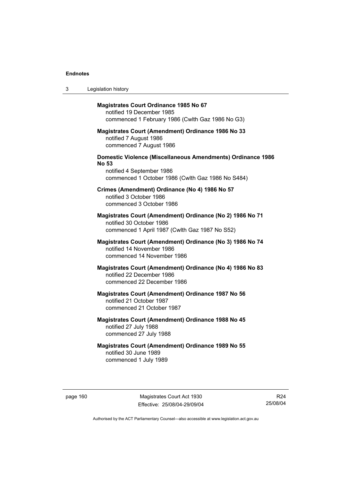| 3 | Legislation history                                                                                                                                                  |
|---|----------------------------------------------------------------------------------------------------------------------------------------------------------------------|
|   | <b>Magistrates Court Ordinance 1985 No 67</b><br>notified 19 December 1985<br>commenced 1 February 1986 (Cwlth Gaz 1986 No G3)                                       |
|   | <b>Magistrates Court (Amendment) Ordinance 1986 No 33</b><br>notified 7 August 1986<br>commenced 7 August 1986                                                       |
|   | <b>Domestic Violence (Miscellaneous Amendments) Ordinance 1986</b><br><b>No 53</b><br>notified 4 September 1986<br>commenced 1 October 1986 (Cwlth Gaz 1986 No S484) |
|   | Crimes (Amendment) Ordinance (No 4) 1986 No 57<br>notified 3 October 1986<br>commenced 3 October 1986                                                                |
|   | Magistrates Court (Amendment) Ordinance (No 2) 1986 No 71<br>notified 30 October 1986<br>commenced 1 April 1987 (Cwlth Gaz 1987 No S52)                              |
|   | Magistrates Court (Amendment) Ordinance (No 3) 1986 No 74<br>notified 14 November 1986<br>commenced 14 November 1986                                                 |
|   | Magistrates Court (Amendment) Ordinance (No 4) 1986 No 83<br>notified 22 December 1986<br>commenced 22 December 1986                                                 |
|   | Magistrates Court (Amendment) Ordinance 1987 No 56<br>notified 21 October 1987<br>commenced 21 October 1987                                                          |
|   | Magistrates Court (Amendment) Ordinance 1988 No 45<br>notified 27 July 1988<br>commenced 27 July 1988                                                                |
|   | <b>Magistrates Court (Amendment) Ordinance 1989 No 55</b><br>notified 30 June 1989<br>commenced 1 July 1989                                                          |

page 160 Magistrates Court Act 1930 Effective: 25/08/04-29/09/04

R24 25/08/04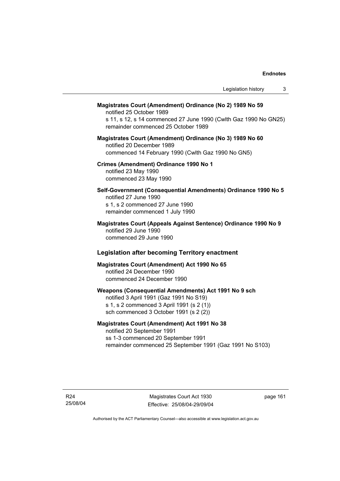| Legislation history<br>3                                                                                                                                                                         |
|--------------------------------------------------------------------------------------------------------------------------------------------------------------------------------------------------|
| Magistrates Court (Amendment) Ordinance (No 2) 1989 No 59<br>notified 25 October 1989<br>s 11, s 12, s 14 commenced 27 June 1990 (Cwlth Gaz 1990 No GN25)<br>remainder commenced 25 October 1989 |
| Magistrates Court (Amendment) Ordinance (No 3) 1989 No 60<br>notified 20 December 1989<br>commenced 14 February 1990 (Cwlth Gaz 1990 No GN5)                                                     |
| Crimes (Amendment) Ordinance 1990 No 1<br>notified 23 May 1990<br>commenced 23 May 1990                                                                                                          |
| Self-Government (Consequential Amendments) Ordinance 1990 No 5<br>notified 27 June 1990<br>s 1, s 2 commenced 27 June 1990<br>remainder commenced 1 July 1990                                    |
| Magistrates Court (Appeals Against Sentence) Ordinance 1990 No 9<br>notified 29 June 1990<br>commenced 29 June 1990                                                                              |
| <b>Legislation after becoming Territory enactment</b>                                                                                                                                            |
| Magistrates Court (Amendment) Act 1990 No 65<br>notified 24 December 1990<br>commenced 24 December 1990                                                                                          |
| Weapons (Consequential Amendments) Act 1991 No 9 sch<br>notified 3 April 1991 (Gaz 1991 No S19)<br>s 1, s 2 commenced 3 April 1991 (s 2 (1))<br>sch commenced 3 October 1991 (s 2 (2))           |
| $\mathbf{A}$ at $\mathbf{A}$ and $\mathbf{A}$ is a set of $\mathbf{A}$ and $\mathbf{A}$ and $\mathbf{A}$ and $\mathbf{A}$                                                                        |

# **Magistrates Court (Amendment) Act 1991 No 38**

notified 20 September 1991 ss 1-3 commenced 20 September 1991 remainder commenced 25 September 1991 (Gaz 1991 No S103)

R24 25/08/04

Magistrates Court Act 1930 Effective: 25/08/04-29/09/04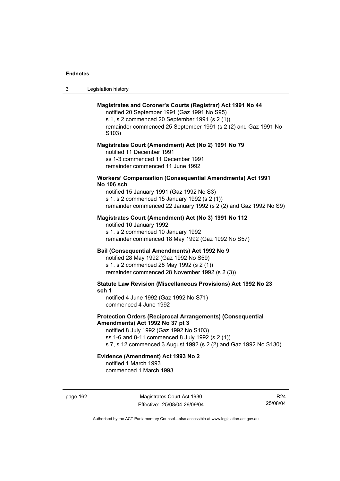| -3 | Legislation history |  |
|----|---------------------|--|
|----|---------------------|--|

### **Magistrates and Coroner's Courts (Registrar) Act 1991 No 44**

notified 20 September 1991 (Gaz 1991 No S95) s 1, s 2 commenced 20 September 1991 (s 2 (1))

remainder commenced 25 September 1991 (s 2 (2) and Gaz 1991 No S103)

#### **Magistrates Court (Amendment) Act (No 2) 1991 No 79**

notified 11 December 1991 ss 1-3 commenced 11 December 1991 remainder commenced 11 June 1992

### **Workers' Compensation (Consequential Amendments) Act 1991 No 106 sch**

notified 15 January 1991 (Gaz 1992 No S3) s 1, s 2 commenced 15 January 1992 (s 2 (1)) remainder commenced 22 January 1992 (s 2 (2) and Gaz 1992 No S9)

### **Magistrates Court (Amendment) Act (No 3) 1991 No 112**

notified 10 January 1992 s 1, s 2 commenced 10 January 1992 remainder commenced 18 May 1992 (Gaz 1992 No S57)

### **Bail (Consequential Amendments) Act 1992 No 9**

notified 28 May 1992 (Gaz 1992 No S59) s 1, s 2 commenced 28 May 1992 (s 2 (1)) remainder commenced 28 November 1992 (s 2 (3))

**Statute Law Revision (Miscellaneous Provisions) Act 1992 No 23 sch 1** 

notified 4 June 1992 (Gaz 1992 No S71) commenced 4 June 1992

### **Protection Orders (Reciprocal Arrangements) (Consequential Amendments) Act 1992 No 37 pt 3**

notified 8 July 1992 (Gaz 1992 No S103) ss 1-6 and 8-11 commenced 8 July 1992 (s 2 (1)) s 7, s 12 commenced 3 August 1992 (s 2 (2) and Gaz 1992 No S130)

# **Evidence (Amendment) Act 1993 No 2**

notified 1 March 1993 commenced 1 March 1993

page 162 Magistrates Court Act 1930 Effective: 25/08/04-29/09/04

R24 25/08/04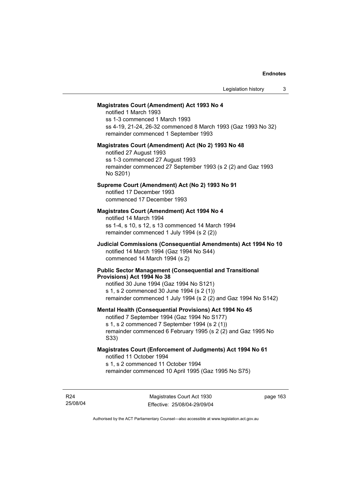### **Magistrates Court (Amendment) Act 1993 No 4**

notified 1 March 1993 ss 1-3 commenced 1 March 1993 ss 4-19, 21-24, 26-32 commenced 8 March 1993 (Gaz 1993 No 32) remainder commenced 1 September 1993

#### **Magistrates Court (Amendment) Act (No 2) 1993 No 48**

notified 27 August 1993 ss 1-3 commenced 27 August 1993 remainder commenced 27 September 1993 (s 2 (2) and Gaz 1993 No S201)

### **Supreme Court (Amendment) Act (No 2) 1993 No 91**

notified 17 December 1993 commenced 17 December 1993

### **Magistrates Court (Amendment) Act 1994 No 4**

notified 14 March 1994 ss 1-4, s 10, s 12, s 13 commenced 14 March 1994 remainder commenced 1 July 1994 (s 2 (2))

### **Judicial Commissions (Consequential Amendments) Act 1994 No 10**  notified 14 March 1994 (Gaz 1994 No S44) commenced 14 March 1994 (s 2)

#### **Public Sector Management (Consequential and Transitional Provisions) Act 1994 No 38**

notified 30 June 1994 (Gaz 1994 No S121) s 1, s 2 commenced 30 June 1994 (s 2 (1)) remainder commenced 1 July 1994 (s 2 (2) and Gaz 1994 No S142)

#### **Mental Health (Consequential Provisions) Act 1994 No 45**

notified 7 September 1994 (Gaz 1994 No S177) s 1, s 2 commenced 7 September 1994 (s 2 (1)) remainder commenced 6 February 1995 (s 2 (2) and Gaz 1995 No S33)

### **Magistrates Court (Enforcement of Judgments) Act 1994 No 61**  notified 11 October 1994

s 1, s 2 commenced 11 October 1994

remainder commenced 10 April 1995 (Gaz 1995 No S75)

R24 25/08/04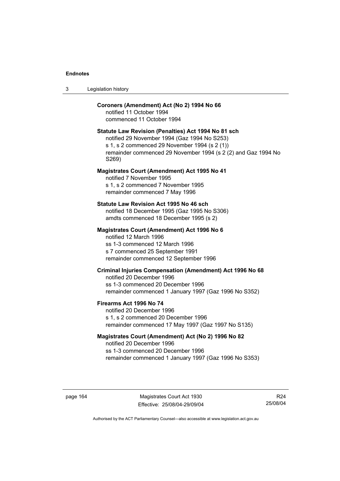| Legislation history<br>-3 |  |
|---------------------------|--|
|---------------------------|--|

### **Coroners (Amendment) Act (No 2) 1994 No 66**

notified 11 October 1994 commenced 11 October 1994

### **Statute Law Revision (Penalties) Act 1994 No 81 sch**

notified 29 November 1994 (Gaz 1994 No S253) s 1, s 2 commenced 29 November 1994 (s 2 (1)) remainder commenced 29 November 1994 (s 2 (2) and Gaz 1994 No S269)

### **Magistrates Court (Amendment) Act 1995 No 41**

notified 7 November 1995 s 1, s 2 commenced 7 November 1995 remainder commenced 7 May 1996

### **Statute Law Revision Act 1995 No 46 sch**

notified 18 December 1995 (Gaz 1995 No S306) amdts commenced 18 December 1995 (s 2)

### **Magistrates Court (Amendment) Act 1996 No 6**

notified 12 March 1996 ss 1-3 commenced 12 March 1996 s 7 commenced 25 September 1991 remainder commenced 12 September 1996

### **Criminal Injuries Compensation (Amendment) Act 1996 No 68**

notified 20 December 1996 ss 1-3 commenced 20 December 1996 remainder commenced 1 January 1997 (Gaz 1996 No S352)

### **Firearms Act 1996 No 74**

notified 20 December 1996 s 1, s 2 commenced 20 December 1996 remainder commenced 17 May 1997 (Gaz 1997 No S135)

### **Magistrates Court (Amendment) Act (No 2) 1996 No 82**

notified 20 December 1996 ss 1-3 commenced 20 December 1996 remainder commenced 1 January 1997 (Gaz 1996 No S353)

page 164 Magistrates Court Act 1930 Effective: 25/08/04-29/09/04

R24 25/08/04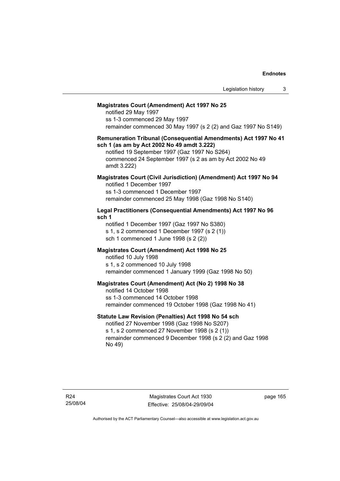### **Magistrates Court (Amendment) Act 1997 No 25**

notified 29 May 1997 ss 1-3 commenced 29 May 1997 remainder commenced 30 May 1997 (s 2 (2) and Gaz 1997 No S149)

### **Remuneration Tribunal (Consequential Amendments) Act 1997 No 41 sch 1 (as am by Act 2002 No 49 amdt 3.222)**

notified 19 September 1997 (Gaz 1997 No S264) commenced 24 September 1997 (s 2 as am by Act 2002 No 49 amdt 3.222)

### **Magistrates Court (Civil Jurisdiction) (Amendment) Act 1997 No 94**  notified 1 December 1997

ss 1-3 commenced 1 December 1997 remainder commenced 25 May 1998 (Gaz 1998 No S140)

### **Legal Practitioners (Consequential Amendments) Act 1997 No 96 sch 1**

notified 1 December 1997 (Gaz 1997 No S380) s 1, s 2 commenced 1 December 1997 (s 2 (1)) sch 1 commenced 1 June 1998 (s 2 (2))

### **Magistrates Court (Amendment) Act 1998 No 25**

notified 10 July 1998 s 1, s 2 commenced 10 July 1998 remainder commenced 1 January 1999 (Gaz 1998 No 50)

### **Magistrates Court (Amendment) Act (No 2) 1998 No 38**

notified 14 October 1998 ss 1-3 commenced 14 October 1998 remainder commenced 19 October 1998 (Gaz 1998 No 41)

### **Statute Law Revision (Penalties) Act 1998 No 54 sch**

notified 27 November 1998 (Gaz 1998 No S207) s 1, s 2 commenced 27 November 1998 (s 2 (1)) remainder commenced 9 December 1998 (s 2 (2) and Gaz 1998 No 49)

Magistrates Court Act 1930 Effective: 25/08/04-29/09/04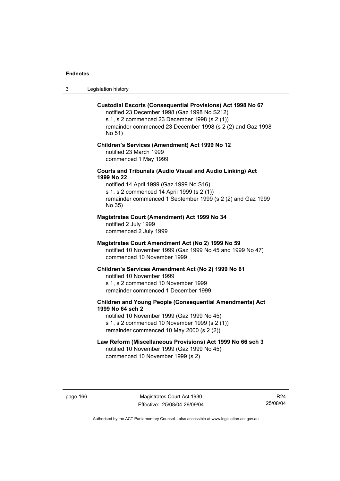3 Legislation history

### **Custodial Escorts (Consequential Provisions) Act 1998 No 67**

notified 23 December 1998 (Gaz 1998 No S212) s 1, s 2 commenced 23 December 1998 (s 2 (1)) remainder commenced 23 December 1998 (s 2 (2) and Gaz 1998 No 51)

### **Children's Services (Amendment) Act 1999 No 12**  notified 23 March 1999 commenced 1 May 1999

### **Courts and Tribunals (Audio Visual and Audio Linking) Act 1999 No 22**

notified 14 April 1999 (Gaz 1999 No S16) s 1, s 2 commenced 14 April 1999 (s 2 (1)) remainder commenced 1 September 1999 (s 2 (2) and Gaz 1999 No 35)

### **Magistrates Court (Amendment) Act 1999 No 34**

notified 2 July 1999 commenced 2 July 1999

### **Magistrates Court Amendment Act (No 2) 1999 No 59**

notified 10 November 1999 (Gaz 1999 No 45 and 1999 No 47) commenced 10 November 1999

#### **Children's Services Amendment Act (No 2) 1999 No 61**

notified 10 November 1999 s 1, s 2 commenced 10 November 1999 remainder commenced 1 December 1999

### **Children and Young People (Consequential Amendments) Act 1999 No 64 sch 2**

notified 10 November 1999 (Gaz 1999 No 45) s 1, s 2 commenced 10 November 1999 (s 2 (1)) remainder commenced 10 May 2000 (s 2 (2))

# **Law Reform (Miscellaneous Provisions) Act 1999 No 66 sch 3**

notified 10 November 1999 (Gaz 1999 No 45) commenced 10 November 1999 (s 2)

page 166 Magistrates Court Act 1930 Effective: 25/08/04-29/09/04

R24 25/08/04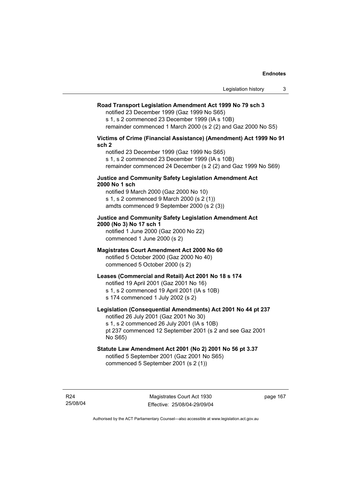## **Road Transport Legislation Amendment Act 1999 No 79 sch 3**

notified 23 December 1999 (Gaz 1999 No S65)

s 1, s 2 commenced 23 December 1999 (IA s 10B) remainder commenced 1 March 2000 (s 2 (2) and Gaz 2000 No S5)

# **Victims of Crime (Financial Assistance) (Amendment) Act 1999 No 91 sch 2**

notified 23 December 1999 (Gaz 1999 No S65) s 1, s 2 commenced 23 December 1999 (IA s 10B) remainder commenced 24 December (s 2 (2) and Gaz 1999 No S69)

## **Justice and Community Safety Legislation Amendment Act 2000 No 1 sch**

notified 9 March 2000 (Gaz 2000 No 10) s 1, s 2 commenced 9 March 2000 (s 2 (1)) amdts commenced 9 September 2000 (s 2 (3))

# **Justice and Community Safety Legislation Amendment Act 2000 (No 3) No 17 sch 1**

notified 1 June 2000 (Gaz 2000 No 22) commenced 1 June 2000 (s 2)

# **Magistrates Court Amendment Act 2000 No 60**

notified 5 October 2000 (Gaz 2000 No 40) commenced 5 October 2000 (s 2)

# **Leases (Commercial and Retail) Act 2001 No 18 s 174**

notified 19 April 2001 (Gaz 2001 No 16)

s 1, s 2 commenced 19 April 2001 (IA s 10B)

s 174 commenced 1 July 2002 (s 2)

# **Legislation (Consequential Amendments) Act 2001 No 44 pt 237**

notified 26 July 2001 (Gaz 2001 No 30) s 1, s 2 commenced 26 July 2001 (IA s 10B)

pt 237 commenced 12 September 2001 (s 2 and see Gaz 2001 No S65)

# **Statute Law Amendment Act 2001 (No 2) 2001 No 56 pt 3.37**

notified 5 September 2001 (Gaz 2001 No S65) commenced 5 September 2001 (s 2 (1))

R24 25/08/04 page 167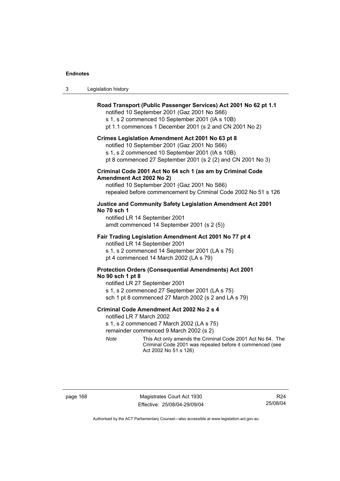| 3<br>Legislation history |  |
|--------------------------|--|
|--------------------------|--|

# **Road Transport (Public Passenger Services) Act 2001 No 62 pt 1.1**

notified 10 September 2001 (Gaz 2001 No S66)

s 1, s 2 commenced 10 September 2001 (IA s 10B)

pt 1.1 commences 1 December 2001 (s 2 and CN 2001 No 2)

### **Crimes Legislation Amendment Act 2001 No 63 pt 8**

notified 10 September 2001 (Gaz 2001 No S66)

s 1, s 2 commenced 10 September 2001 (IA s 10B)

pt 8 commenced 27 September 2001 (s 2 (2) and CN 2001 No 3)

# **Criminal Code 2001 Act No 64 sch 1 (as am by Criminal Code Amendment Act 2002 No 2)**

notified 10 September 2001 (Gaz 2001 No S66) repealed before commencement by Criminal Code 2002 No 51 s 126

## **Justice and Community Safety Legislation Amendment Act 2001 No 70 sch 1**

notified LR 14 September 2001 amdt commenced 14 September 2001 (s 2 (5))

## **Fair Trading Legislation Amendment Act 2001 No 77 pt 4**

notified LR 14 September 2001 s 1, s 2 commenced 14 September 2001 (LA s 75) pt 4 commenced 14 March 2002 (LA s 79)

# **Protection Orders (Consequential Amendments) Act 2001 No 90 sch 1 pt 8**

notified LR 27 September 2001 s 1, s 2 commenced 27 September 2001 (LA s 75) sch 1 pt 8 commenced 27 March 2002 (s 2 and LA s 79)

## **Criminal Code Amendment Act 2002 No 2 s 4**

notified LR 7 March 2002

s 1, s 2 commenced 7 March 2002 (LA s 75)

remainder commenced 9 March 2002 (s 2)

*Note* This Act only amends the Criminal Code 2001 Act No 64. The Criminal Code 2001 was repealed before it commenced (see Act 2002 No 51 s 126)

page 168 Magistrates Court Act 1930 Effective: 25/08/04-29/09/04

R24 25/08/04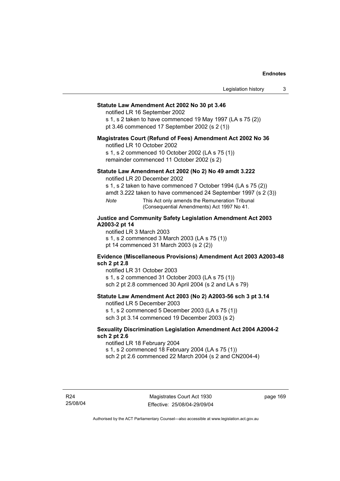# **Statute Law Amendment Act 2002 No 30 pt 3.46**

notified LR 16 September 2002

s 1, s 2 taken to have commenced 19 May 1997 (LA s 75 (2)) pt 3.46 commenced 17 September 2002 (s 2 (1))

### **Magistrates Court (Refund of Fees) Amendment Act 2002 No 36**

notified LR 10 October 2002

s 1, s 2 commenced 10 October 2002 (LA s 75 (1)) remainder commenced 11 October 2002 (s 2)

## **Statute Law Amendment Act 2002 (No 2) No 49 amdt 3.222**

notified LR 20 December 2002

s 1, s 2 taken to have commenced 7 October 1994 (LA s 75 (2))

amdt 3.222 taken to have commenced 24 September 1997 (s 2 (3))

*Note* This Act only amends the Remuneration Tribunal (Consequential Amendments) Act 1997 No 41.

# **Justice and Community Safety Legislation Amendment Act 2003 A2003-2 pt 14**

notified LR 3 March 2003

s 1, s 2 commenced 3 March 2003 (LA s 75 (1))

pt 14 commenced 31 March 2003 (s 2 (2))

## **Evidence (Miscellaneous Provisions) Amendment Act 2003 A2003-48 sch 2 pt 2.8**

notified LR 31 October 2003

s 1, s 2 commenced 31 October 2003 (LA s 75 (1)) sch 2 pt 2.8 commenced 30 April 2004 (s 2 and LA s 79)

# **Statute Law Amendment Act 2003 (No 2) A2003-56 sch 3 pt 3.14**

notified LR 5 December 2003

s 1, s 2 commenced 5 December 2003 (LA s 75 (1)) sch 3 pt 3.14 commenced 19 December 2003 (s 2)

## **Sexuality Discrimination Legislation Amendment Act 2004 A2004-2 sch 2 pt 2.6**

notified LR 18 February 2004

s 1, s 2 commenced 18 February 2004 (LA s 75 (1))

sch 2 pt 2.6 commenced 22 March 2004 (s 2 and CN2004-4)

R24 25/08/04 page 169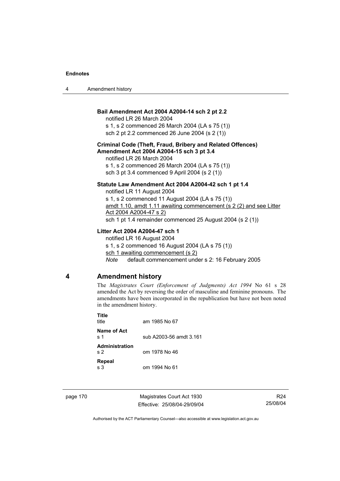| 4 | Amendment history |
|---|-------------------|
|---|-------------------|

# **Bail Amendment Act 2004 A2004-14 sch 2 pt 2.2**

notified LR 26 March 2004 s 1, s 2 commenced 26 March 2004 (LA s 75 (1))

sch 2 pt 2.2 commenced 26 June 2004 (s 2 (1))

# **Criminal Code (Theft, Fraud, Bribery and Related Offences) Amendment Act 2004 A2004-15 sch 3 pt 3.4**

notified LR 26 March 2004 s 1, s 2 commenced 26 March 2004 (LA s 75 (1)) sch 3 pt 3.4 commenced 9 April 2004 (s 2 (1))

## **Statute Law Amendment Act 2004 A2004-42 sch 1 pt 1.4**

notified LR 11 August 2004 s 1, s 2 commenced 11 August 2004 (LA s 75 (1)) amdt 1.10, amdt 1.11 awaiting commencement (s 2 (2) and see Litter Act 2004 A2004-47 s 2) sch 1 pt 1.4 remainder commenced 25 August 2004 (s 2 (1))

# **Litter Act 2004 A2004-47 sch 1**

notified LR 16 August 2004 s 1, s 2 commenced 16 August 2004 (LA s 75 (1)) sch 1 awaiting commencement (s 2) *Note* default commencement under s 2: 16 February 2005

# **4 Amendment history**

The *Magistrates Court (Enforcement of Judgments) Act 1994* No 61 s 28 amended the Act by reversing the order of masculine and feminine pronouns. The amendments have been incorporated in the republication but have not been noted in the amendment history.

| Title<br>title                   | am 1985 No 67           |
|----------------------------------|-------------------------|
| Name of Act<br>s 1               | sub A2003-56 amdt 3.161 |
| Administration<br>s <sub>2</sub> | om 1978 No 46           |
| Repeal<br>s 3                    | om 1994 No 61           |

page 170 Magistrates Court Act 1930 Effective: 25/08/04-29/09/04

R24 25/08/04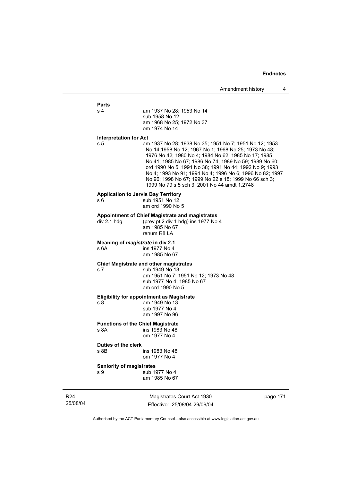# **Parts**

| s 4 | am 1937 No 28: 1953 No 14 |
|-----|---------------------------|
|     | sub 1958 No 12            |
|     | am 1968 No 25; 1972 No 37 |
|     | om 1974 No 14             |

#### **Interpretation for Act**

s 5 am 1937 No 28; 1938 No 35; 1951 No 7; 1951 No 12; 1953 No 14;1958 No 12; 1967 No 1; 1968 No 25; 1973 No 48; 1976 No 42; 1980 No 4; 1984 No 62; 1985 No 17; 1985 No 41; 1985 No 67; 1986 No 74; 1989 No 59; 1989 No 60; ord 1990 No 5; 1991 No 38; 1991 No 44; 1992 No 9; 1993 No 4; 1993 No 91; 1994 No 4; 1996 No 6; 1996 No 82; 1997 No 96; 1998 No 67; 1999 No 22 s 18; 1999 No 66 sch 3; 1999 No 79 s 5 sch 3; 2001 No 44 amdt 1.2748

#### **Application to Jervis Bay Territory**

s 6 sub 1951 No 12 am ord 1990 No 5

# **Appointment of Chief Magistrate and magistrates**<br>div 2.1 hdg (prev pt 2 div 1 hdg) ins 1977 No

(prev pt 2 div 1 hdg) ins 1977 No 4 am 1985 No 67 renum R8 LA

### **Meaning of** *magistrate* **in div 2.1**

s 6A ins 1977 No 4 am 1985 No 67

#### **Chief Magistrate and other magistrates**

s 7 sub 1949 No 13 am 1951 No 7; 1951 No 12; 1973 No 48 sub 1977 No 4; 1985 No 67 am ord 1990 No 5

### **Eligibility for appointment as Magistrate**

s 8 am 1949 No 13 sub 1977 No 4 am 1997 No 96

# **Functions of the Chief Magistrate**

s 8A ins 1983 No 48 om 1977 No 4

#### **Duties of the clerk**

s 8B ins 1983 No 48 om 1977 No 4

#### **Seniority of magistrates**

s 9 sub 1977 No 4 am 1985 No 67

R24 25/08/04

Magistrates Court Act 1930 Effective: 25/08/04-29/09/04 page 171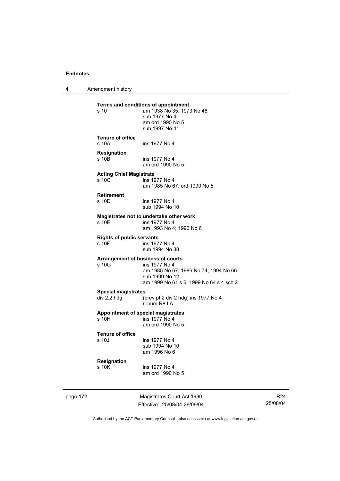4 Amendment history

**Terms and conditions of appointment**<br>  $\frac{10}{2}$  am 1938 No 35: 1973 am 1938 No 35; 1973 No 48 sub 1977 No 4 am ord 1990 No 5 sub 1997 No 41 **Tenure of office**  s 10A ins 1977 No 4 **Resignation**  ins 1977 No 4 am ord 1990 No 5 **Acting Chief Magistrate**  ins 1977 No 4 am 1985 No 67; ord 1990 No 5 **Retirement**  ins 1977 No 4 sub 1994 No 10 **Magistrates not to undertake other work**  ins 1977 No 4 am 1993 No 4; 1996 No 6 **Rights of public servants**  s 10F ins 1977 No 4 sub 1994 No 38 **Arrangement of business of courts**  s 10G ins 1977 No 4 am 1985 No 67; 1986 No 74; 1994 No 66 sub 1999 No 12 am 1999 No 61 s 6; 1999 No 64 s 4 sch 2 **Special magistrates**<br>div 2.2 hdg (**p** (prev pt 2 div 2 hdg) ins 1977 No 4 renum R8 LA **Appointment of special magistrates**  s 10H ins 1977 No 4 am ord 1990 No 5 **Tenure of office**  ins 1977 No 4 sub 1994 No 10 am 1996 No 6 **Resignation**  s 10K ins 1977 No 4 am ord 1990 No 5

page 172 Magistrates Court Act 1930 Effective: 25/08/04-29/09/04

R24 25/08/04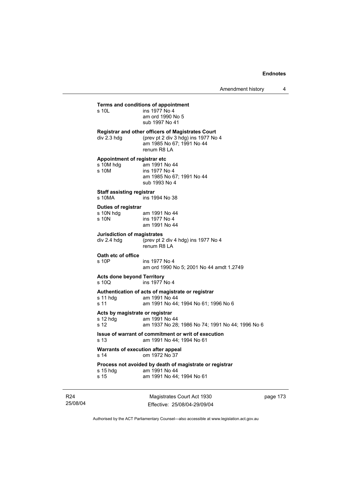Amendment history 4

# **Terms and conditions of appointment**<br>s 10L ins 1977 No 4

 $ins$  1977 No 4 am ord 1990 No 5 sub 1997 No 41

**Registrar and other officers of Magistrates Court**  div 2.3 hdg (prev pt 2 div 3 hdg) ins 1977 No 4 am 1985 No 67; 1991 No 44 renum R8 LA

# **Appointment of registrar etc**

| s 10M hdq | am 1991 No 44             |
|-----------|---------------------------|
| s 10M     | ins 1977 No 4             |
|           | am 1985 No 67; 1991 No 44 |
|           | sub 1993 No 4             |
|           |                           |

# **Staff assisting registrar**

ins 1994 No 38

#### **Duties of registrar**

| s 10N hdg | am 1991 No 44 |
|-----------|---------------|
| s 10N     | ins 1977 No 4 |
|           | am 1991 No 44 |

## **Jurisdiction of magistrates**

div 2.4 hdg (prev pt 2 div 4 hdg) ins 1977 No 4 renum R8 LA

## **Oath etc of office**

s 10P ins 1977 No 4 am ord 1990 No 5; 2001 No 44 amdt 1.2749

#### **Acts done beyond Territory**

s 10Q ins 1977 No 4

# **Authentication of acts of magistrate or registrar**

s 11 hdg am 1991 No 44<br>s 11 am 1991 No 44: am 1991 No 44: 1994 No 61: 1996 No 6

#### **Acts by magistrate or registrar**

| s 12 hdq | am 1991 No 44                                    |
|----------|--------------------------------------------------|
| s 12     | am 1937 No 28; 1986 No 74; 1991 No 44; 1996 No 6 |

#### **Issue of warrant of commitment or writ of execution**  am 1991 No 44: 1994 No 61

**Warrants of execution after appeal** 

s 14 om 1972 No 37

## **Process not avoided by death of magistrate or registrar**

| s 15 hdg | am 1991 No 44             |
|----------|---------------------------|
| s 15     | am 1991 No 44; 1994 No 61 |

R24 25/08/04

Magistrates Court Act 1930 Effective: 25/08/04-29/09/04 page 173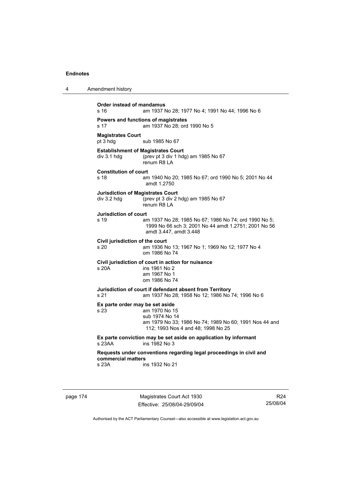4 Amendment history

| Order instead of mandamus<br>s 16       | am 1937 No 28; 1977 No 4; 1991 No 44; 1996 No 6                                                                                                                    |
|-----------------------------------------|--------------------------------------------------------------------------------------------------------------------------------------------------------------------|
| s 17                                    | Powers and functions of magistrates<br>am 1937 No 28: ord 1990 No 5                                                                                                |
| <b>Magistrates Court</b><br>pt 3 hdg    | sub 1985 No 67                                                                                                                                                     |
| div 3.1 hdg                             | <b>Establishment of Magistrates Court</b><br>(prev pt 3 div 1 hdg) am 1985 No 67<br>renum R8 LA                                                                    |
| <b>Constitution of court</b><br>s 18    | am 1940 No 20; 1985 No 67; ord 1990 No 5; 2001 No 44<br>amdt 1.2750                                                                                                |
| div 3.2 hdg                             | <b>Jurisdiction of Magistrates Court</b><br>(prev pt 3 div 2 hdg) am 1985 No 67<br>renum R8 LA                                                                     |
| <b>Jurisdiction of court</b><br>s 19    | am 1937 No 28; 1985 No 67; 1986 No 74; ord 1990 No 5;<br>1999 No 66 sch 3; 2001 No 44 amdt 1.2751; 2001 No 56<br>amdt 3.447, amdt 3.448                            |
| Civil jurisdiction of the court<br>s 20 | am 1936 No 13; 1967 No 1; 1969 No 12; 1977 No 4<br>om 1986 No 74                                                                                                   |
| s 20A                                   | Civil jurisdiction of court in action for nuisance<br>ins 1961 No 2<br>am 1967 No 1<br>om 1986 No 74                                                               |
| s 21                                    | Jurisdiction of court if defendant absent from Territory<br>am 1937 No 28; 1958 No 12; 1986 No 74; 1996 No 6                                                       |
| s 23                                    | Ex parte order may be set aside<br>am 1970 No 15<br>sub 1974 No 14<br>am 1979 No 33; 1986 No 74; 1989 No 60; 1991 Nos 44 and<br>112; 1993 Nos 4 and 48; 1998 No 25 |
| $s$ 23AA                                | Ex parte conviction may be set aside on application by informant<br>ins 1982 No 3                                                                                  |
| commercial matters                      | Requests under conventions regarding legal proceedings in civil and                                                                                                |
| s 23A                                   | ins 1932 No 21                                                                                                                                                     |

page 174 Magistrates Court Act 1930 Effective: 25/08/04-29/09/04

R24 25/08/04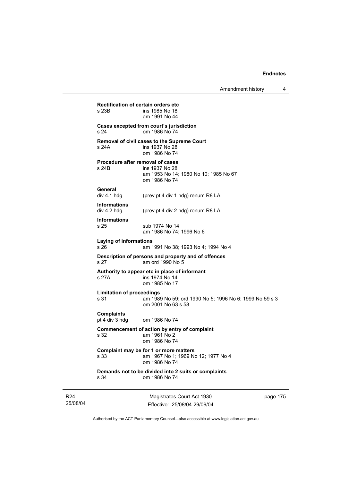| s 34                                     | Demands not to be divided into 2 suits or complaints<br>om 1986 No 74                                        |  |
|------------------------------------------|--------------------------------------------------------------------------------------------------------------|--|
| s 33                                     | Complaint may be for 1 or more matters<br>am 1967 No 1; 1969 No 12; 1977 No 4<br>om 1986 No 74               |  |
| s 32                                     | Commencement of action by entry of complaint<br>am 1961 No 2<br>om 1986 No 74                                |  |
| <b>Complaints</b><br>pt 4 div 3 hdg      | om 1986 No 74                                                                                                |  |
| <b>Limitation of proceedings</b><br>s 31 | am 1989 No 59; ord 1990 No 5; 1996 No 6; 1999 No 59 s 3<br>om 2001 No 63 s 58                                |  |
| s 27A                                    | Authority to appear etc in place of informant<br>ins 1974 No 14<br>om 1985 No 17                             |  |
| s 27                                     | Description of persons and property and of offences<br>am ord 1990 No 5                                      |  |
| Laying of informations<br>s 26           | am 1991 No 38; 1993 No 4; 1994 No 4                                                                          |  |
| <b>Informations</b><br>s 25              | sub 1974 No 14<br>am 1986 No 74: 1996 No 6                                                                   |  |
| <b>Informations</b><br>div 4.2 hdg       | (prev pt 4 div 2 hdg) renum R8 LA                                                                            |  |
| General<br>div 4.1 h dq                  | (prev pt 4 div 1 hdg) renum R8 LA                                                                            |  |
| s 24B                                    | Procedure after removal of cases<br>ins 1937 No 28<br>am 1953 No 14; 1980 No 10; 1985 No 67<br>om 1986 No 74 |  |
| s 24A                                    | Removal of civil cases to the Supreme Court<br>ins 1937 No 28<br>om 1986 No 74                               |  |
| s 24                                     | Cases excepted from court's jurisdiction<br>om 1986 No 74                                                    |  |
| s 23B                                    | ins 1985 No 18<br>am 1991 No 44                                                                              |  |

R24 25/08/04

Magistrates Court Act 1930 Effective: 25/08/04-29/09/04 page 175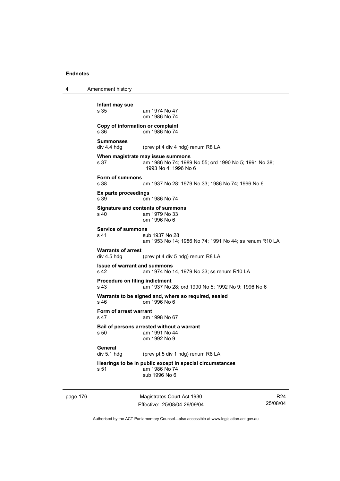4 Amendment history **Infant may sue**  am 1974 No 47 om 1986 No 74

## **Copy of information or complaint**  s 36 om 1986 No 74

**Summonses**  div 4.4 hdg (prev pt 4 div 4 hdg) renum R8 LA

**When magistrate may issue summons**  s 37 am 1986 No 74; 1989 No 55; ord 1990 No 5; 1991 No 38; 1993 No 4; 1996 No 6

**Form of summons** 

am 1937 No 28; 1979 No 33; 1986 No 74; 1996 No 6

**Ex parte proceedings**  s 39 om 1986 No 74

## **Signature and contents of summons**  s 40 am 1979 No 33

om 1996 No 6

**Service of summons**  s 41 sub 1937 No 28 am 1953 No 14; 1986 No 74; 1991 No 44; ss renum R10 LA

# **Warrants of arrest**

div 4.5 hdg (prev pt 4 div 5 hdg) renum R8 LA

#### **Issue of warrant and summons**  s 42 am 1974 No 14, 1979 No 33; ss renum R10 LA

**Procedure on filing indictment** 

s 43 am 1937 No 28; ord 1990 No 5; 1992 No 9; 1996 No 6

#### **Warrants to be signed and, where so required, sealed**

s 46 om 1996 No 6

# **Form of arrest warrant**

s 47 am 1998 No 67

#### **Bail of persons arrested without a warrant**  s 50 am 1991 No 44 om 1992 No 9

General<br>div 5.1 hdg

(prev pt 5 div 1 hdg) renum R8 LA

# **Hearings to be in public except in special circumstances**  s 51 am 1986 No 74

sub 1996 No 6

page 176 Magistrates Court Act 1930 Effective: 25/08/04-29/09/04

R24 25/08/04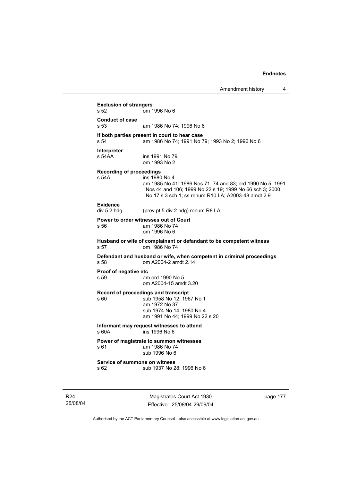**Exclusion of strangers**<br>**s** 52 **cm** om 1996 No 6 **Conduct of case**  s 53 am 1986 No 74; 1996 No 6 **If both parties present in court to hear case**<br>s 54 am 1986 No 74; 1991 No 7 am 1986 No 74; 1991 No 79; 1993 No 2; 1996 No 6 **Interpreter**  s 54AA ins 1991 No 79 om 1993 No 2 **Recording of proceedings**  s 54A ins 1980 No 4 am 1985 No 41; 1986 Nos 71, 74 and 83; ord 1990 No 5; 1991 Nos 44 and 106; 1999 No 22 s 19; 1999 No 66 sch 3; 2000 No 17 s 3 sch 1; ss renum R10 LA; A2003-48 amdt 2.9 Evidence<br>div 5.2 hdg (prev pt 5 div 2 hdg) renum R8 LA **Power to order witnesses out of Court**  s 56 am 1986 No 74 om 1996 No 6 **Husband or wife of complainant or defandant to be competent witness**  s 57 om 1986 No 74 **Defendant and husband or wife, when competent in criminal proceedings**  s 58 om A2004-2 amdt 2.14 **Proof of negative etc**<br>s 59 am am ord 1990 No 5 om A2004-15 amdt 3.20 **Record of proceedings and transcript**  s 60 sub 1958 No 12; 1967 No 1 am 1972 No 37 sub 1974 No 14; 1980 No 4 am 1991 No 44; 1999 No 22 s 20 **Informant may request witnesses to attend**  s 60A ins 1996 No 6 **Power of magistrate to summon witnesses**<br>s 61 am 1986 No 74 am 1986 No 74 sub 1996 No 6 **Service of summons on witness**  s 62 sub 1937 No 28; 1996 No 6

R24 25/08/04

Magistrates Court Act 1930 Effective: 25/08/04-29/09/04 page 177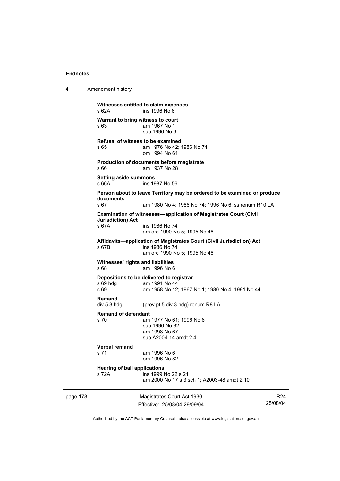4 Amendment history

page 178 Magistrates Court Act 1930 Effective: 25/08/04-29/09/04 R24 25/08/04 **Witnesses entitled to claim expenses**  s 62A ins 1996 No 6 **Warrant to bring witness to court**  s 63 am 1967 No 1 sub 1996 No 6 **Refusal of witness to be examined**  s 65 am 1976 No 42; 1986 No 74 om 1994 No 61 **Production of documents before magistrate**  s 66 am 1937 No 28 **Setting aside summons**  s 66A ins 1987 No 56 **Person about to leave Territory may be ordered to be examined or produce documents**  s 67 am 1980 No 4; 1986 No 74; 1996 No 6; ss renum R10 LA **Examination of witnesses—application of Magistrates Court (Civil Jurisdiction) Act**  s 67A ins 1986 No 74 am ord 1990 No 5; 1995 No 46 **Affidavits—application of Magistrates Court (Civil Jurisdiction) Act**  ins 1986 No 74 am ord 1990 No 5; 1995 No 46 **Witnesses' rights and liabilities**  s 68 am 1996 No 6 **Depositions to be delivered to registrar**  s 69 hdg am 1991 No 44 s 69 am 1958 No 12; 1967 No 1; 1980 No 4; 1991 No 44 **Remand**  div 5.3 hdg (prev pt 5 div 3 hdg) renum R8 LA **Remand of defendant**  s 70 am 1977 No 61; 1996 No 6 sub 1996 No 82 am 1998 No 67 sub A2004-14 amdt 2.4 **Verbal remand**  am 1996 No 6 om 1996 No 82 **Hearing of bail applications**  s 72A ins 1999 No 22 s 21 am 2000 No 17 s 3 sch 1; A2003-48 amdt 2.10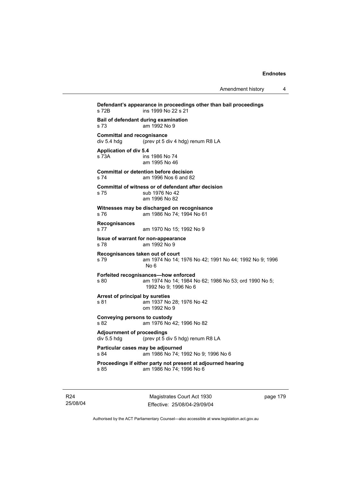**Defendant's appearance in proceedings other than bail proceedings**  s 72B ins 1999 No 22 s 21 **Bail of defendant during examination**  s 73 am 1992 No 9 **Committal and recognisance**<br>div 5.4 hdg (prev pt 5 d) (prev pt 5 div 4 hdg) renum R8 LA **Application of div 5.4**  s 73A ins 1986 No 74 am 1995 No 46 **Committal or detention before decision**  s 74 am 1996 Nos 6 and 82 **Committal of witness or of defendant after decision**  s 75 sub 1976 No 42 am 1996 No 82 **Witnesses may be discharged on recognisance**  s 76 am 1986 No 74; 1994 No 61 **Recognisances**  s 77 am 1970 No 15; 1992 No 9 **Issue of warrant for non-appearance**  s 78 am 1992 No 9 **Recognisances taken out of court**<br>
s 79 am 1974 No 14; am 1974 No 14; 1976 No 42; 1991 No 44; 1992 No 9; 1996 No 6 **Forfeited recognisances—how enforced**  s 80 am 1974 No 14; 1984 No 62; 1986 No 53; ord 1990 No 5; 1992 No 9; 1996 No 6 **Arrest of principal by sureties**  s 81 am 1937 No 28; 1976 No 42 om 1992 No 9 **Conveying persons to custody**  s 82 am 1976 No 42; 1996 No 82 **Adjournment of proceedings**  div 5.5 hdg (prev pt 5 div 5 hdg) renum R8 LA **Particular cases may be adjourned**  s 84 am 1986 No 74; 1992 No 9; 1996 No 6 **Proceedings if either party not present at adjourned hearing**  s 85 am 1986 No 74; 1996 No 6

R24 25/08/04

Magistrates Court Act 1930 Effective: 25/08/04-29/09/04 page 179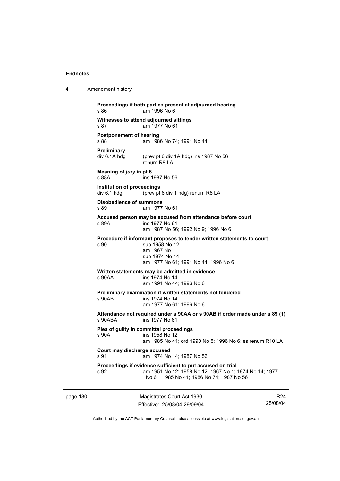| 4        | Amendment history                                                                                        |                                                                                                                                                                   |                             |  |
|----------|----------------------------------------------------------------------------------------------------------|-------------------------------------------------------------------------------------------------------------------------------------------------------------------|-----------------------------|--|
|          | s 86                                                                                                     | Proceedings if both parties present at adjourned hearing<br>am 1996 No 6                                                                                          |                             |  |
|          | s 87                                                                                                     | Witnesses to attend adjourned sittings<br>am 1977 No 61                                                                                                           |                             |  |
|          | <b>Postponement of hearing</b><br>s 88                                                                   | am 1986 No 74; 1991 No 44                                                                                                                                         |                             |  |
|          | <b>Preliminary</b><br>div 6.1A hdg                                                                       | (prev pt 6 div 1A hdg) ins 1987 No 56<br>renum R8 LA                                                                                                              |                             |  |
|          | Meaning of jury in pt 6<br>s 88A                                                                         | ins 1987 No 56                                                                                                                                                    |                             |  |
|          | Institution of proceedings<br>div 6.1 hdg                                                                | (prev pt 6 div 1 hdg) renum R8 LA                                                                                                                                 |                             |  |
|          | Disobedience of summons<br>s 89                                                                          | am 1977 No 61                                                                                                                                                     |                             |  |
|          | s 89A                                                                                                    | Accused person may be excused from attendance before court<br>ins 1977 No 61<br>am 1987 No 56; 1992 No 9; 1996 No 6                                               |                             |  |
|          | s 90                                                                                                     | Procedure if informant proposes to tender written statements to court<br>sub 1958 No 12<br>am 1967 No 1<br>sub 1974 No 14<br>am 1977 No 61; 1991 No 44; 1996 No 6 |                             |  |
|          | s 90AA                                                                                                   | Written statements may be admitted in evidence<br>ins 1974 No 14<br>am 1991 No 44; 1996 No 6                                                                      |                             |  |
|          | s 90AB                                                                                                   | Preliminary examination if written statements not tendered<br>ins 1974 No 14<br>am 1977 No 61; 1996 No 6                                                          |                             |  |
|          | Attendance not required under s 90AA or s 90AB if order made under s 89 (1)<br>s 90ABA<br>ins 1977 No 61 |                                                                                                                                                                   |                             |  |
|          | s 90A                                                                                                    | Plea of guilty in committal proceedings<br>ins 1958 No 12<br>am 1985 No 41; ord 1990 No 5; 1996 No 6; ss renum R10 LA                                             |                             |  |
|          | Court may discharge accused<br>s 91                                                                      | am 1974 No 14; 1987 No 56                                                                                                                                         |                             |  |
|          | s 92                                                                                                     | Proceedings if evidence sufficient to put accused on trial<br>am 1951 No 12; 1958 No 12; 1967 No 1; 1974 No 14; 1977<br>No 61; 1985 No 41; 1986 No 74; 1987 No 56 |                             |  |
| page 180 |                                                                                                          | Magistrates Court Act 1930<br>Effective: 25/08/04-29/09/04                                                                                                        | R <sub>24</sub><br>25/08/04 |  |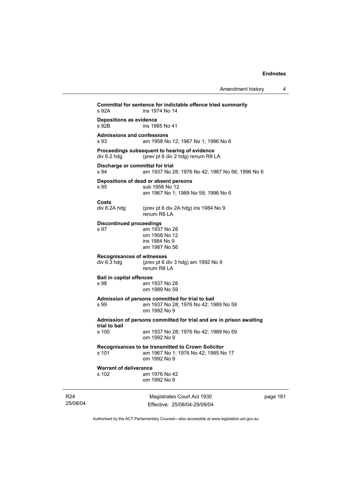| Amendment history |  |
|-------------------|--|
|-------------------|--|

Magistrates Court Act 1930 **Committal for sentence for indictable offence tried summarily**  ins 1974 No 14 **Depositions as evidence**  ins 1985 No 41 **Admissions and confessions**  s 93 am 1958 No 12; 1967 No 1; 1996 No 6 **Proceedings subsequent to hearing of evidence**  div 6.2 hdg (prev pt 6 div 2 hdg) renum R8 LA **Discharge or committal for trial**  s 94 am 1937 No 28; 1976 No 42; 1987 No 56; 1996 No 6 **Depositions of dead or absent persons**  s 95 sub 1958 No 12 am 1967 No 1; 1989 No 59; 1996 No 6 **Costs**  div 6.2A hdg (prev pt 6 div 2A hdg) ins 1984 No 9 renum R8 LA **Discontinued proceedings**  s 97 am 1937 No 28 om 1958 No 12 ins 1984 No 9 am 1987 No 56 **Recognisances of witnesses**  div  $6.\overline{3}$  hdg (prev pt  $6$  div  $3$  hdg) am 1992 No  $9$  renum R8 LA **Bail in capital offences**  s 98 am 1937 No 28 om 1989 No 59 **Admission of persons committed for trial to bail**  s 99 am 1937 No 28; 1976 No 42; 1989 No 59 om 1992 No 9 **Admission of persons committed for trial and are in prison awaiting trial to bail**  s 100 am 1937 No 28; 1976 No 42; 1989 No 59 om 1992 No 9 **Recognisances to be transmitted to Crown Solicitor**  am 1967 No 1; 1976 No 42; 1985 No 17 om 1992 No 9 **Warrant of deliverance**  s 102 am 1976 No 42 om 1992 No 9

R24 25/08/04

Effective: 25/08/04-29/09/04

page 181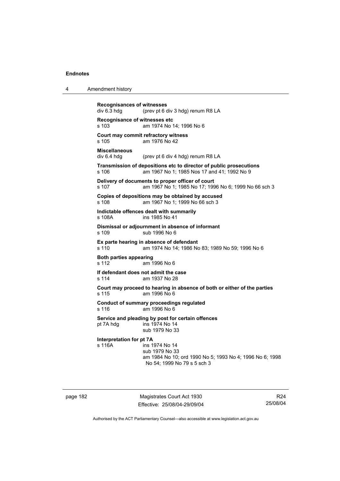| 4 | Amendment history |
|---|-------------------|
|---|-------------------|

**Recognisances of witnesses**<br>div 6.3 hdg (prev pt 6 c (prev pt 6 div 3 hdg) renum R8 LA **Recognisance of witnesses etc**  s 103 am 1974 No 14; 1996 No 6 **Court may commit refractory witness**  s 105 am 1976 No 42 **Miscellaneous**  div 6.4 hdg (prev pt 6 div 4 hdg) renum R8 LA **Transmission of depositions etc to director of public prosecutions**  s 106 am 1967 No 1; 1985 Nos 17 and 41; 1992 No 9 **Delivery of documents to proper officer of court**  s 107 am 1967 No 1; 1985 No 17; 1996 No 6; 1999 No 66 sch 3 **Copies of depositions may be obtained by accused**  s 108 am 1967 No 1; 1999 No 66 sch 3 **Indictable offences dealt with summarily**  s 108A ins 1985 No 41 **Dismissal or adjournment in absence of informant**  s 109 sub 1996 No 6 **Ex parte hearing in absence of defendant**  s 110 am 1974 No 14; 1986 No 83; 1989 No 59; 1996 No 6 **Both parties appearing**  s 112 am 1996 No 6 **If defendant does not admit the case**  s 114 am 1937 No 28 **Court may proceed to hearing in absence of both or either of the parties**  s 115 am 1996 No 6 **Conduct of summary proceedings regulated**  s 116 am 1996 No 6 **Service and pleading by post for certain offences**  pt 7A hdg  $\frac{1}{2}$  ins 1974 No 14 sub 1979 No 33 **Interpretation for pt 7A**  s 116A ins 1974 No 14 sub 1979 No 33 am 1984 No 10; ord 1990 No 5; 1993 No 4; 1996 No 6; 1998 No 54; 1999 No 79 s 5 sch 3

page 182 Magistrates Court Act 1930 Effective: 25/08/04-29/09/04

R24 25/08/04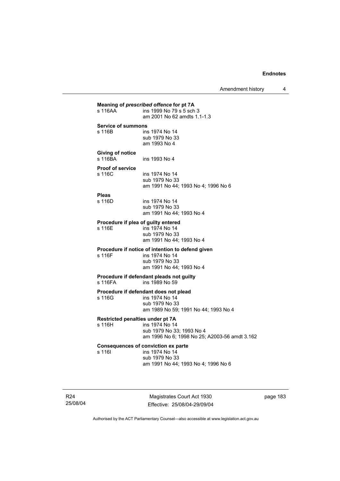| s 116AA                             | ins 1999 No 79 s 5 sch 3<br>am 2001 No 62 amdts 1.1-1.3                                                                          |
|-------------------------------------|----------------------------------------------------------------------------------------------------------------------------------|
| <b>Service of summons</b><br>s 116B | ins 1974 No 14<br>sub 1979 No 33<br>am 1993 No 4                                                                                 |
| <b>Giving of notice</b><br>s 116BA  | ins 1993 No 4                                                                                                                    |
| <b>Proof of service</b><br>s 116C   | ins 1974 No 14<br>sub 1979 No 33<br>am 1991 No 44; 1993 No 4; 1996 No 6                                                          |
| <b>Pleas</b><br>s 116D              | ins 1974 No 14<br>sub 1979 No 33<br>am 1991 No 44; 1993 No 4                                                                     |
| s 116E                              | Procedure if plea of guilty entered<br>ins 1974 No 14<br>sub 1979 No 33<br>am 1991 No 44; 1993 No 4                              |
| s 116F                              | Procedure if notice of intention to defend given<br>ins 1974 No 14<br>sub 1979 No 33<br>am 1991 No 44; 1993 No 4                 |
| s 116FA                             | Procedure if defendant pleads not guilty<br>ins 1989 No 59                                                                       |
| s 116G                              | Procedure if defendant does not plead<br>ins 1974 No 14<br>sub 1979 No 33<br>am 1989 No 59; 1991 No 44; 1993 No 4                |
| s 116H                              | Restricted penalties under pt 7A<br>ins 1974 No 14<br>sub 1979 No 33; 1993 No 4<br>am 1996 No 6; 1998 No 25; A2003-56 amdt 3.162 |
| s 116I                              | <b>Consequences of conviction ex parte</b><br>ins 1974 No 14<br>sub 1979 No 33<br>am 1991 No 44; 1993 No 4; 1996 No 6            |

R24 25/08/04

Magistrates Court Act 1930 Effective: 25/08/04-29/09/04 page 183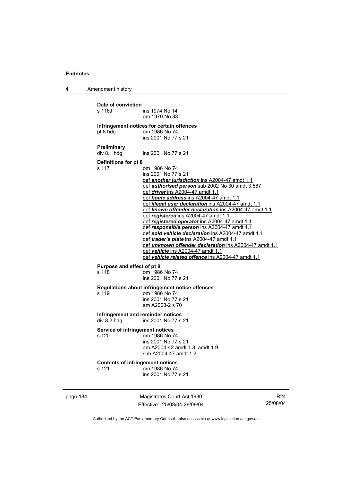4 Amendment history

| page 184 |                                                             | Magistrates Court Act 1930                                                                                                                                                                                                                                                                                                                                                                                                                                                                                                                                                                                                                                                                                                                                         | R <sub>24</sub> |
|----------|-------------------------------------------------------------|--------------------------------------------------------------------------------------------------------------------------------------------------------------------------------------------------------------------------------------------------------------------------------------------------------------------------------------------------------------------------------------------------------------------------------------------------------------------------------------------------------------------------------------------------------------------------------------------------------------------------------------------------------------------------------------------------------------------------------------------------------------------|-----------------|
|          | s 121                                                       | <b>Contents of infringement notices</b><br>om 1986 No 74<br>ins 2001 No 77 s 21                                                                                                                                                                                                                                                                                                                                                                                                                                                                                                                                                                                                                                                                                    |                 |
|          | <b>Service of infringement notices</b><br>s 120             | om 1986 No 74<br>ins 2001 No 77 s 21<br>am A2004-42 amdt 1.8, amdt 1.9<br>sub A2004-47 amdt 1.2                                                                                                                                                                                                                                                                                                                                                                                                                                                                                                                                                                                                                                                                    |                 |
|          | div 8.2 hdg                                                 | Infringement and reminder notices<br>ins 2001 No 77 s 21                                                                                                                                                                                                                                                                                                                                                                                                                                                                                                                                                                                                                                                                                                           |                 |
|          | s 119                                                       | Regulations about infringement notice offences<br>om 1986 No 74<br>ins 2001 No 77 s 21<br>am A2003-2 s 70                                                                                                                                                                                                                                                                                                                                                                                                                                                                                                                                                                                                                                                          |                 |
|          | Purpose and effect of pt 8<br>s 118                         | om 1986 No 74<br>ins 2001 No 77 s 21                                                                                                                                                                                                                                                                                                                                                                                                                                                                                                                                                                                                                                                                                                                               |                 |
|          | Preliminary<br>div 8.1 hdg<br>Definitions for pt 8<br>s 117 | ins 2001 No 77 s 21<br>om 1986 No 74<br>ins 2001 No 77 s 21<br>def another jurisdiction ins A2004-47 amdt 1.1<br>def authorised person sub 2002 No 30 amdt 3.587<br>def <i>driver</i> ins A2004-47 amdt 1.1<br>def home address ins A2004-47 amdt 1.1<br>def illegal user declaration ins A2004-47 amdt 1.1<br>def known offender declaration ins A2004-47 amdt 1.1<br>def registered ins A2004-47 amdt 1.1<br>def registered operator ins A2004-47 amdt 1.1<br>def responsible person ins A2004-47 amdt 1.1<br>def sold vehicle declaration ins A2004-47 amdt 1.1<br>def trader's plate ins A2004-47 amdt 1.1<br>def unknown offender declaration ins A2004-47 amdt 1.1<br>def vehicle ins A2004-47 amdt 1.1<br>def vehicle related offence ins A2004-47 amdt 1.1 |                 |
|          | pt 8 hdg                                                    | Infringement notices for certain offences<br>om 1986 No 74<br>ins 2001 No 77 s 21                                                                                                                                                                                                                                                                                                                                                                                                                                                                                                                                                                                                                                                                                  |                 |
|          | Date of conviction<br>s 116J                                | ins 1974 No 14<br>om 1979 No 33                                                                                                                                                                                                                                                                                                                                                                                                                                                                                                                                                                                                                                                                                                                                    |                 |
|          |                                                             |                                                                                                                                                                                                                                                                                                                                                                                                                                                                                                                                                                                                                                                                                                                                                                    |                 |

Authorised by the ACT Parliamentary Counsel—also accessible at www.legislation.act.gov.au

25/08/04

Effective: 25/08/04-29/09/04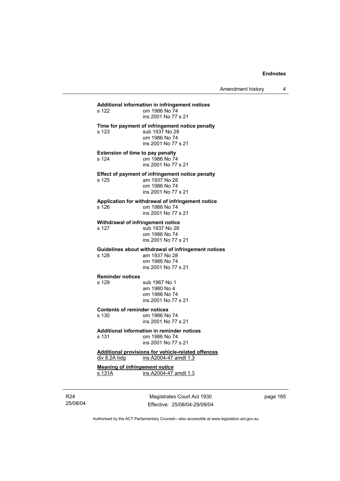# **Additional information in infringement notices**  om 1986 No 74 ins 2001 No 77 s 21 **Time for payment of infringement notice penalty**  s 123 sub 1937 No 28 om 1986 No 74 ins 2001 No 77 s 21 **Extension of time to pay penalty**<br>s 124 cm 1986 No 74 om 1986 No 74 ins 2001 No 77 s 21 **Effect of payment of infringement notice penalty**<br>s 125 am 1937 No 28 am 1937 No 28 om 1986 No 74 ins 2001 No 77 s 21 **Application for withdrawal of infringement notice**  s 126 om 1986 No 74 ins 2001 No 77 s 21 **Withdrawal of infringement notice**<br>s 127 sub 1937 No 28 sub 1937 No 28 om 1986 No 74 ins 2001 No 77 s 21 **Guidelines about withdrawal of infringement notices**  am 1937 No 28 om 1986 No 74 ins 2001 No 77 s 21 **Reminder notices**  s 129 sub 1967 No 1 am 1980 No 4 om 1986 No 74 ins 2001 No 77 s 21 **Contents of reminder notices**  s 130 om 1986 No 74 ins 2001 No 77 s 21 **Additional information in reminder notices**  s 131 om 1986 No 74 ins 2001 No 77 s 21 **Additional provisions for vehicle-related offences** div 8.2A hdg ins A2004-47 amdt 1.3 **Meaning of** *infringement notice* s 131A ins A2004-47 amdt 1.3

R24 25/08/04

Magistrates Court Act 1930 Effective: 25/08/04-29/09/04 page 185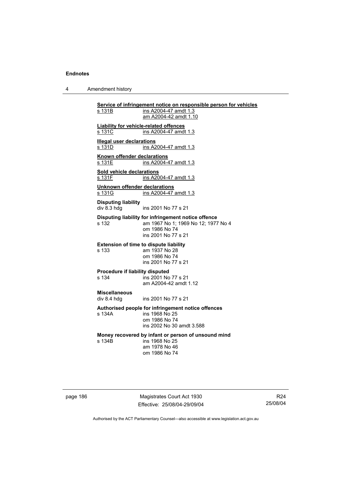4 Amendment history

**Service of infringement notice on responsible person for vehicles** ins A2004-47 amdt 1.3 am A2004-42 amdt 1.10 **Liability for vehicle-related offences** s 131C ins A2004-47 amdt 1.3 **Illegal user declarations** s 131D **ins A2004-47** amdt 1.3 **Known offender declarations** s 131E **ins A2004-47** amdt 1.3 **Sold vehicle declarations** s 131 F ins A2004-47 amdt 1.3 **Unknown offender declarations** s 131G ins A2004-47 amdt 1.3 **Disputing liability**  div 8.3 hdg ins 2001 No 77 s 21 **Disputing liability for infringement notice offence**  s 132 am 1967 No 1; 1969 No 12; 1977 No 4 om 1986 No 74 ins 2001 No 77 s 21 **Extension of time to dispute liability**  s 133 am 1937 No 28 om 1986 No 74 ins 2001 No 77 s 21 **Procedure if liability disputed**<br>s 134 **ins 2001 No**  $ins 2001$  No 77 s 21 am A2004-42 amdt 1.12 **Miscellaneous**  ins 2001 No 77 s 21 **Authorised people for infringement notice offences**  s 134A ins 1968 No 25 om 1986 No 74 ins 2002 No 30 amdt 3.588 **Money recovered by infant or person of unsound mind**  ins 1968 No 25 am 1978 No 46 om 1986 No 74

page 186 Magistrates Court Act 1930 Effective: 25/08/04-29/09/04

R24 25/08/04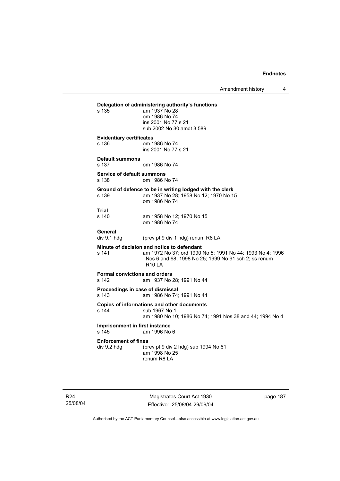Amendment history 4

# **Delegation of administering authority's functions**  am 1937 No 28 om 1986 No 74 ins 2001 No 77 s 21 sub 2002 No 30 amdt 3.589 **Evidentiary certificates**  s 136 om 1986 No 74 ins 2001 No 77 s 21 **Default summons**  s 137 om 1986 No 74 **Service of default summons**  s 138 om 1986 No 74 **Ground of defence to be in writing lodged with the clerk**  s 139 am 1937 No 28; 1958 No 12; 1970 No 15 om 1986 No 74 **Trial**  am 1958 No 12; 1970 No 15 om 1986 No 74 General<br>div 9.1 hdg (prev pt 9 div 1 hdg) renum R8 LA **Minute of decision and notice to defendant**  s 141 am 1972 No 37; ord 1990 No 5; 1991 No 44; 1993 No 4; 1996 Nos 6 and 68; 1998 No 25; 1999 No 91 sch 2; ss renum R10 LA **Formal convictions and orders**  s 142 am 1937 No 28; 1991 No 44 **Proceedings in case of dismissal**  s 143 am 1986 No 74; 1991 No 44 **Copies of informations and other documents**  s 144 sub 1967 No 1 am 1980 No 10; 1986 No 74; 1991 Nos 38 and 44; 1994 No 4 **Imprisonment in first instance**  s 145 am 1996 No 6 **Enforcement of fines**<br>div 9.2 hdg (pr (prev pt 9 div 2 hdg) sub 1994 No  $61$  am 1998 No 25 renum R8 LA

Magistrates Court Act 1930 Effective: 25/08/04-29/09/04 page 187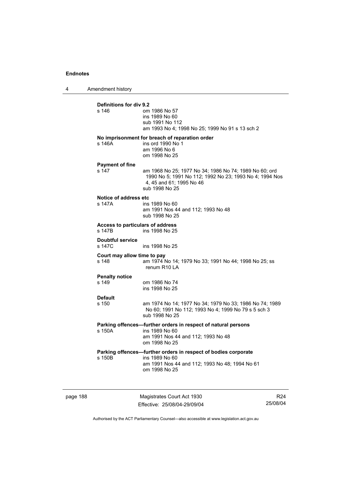4 Amendment history

| Definitions for div 9.2<br>s 146           | om 1986 No 57<br>ins 1989 No 60<br>sub 1991 No 112<br>am 1993 No 4; 1998 No 25; 1999 No 91 s 13 sch 2                                                           |
|--------------------------------------------|-----------------------------------------------------------------------------------------------------------------------------------------------------------------|
| s 146A                                     | No imprisonment for breach of reparation order<br>ins ord 1990 No 1<br>am 1996 No 6<br>om 1998 No 25                                                            |
| <b>Payment of fine</b><br>s 147            | am 1968 No 25; 1977 No 34; 1986 No 74; 1989 No 60; ord<br>1990 No 5; 1991 No 112; 1992 No 23; 1993 No 4; 1994 Nos<br>4, 45 and 61; 1995 No 46<br>sub 1998 No 25 |
| Notice of address etc<br>s 147A            | ins 1989 No 60<br>am 1991 Nos 44 and 112; 1993 No 48<br>sub 1998 No 25                                                                                          |
| Access to particulars of address<br>s 147B | ins 1998 No 25                                                                                                                                                  |
| Doubtful service<br>s 147C                 | ins 1998 No 25                                                                                                                                                  |
| Court may allow time to pay<br>s 148       | am 1974 No 14; 1979 No 33; 1991 No 44; 1998 No 25; ss<br>renum R10 LA                                                                                           |
| <b>Penalty notice</b><br>s 149             | om 1986 No 74<br>ins 1998 No 25                                                                                                                                 |
| <b>Default</b><br>s 150                    | am 1974 No 14; 1977 No 34; 1979 No 33; 1986 No 74; 1989<br>No 60; 1991 No 112; 1993 No 4; 1999 No 79 s 5 sch 3<br>sub 1998 No 25                                |
| s 150A                                     | Parking offences-further orders in respect of natural persons<br>ins 1989 No 60<br>am 1991 Nos 44 and 112; 1993 No 48<br>om 1998 No 25                          |
| s 150B                                     | Parking offences-further orders in respect of bodies corporate<br>ins 1989 No 60<br>am 1991 Nos 44 and 112; 1993 No 48; 1994 No 61<br>om 1998 No 25             |

page 188 Magistrates Court Act 1930 Effective: 25/08/04-29/09/04

R24 25/08/04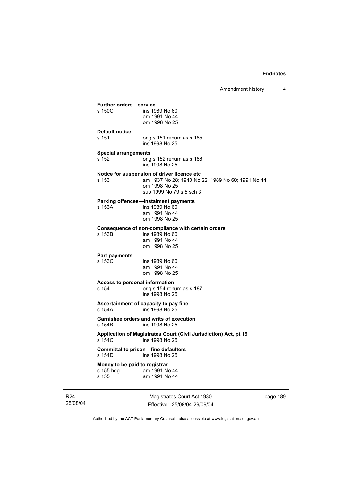| <b>Further orders-service</b>                       |                                                                                                                                               |
|-----------------------------------------------------|-----------------------------------------------------------------------------------------------------------------------------------------------|
| s 150C                                              | ins 1989 No 60<br>am 1991 No 44<br>om 1998 No 25                                                                                              |
| <b>Default notice</b><br>s 151                      | orig s 151 renum as s 185<br>ins 1998 No 25                                                                                                   |
| <b>Special arrangements</b><br>s 152                | orig s 152 renum as s 186<br>ins 1998 No 25                                                                                                   |
| s 153                                               | Notice for suspension of driver licence etc<br>am 1937 No 28; 1940 No 22; 1989 No 60; 1991 No 44<br>om 1998 No 25<br>sub 1999 No 79 s 5 sch 3 |
| s 153A                                              | Parking offences-instalment payments<br>ins 1989 No 60<br>am 1991 No 44<br>om 1998 No 25                                                      |
| s 153B                                              | Consequence of non-compliance with certain orders<br>ins 1989 No 60<br>am 1991 No 44<br>om 1998 No 25                                         |
| <b>Part payments</b><br>s 153C                      | ins 1989 No 60<br>am 1991 No 44<br>om 1998 No 25                                                                                              |
| Access to personal information<br>s 154             | orig s 154 renum as s 187<br>ins 1998 No 25                                                                                                   |
| s 154A                                              | Ascertainment of capacity to pay fine<br>ins 1998 No 25                                                                                       |
| s 154B                                              | <b>Garnishee orders and writs of execution</b><br>ins 1998 No 25                                                                              |
| s 154C                                              | Application of Magistrates Court (Civil Jurisdiction) Act, pt 19<br>ins 1998 No 25                                                            |
| s 154D                                              | <b>Committal to prison-fine defaulters</b><br>ins 1998 No 25                                                                                  |
| Money to be paid to registrar<br>s 155 hdg<br>s 155 | am 1991 No 44<br>am 1991 No 44                                                                                                                |

R24 25/08/04

J.

Magistrates Court Act 1930 Effective: 25/08/04-29/09/04 page 189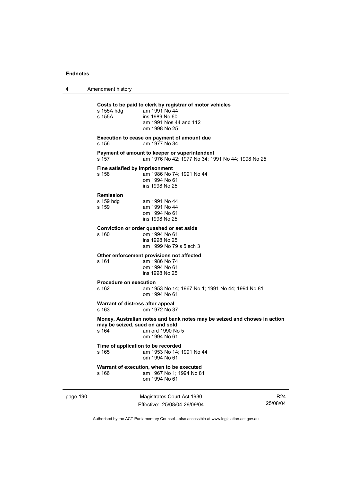4 Amendment history

|          | s 155A hdg<br>s 155A                      | Costs to be paid to clerk by registrar of motor vehicles<br>am 1991 No 44<br>ins 1989 No 60<br>am 1991 Nos 44 and 112<br>om 1998 No 25 |                             |
|----------|-------------------------------------------|----------------------------------------------------------------------------------------------------------------------------------------|-----------------------------|
|          | s 156                                     | Execution to cease on payment of amount due<br>am 1977 No 34                                                                           |                             |
|          | s 157                                     | Payment of amount to keeper or superintendent<br>am 1976 No 42; 1977 No 34; 1991 No 44; 1998 No 25                                     |                             |
|          | Fine satisfied by imprisonment<br>s 158   | am 1986 No 74; 1991 No 44<br>om 1994 No 61<br>ins 1998 No 25                                                                           |                             |
|          | <b>Remission</b><br>s 159 hdg<br>s 159    | am 1991 No 44<br>am 1991 No 44<br>om 1994 No 61<br>ins 1998 No 25                                                                      |                             |
|          | s 160                                     | Conviction or order quashed or set aside<br>om 1994 No 61<br>ins 1998 No 25<br>am 1999 No 79 s 5 sch 3                                 |                             |
|          | s 161                                     | Other enforcement provisions not affected<br>am 1986 No 74<br>om 1994 No 61<br>ins 1998 No 25                                          |                             |
|          | Procedure on execution<br>s 162           | am 1953 No 14; 1967 No 1; 1991 No 44; 1994 No 81<br>om 1994 No 61                                                                      |                             |
|          | Warrant of distress after appeal<br>s 163 | om 1972 No 37                                                                                                                          |                             |
|          | may be seized, sued on and sold<br>s 164  | Money, Australian notes and bank notes may be seized and choses in action<br>am ord 1990 No 5<br>om 1994 No 61                         |                             |
|          | s 165                                     | Time of application to be recorded<br>am 1953 No 14; 1991 No 44<br>om 1994 No 61                                                       |                             |
|          | s 166                                     | Warrant of execution, when to be executed<br>am 1967 No 1; 1994 No 81<br>om 1994 No 61                                                 |                             |
| page 190 |                                           | Magistrates Court Act 1930<br>Effective: 25/08/04-29/09/04                                                                             | R <sub>24</sub><br>25/08/04 |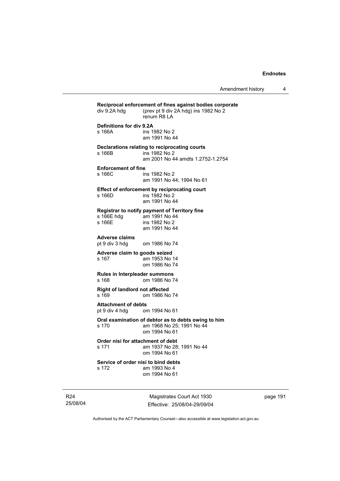| div 9.2A hdq                                               | Reciprocal enforcement of fines against bodies corporate<br>(prev pt 9 div 2A hdg) ins 1982 No 2<br>renum R8 LA |
|------------------------------------------------------------|-----------------------------------------------------------------------------------------------------------------|
| Definitions for div 9.2A<br>s 166A                         | ins 1982 No 2<br>am 1991 No 44                                                                                  |
| s 166B                                                     | Declarations relating to reciprocating courts<br>ins 1982 No 2<br>am 2001 No 44 amdts 1.2752-1.2754             |
| <b>Enforcement of fine</b><br>s 166C                       | ins 1982 No 2<br>am 1991 No 44; 1994 No 61                                                                      |
| s 166D                                                     | Effect of enforcement by reciprocating court<br>ins 1982 No 2<br>am 1991 No 44                                  |
| s 166E hdg<br>s 166E                                       | Registrar to notify payment of Territory fine<br>am 1991 No 44<br>ins 1982 No 2<br>am 1991 No 44                |
| Adverse claims<br>pt 9 div 3 hdg                           | om 1986 No 74                                                                                                   |
| Adverse claim to goods seized<br>s 167                     | am 1953 No 14<br>om 1986 No 74                                                                                  |
| <b>Rules in Interpleader summons</b><br>s 168              | om 1986 No 74                                                                                                   |
| Right of landlord not affected<br>s 169                    | om 1986 No 74                                                                                                   |
| <b>Attachment of debts</b><br>pt 9 div 4 hdg om 1994 No 61 |                                                                                                                 |
| s 170                                                      | Oral examination of debtor as to debts owing to him<br>am 1968 No 25; 1991 No 44<br>om 1994 No 61               |
| Order nisi for attachment of debt<br>s 171                 | am 1937 No 28; 1991 No 44<br>om 1994 No 61                                                                      |
| Service of order nisi to bind debts<br>s 172               | am 1993 No 4<br>om 1994 No 61                                                                                   |

R24 25/08/04

Magistrates Court Act 1930 Effective: 25/08/04-29/09/04 page 191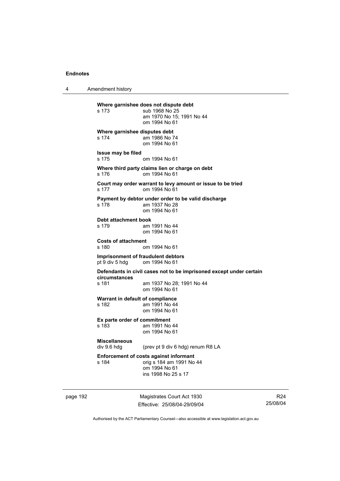4 Amendment history

**Where garnishee does not dispute debt**  s 173 sub 1968 No 25 am 1970 No 15; 1991 No 44 om 1994 No 61 **Where garnishee disputes debt**  s 174 am 1986 No 74 om 1994 No 61 **Issue may be filed**  s 175 om 1994 No 61 **Where third party claims lien or charge on debt**  s 176 om 1994 No 61 **Court may order warrant to levy amount or issue to be tried**  s 177 om 1994 No 61 **Payment by debtor under order to be valid discharge**  s 178 am 1937 No 28 om 1994 No 61 **Debt attachment book**  s 179 am 1991 No 44 om 1994 No 61 **Costs of attachment**  om 1994 No 61 **Imprisonment of fraudulent debtors**  pt 9 div 5 hdg om 1994 No 61 **Defendants in civil cases not to be imprisoned except under certain circumstances**  s 181 am 1937 No 28; 1991 No 44 om 1994 No 61 **Warrant in default of compliance**  s 182 am 1991 No 44 om 1994 No 61 **Ex parte order of commitment**  s 183 am 1991 No 44 om 1994 No 61 **Miscellaneous**  (prev pt 9 div 6 hdg) renum R8 LA **Enforcement of costs against informant**  s 184 orig s 184 am 1991 No 44 om 1994 No 61 ins 1998 No 25 s 17

page 192 Magistrates Court Act 1930 Effective: 25/08/04-29/09/04

R24 25/08/04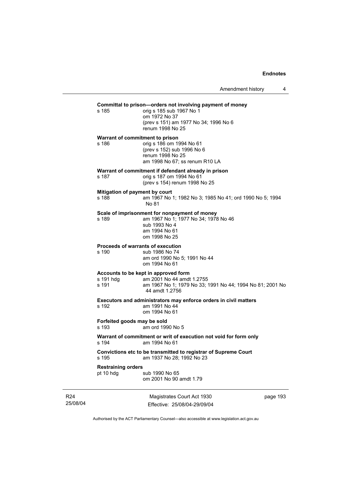| Amendment history |  |
|-------------------|--|
|-------------------|--|

## **Committal to prison—orders not involving payment of money**

s 185 orig s 185 sub 1967 No 1 om 1972 No 37 (prev s 151) am 1977 No 34; 1996 No 6 renum 1998 No 25

**Warrant of commitment to prison**  s 186 orig s 186 om 1994 No 61 (prev s 152) sub 1996 No 6 renum 1998 No 25 am 1998 No 67; ss renum R10 LA

#### **Warrant of commitment if defendant already in prison**

s 187 orig s 187 om 1994 No 61

(prev s 154) renum 1998 No 25

#### **Mitigation of payment by court**

s 188 am 1967 No 1; 1982 No 3; 1985 No 41; ord 1990 No 5; 1994 No 81

#### **Scale of imprisonment for nonpayment of money**

s 189 am 1967 No 1; 1977 No 34; 1978 No 46 sub 1993 No 4 am 1994 No 61 om 1998 No 25

## **Proceeds of warrants of execution**

s 190 sub 1986 No 74 am ord 1990 No 5; 1991 No 44 om 1994 No 61

# **Accounts to be kept in approved form**

#### s 191 hdg am 2001 No 44 amdt 1.2755<br>s 191 am 1967 No 1: 1979 No 33: am 1967 No 1; 1979 No 33; 1991 No 44; 1994 No 81; 2001 No 44 amdt 1.2756

**Executors and administrators may enforce orders in civil matters** 

s 192 am 1991 No 44 om 1994 No 61

# **Forfeited goods may be sold**

s 193 am ord 1990 No 5

#### **Warrant of commitment or writ of execution not void for form only**  s 194 am 1994 No 61

**Convictions etc to be transmitted to registrar of Supreme Court**  s 195 am 1937 No 28; 1992 No 23

#### **Restraining orders**

pt 10 hdg sub 1990 No 65 om 2001 No 90 amdt 1.79

R24 25/08/04

Magistrates Court Act 1930 Effective: 25/08/04-29/09/04 page 193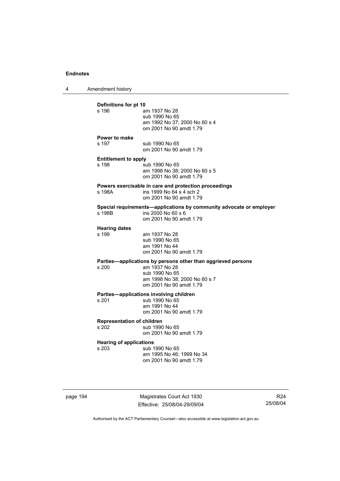4 Amendment history

| Power to make<br>s 197<br>sub 1990 No 65<br>om 2001 No 90 amdt 1.79<br><b>Entitlement to apply</b><br>s 198<br>sub 1990 No 65<br>am 1998 No 38; 2000 No 60 s 5<br>om 2001 No 90 amdt 1.79<br>Powers exercisable in care and protection proceedings<br>ins 1999 No 64 s 4 sch 2<br>s 198A<br>om 2001 No 90 amdt 1.79<br>Special requirements-applications by community advocate or employer<br>ins 2000 No 60 s 6<br>s 198B<br>om 2001 No 90 amdt 1.79<br><b>Hearing dates</b><br>s 199<br>am 1937 No 28<br>sub 1990 No 65<br>am 1991 No 44<br>om 2001 No 90 amdt 1.79<br>Parties-applications by persons other than aggrieved persons<br>am 1937 No 28<br>s 200<br>sub 1990 No 65<br>am 1998 No 38; 2000 No 60 s 7<br>om 2001 No 90 amdt 1.79<br>Parties-applications involving children<br>s 201<br>sub 1990 No 65<br>am 1991 No 44<br>om 2001 No 90 amdt 1.79<br><b>Representation of children</b><br>s 202<br>sub 1990 No 65<br>om 2001 No 90 amdt 1.79<br><b>Hearing of applications</b><br>s 203<br>sub 1990 No 65<br>am 1995 No 46: 1999 No 34<br>om 2001 No 90 amdt 1.79 | Definitions for pt 10<br>s 196 | am 1937 No 28<br>sub 1990 No 65<br>am 1992 No 37; 2000 No 60 s 4<br>om 2001 No 90 amdt 1.79 |
|---------------------------------------------------------------------------------------------------------------------------------------------------------------------------------------------------------------------------------------------------------------------------------------------------------------------------------------------------------------------------------------------------------------------------------------------------------------------------------------------------------------------------------------------------------------------------------------------------------------------------------------------------------------------------------------------------------------------------------------------------------------------------------------------------------------------------------------------------------------------------------------------------------------------------------------------------------------------------------------------------------------------------------------------------------------------------------|--------------------------------|---------------------------------------------------------------------------------------------|
|                                                                                                                                                                                                                                                                                                                                                                                                                                                                                                                                                                                                                                                                                                                                                                                                                                                                                                                                                                                                                                                                                 |                                |                                                                                             |
|                                                                                                                                                                                                                                                                                                                                                                                                                                                                                                                                                                                                                                                                                                                                                                                                                                                                                                                                                                                                                                                                                 |                                |                                                                                             |
|                                                                                                                                                                                                                                                                                                                                                                                                                                                                                                                                                                                                                                                                                                                                                                                                                                                                                                                                                                                                                                                                                 |                                |                                                                                             |
|                                                                                                                                                                                                                                                                                                                                                                                                                                                                                                                                                                                                                                                                                                                                                                                                                                                                                                                                                                                                                                                                                 |                                |                                                                                             |
|                                                                                                                                                                                                                                                                                                                                                                                                                                                                                                                                                                                                                                                                                                                                                                                                                                                                                                                                                                                                                                                                                 |                                |                                                                                             |
|                                                                                                                                                                                                                                                                                                                                                                                                                                                                                                                                                                                                                                                                                                                                                                                                                                                                                                                                                                                                                                                                                 |                                |                                                                                             |
|                                                                                                                                                                                                                                                                                                                                                                                                                                                                                                                                                                                                                                                                                                                                                                                                                                                                                                                                                                                                                                                                                 |                                |                                                                                             |
|                                                                                                                                                                                                                                                                                                                                                                                                                                                                                                                                                                                                                                                                                                                                                                                                                                                                                                                                                                                                                                                                                 |                                |                                                                                             |
|                                                                                                                                                                                                                                                                                                                                                                                                                                                                                                                                                                                                                                                                                                                                                                                                                                                                                                                                                                                                                                                                                 |                                |                                                                                             |

page 194 Magistrates Court Act 1930 Effective: 25/08/04-29/09/04

R24 25/08/04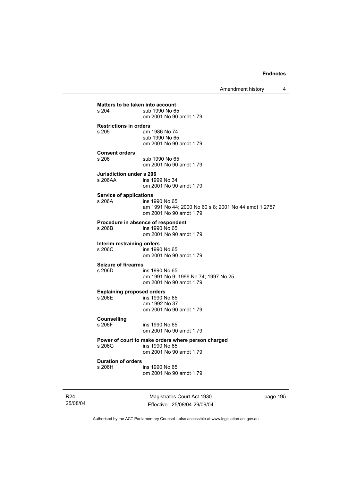Amendment history 4

**Matters to be taken into account**<br>s 204 sub 1990 No 6 sub 1990 No 65 om 2001 No 90 amdt 1.79 **Restrictions in orders**  am 1986 No 74 sub 1990 No 65 om 2001 No 90 amdt 1.79 **Consent orders**  sub 1990 No 65 om 2001 No 90 amdt 1.79 **Jurisdiction under s 206**  ins 1999 No 34 om 2001 No 90 amdt 1.79 **Service of applications**  s 206A ins 1990 No 65 am 1991 No 44; 2000 No 60 s 8; 2001 No 44 amdt 1.2757 om 2001 No 90 amdt 1.79 **Procedure in absence of respondent**  ins 1990 No 65 om 2001 No 90 amdt 1.79 **Interim restraining orders**  s 206C ins 1990 No 65 om 2001 No 90 amdt 1.79 **Seizure of firearms**  s 206D ins 1990 No 65 am 1991 No 9; 1996 No 74; 1997 No 25 om 2001 No 90 amdt 1.79 **Explaining proposed orders**  ins 1990 No 65 am 1992 No 37 om 2001 No 90 amdt 1.79 **Counselling**  ins 1990 No 65 om 2001 No 90 amdt 1.79 **Power of court to make orders where person charged**  s 206G ins 1990 No 65 om 2001 No 90 amdt 1.79 **Duration of orders**  s 206H ins 1990 No 65 om 2001 No 90 amdt 1.79

R24 25/08/04

Magistrates Court Act 1930 Effective: 25/08/04-29/09/04 page 195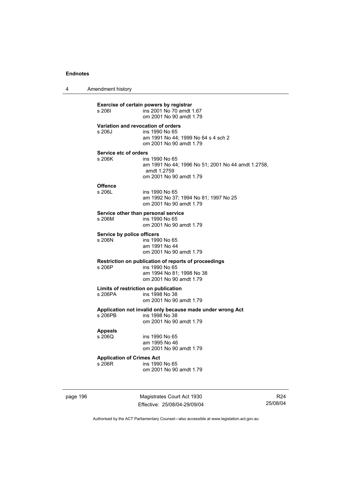4 Amendment history

| s 2061                                     | Exercise of certain powers by registrar<br>ins 2001 No 70 amdt 1.67<br>om 2001 No 90 amdt 1.79                                    |
|--------------------------------------------|-----------------------------------------------------------------------------------------------------------------------------------|
| s 206J                                     | Variation and revocation of orders<br>ins 1990 No 65<br>am 1991 No 44; 1999 No 64 s 4 sch 2<br>om 2001 No 90 amdt 1.79            |
| Service etc of orders<br>s 206K            | ins 1990 No 65<br>am 1991 No 44; 1996 No 51; 2001 No 44 amdt 1.2758,<br>amdt 1.2759<br>om 2001 No 90 amdt 1.79                    |
| <b>Offence</b><br>s 206L                   | ins 1990 No 65<br>am 1992 No 37; 1994 No 81; 1997 No 25<br>om 2001 No 90 amdt 1.79                                                |
| s 206M                                     | Service other than personal service<br>ins 1990 No 65<br>om 2001 No 90 amdt 1.79                                                  |
| Service by police officers<br>s 206N       | ins 1990 No 65<br>am 1991 No 44<br>om 2001 No 90 amdt 1.79                                                                        |
| s 206P                                     | Restriction on publication of reports of proceedings<br>ins 1990 No 65<br>am 1994 No 81; 1998 No 38<br>om 2001 No 90 amdt 1.79    |
| s 206PA                                    | Limits of restriction on publication<br>ins 1998 No 38                                                                            |
| s 206PB                                    | om 2001 No 90 amdt 1.79<br>Application not invalid only because made under wrong Act<br>ins 1998 No 38<br>om 2001 No 90 amdt 1.79 |
| <b>Appeals</b><br>s 206Q                   | ins 1990 No 65<br>am 1995 No 46<br>om 2001 No 90 amdt 1.79                                                                        |
| <b>Application of Crimes Act</b><br>s 206R | ins 1990 No 65<br>om 2001 No 90 amdt 1.79                                                                                         |
|                                            |                                                                                                                                   |

page 196 Magistrates Court Act 1930 Effective: 25/08/04-29/09/04

R24 25/08/04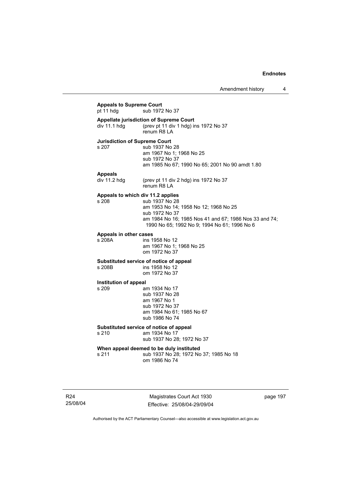# **Appeals to Supreme Court**  sub 1972 No 37 **Appellate jurisdiction of Supreme Court**  div 11.1 hdg (prev pt 11 div 1 hdg) ins 1972 No 37 renum R8 LA **Jurisdiction of Supreme Court**  s 207 sub 1937 No 28 am 1967 No 1; 1968 No 25 sub 1972 No 37 am 1985 No 67; 1990 No 65; 2001 No 90 amdt 1.80 **Appeals**  (prev pt 11 div 2 hdg) ins 1972 No 37 renum R8 LA **Appeals to which div 11.2 applies**  s 208 sub 1937 No 28 am 1953 No 14; 1958 No 12; 1968 No 25 sub 1972 No 37 am 1984 No 16; 1985 Nos 41 and 67; 1986 Nos 33 and 74; 1990 No 65; 1992 No 9; 1994 No 61; 1996 No 6 **Appeals in other cases**  s 208A ins 1958 No 12 am 1967 No 1; 1968 No 25 om 1972 No 37 **Substituted service of notice of appeal**  ins 1958 No 12 om 1972 No 37 **Institution of appeal**  s 209 am 1934 No 17 sub 1937 No 28 am 1967 No 1 sub 1972 No 37 am 1984 No 61; 1985 No 67 sub 1986 No 74 **Substituted service of notice of appeal**  s 210 am 1934 No 17 sub 1937 No 28; 1972 No 37 **When appeal deemed to be duly instituted**  s 211 sub 1937 No 28; 1972 No 37; 1985 No 18 om 1986 No 74

R24 25/08/04

Magistrates Court Act 1930 Effective: 25/08/04-29/09/04 page 197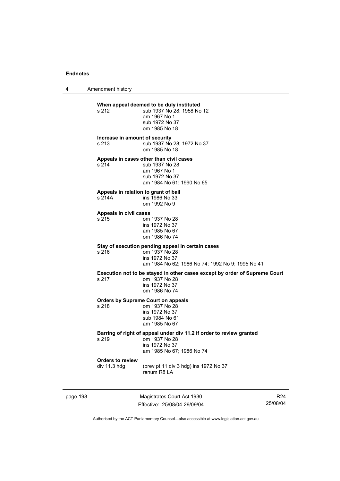4 Amendment history

# page 198 Magistrates Court Act 1930 **When appeal deemed to be duly instituted**  s 212 sub 1937 No 28: 1958 No 12 am 1967 No 1 sub 1972 No 37 om 1985 No 18 **Increase in amount of security**  s 213 sub 1937 No 28; 1972 No 37 om 1985 No 18 **Appeals in cases other than civil cases**  s 214 sub 1937 No 28 am 1967 No 1 sub 1972 No 37 am 1984 No 61; 1990 No 65 **Appeals in relation to grant of bail**  ins 1986 No 33 om 1992 No 9 **Appeals in civil cases**  s 215 om 1937 No 28 ins 1972 No 37 am 1985 No 67 om 1986 No 74 **Stay of execution pending appeal in certain cases**  s 216 om 1937 No 28 ins 1972 No 37 am 1984 No 62; 1986 No 74; 1992 No 9; 1995 No 41 **Execution not to be stayed in other cases except by order of Supreme Court s 217** om 1937 No 28 om 1937 No 28 ins 1972 No 37 om 1986 No 74 **Orders by Supreme Court on appeals**  s 218 om 1937 No 28 ins 1972 No 37 sub 1984 No 61 am 1985 No 67 **Barring of right of appeal under div 11.2 if order to review granted**  s 219 om 1937 No 28 ins 1972 No 37 am 1985 No 67; 1986 No 74 **Orders to review**  (prev pt 11 div 3 hdg) ins 1972 No 37 renum R8 LA

Effective: 25/08/04-29/09/04

R24 25/08/04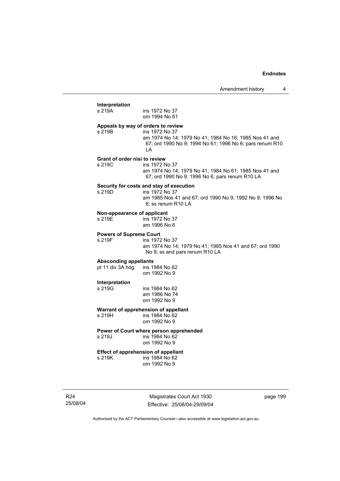# **Interpretation**  ins 1972 No 37 om 1994 No 61 **Appeals by way of orders to review**  s 219B ins 1972 No 37 am 1974 No 14; 1979 No 41; 1984 No 16; 1985 Nos 41 and 67; ord 1990 No 9; 1994 No 61; 1996 No 6; pars renum R10 LA **Grant of order nisi to review**  s 219C ins 1972 No 37 am 1974 No 14; 1979 No 41; 1984 No 61; 1985 Nos 41 and 67; ord 1990 No 9; 1996 No 6; pars renum R10 LA **Security for costs and stay of execution**  s 219D ins 1972 No 37 am 1985 Nos 41 and 67; ord 1990 No 9; 1992 No 9; 1996 No 6; ss renum R10 LA **Non-appearance of applicant**  s 219E ins 1972 No 37 am 1996 No 6 **Powers of Supreme Court**  s 219F ins 1972 No 37 am 1974 No 14; 1979 No 41; 1985 Nos 41 and 67; ord 1990 No 9; ss and pars renum R10 LA Absconding appellants<br>
pt 11 div 3A hdg ins 1984 No 62 pt 11 div  $3A$  hdg om 1992 No 9 **Interpretation**  s 219G ins 1984 No 62 am 1986 No 74 om 1992 No 9 **Warrant of apprehension of appellant**  s 219H ins 1984 No 62 om 1992 No 9 **Power of Court where person apprehended**  s 219J ins 1984 No 62 om 1992 No 9 **Effect of apprehension of appellant**  s 219K ins 1984 No 62 om 1992 No 9

R24 25/08/04

Magistrates Court Act 1930 Effective: 25/08/04-29/09/04 page 199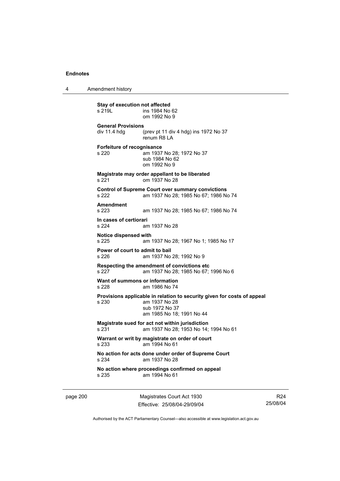4 Amendment history

**Stay of execution not affected**<br>s 219L **ins 1984** No ins 1984 No 62 om 1992 No 9 **General Provisions**  div 11.4 hdg (prev pt 11 div 4 hdg) ins 1972 No 37 renum R8 LA **Forfeiture of recognisance**  s 220 am 1937 No 28; 1972 No 37 sub 1984 No 62 om 1992 No 9 **Magistrate may order appellant to be liberated**  s 221 om 1937 No 28 **Control of Supreme Court over summary convictions**  s 222 am 1937 No 28; 1985 No 67; 1986 No 74 **Amendment**  am 1937 No 28; 1985 No 67; 1986 No 74 **In cases of certiorari**  s 224 am 1937 No 28 **Notice dispensed with**  am 1937 No 28; 1967 No 1; 1985 No 17 **Power of court to admit to bail**  s 226 am 1937 No 28; 1992 No 9 **Respecting the amendment of convictions etc**  s 227 am 1937 No 28; 1985 No 67; 1996 No 6 **Want of summons or information**  s 228 am 1986 No 74 **Provisions applicable in relation to security given for costs of appeal**  s 230 am 1937 No 28 sub 1972 No 37 am 1985 No 18; 1991 No 44 **Magistrate sued for act not within jurisdiction**  s 231 am 1937 No 28; 1953 No 14; 1994 No 61 **Warrant or writ by magistrate on order of court**  s 233 am 1994 No 61 **No action for acts done under order of Supreme Court**  s 234 am 1937 No 28 **No action where proceedings confirmed on appeal**  s 235 am 1994 No 61

page 200 Magistrates Court Act 1930 Effective: 25/08/04-29/09/04

R24 25/08/04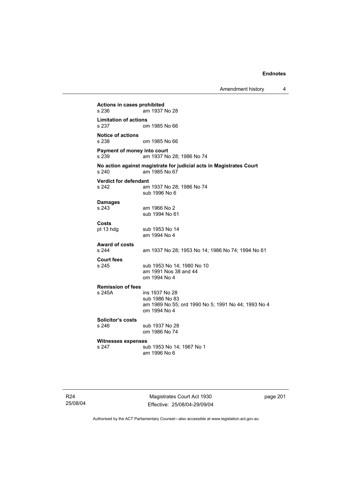Amendment history 4

**Actions in cases prohibited**  am 1937 No 28 **Limitation of actions**  om 1985 No 66 **Notice of actions**  om 1985 No 66 **Payment of money into court**  s 239 am 1937 No 28; 1986 No 74 **No action against magistrate for judicial acts in Magistrates Court**   $am$  1985 No 67 **Verdict for defendant**  s 242 am 1937 No 28; 1986 No 74 sub 1996 No 6 **Damages**  s 243 am 1966 No 2 sub 1994 No 61 **Costs**  sub 1953 No 14 am 1994 No 4 **Award of costs**  am 1937 No 28; 1953 No 14; 1986 No 74; 1994 No 61 **Court fees**  s 245 sub 1953 No 14; 1980 No 10 am 1991 Nos 38 and 44 om 1994 No 4 **Remission of fees**  s 245A ins 1937 No 28 sub 1986 No 83 am 1989 No 55; ord 1990 No 5; 1991 No 44; 1993 No 4 om 1994 No 4 **Solicitor's costs**  sub 1937 No 28 om 1986 No 74 **Witnesses expenses**  sub 1953 No 14; 1967 No 1 am 1996 No 6

Magistrates Court Act 1930 Effective: 25/08/04-29/09/04 page 201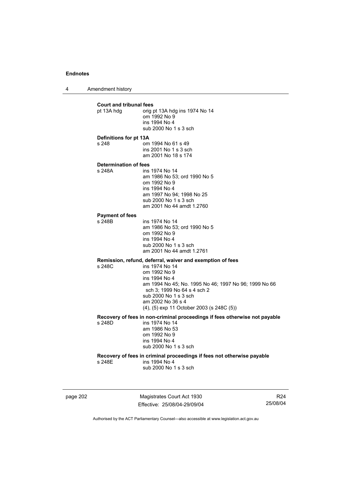4 Amendment history

**Court and tribunal fees**  prig pt 13A hdg ins 1974 No 14 om 1992 No 9 ins 1994 No 4 sub 2000 No 1 s 3 sch **Definitions for pt 13A**  s 248 om 1994 No 61 s 49 ins 2001 No 1 s 3 sch am 2001 No 18 s 174 **Determination of fees**  ins 1974 No 14 am 1986 No 53; ord 1990 No 5 om 1992 No 9 ins 1994 No 4 am 1997 No 94; 1998 No 25 sub 2000 No 1 s 3 sch am 2001 No 44 amdt 1.2760 **Payment of fees**  ins 1974 No 14 am 1986 No 53; ord 1990 No 5 om 1992 No 9 ins 1994 No 4 sub 2000 No 1 s 3 sch am 2001 No 44 amdt 1.2761 **Remission, refund, deferral, waiver and exemption of fees**  ins 1974 No 14 om 1992 No 9 ins 1994 No 4 am 1994 No 45; No. 1995 No 46; 1997 No 96; 1999 No 66 sch 3; 1999 No 64 s 4 sch 2 sub 2000 No 1 s 3 sch am 2002 No 36 s 4 (4), (5) exp 11 October 2003 (s 248C (5)) **Recovery of fees in non-criminal proceedings if fees otherwise not payable**  ins 1974 No 14 am 1986 No 53 om 1992 No 9 ins 1994 No 4 sub 2000 No 1 s 3 sch **Recovery of fees in criminal proceedings if fees not otherwise payable**  s 248E ins 1994 No 4 sub 2000 No 1 s 3 sch

page 202 Magistrates Court Act 1930 Effective: 25/08/04-29/09/04

R24 25/08/04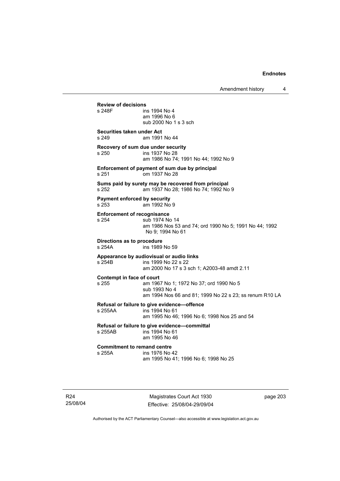**Review of decisions**  ins 1994 No 4 am 1996 No 6 sub 2000 No 1 s 3 sch **Securities taken under Act**  s 249 am 1991 No 44 **Recovery of sum due under security**  s 250 ins 1937 No 28 am 1986 No 74; 1991 No 44; 1992 No 9 **Enforcement of payment of sum due by principal**  s 251 om 1937 No 28 **Sums paid by surety may be recovered from principal**  s 252 am 1937 No 28; 1986 No 74; 1992 No 9 **Payment enforced by security**  s 253 am 1992 No 9 **Enforcement of recognisance**  s 254 sub 1974 No 14 am 1986 Nos 53 and 74; ord 1990 No 5; 1991 No 44; 1992 No 9; 1994 No 61 **Directions as to procedure**  ins 1989 No 59 **Appearance by audiovisual or audio links**  s 254B ins 1999 No 22 s 22 am 2000 No 17 s 3 sch 1; A2003-48 amdt 2.11 **Contempt in face of court**  s 255 am 1967 No 1; 1972 No 37; ord 1990 No 5 sub 1993 No 4 am 1994 Nos 66 and 81; 1999 No 22 s 23; ss renum R10 LA **Refusal or failure to give evidence—offence**   $ins$  1994 No 61 am 1995 No 46; 1996 No 6; 1998 Nos 25 and 54 **Refusal or failure to give evidence—committal**  s 255AB ins 1994 No 61 am 1995 No 46 **Commitment to remand centre**<br>s 255A **ins** 1976 No ins 1976 No 42 am 1995 No 41; 1996 No 6; 1998 No 25

R24 25/08/04

Magistrates Court Act 1930 Effective: 25/08/04-29/09/04 page 203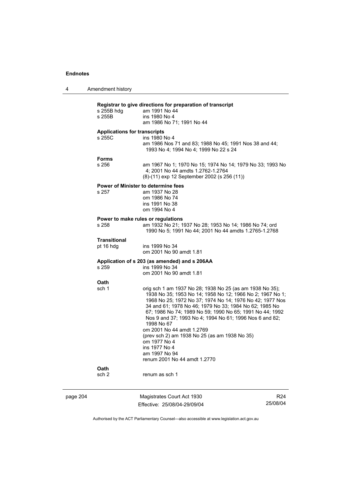| 4        | Amendment history                             |                                                                                                                                                                                                                                                                                                                                                                                                                                                                                                                                                                    |                 |
|----------|-----------------------------------------------|--------------------------------------------------------------------------------------------------------------------------------------------------------------------------------------------------------------------------------------------------------------------------------------------------------------------------------------------------------------------------------------------------------------------------------------------------------------------------------------------------------------------------------------------------------------------|-----------------|
|          | s 255B hdg<br>s 255B                          | Registrar to give directions for preparation of transcript<br>am 1991 No 44<br>ins 1980 No 4<br>am 1986 No 71; 1991 No 44                                                                                                                                                                                                                                                                                                                                                                                                                                          |                 |
|          | <b>Applications for transcripts</b><br>s 255C | ins 1980 No 4<br>am 1986 Nos 71 and 83; 1988 No 45; 1991 Nos 38 and 44;<br>1993 No 4; 1994 No 4; 1999 No 22 s 24                                                                                                                                                                                                                                                                                                                                                                                                                                                   |                 |
|          | <b>Forms</b><br>s 256                         | am 1967 No 1; 1970 No 15; 1974 No 14; 1979 No 33; 1993 No<br>4; 2001 No 44 amdts 1.2762-1.2764<br>(8)-(11) exp 12 September 2002 (s 256 (11))                                                                                                                                                                                                                                                                                                                                                                                                                      |                 |
|          | s 257                                         | <b>Power of Minister to determine fees</b><br>am 1937 No 28<br>om 1986 No 74<br>ins 1991 No 38<br>om 1994 No 4                                                                                                                                                                                                                                                                                                                                                                                                                                                     |                 |
|          | s 258                                         | Power to make rules or regulations<br>am 1932 No 21; 1937 No 28; 1953 No 14; 1986 No 74; ord<br>1990 No 5; 1991 No 44; 2001 No 44 amdts 1.2765-1.2768                                                                                                                                                                                                                                                                                                                                                                                                              |                 |
|          | Transitional<br>pt 16 hdg                     | ins 1999 No 34<br>om 2001 No 90 amdt 1.81                                                                                                                                                                                                                                                                                                                                                                                                                                                                                                                          |                 |
|          | s 259                                         | Application of s 203 (as amended) and s 206AA<br>ins 1999 No 34<br>om 2001 No 90 amdt 1.81                                                                                                                                                                                                                                                                                                                                                                                                                                                                         |                 |
|          | Oath<br>sch 1<br>Oath<br>sch <sub>2</sub>     | orig sch 1 am 1937 No 28; 1938 No 25 (as am 1938 No 35);<br>1938 No 35; 1953 No 14; 1958 No 12; 1966 No 2; 1967 No 1;<br>1968 No 25; 1972 No 37; 1974 No 14; 1976 No 42; 1977 Nos<br>34 and 61; 1978 No 46; 1979 No 33; 1984 No 62; 1985 No<br>67; 1986 No 74; 1989 No 59; 1990 No 65; 1991 No 44; 1992<br>Nos 9 and 37; 1993 No 4; 1994 No 61; 1996 Nos 6 and 82;<br>1998 No 67<br>om 2001 No 44 amdt 1.2769<br>(prev sch 2) am 1938 No 25 (as am 1938 No 35)<br>om 1977 No 4<br>ins 1977 No 4<br>am 1997 No 94<br>renum 2001 No 44 amdt 1.2770<br>renum as sch 1 |                 |
| page 204 |                                               | Magistrates Court Act 1930                                                                                                                                                                                                                                                                                                                                                                                                                                                                                                                                         | R <sub>24</sub> |
|          |                                               | Effective: 25/08/04-29/09/04                                                                                                                                                                                                                                                                                                                                                                                                                                                                                                                                       | 25/08/04        |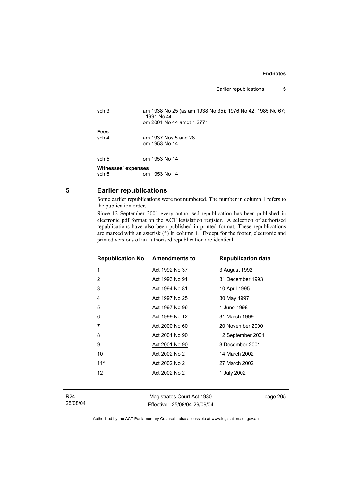Earlier republications 5

| sch <sub>3</sub>    | am 1938 No 25 (as am 1938 No 35); 1976 No 42; 1985 No 67;<br>1991 No 44<br>om 2001 No 44 amdt 1.2771 |
|---------------------|------------------------------------------------------------------------------------------------------|
| Fees                |                                                                                                      |
| sch 4               | am 1937 Nos 5 and 28                                                                                 |
|                     | om 1953 No 14                                                                                        |
| sch 5               | om 1953 No 14                                                                                        |
| Witnesses' expenses |                                                                                                      |
|                     |                                                                                                      |
| sch 6               | om 1953 No 14                                                                                        |

**5 Earlier republications** 

Some earlier republications were not numbered. The number in column 1 refers to the publication order.

Since 12 September 2001 every authorised republication has been published in electronic pdf format on the ACT legislation register. A selection of authorised republications have also been published in printed format. These republications are marked with an asterisk (\*) in column 1. Except for the footer, electronic and printed versions of an authorised republication are identical.

| <b>Republication No Amendments to</b> |                | <b>Republication date</b> |
|---------------------------------------|----------------|---------------------------|
| 1                                     | Act 1992 No 37 | 3 August 1992             |
| $\overline{2}$                        | Act 1993 No 91 | 31 December 1993          |
| 3                                     | Act 1994 No 81 | 10 April 1995             |
| 4                                     | Act 1997 No 25 | 30 May 1997               |
| 5                                     | Act 1997 No 96 | 1 June 1998               |
| 6                                     | Act 1999 No 12 | 31 March 1999             |
| 7                                     | Act 2000 No 60 | 20 November 2000          |
| 8                                     | Act 2001 No 90 | 12 September 2001         |
| 9                                     | Act 2001 No 90 | 3 December 2001           |
| 10                                    | Act 2002 No 2  | 14 March 2002             |
| $11*$                                 | Act 2002 No 2  | 27 March 2002             |
| 12                                    | Act 2002 No 2  | 1 July 2002               |
|                                       |                |                           |

Magistrates Court Act 1930 Effective: 25/08/04-29/09/04 page 205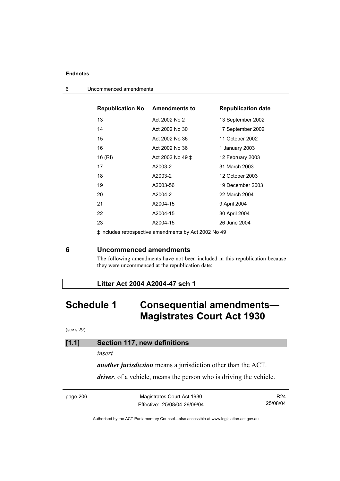| <b>Republication No Amendments to</b> |                  | <b>Republication date</b> |
|---------------------------------------|------------------|---------------------------|
| 13                                    | Act 2002 No 2    | 13 September 2002         |
| 14                                    | Act 2002 No 30   | 17 September 2002         |
| 15                                    | Act 2002 No 36   | 11 October 2002           |
| 16                                    | Act 2002 No 36   | 1 January 2003            |
| 16 (RI)                               | Act 2002 No 49 ± | 12 February 2003          |
| 17                                    | A2003-2          | 31 March 2003             |
| 18                                    | A2003-2          | 12 October 2003           |
| 19                                    | A2003-56         | 19 December 2003          |
| 20                                    | A2004-2          | 22 March 2004             |
| 21                                    | A2004-15         | 9 April 2004              |
| 22                                    | A2004-15         | 30 April 2004             |
| 23                                    | A2004-15         | 26 June 2004              |

6 Uncommenced amendments

‡ includes retrospective amendments by Act 2002 No 49

## **6 Uncommenced amendments**

The following amendments have not been included in this republication because they were uncommenced at the republication date:

## **Litter Act 2004 A2004-47 sch 1**

# **Schedule 1 Consequential amendments— Magistrates Court Act 1930**

(see s 29)

## **[1.1] Section 117, new definitions**

#### *insert*

*another jurisdiction* means a jurisdiction other than the ACT.

*driver*, of a vehicle, means the person who is driving the vehicle.

| page 206 | Magistrates Court Act 1930   | R24      |
|----------|------------------------------|----------|
|          | Effective: 25/08/04-29/09/04 | 25/08/04 |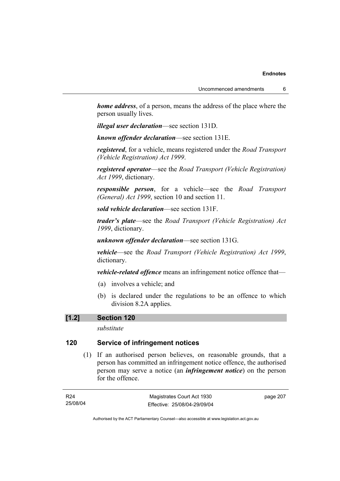*home address*, of a person, means the address of the place where the person usually lives.

*illegal user declaration*—see section 131D.

*known offender declaration*—see section 131E.

*registered*, for a vehicle, means registered under the *Road Transport (Vehicle Registration) Act 1999*.

*registered operator*—see the *Road Transport (Vehicle Registration) Act 1999*, dictionary.

*responsible person*, for a vehicle—see the *Road Transport (General) Act 1999*, section 10 and section 11.

*sold vehicle declaration*—see section 131F.

*trader's plate*—see the *Road Transport (Vehicle Registration) Act 1999*, dictionary.

*unknown offender declaration*—see section 131G.

*vehicle*—see the *Road Transport (Vehicle Registration) Act 1999*, dictionary.

*vehicle-related offence* means an infringement notice offence that—

- (a) involves a vehicle; and
- (b) is declared under the regulations to be an offence to which division 8.2A applies.

#### **[1.2] Section 120**

*substitute* 

## **120 Service of infringement notices**

 (1) If an authorised person believes, on reasonable grounds, that a person has committed an infringement notice offence, the authorised person may serve a notice (an *infringement notice*) on the person for the offence.

| R24      | Magistrates Court Act 1930   | page 207 |
|----------|------------------------------|----------|
| 25/08/04 | Effective: 25/08/04-29/09/04 |          |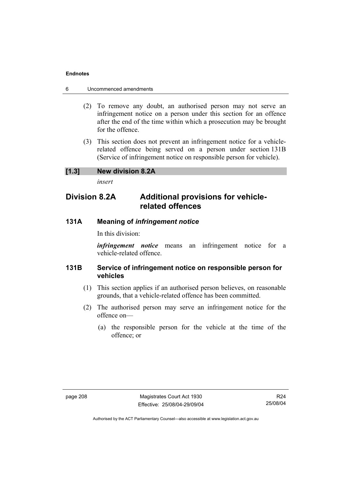- 6 Uncommenced amendments
	- (2) To remove any doubt, an authorised person may not serve an infringement notice on a person under this section for an offence after the end of the time within which a prosecution may be brought for the offence.
	- (3) This section does not prevent an infringement notice for a vehiclerelated offence being served on a person under section 131B (Service of infringement notice on responsible person for vehicle).

## **[1.3] New division 8.2A**

*insert* 

## **Division 8.2A Additional provisions for vehiclerelated offences**

## **131A Meaning of** *infringement notice*

In this division:

*infringement notice* means an infringement notice for a vehicle-related offence.

## **131B Service of infringement notice on responsible person for vehicles**

- (1) This section applies if an authorised person believes, on reasonable grounds, that a vehicle-related offence has been committed.
- (2) The authorised person may serve an infringement notice for the offence on—
	- (a) the responsible person for the vehicle at the time of the offence; or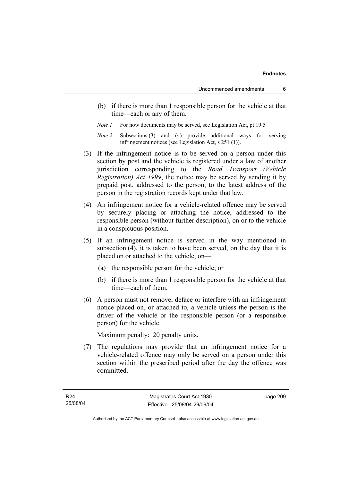- (b) if there is more than 1 responsible person for the vehicle at that time—each or any of them.
- *Note 1* For how documents may be served, see Legislation Act, pt 19.5
- *Note 2* Subsections (3) and (4) provide additional ways for serving infringement notices (see Legislation Act, s 251 (1)).
- (3) If the infringement notice is to be served on a person under this section by post and the vehicle is registered under a law of another jurisdiction corresponding to the *Road Transport (Vehicle Registration) Act 1999*, the notice may be served by sending it by prepaid post, addressed to the person, to the latest address of the person in the registration records kept under that law.
- (4) An infringement notice for a vehicle-related offence may be served by securely placing or attaching the notice, addressed to the responsible person (without further description), on or to the vehicle in a conspicuous position.
- (5) If an infringement notice is served in the way mentioned in subsection (4), it is taken to have been served, on the day that it is placed on or attached to the vehicle, on—
	- (a) the responsible person for the vehicle; or
	- (b) if there is more than 1 responsible person for the vehicle at that time—each of them.
- (6) A person must not remove, deface or interfere with an infringement notice placed on, or attached to, a vehicle unless the person is the driver of the vehicle or the responsible person (or a responsible person) for the vehicle.

Maximum penalty: 20 penalty units.

 (7) The regulations may provide that an infringement notice for a vehicle-related offence may only be served on a person under this section within the prescribed period after the day the offence was committed.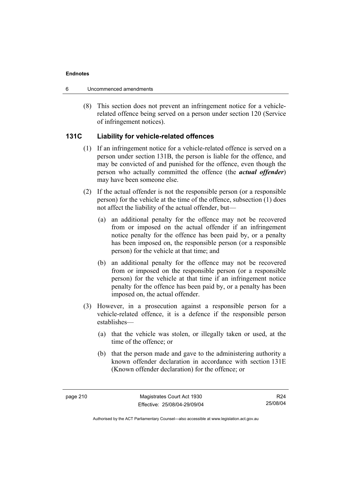- 6 Uncommenced amendments
	- (8) This section does not prevent an infringement notice for a vehiclerelated offence being served on a person under section 120 (Service of infringement notices).

## **131C Liability for vehicle-related offences**

- (1) If an infringement notice for a vehicle-related offence is served on a person under section 131B, the person is liable for the offence, and may be convicted of and punished for the offence, even though the person who actually committed the offence (the *actual offender*) may have been someone else.
- (2) If the actual offender is not the responsible person (or a responsible person) for the vehicle at the time of the offence, subsection (1) does not affect the liability of the actual offender, but—
	- (a) an additional penalty for the offence may not be recovered from or imposed on the actual offender if an infringement notice penalty for the offence has been paid by, or a penalty has been imposed on, the responsible person (or a responsible person) for the vehicle at that time; and
	- (b) an additional penalty for the offence may not be recovered from or imposed on the responsible person (or a responsible person) for the vehicle at that time if an infringement notice penalty for the offence has been paid by, or a penalty has been imposed on, the actual offender.
- (3) However, in a prosecution against a responsible person for a vehicle-related offence, it is a defence if the responsible person establishes—
	- (a) that the vehicle was stolen, or illegally taken or used, at the time of the offence; or
	- (b) that the person made and gave to the administering authority a known offender declaration in accordance with section 131E (Known offender declaration) for the offence; or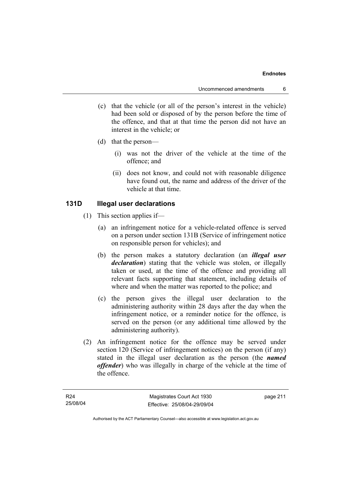- (c) that the vehicle (or all of the person's interest in the vehicle) had been sold or disposed of by the person before the time of the offence, and that at that time the person did not have an interest in the vehicle; or
- (d) that the person—
	- (i) was not the driver of the vehicle at the time of the offence; and
	- (ii) does not know, and could not with reasonable diligence have found out, the name and address of the driver of the vehicle at that time.

## **131D Illegal user declarations**

- (1) This section applies if—
	- (a) an infringement notice for a vehicle-related offence is served on a person under section 131B (Service of infringement notice on responsible person for vehicles); and
	- (b) the person makes a statutory declaration (an *illegal user declaration*) stating that the vehicle was stolen, or illegally taken or used, at the time of the offence and providing all relevant facts supporting that statement, including details of where and when the matter was reported to the police; and
	- (c) the person gives the illegal user declaration to the administering authority within 28 days after the day when the infringement notice, or a reminder notice for the offence, is served on the person (or any additional time allowed by the administering authority).
- (2) An infringement notice for the offence may be served under section 120 (Service of infringement notices) on the person (if any) stated in the illegal user declaration as the person (the *named offender*) who was illegally in charge of the vehicle at the time of the offence.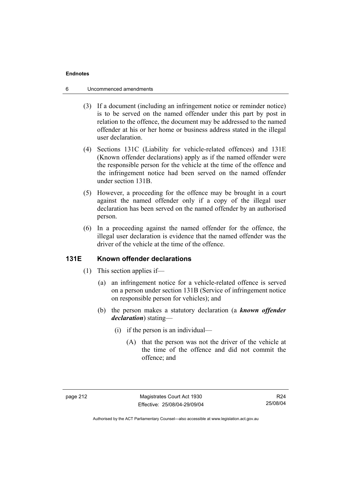- 6 Uncommenced amendments
	- (3) If a document (including an infringement notice or reminder notice) is to be served on the named offender under this part by post in relation to the offence, the document may be addressed to the named offender at his or her home or business address stated in the illegal user declaration.
	- (4) Sections 131C (Liability for vehicle-related offences) and 131E (Known offender declarations) apply as if the named offender were the responsible person for the vehicle at the time of the offence and the infringement notice had been served on the named offender under section 131B.
	- (5) However, a proceeding for the offence may be brought in a court against the named offender only if a copy of the illegal user declaration has been served on the named offender by an authorised person.
	- (6) In a proceeding against the named offender for the offence, the illegal user declaration is evidence that the named offender was the driver of the vehicle at the time of the offence.

## **131E Known offender declarations**

- (1) This section applies if—
	- (a) an infringement notice for a vehicle-related offence is served on a person under section 131B (Service of infringement notice on responsible person for vehicles); and
	- (b) the person makes a statutory declaration (a *known offender declaration*) stating—
		- (i) if the person is an individual—
			- (A) that the person was not the driver of the vehicle at the time of the offence and did not commit the offence; and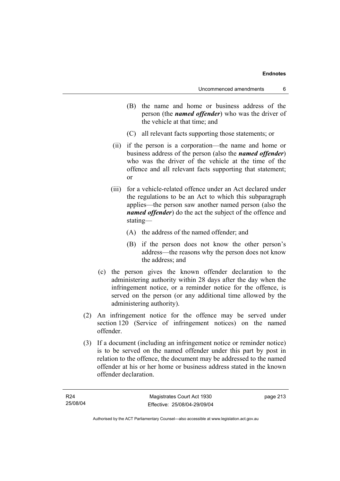- (B) the name and home or business address of the person (the *named offender*) who was the driver of the vehicle at that time; and
- (C) all relevant facts supporting those statements; or
- (ii) if the person is a corporation—the name and home or business address of the person (also the *named offender*) who was the driver of the vehicle at the time of the offence and all relevant facts supporting that statement; or
- (iii) for a vehicle-related offence under an Act declared under the regulations to be an Act to which this subparagraph applies—the person saw another named person (also the *named offender*) do the act the subject of the offence and stating—
	- (A) the address of the named offender; and
	- (B) if the person does not know the other person's address—the reasons why the person does not know the address; and
- (c) the person gives the known offender declaration to the administering authority within 28 days after the day when the infringement notice, or a reminder notice for the offence, is served on the person (or any additional time allowed by the administering authority).
- (2) An infringement notice for the offence may be served under section 120 (Service of infringement notices) on the named offender.
- (3) If a document (including an infringement notice or reminder notice) is to be served on the named offender under this part by post in relation to the offence, the document may be addressed to the named offender at his or her home or business address stated in the known offender declaration.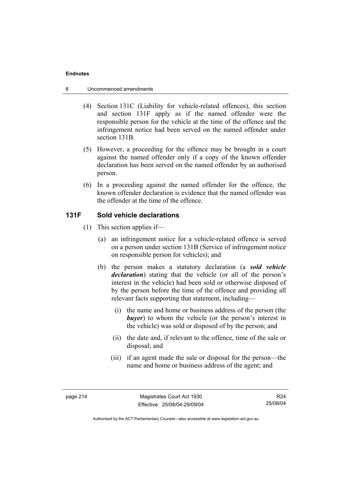- 6 Uncommenced amendments
	- (4) Section 131C (Liability for vehicle-related offences), this section and section 131F apply as if the named offender were the responsible person for the vehicle at the time of the offence and the infringement notice had been served on the named offender under section 131B.
	- (5) However, a proceeding for the offence may be brought in a court against the named offender only if a copy of the known offender declaration has been served on the named offender by an authorised person.
	- (6) In a proceeding against the named offender for the offence, the known offender declaration is evidence that the named offender was the offender at the time of the offence.

## **131F Sold vehicle declarations**

- (1) This section applies if—
	- (a) an infringement notice for a vehicle-related offence is served on a person under section 131B (Service of infringement notice on responsible person for vehicles); and
	- (b) the person makes a statutory declaration (a *sold vehicle declaration*) stating that the vehicle (or all of the person's interest in the vehicle) had been sold or otherwise disposed of by the person before the time of the offence and providing all relevant facts supporting that statement, including—
		- (i) the name and home or business address of the person (the *buyer*) to whom the vehicle (or the person's interest in the vehicle) was sold or disposed of by the person; and
		- (ii) the date and, if relevant to the offence, time of the sale or disposal; and
		- (iii) if an agent made the sale or disposal for the person—the name and home or business address of the agent; and

R24 25/08/04

Authorised by the ACT Parliamentary Counsel—also accessible at www.legislation.act.gov.au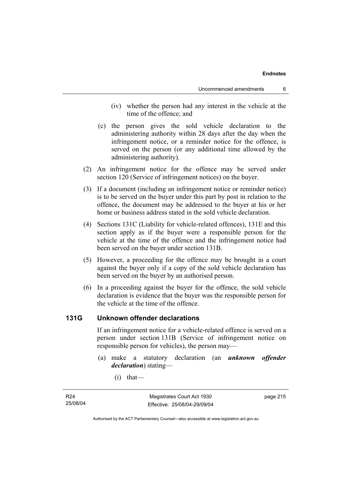- (iv) whether the person had any interest in the vehicle at the time of the offence; and
- (c) the person gives the sold vehicle declaration to the administering authority within 28 days after the day when the infringement notice, or a reminder notice for the offence, is served on the person (or any additional time allowed by the administering authority).
- (2) An infringement notice for the offence may be served under section 120 (Service of infringement notices) on the buyer.
- (3) If a document (including an infringement notice or reminder notice) is to be served on the buyer under this part by post in relation to the offence, the document may be addressed to the buyer at his or her home or business address stated in the sold vehicle declaration.
- (4) Sections 131C (Liability for vehicle-related offences), 131E and this section apply as if the buyer were a responsible person for the vehicle at the time of the offence and the infringement notice had been served on the buyer under section 131B.
- (5) However, a proceeding for the offence may be brought in a court against the buyer only if a copy of the sold vehicle declaration has been served on the buyer by an authorised person.
- (6) In a proceeding against the buyer for the offence, the sold vehicle declaration is evidence that the buyer was the responsible person for the vehicle at the time of the offence.

## **131G Unknown offender declarations**

If an infringement notice for a vehicle-related offence is served on a person under section 131B (Service of infringement notice on responsible person for vehicles), the person may—

- (a) make a statutory declaration (an *unknown offender declaration*) stating—
	- $(i)$  that—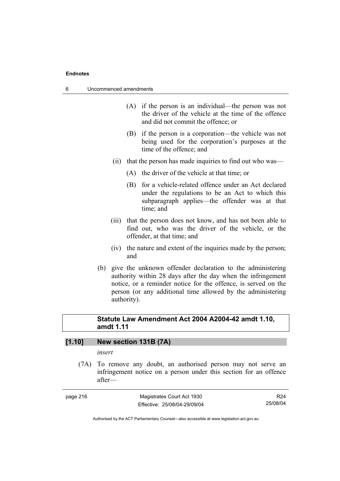| 6<br>Uncommenced amendments |  |
|-----------------------------|--|
|-----------------------------|--|

- (A) if the person is an individual—the person was not the driver of the vehicle at the time of the offence and did not commit the offence; or
- (B) if the person is a corporation—the vehicle was not being used for the corporation's purposes at the time of the offence; and
- (ii) that the person has made inquiries to find out who was—
	- (A) the driver of the vehicle at that time; or
	- (B) for a vehicle-related offence under an Act declared under the regulations to be an Act to which this subparagraph applies—the offender was at that time; and
- (iii) that the person does not know, and has not been able to find out, who was the driver of the vehicle, or the offender, at that time; and
- (iv) the nature and extent of the inquiries made by the person; and
- (b) give the unknown offender declaration to the administering authority within 28 days after the day when the infringement notice, or a reminder notice for the offence, is served on the person (or any additional time allowed by the administering authority).

## **Statute Law Amendment Act 2004 A2004-42 amdt 1.10, amdt 1.11**

## **[1.10] New section 131B (7A)**

## *insert*

 (7A) To remove any doubt, an authorised person may not serve an infringement notice on a person under this section for an offence after—

| page 216 |
|----------|
|----------|

page 216 Magistrates Court Act 1930 Effective: 25/08/04-29/09/04

R24 25/08/04